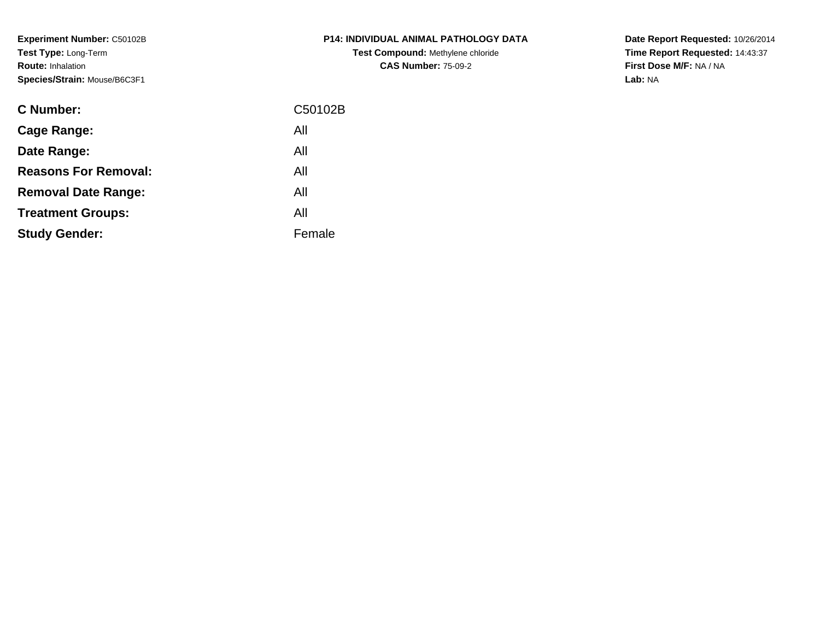**Experiment Number:** C50102B**Test Type:** Long-Term**Route:** Inhalation**Species/Strain:** Mouse/B6C3F1

| <b>C Number:</b>            | C50102B |
|-----------------------------|---------|
| <b>Cage Range:</b>          | All     |
| Date Range:                 | All     |
| <b>Reasons For Removal:</b> | All     |
| <b>Removal Date Range:</b>  | All     |
| <b>Treatment Groups:</b>    | All     |
| <b>Study Gender:</b>        | Female  |
|                             |         |

**P14: INDIVIDUAL ANIMAL PATHOLOGY DATATest Compound:** Methylene chloride**CAS Number:** 75-09-2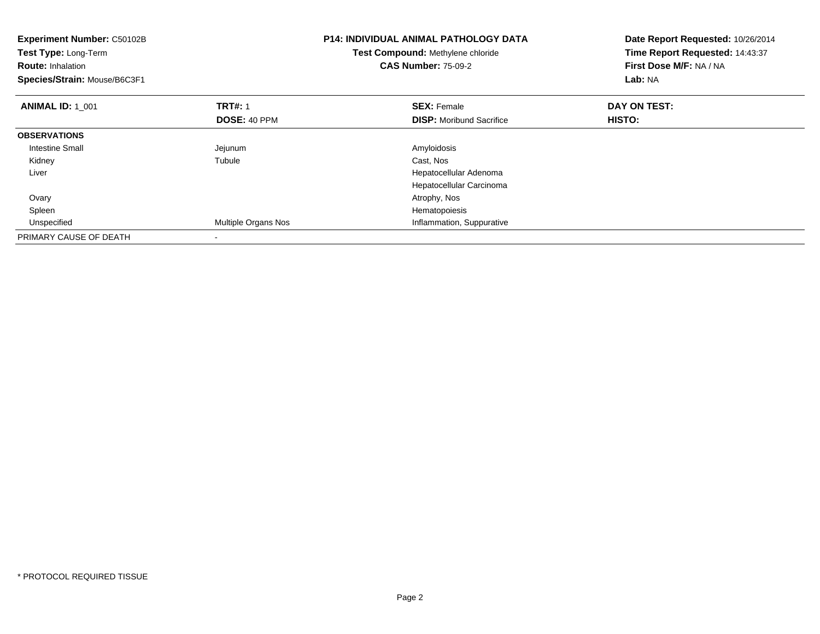| Experiment Number: C50102B<br>Test Type: Long-Term<br><b>Route: Inhalation</b><br>Species/Strain: Mouse/B6C3F1 |                                | <b>P14: INDIVIDUAL ANIMAL PATHOLOGY DATA</b><br>Test Compound: Methylene chloride<br><b>CAS Number: 75-09-2</b> | Date Report Requested: 10/26/2014<br>Time Report Requested: 14:43:37<br>First Dose M/F: NA / NA<br>Lab: NA |
|----------------------------------------------------------------------------------------------------------------|--------------------------------|-----------------------------------------------------------------------------------------------------------------|------------------------------------------------------------------------------------------------------------|
| <b>ANIMAL ID: 1 001</b>                                                                                        | <b>TRT#: 1</b><br>DOSE: 40 PPM | <b>SEX: Female</b><br><b>DISP:</b> Moribund Sacrifice                                                           | DAY ON TEST:<br>HISTO:                                                                                     |
| <b>OBSERVATIONS</b>                                                                                            |                                |                                                                                                                 |                                                                                                            |
| Intestine Small                                                                                                |                                | Amyloidosis                                                                                                     |                                                                                                            |
|                                                                                                                | Jejunum                        |                                                                                                                 |                                                                                                            |
| Kidney                                                                                                         | Tubule                         | Cast, Nos                                                                                                       |                                                                                                            |
| Liver                                                                                                          |                                | Hepatocellular Adenoma                                                                                          |                                                                                                            |
|                                                                                                                |                                | Hepatocellular Carcinoma                                                                                        |                                                                                                            |
| Ovary                                                                                                          |                                | Atrophy, Nos                                                                                                    |                                                                                                            |
| Spleen                                                                                                         |                                | Hematopoiesis                                                                                                   |                                                                                                            |
| Unspecified                                                                                                    | <b>Multiple Organs Nos</b>     | Inflammation, Suppurative                                                                                       |                                                                                                            |
| PRIMARY CAUSE OF DEATH                                                                                         |                                |                                                                                                                 |                                                                                                            |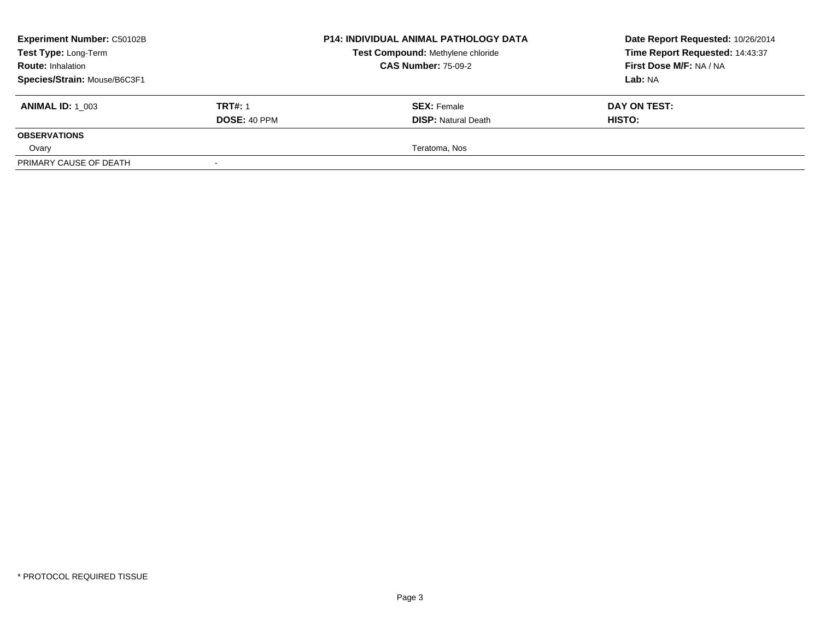| <b>Experiment Number: C50102B</b><br>Test Type: Long-Term |                     | <b>P14: INDIVIDUAL ANIMAL PATHOLOGY DATA</b> | Date Report Requested: 10/26/2014 |  |
|-----------------------------------------------------------|---------------------|----------------------------------------------|-----------------------------------|--|
|                                                           |                     | Test Compound: Methylene chloride            | Time Report Requested: 14:43:37   |  |
| <b>Route: Inhalation</b>                                  |                     | <b>CAS Number: 75-09-2</b>                   | First Dose M/F: NA / NA           |  |
| Species/Strain: Mouse/B6C3F1                              |                     |                                              | Lab: NA                           |  |
| <b>ANIMAL ID: 1 003</b>                                   | <b>TRT#: 1</b>      | <b>SEX: Female</b>                           | DAY ON TEST:                      |  |
|                                                           | <b>DOSE: 40 PPM</b> | <b>DISP: Natural Death</b>                   | <b>HISTO:</b>                     |  |
| <b>OBSERVATIONS</b>                                       |                     |                                              |                                   |  |
| Ovary                                                     |                     | Teratoma, Nos                                |                                   |  |
| PRIMARY CAUSE OF DEATH                                    |                     |                                              |                                   |  |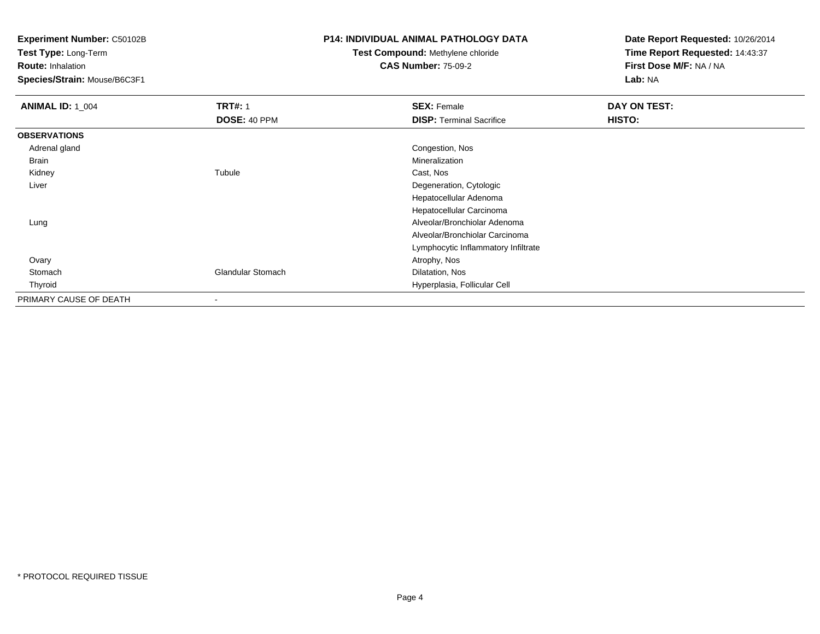**Test Type:** Long-Term

**Route:** Inhalation

**Species/Strain:** Mouse/B6C3F1

### **P14: INDIVIDUAL ANIMAL PATHOLOGY DATA**

## **Test Compound:** Methylene chloride**CAS Number:** 75-09-2

| <b>ANIMAL ID: 1_004</b> | <b>TRT#: 1</b>           | <b>SEX: Female</b>                  | DAY ON TEST: |  |
|-------------------------|--------------------------|-------------------------------------|--------------|--|
|                         | DOSE: 40 PPM             | <b>DISP: Terminal Sacrifice</b>     | HISTO:       |  |
| <b>OBSERVATIONS</b>     |                          |                                     |              |  |
| Adrenal gland           |                          | Congestion, Nos                     |              |  |
| Brain                   |                          | Mineralization                      |              |  |
| Kidney                  | Tubule                   | Cast, Nos                           |              |  |
| Liver                   |                          | Degeneration, Cytologic             |              |  |
|                         |                          | Hepatocellular Adenoma              |              |  |
|                         |                          | Hepatocellular Carcinoma            |              |  |
| Lung                    |                          | Alveolar/Bronchiolar Adenoma        |              |  |
|                         |                          | Alveolar/Bronchiolar Carcinoma      |              |  |
|                         |                          | Lymphocytic Inflammatory Infiltrate |              |  |
| Ovary                   |                          | Atrophy, Nos                        |              |  |
| Stomach                 | <b>Glandular Stomach</b> | Dilatation, Nos                     |              |  |
| Thyroid                 |                          | Hyperplasia, Follicular Cell        |              |  |
| PRIMARY CAUSE OF DEATH  | $\overline{\phantom{a}}$ |                                     |              |  |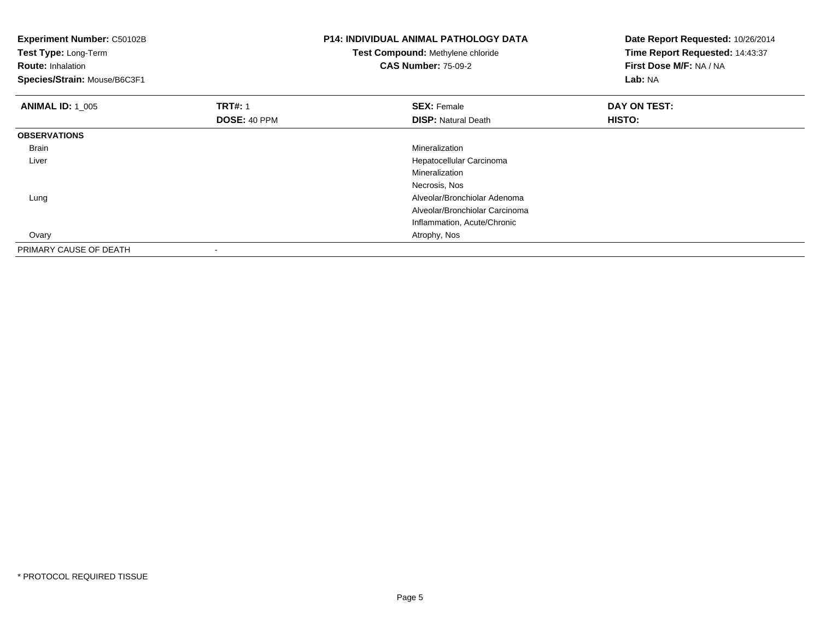| <b>Experiment Number: C50102B</b><br>Test Type: Long-Term<br><b>Route: Inhalation</b><br>Species/Strain: Mouse/B6C3F1 |                | <b>P14: INDIVIDUAL ANIMAL PATHOLOGY DATA</b><br>Test Compound: Methylene chloride<br><b>CAS Number: 75-09-2</b> | Date Report Requested: 10/26/2014<br>Time Report Requested: 14:43:37<br>First Dose M/F: NA / NA<br>Lab: NA |  |
|-----------------------------------------------------------------------------------------------------------------------|----------------|-----------------------------------------------------------------------------------------------------------------|------------------------------------------------------------------------------------------------------------|--|
| <b>ANIMAL ID: 1 005</b>                                                                                               | <b>TRT#: 1</b> | <b>SEX: Female</b>                                                                                              | DAY ON TEST:                                                                                               |  |
|                                                                                                                       | DOSE: 40 PPM   | <b>DISP: Natural Death</b>                                                                                      | <b>HISTO:</b>                                                                                              |  |
| <b>OBSERVATIONS</b>                                                                                                   |                |                                                                                                                 |                                                                                                            |  |
| <b>Brain</b>                                                                                                          |                | <b>Mineralization</b>                                                                                           |                                                                                                            |  |
| Liver                                                                                                                 |                | Hepatocellular Carcinoma                                                                                        |                                                                                                            |  |
|                                                                                                                       |                | Mineralization                                                                                                  |                                                                                                            |  |
|                                                                                                                       |                | Necrosis, Nos                                                                                                   |                                                                                                            |  |
| Lung                                                                                                                  |                | Alveolar/Bronchiolar Adenoma                                                                                    |                                                                                                            |  |
|                                                                                                                       |                | Alveolar/Bronchiolar Carcinoma                                                                                  |                                                                                                            |  |
|                                                                                                                       |                | Inflammation, Acute/Chronic                                                                                     |                                                                                                            |  |
| Ovary                                                                                                                 |                | Atrophy, Nos                                                                                                    |                                                                                                            |  |
| PRIMARY CAUSE OF DEATH                                                                                                |                |                                                                                                                 |                                                                                                            |  |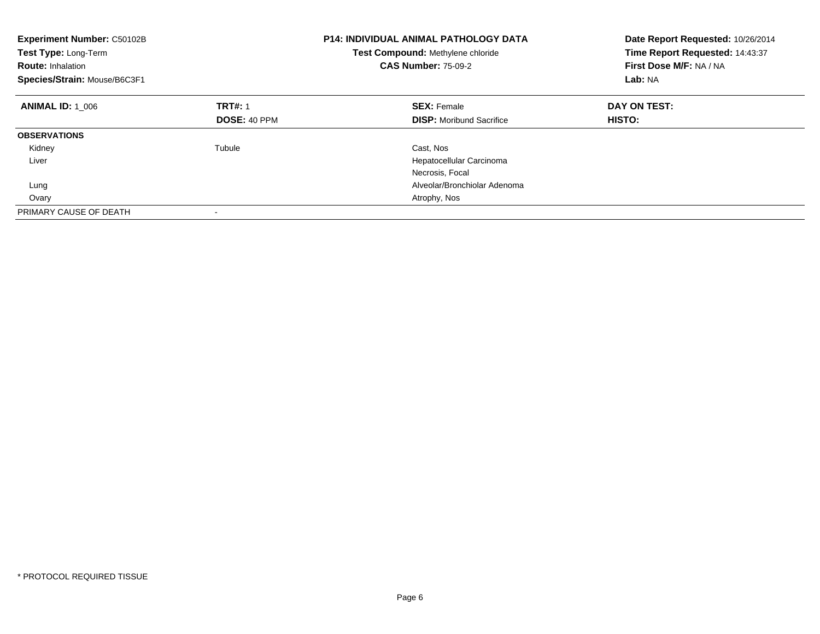| <b>Experiment Number: C50102B</b><br>Test Type: Long-Term<br><b>Route: Inhalation</b><br>Species/Strain: Mouse/B6C3F1 |                     | <b>P14: INDIVIDUAL ANIMAL PATHOLOGY DATA</b><br>Test Compound: Methylene chloride<br><b>CAS Number: 75-09-2</b> | Date Report Requested: 10/26/2014<br>Time Report Requested: 14:43:37<br>First Dose M/F: NA / NA<br>Lab: NA |
|-----------------------------------------------------------------------------------------------------------------------|---------------------|-----------------------------------------------------------------------------------------------------------------|------------------------------------------------------------------------------------------------------------|
| <b>ANIMAL ID: 1 006</b>                                                                                               | <b>TRT#: 1</b>      | <b>SEX: Female</b>                                                                                              | DAY ON TEST:                                                                                               |
|                                                                                                                       | <b>DOSE: 40 PPM</b> | <b>DISP:</b> Moribund Sacrifice                                                                                 | HISTO:                                                                                                     |
| <b>OBSERVATIONS</b>                                                                                                   |                     |                                                                                                                 |                                                                                                            |
| Kidney                                                                                                                | Tubule              | Cast, Nos                                                                                                       |                                                                                                            |
| Liver                                                                                                                 |                     | Hepatocellular Carcinoma                                                                                        |                                                                                                            |
|                                                                                                                       |                     | Necrosis, Focal                                                                                                 |                                                                                                            |
| Lung                                                                                                                  |                     | Alveolar/Bronchiolar Adenoma                                                                                    |                                                                                                            |
| Ovary                                                                                                                 |                     | Atrophy, Nos                                                                                                    |                                                                                                            |
| PRIMARY CAUSE OF DEATH                                                                                                |                     |                                                                                                                 |                                                                                                            |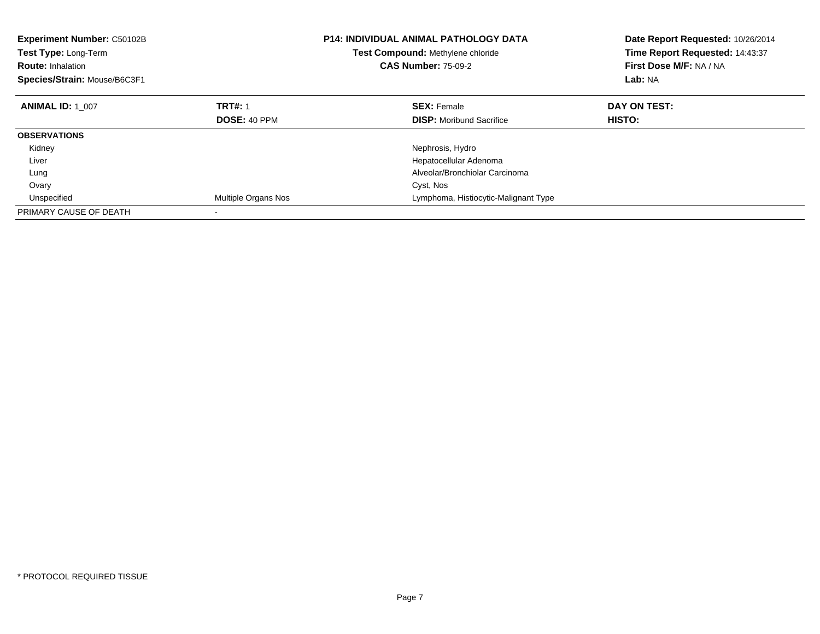| Experiment Number: C50102B<br>Test Type: Long-Term<br><b>Test Compound: Methylene chloride</b><br><b>CAS Number: 75-09-2</b><br><b>Route: Inhalation</b><br>Species/Strain: Mouse/B6C3F1 |                     | <b>P14: INDIVIDUAL ANIMAL PATHOLOGY DATA</b> | Date Report Requested: 10/26/2014<br>Time Report Requested: 14:43:37<br>First Dose M/F: NA / NA<br>Lab: NA |
|------------------------------------------------------------------------------------------------------------------------------------------------------------------------------------------|---------------------|----------------------------------------------|------------------------------------------------------------------------------------------------------------|
| <b>ANIMAL ID: 1 007</b>                                                                                                                                                                  | <b>TRT#: 1</b>      | <b>SEX: Female</b>                           | DAY ON TEST:                                                                                               |
|                                                                                                                                                                                          | DOSE: 40 PPM        | <b>DISP:</b> Moribund Sacrifice              | HISTO:                                                                                                     |
| <b>OBSERVATIONS</b>                                                                                                                                                                      |                     |                                              |                                                                                                            |
| Kidney                                                                                                                                                                                   |                     | Nephrosis, Hydro                             |                                                                                                            |
| Liver                                                                                                                                                                                    |                     | Hepatocellular Adenoma                       |                                                                                                            |
| Lung                                                                                                                                                                                     |                     | Alveolar/Bronchiolar Carcinoma               |                                                                                                            |
| Ovary                                                                                                                                                                                    |                     | Cyst, Nos                                    |                                                                                                            |
| Unspecified                                                                                                                                                                              | Multiple Organs Nos | Lymphoma, Histiocytic-Malignant Type         |                                                                                                            |
| PRIMARY CAUSE OF DEATH                                                                                                                                                                   |                     |                                              |                                                                                                            |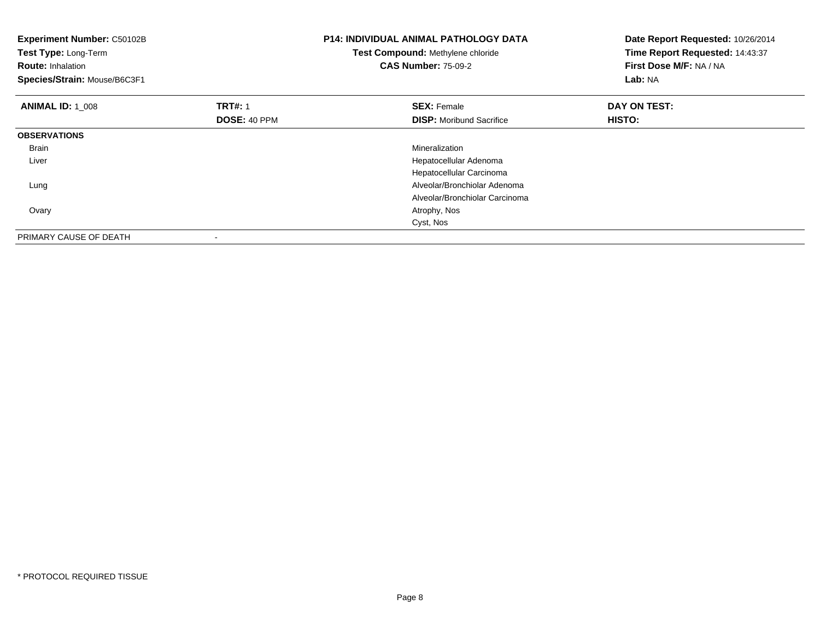| <b>Experiment Number: C50102B</b><br>Test Type: Long-Term<br><b>Route: Inhalation</b><br>Species/Strain: Mouse/B6C3F1 |                                | <b>P14: INDIVIDUAL ANIMAL PATHOLOGY DATA</b><br>Test Compound: Methylene chloride<br><b>CAS Number: 75-09-2</b> | Date Report Requested: 10/26/2014<br>Time Report Requested: 14:43:37<br>First Dose M/F: NA / NA<br>Lab: NA |  |
|-----------------------------------------------------------------------------------------------------------------------|--------------------------------|-----------------------------------------------------------------------------------------------------------------|------------------------------------------------------------------------------------------------------------|--|
| <b>ANIMAL ID: 1 008</b>                                                                                               | <b>TRT#: 1</b><br>DOSE: 40 PPM | <b>SEX: Female</b><br><b>DISP:</b> Moribund Sacrifice                                                           | DAY ON TEST:<br>HISTO:                                                                                     |  |
| <b>OBSERVATIONS</b>                                                                                                   |                                |                                                                                                                 |                                                                                                            |  |
| <b>Brain</b>                                                                                                          |                                | Mineralization                                                                                                  |                                                                                                            |  |
| Liver                                                                                                                 |                                | Hepatocellular Adenoma                                                                                          |                                                                                                            |  |
|                                                                                                                       |                                | Hepatocellular Carcinoma                                                                                        |                                                                                                            |  |
| Lung                                                                                                                  |                                | Alveolar/Bronchiolar Adenoma                                                                                    |                                                                                                            |  |
|                                                                                                                       |                                | Alveolar/Bronchiolar Carcinoma                                                                                  |                                                                                                            |  |
| Ovary                                                                                                                 |                                | Atrophy, Nos                                                                                                    |                                                                                                            |  |
|                                                                                                                       |                                | Cyst, Nos                                                                                                       |                                                                                                            |  |
| PRIMARY CAUSE OF DEATH                                                                                                | $\overline{\phantom{a}}$       |                                                                                                                 |                                                                                                            |  |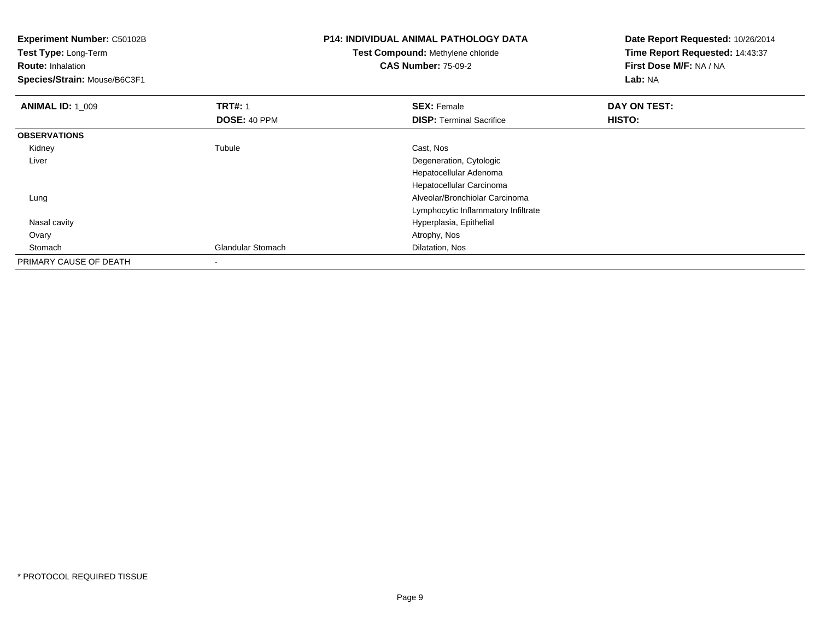| <b>Experiment Number: C50102B</b><br>Test Type: Long-Term<br><b>Route: Inhalation</b><br>Species/Strain: Mouse/B6C3F1 |                                | <b>P14: INDIVIDUAL ANIMAL PATHOLOGY DATA</b><br><b>Test Compound: Methylene chloride</b><br><b>CAS Number: 75-09-2</b> | Date Report Requested: 10/26/2014<br>Time Report Requested: 14:43:37<br>First Dose M/F: NA / NA<br>Lab: NA |  |
|-----------------------------------------------------------------------------------------------------------------------|--------------------------------|------------------------------------------------------------------------------------------------------------------------|------------------------------------------------------------------------------------------------------------|--|
| <b>ANIMAL ID: 1_009</b>                                                                                               | <b>TRT#: 1</b><br>DOSE: 40 PPM | <b>SEX: Female</b><br><b>DISP:</b> Terminal Sacrifice                                                                  | DAY ON TEST:<br>HISTO:                                                                                     |  |
| <b>OBSERVATIONS</b>                                                                                                   |                                |                                                                                                                        |                                                                                                            |  |
| Kidney<br>Liver                                                                                                       | Tubule                         | Cast, Nos<br>Degeneration, Cytologic<br>Hepatocellular Adenoma                                                         |                                                                                                            |  |
| Lung                                                                                                                  |                                | Hepatocellular Carcinoma<br>Alveolar/Bronchiolar Carcinoma<br>Lymphocytic Inflammatory Infiltrate                      |                                                                                                            |  |
| Nasal cavity                                                                                                          |                                | Hyperplasia, Epithelial                                                                                                |                                                                                                            |  |
| Ovary                                                                                                                 |                                | Atrophy, Nos                                                                                                           |                                                                                                            |  |
| Stomach                                                                                                               | <b>Glandular Stomach</b>       | Dilatation, Nos                                                                                                        |                                                                                                            |  |
| PRIMARY CAUSE OF DEATH                                                                                                |                                |                                                                                                                        |                                                                                                            |  |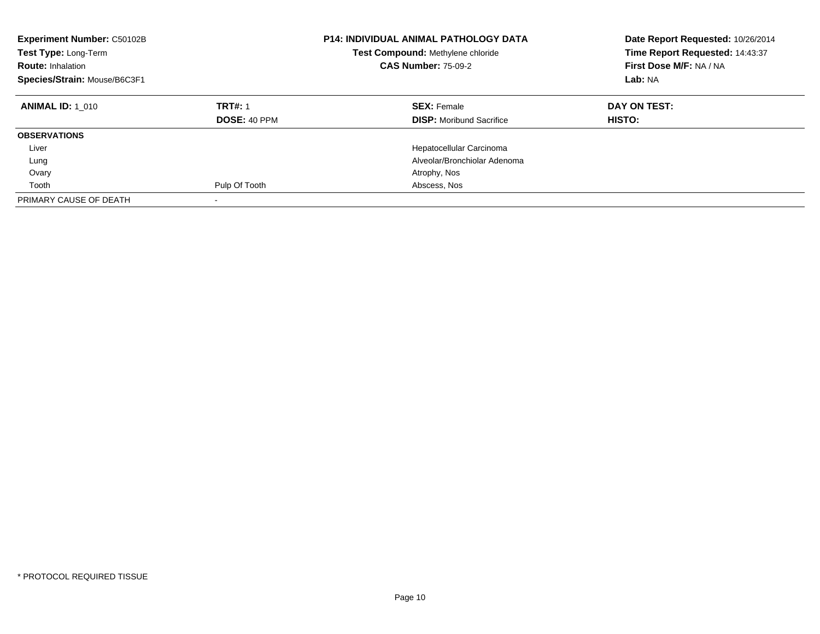| <b>Experiment Number: C50102B</b><br>Test Type: Long-Term<br><b>Route: Inhalation</b><br>Species/Strain: Mouse/B6C3F1 |                                | <b>P14: INDIVIDUAL ANIMAL PATHOLOGY DATA</b><br>Test Compound: Methylene chloride<br><b>CAS Number: 75-09-2</b> | Date Report Requested: 10/26/2014<br>Time Report Requested: 14:43:37<br>First Dose M/F: NA / NA<br>Lab: NA |
|-----------------------------------------------------------------------------------------------------------------------|--------------------------------|-----------------------------------------------------------------------------------------------------------------|------------------------------------------------------------------------------------------------------------|
| <b>ANIMAL ID: 1 010</b>                                                                                               | <b>TRT#: 1</b><br>DOSE: 40 PPM | <b>SEX: Female</b><br><b>DISP:</b> Moribund Sacrifice                                                           | DAY ON TEST:<br>HISTO:                                                                                     |
| <b>OBSERVATIONS</b>                                                                                                   |                                |                                                                                                                 |                                                                                                            |
| Liver                                                                                                                 |                                | Hepatocellular Carcinoma                                                                                        |                                                                                                            |
| Lung                                                                                                                  |                                | Alveolar/Bronchiolar Adenoma                                                                                    |                                                                                                            |
| Ovary                                                                                                                 |                                | Atrophy, Nos                                                                                                    |                                                                                                            |
| Tooth                                                                                                                 | Pulp Of Tooth                  | Abscess, Nos                                                                                                    |                                                                                                            |
| PRIMARY CAUSE OF DEATH                                                                                                |                                |                                                                                                                 |                                                                                                            |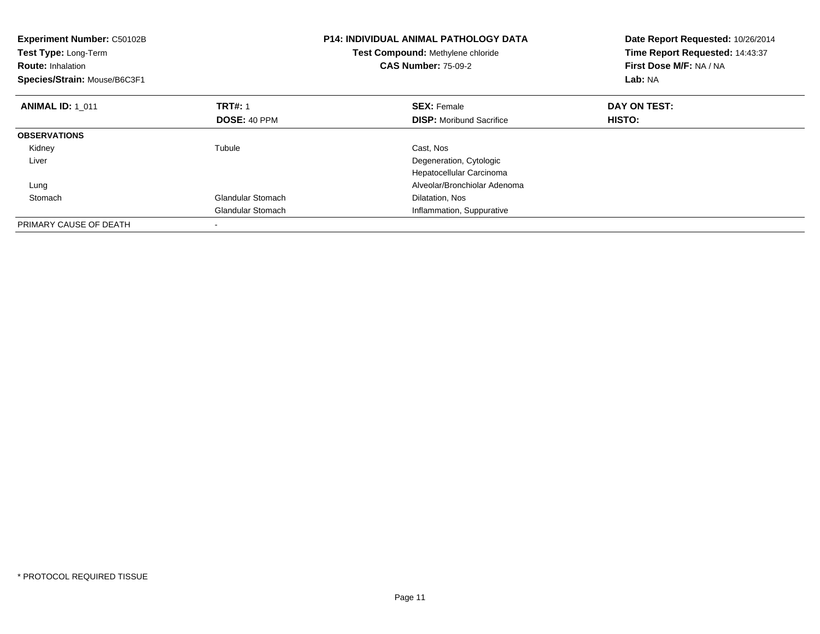| <b>P14: INDIVIDUAL ANIMAL PATHOLOGY DATA</b><br><b>Experiment Number: C50102B</b><br>Test Type: Long-Term<br>Test Compound: Methylene chloride<br><b>CAS Number: 75-09-2</b><br><b>Route: Inhalation</b><br>Species/Strain: Mouse/B6C3F1 |                     |                                 | Date Report Requested: 10/26/2014<br>Time Report Requested: 14:43:37<br>First Dose M/F: NA / NA<br>Lab: NA |
|------------------------------------------------------------------------------------------------------------------------------------------------------------------------------------------------------------------------------------------|---------------------|---------------------------------|------------------------------------------------------------------------------------------------------------|
| <b>ANIMAL ID: 1 011</b>                                                                                                                                                                                                                  | <b>TRT#: 1</b>      | <b>SEX: Female</b>              | DAY ON TEST:                                                                                               |
|                                                                                                                                                                                                                                          | <b>DOSE: 40 PPM</b> | <b>DISP:</b> Moribund Sacrifice | HISTO:                                                                                                     |
| <b>OBSERVATIONS</b>                                                                                                                                                                                                                      |                     |                                 |                                                                                                            |
| Kidney                                                                                                                                                                                                                                   | Tubule              | Cast, Nos                       |                                                                                                            |
| Liver                                                                                                                                                                                                                                    |                     | Degeneration, Cytologic         |                                                                                                            |
|                                                                                                                                                                                                                                          |                     | Hepatocellular Carcinoma        |                                                                                                            |
| Lung                                                                                                                                                                                                                                     |                     | Alveolar/Bronchiolar Adenoma    |                                                                                                            |
| Stomach                                                                                                                                                                                                                                  | Glandular Stomach   | Dilatation, Nos                 |                                                                                                            |
|                                                                                                                                                                                                                                          | Glandular Stomach   | Inflammation, Suppurative       |                                                                                                            |
| PRIMARY CAUSE OF DEATH                                                                                                                                                                                                                   |                     |                                 |                                                                                                            |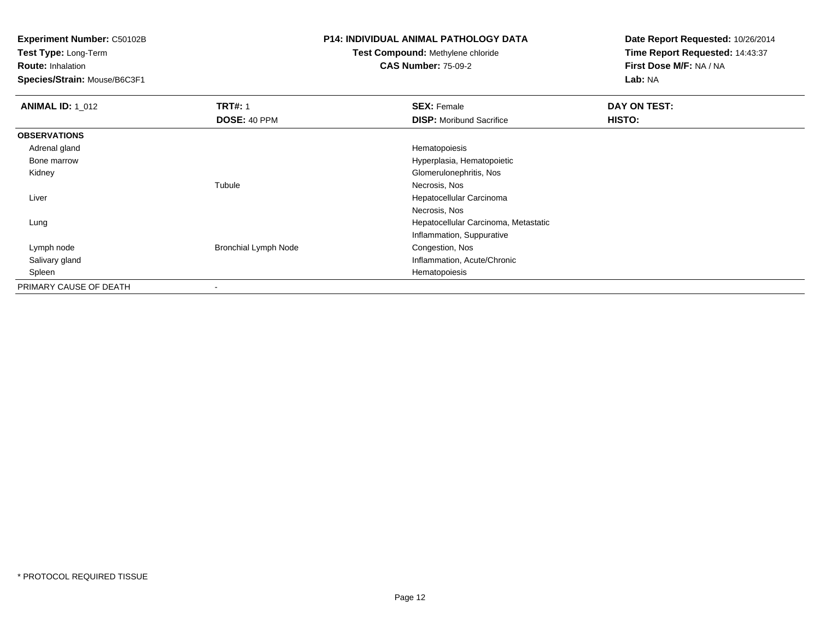**Test Type:** Long-Term

**Route:** Inhalation

**Species/Strain:** Mouse/B6C3F1

#### **P14: INDIVIDUAL ANIMAL PATHOLOGY DATA**

## **Test Compound:** Methylene chloride**CAS Number:** 75-09-2

| <b>ANIMAL ID: 1_012</b> | <b>TRT#: 1</b>              | <b>SEX: Female</b>                   | DAY ON TEST: |  |
|-------------------------|-----------------------------|--------------------------------------|--------------|--|
|                         | <b>DOSE: 40 PPM</b>         | <b>DISP:</b> Moribund Sacrifice      | HISTO:       |  |
| <b>OBSERVATIONS</b>     |                             |                                      |              |  |
| Adrenal gland           |                             | Hematopoiesis                        |              |  |
| Bone marrow             |                             | Hyperplasia, Hematopoietic           |              |  |
| Kidney                  |                             | Glomerulonephritis, Nos              |              |  |
|                         | Tubule                      | Necrosis, Nos                        |              |  |
| Liver                   |                             | Hepatocellular Carcinoma             |              |  |
|                         |                             | Necrosis, Nos                        |              |  |
| Lung                    |                             | Hepatocellular Carcinoma, Metastatic |              |  |
|                         |                             | Inflammation, Suppurative            |              |  |
| Lymph node              | <b>Bronchial Lymph Node</b> | Congestion, Nos                      |              |  |
| Salivary gland          |                             | Inflammation, Acute/Chronic          |              |  |
| Spleen                  |                             | Hematopoiesis                        |              |  |
| PRIMARY CAUSE OF DEATH  | $\blacksquare$              |                                      |              |  |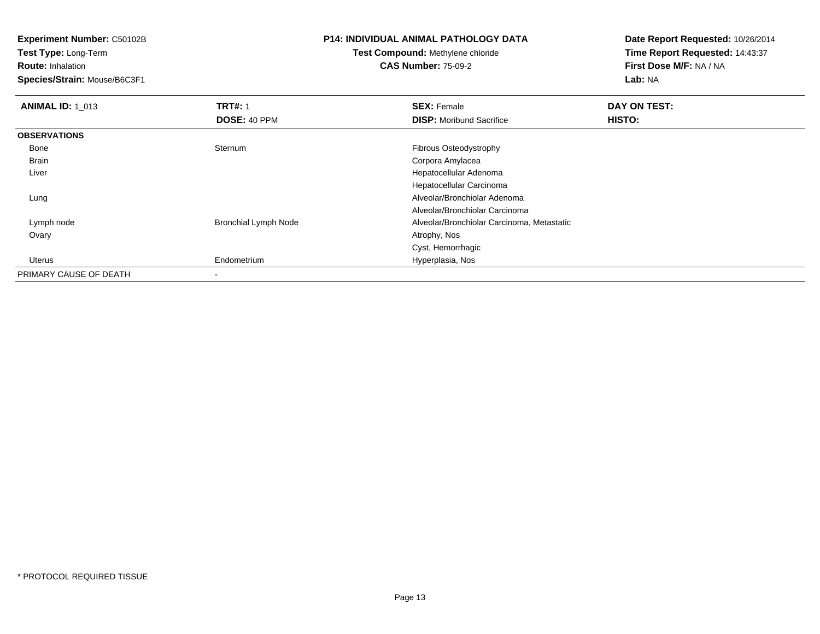**Test Type:** Long-Term

**Route:** Inhalation

**Species/Strain:** Mouse/B6C3F1

## **P14: INDIVIDUAL ANIMAL PATHOLOGY DATA**

## **Test Compound:** Methylene chloride**CAS Number:** 75-09-2

| <b>ANIMAL ID: 1 013</b> | <b>TRT#: 1</b>              | <b>SEX: Female</b>                         | DAY ON TEST:  |  |
|-------------------------|-----------------------------|--------------------------------------------|---------------|--|
|                         | DOSE: 40 PPM                | <b>DISP:</b> Moribund Sacrifice            | <b>HISTO:</b> |  |
| <b>OBSERVATIONS</b>     |                             |                                            |               |  |
| Bone                    | Sternum                     | Fibrous Osteodystrophy                     |               |  |
| Brain                   |                             | Corpora Amylacea                           |               |  |
| Liver                   |                             | Hepatocellular Adenoma                     |               |  |
|                         |                             | Hepatocellular Carcinoma                   |               |  |
| Lung                    |                             | Alveolar/Bronchiolar Adenoma               |               |  |
|                         |                             | Alveolar/Bronchiolar Carcinoma             |               |  |
| Lymph node              | <b>Bronchial Lymph Node</b> | Alveolar/Bronchiolar Carcinoma, Metastatic |               |  |
| Ovary                   |                             | Atrophy, Nos                               |               |  |
|                         |                             | Cyst, Hemorrhagic                          |               |  |
| Uterus                  | Endometrium                 | Hyperplasia, Nos                           |               |  |
| PRIMARY CAUSE OF DEATH  |                             |                                            |               |  |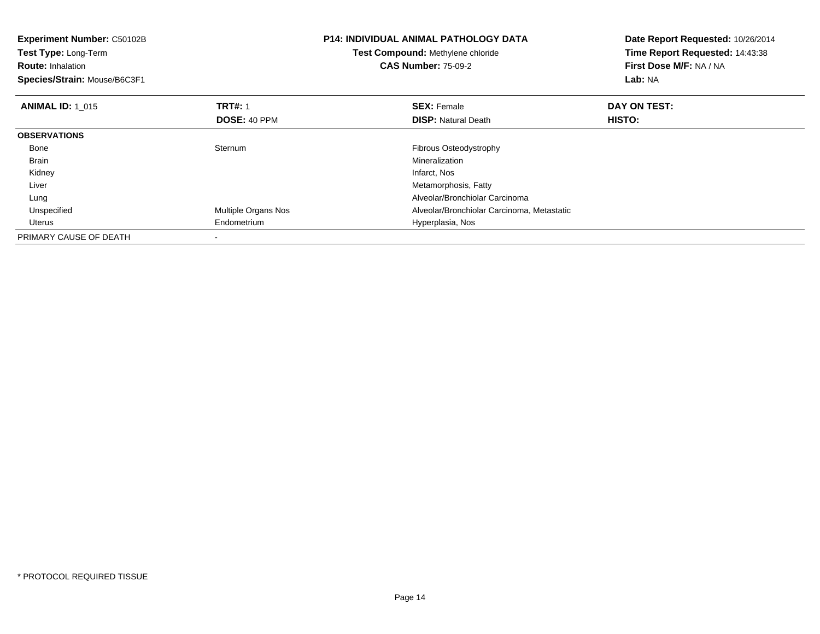| <b>Experiment Number: C50102B</b><br>Test Type: Long-Term<br><b>Route: Inhalation</b><br>Species/Strain: Mouse/B6C3F1 |                     | <b>P14: INDIVIDUAL ANIMAL PATHOLOGY DATA</b><br>Test Compound: Methylene chloride<br><b>CAS Number: 75-09-2</b> | Date Report Requested: 10/26/2014<br>Time Report Requested: 14:43:38<br>First Dose M/F: NA / NA<br>Lab: NA |
|-----------------------------------------------------------------------------------------------------------------------|---------------------|-----------------------------------------------------------------------------------------------------------------|------------------------------------------------------------------------------------------------------------|
| <b>ANIMAL ID: 1 015</b>                                                                                               | <b>TRT#: 1</b>      | <b>SEX: Female</b>                                                                                              | DAY ON TEST:                                                                                               |
|                                                                                                                       | DOSE: 40 PPM        | <b>DISP:</b> Natural Death                                                                                      | HISTO:                                                                                                     |
| <b>OBSERVATIONS</b>                                                                                                   |                     |                                                                                                                 |                                                                                                            |
| Bone                                                                                                                  | Sternum             | Fibrous Osteodystrophy                                                                                          |                                                                                                            |
| Brain                                                                                                                 |                     | Mineralization                                                                                                  |                                                                                                            |
| Kidney                                                                                                                |                     | Infarct, Nos                                                                                                    |                                                                                                            |
| Liver                                                                                                                 |                     | Metamorphosis, Fatty                                                                                            |                                                                                                            |
| Lung                                                                                                                  |                     | Alveolar/Bronchiolar Carcinoma                                                                                  |                                                                                                            |
| Unspecified                                                                                                           | Multiple Organs Nos | Alveolar/Bronchiolar Carcinoma, Metastatic                                                                      |                                                                                                            |
| Uterus                                                                                                                | Endometrium         | Hyperplasia, Nos                                                                                                |                                                                                                            |
| PRIMARY CAUSE OF DEATH                                                                                                |                     |                                                                                                                 |                                                                                                            |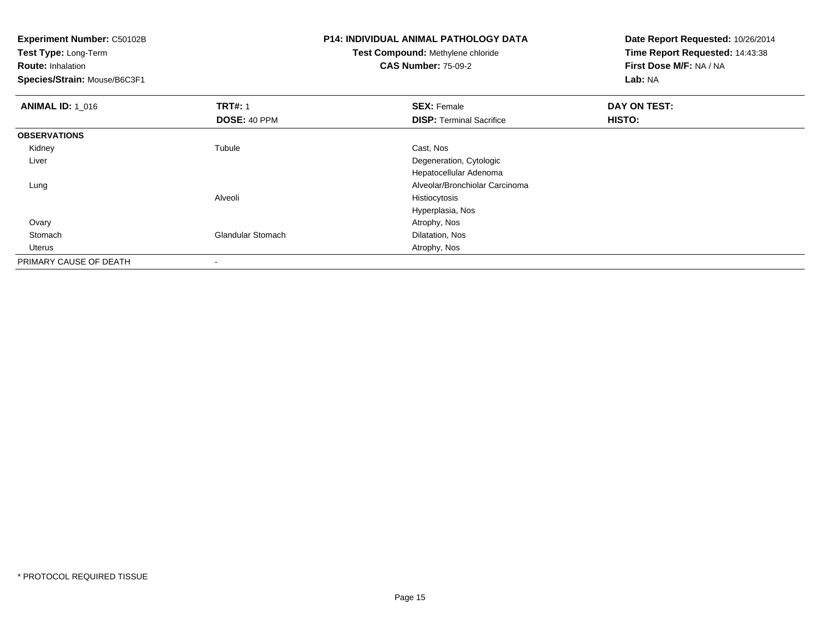**Experiment Number:** C50102B**Test Type:** Long-Term**Route:** Inhalation **Species/Strain:** Mouse/B6C3F1**P14: INDIVIDUAL ANIMAL PATHOLOGY DATATest Compound:** Methylene chloride**CAS Number:** 75-09-2**Date Report Requested:** 10/26/2014**Time Report Requested:** 14:43:38**First Dose M/F:** NA / NA**Lab:** NA**ANIMAL ID: 1\_016 6 DAY ON TEST:** 1 **SEX:** Female **SEX: Female DAY ON TEST: DOSE:** 40 PPM**DISP:** Terminal Sacrifice **HISTO: OBSERVATIONS** Kidneyy the contract of the contract of the contract of the contract of the contract of the contract of the contract of the contract of the contract of the contract of the contract of the contract of the contract of the contract Tubule Cast, Nos Liver Degeneration, Cytologic Hepatocellular Adenoma Alveolar/Bronchiolar Carcinoma LungAlveoli Histiocytosis Hyperplasia, Nos Ovaryy and the control of the control of the control of the control of the control of the control of the control of the control of the control of the control of the control of the control of the control of the control of the co StomachGlandular Stomach Dilatation, Nos Uterus Atrophy, Nos PRIMARY CAUSE OF DEATH-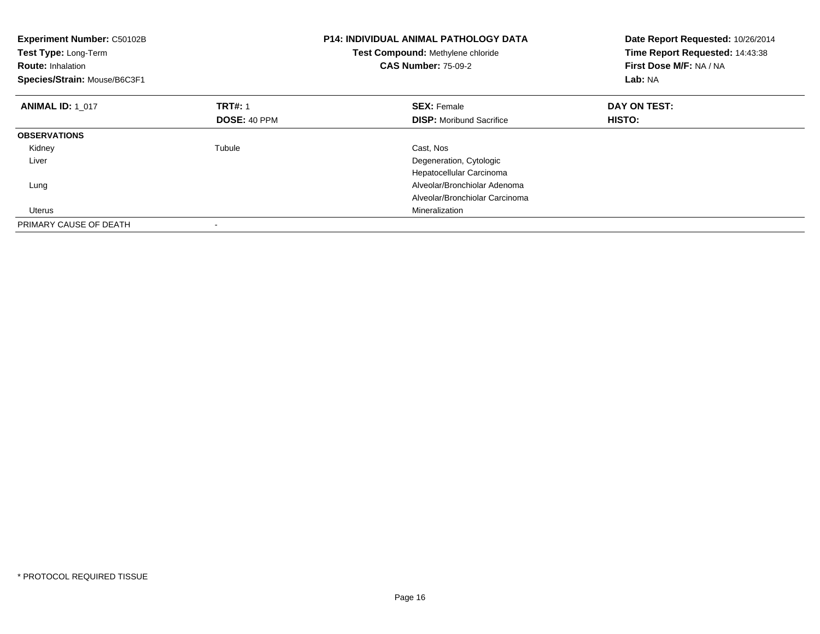| <b>Experiment Number: C50102B</b><br>Test Type: Long-Term<br><b>Route: Inhalation</b><br>Species/Strain: Mouse/B6C3F1 |                     | <b>P14: INDIVIDUAL ANIMAL PATHOLOGY DATA</b><br>Test Compound: Methylene chloride<br><b>CAS Number: 75-09-2</b> | Date Report Requested: 10/26/2014<br>Time Report Requested: 14:43:38<br>First Dose M/F: NA / NA<br>Lab: NA |
|-----------------------------------------------------------------------------------------------------------------------|---------------------|-----------------------------------------------------------------------------------------------------------------|------------------------------------------------------------------------------------------------------------|
| <b>ANIMAL ID: 1 017</b>                                                                                               | <b>TRT#: 1</b>      | <b>SEX: Female</b>                                                                                              | DAY ON TEST:                                                                                               |
|                                                                                                                       | <b>DOSE: 40 PPM</b> | <b>DISP:</b> Moribund Sacrifice                                                                                 | HISTO:                                                                                                     |
| <b>OBSERVATIONS</b>                                                                                                   |                     |                                                                                                                 |                                                                                                            |
| Kidney                                                                                                                | Tubule              | Cast, Nos                                                                                                       |                                                                                                            |
| Liver                                                                                                                 |                     | Degeneration, Cytologic                                                                                         |                                                                                                            |
|                                                                                                                       |                     | Hepatocellular Carcinoma                                                                                        |                                                                                                            |
| Lung                                                                                                                  |                     | Alveolar/Bronchiolar Adenoma                                                                                    |                                                                                                            |
|                                                                                                                       |                     | Alveolar/Bronchiolar Carcinoma                                                                                  |                                                                                                            |
| <b>Uterus</b>                                                                                                         |                     | Mineralization                                                                                                  |                                                                                                            |
| PRIMARY CAUSE OF DEATH                                                                                                |                     |                                                                                                                 |                                                                                                            |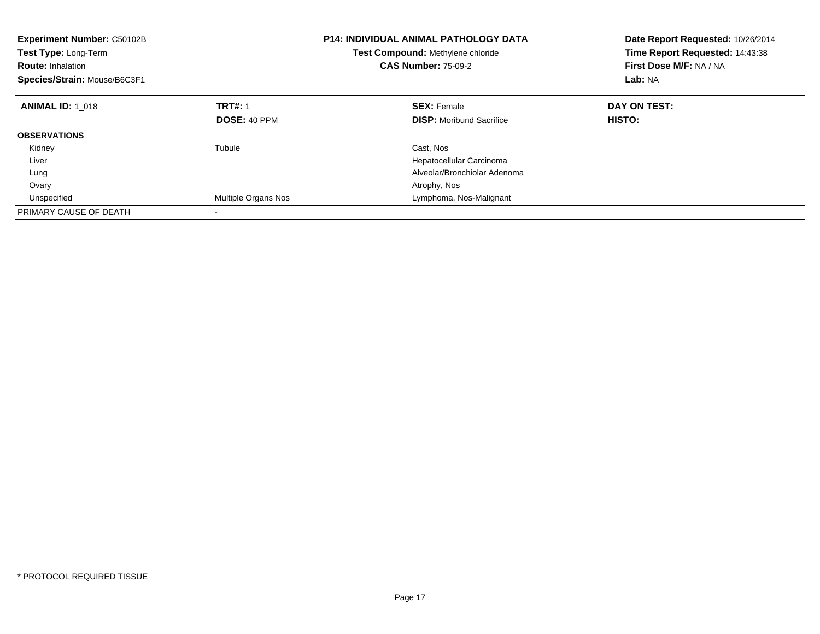| <b>Experiment Number: C50102B</b><br><b>Test Type: Long-Term</b><br><b>Route: Inhalation</b><br>Species/Strain: Mouse/B6C3F1 |                     | P14: INDIVIDUAL ANIMAL PATHOLOGY DATA<br>Test Compound: Methylene chloride<br><b>CAS Number: 75-09-2</b> | Date Report Requested: 10/26/2014<br>Time Report Requested: 14:43:38<br>First Dose M/F: NA / NA<br>Lab: NA |
|------------------------------------------------------------------------------------------------------------------------------|---------------------|----------------------------------------------------------------------------------------------------------|------------------------------------------------------------------------------------------------------------|
| <b>ANIMAL ID: 1 018</b>                                                                                                      | <b>TRT#: 1</b>      | <b>SEX: Female</b>                                                                                       | DAY ON TEST:                                                                                               |
|                                                                                                                              | <b>DOSE: 40 PPM</b> | <b>DISP:</b> Moribund Sacrifice                                                                          | HISTO:                                                                                                     |
| <b>OBSERVATIONS</b>                                                                                                          |                     |                                                                                                          |                                                                                                            |
| Kidney                                                                                                                       | Tubule              | Cast, Nos                                                                                                |                                                                                                            |
| Liver                                                                                                                        |                     | Hepatocellular Carcinoma                                                                                 |                                                                                                            |
| Lung                                                                                                                         |                     | Alveolar/Bronchiolar Adenoma                                                                             |                                                                                                            |
| Ovary                                                                                                                        |                     | Atrophy, Nos                                                                                             |                                                                                                            |
| Unspecified                                                                                                                  | Multiple Organs Nos | Lymphoma, Nos-Malignant                                                                                  |                                                                                                            |
| PRIMARY CAUSE OF DEATH                                                                                                       |                     |                                                                                                          |                                                                                                            |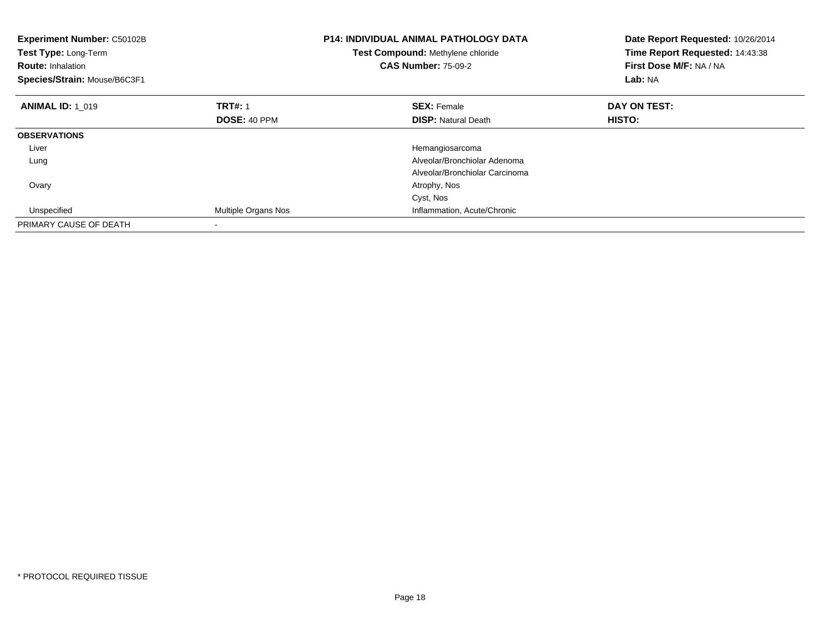| <b>Experiment Number: C50102B</b><br>Test Type: Long-Term<br><b>Route: Inhalation</b><br>Species/Strain: Mouse/B6C3F1 |                            | <b>P14: INDIVIDUAL ANIMAL PATHOLOGY DATA</b><br>Test Compound: Methylene chloride<br><b>CAS Number: 75-09-2</b> | Date Report Requested: 10/26/2014<br>Time Report Requested: 14:43:38<br>First Dose M/F: NA / NA<br>Lab: NA |
|-----------------------------------------------------------------------------------------------------------------------|----------------------------|-----------------------------------------------------------------------------------------------------------------|------------------------------------------------------------------------------------------------------------|
| <b>ANIMAL ID: 1 019</b>                                                                                               | <b>TRT#: 1</b>             | <b>SEX: Female</b>                                                                                              | DAY ON TEST:                                                                                               |
|                                                                                                                       | <b>DOSE: 40 PPM</b>        | <b>DISP: Natural Death</b>                                                                                      | HISTO:                                                                                                     |
| <b>OBSERVATIONS</b>                                                                                                   |                            |                                                                                                                 |                                                                                                            |
| Liver                                                                                                                 |                            | Hemangiosarcoma                                                                                                 |                                                                                                            |
| Lung                                                                                                                  |                            | Alveolar/Bronchiolar Adenoma                                                                                    |                                                                                                            |
|                                                                                                                       |                            | Alveolar/Bronchiolar Carcinoma                                                                                  |                                                                                                            |
| Ovary                                                                                                                 |                            | Atrophy, Nos                                                                                                    |                                                                                                            |
|                                                                                                                       |                            | Cyst, Nos                                                                                                       |                                                                                                            |
| Unspecified                                                                                                           | <b>Multiple Organs Nos</b> | Inflammation, Acute/Chronic                                                                                     |                                                                                                            |
| PRIMARY CAUSE OF DEATH                                                                                                |                            |                                                                                                                 |                                                                                                            |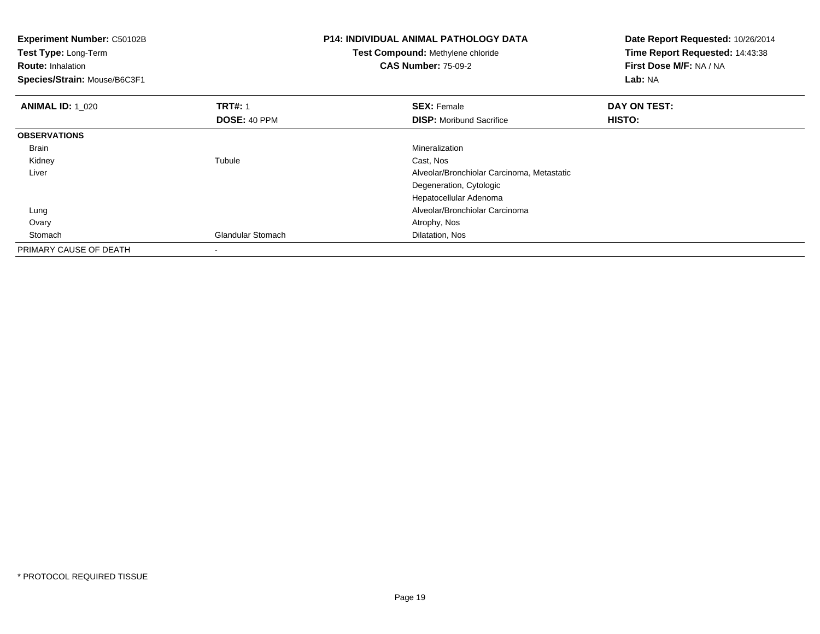| Experiment Number: C50102B<br>Test Type: Long-Term<br><b>Route: Inhalation</b><br>Species/Strain: Mouse/B6C3F1 |                                | <b>P14: INDIVIDUAL ANIMAL PATHOLOGY DATA</b><br><b>Test Compound: Methylene chloride</b><br><b>CAS Number: 75-09-2</b> | Date Report Requested: 10/26/2014<br>Time Report Requested: 14:43:38<br>First Dose M/F: NA / NA<br>Lab: NA |
|----------------------------------------------------------------------------------------------------------------|--------------------------------|------------------------------------------------------------------------------------------------------------------------|------------------------------------------------------------------------------------------------------------|
| <b>ANIMAL ID: 1_020</b>                                                                                        | <b>TRT#: 1</b><br>DOSE: 40 PPM | <b>SEX: Female</b><br><b>DISP:</b> Moribund Sacrifice                                                                  | DAY ON TEST:<br>HISTO:                                                                                     |
| <b>OBSERVATIONS</b>                                                                                            |                                |                                                                                                                        |                                                                                                            |
| Brain                                                                                                          |                                | Mineralization                                                                                                         |                                                                                                            |
| Kidney                                                                                                         | Tubule                         | Cast, Nos                                                                                                              |                                                                                                            |
| Liver                                                                                                          |                                | Alveolar/Bronchiolar Carcinoma, Metastatic                                                                             |                                                                                                            |
|                                                                                                                |                                | Degeneration, Cytologic                                                                                                |                                                                                                            |
|                                                                                                                |                                | Hepatocellular Adenoma                                                                                                 |                                                                                                            |
| Lung                                                                                                           |                                | Alveolar/Bronchiolar Carcinoma                                                                                         |                                                                                                            |
| Ovary                                                                                                          |                                | Atrophy, Nos                                                                                                           |                                                                                                            |
| Stomach                                                                                                        | <b>Glandular Stomach</b>       | Dilatation, Nos                                                                                                        |                                                                                                            |
| PRIMARY CAUSE OF DEATH                                                                                         |                                |                                                                                                                        |                                                                                                            |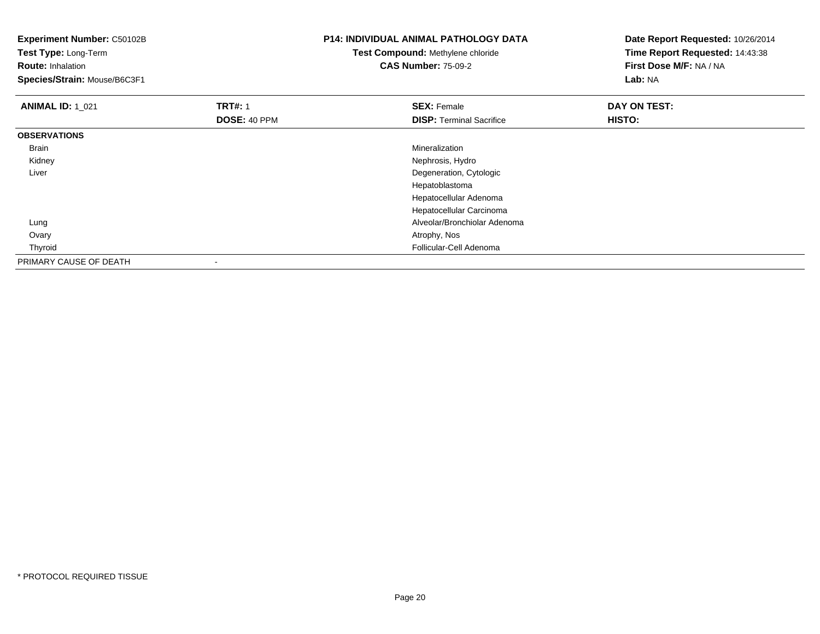| <b>Experiment Number: C50102B</b><br>Test Type: Long-Term<br><b>Route: Inhalation</b><br>Species/Strain: Mouse/B6C3F1 |                | <b>P14: INDIVIDUAL ANIMAL PATHOLOGY DATA</b><br>Test Compound: Methylene chloride<br><b>CAS Number: 75-09-2</b> | Date Report Requested: 10/26/2014<br>Time Report Requested: 14:43:38<br>First Dose M/F: NA / NA<br>Lab: NA |
|-----------------------------------------------------------------------------------------------------------------------|----------------|-----------------------------------------------------------------------------------------------------------------|------------------------------------------------------------------------------------------------------------|
| <b>ANIMAL ID: 1_021</b>                                                                                               | <b>TRT#: 1</b> | <b>SEX: Female</b>                                                                                              | DAY ON TEST:                                                                                               |
|                                                                                                                       | DOSE: 40 PPM   | <b>DISP: Terminal Sacrifice</b>                                                                                 | HISTO:                                                                                                     |
| <b>OBSERVATIONS</b>                                                                                                   |                |                                                                                                                 |                                                                                                            |
| Brain                                                                                                                 |                | Mineralization                                                                                                  |                                                                                                            |
| Kidney                                                                                                                |                | Nephrosis, Hydro                                                                                                |                                                                                                            |
| Liver                                                                                                                 |                | Degeneration, Cytologic                                                                                         |                                                                                                            |
|                                                                                                                       |                | Hepatoblastoma                                                                                                  |                                                                                                            |
|                                                                                                                       |                | Hepatocellular Adenoma                                                                                          |                                                                                                            |
|                                                                                                                       |                | Hepatocellular Carcinoma                                                                                        |                                                                                                            |
| Lung                                                                                                                  |                | Alveolar/Bronchiolar Adenoma                                                                                    |                                                                                                            |
| Ovary                                                                                                                 |                | Atrophy, Nos                                                                                                    |                                                                                                            |
| Thyroid                                                                                                               |                | Follicular-Cell Adenoma                                                                                         |                                                                                                            |
| PRIMARY CAUSE OF DEATH                                                                                                |                |                                                                                                                 |                                                                                                            |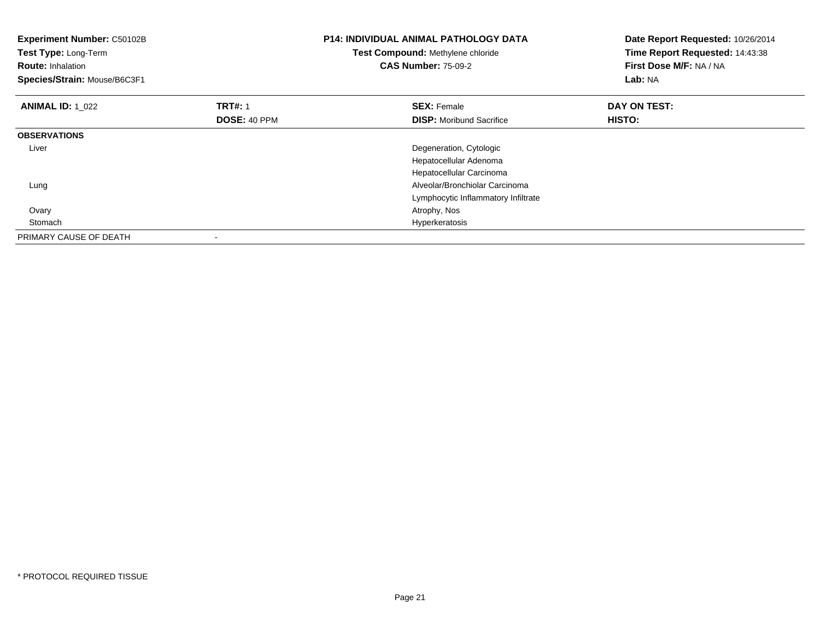| Experiment Number: C50102B<br>Test Type: Long-Term<br><b>Route: Inhalation</b><br>Species/Strain: Mouse/B6C3F1 |                                | <b>P14: INDIVIDUAL ANIMAL PATHOLOGY DATA</b><br>Test Compound: Methylene chloride<br><b>CAS Number: 75-09-2</b> | Date Report Requested: 10/26/2014<br>Time Report Requested: 14:43:38<br>First Dose M/F: NA / NA<br>Lab: NA |
|----------------------------------------------------------------------------------------------------------------|--------------------------------|-----------------------------------------------------------------------------------------------------------------|------------------------------------------------------------------------------------------------------------|
| <b>ANIMAL ID: 1 022</b>                                                                                        | <b>TRT#: 1</b><br>DOSE: 40 PPM | <b>SEX: Female</b><br><b>DISP:</b> Moribund Sacrifice                                                           | DAY ON TEST:<br>HISTO:                                                                                     |
| <b>OBSERVATIONS</b>                                                                                            |                                |                                                                                                                 |                                                                                                            |
| Liver                                                                                                          |                                | Degeneration, Cytologic                                                                                         |                                                                                                            |
|                                                                                                                |                                | Hepatocellular Adenoma                                                                                          |                                                                                                            |
|                                                                                                                |                                | Hepatocellular Carcinoma                                                                                        |                                                                                                            |
| Lung                                                                                                           |                                | Alveolar/Bronchiolar Carcinoma                                                                                  |                                                                                                            |
|                                                                                                                |                                | Lymphocytic Inflammatory Infiltrate                                                                             |                                                                                                            |
| Ovary                                                                                                          |                                | Atrophy, Nos                                                                                                    |                                                                                                            |
| Stomach                                                                                                        |                                | Hyperkeratosis                                                                                                  |                                                                                                            |
| PRIMARY CAUSE OF DEATH                                                                                         |                                |                                                                                                                 |                                                                                                            |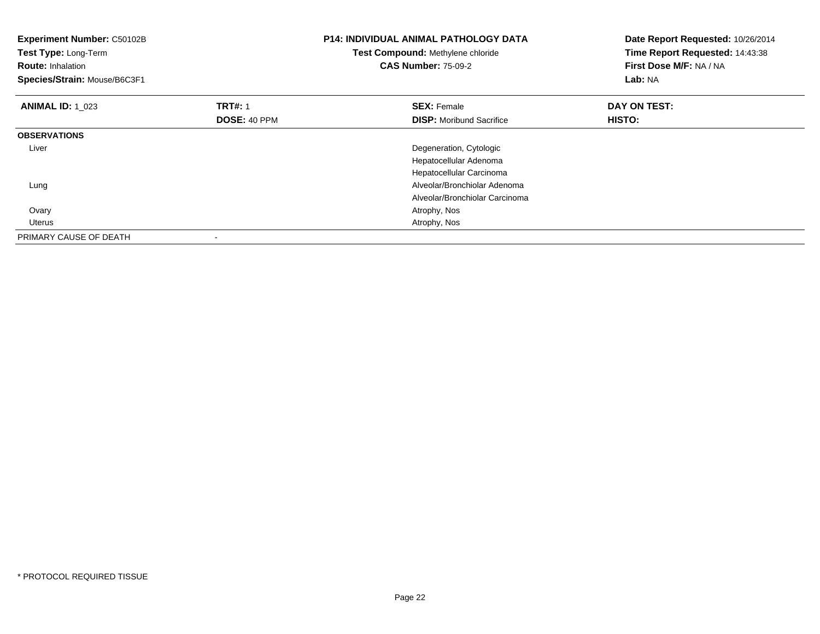| Experiment Number: C50102B<br>Test Type: Long-Term<br><b>Route: Inhalation</b><br>Species/Strain: Mouse/B6C3F1 |                                | <b>P14: INDIVIDUAL ANIMAL PATHOLOGY DATA</b><br>Test Compound: Methylene chloride<br><b>CAS Number: 75-09-2</b> | Date Report Requested: 10/26/2014<br>Time Report Requested: 14:43:38<br>First Dose M/F: NA / NA<br><b>Lab: NA</b> |
|----------------------------------------------------------------------------------------------------------------|--------------------------------|-----------------------------------------------------------------------------------------------------------------|-------------------------------------------------------------------------------------------------------------------|
| <b>ANIMAL ID: 1 023</b>                                                                                        | <b>TRT#: 1</b><br>DOSE: 40 PPM | <b>SEX: Female</b><br><b>DISP:</b> Moribund Sacrifice                                                           | DAY ON TEST:<br>HISTO:                                                                                            |
| <b>OBSERVATIONS</b>                                                                                            |                                |                                                                                                                 |                                                                                                                   |
| Liver                                                                                                          |                                | Degeneration, Cytologic                                                                                         |                                                                                                                   |
|                                                                                                                |                                | Hepatocellular Adenoma                                                                                          |                                                                                                                   |
|                                                                                                                |                                | Hepatocellular Carcinoma                                                                                        |                                                                                                                   |
| Lung                                                                                                           |                                | Alveolar/Bronchiolar Adenoma                                                                                    |                                                                                                                   |
|                                                                                                                |                                | Alveolar/Bronchiolar Carcinoma                                                                                  |                                                                                                                   |
| Ovary                                                                                                          |                                | Atrophy, Nos                                                                                                    |                                                                                                                   |
| <b>Uterus</b>                                                                                                  |                                | Atrophy, Nos                                                                                                    |                                                                                                                   |
| PRIMARY CAUSE OF DEATH                                                                                         |                                |                                                                                                                 |                                                                                                                   |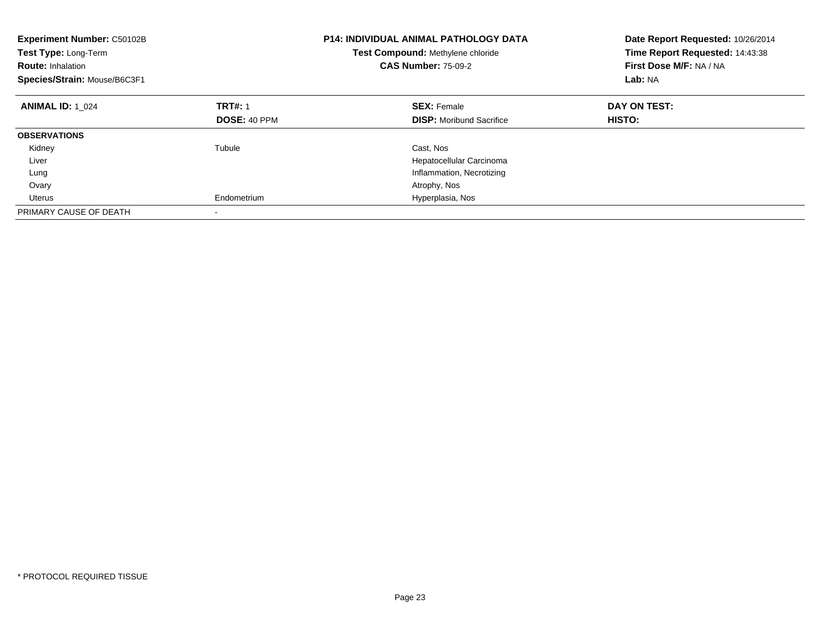| <b>Experiment Number: C50102B</b><br>Test Type: Long-Term<br><b>Route: Inhalation</b><br>Species/Strain: Mouse/B6C3F1 |                          | <b>P14: INDIVIDUAL ANIMAL PATHOLOGY DATA</b><br>Test Compound: Methylene chloride<br><b>CAS Number: 75-09-2</b> | Date Report Requested: 10/26/2014<br>Time Report Requested: 14:43:38<br>First Dose M/F: NA / NA<br>Lab: NA |
|-----------------------------------------------------------------------------------------------------------------------|--------------------------|-----------------------------------------------------------------------------------------------------------------|------------------------------------------------------------------------------------------------------------|
| <b>ANIMAL ID: 1 024</b>                                                                                               | <b>TRT#: 1</b>           | <b>SEX: Female</b>                                                                                              | DAY ON TEST:                                                                                               |
|                                                                                                                       | DOSE: 40 PPM             | <b>DISP:</b> Moribund Sacrifice                                                                                 | HISTO:                                                                                                     |
| <b>OBSERVATIONS</b>                                                                                                   |                          |                                                                                                                 |                                                                                                            |
| Kidney                                                                                                                | Tubule                   | Cast, Nos                                                                                                       |                                                                                                            |
| Liver                                                                                                                 |                          | Hepatocellular Carcinoma                                                                                        |                                                                                                            |
| Lung                                                                                                                  |                          | Inflammation, Necrotizing                                                                                       |                                                                                                            |
| Ovary                                                                                                                 |                          | Atrophy, Nos                                                                                                    |                                                                                                            |
| Uterus                                                                                                                | Endometrium              | Hyperplasia, Nos                                                                                                |                                                                                                            |
| PRIMARY CAUSE OF DEATH                                                                                                | $\overline{\phantom{a}}$ |                                                                                                                 |                                                                                                            |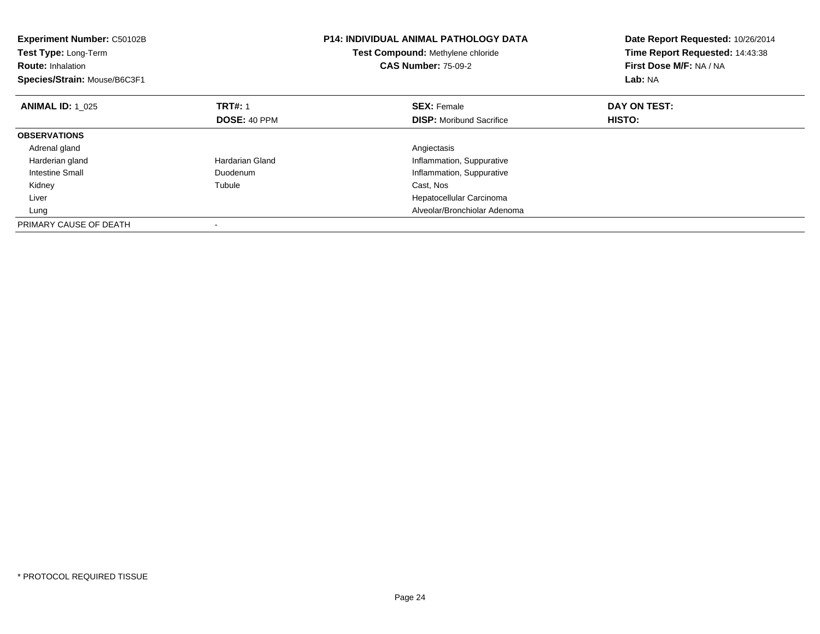| <b>Experiment Number: C50102B</b><br>Test Type: Long-Term<br><b>Route: Inhalation</b><br>Species/Strain: Mouse/B6C3F1 |                 | <b>P14: INDIVIDUAL ANIMAL PATHOLOGY DATA</b><br>Test Compound: Methylene chloride<br><b>CAS Number: 75-09-2</b> | Date Report Requested: 10/26/2014<br>Time Report Requested: 14:43:38<br>First Dose M/F: NA / NA<br>Lab: NA |
|-----------------------------------------------------------------------------------------------------------------------|-----------------|-----------------------------------------------------------------------------------------------------------------|------------------------------------------------------------------------------------------------------------|
| <b>ANIMAL ID: 1 025</b>                                                                                               | <b>TRT#: 1</b>  | <b>SEX: Female</b>                                                                                              | DAY ON TEST:                                                                                               |
|                                                                                                                       | DOSE: 40 PPM    | <b>DISP:</b> Moribund Sacrifice                                                                                 | HISTO:                                                                                                     |
| <b>OBSERVATIONS</b>                                                                                                   |                 |                                                                                                                 |                                                                                                            |
| Adrenal gland                                                                                                         |                 | Angiectasis                                                                                                     |                                                                                                            |
| Harderian gland                                                                                                       | Hardarian Gland | Inflammation, Suppurative                                                                                       |                                                                                                            |
| <b>Intestine Small</b>                                                                                                | Duodenum        | Inflammation, Suppurative                                                                                       |                                                                                                            |
| Kidney                                                                                                                | Tubule          | Cast, Nos                                                                                                       |                                                                                                            |
| Liver                                                                                                                 |                 | Hepatocellular Carcinoma                                                                                        |                                                                                                            |
| Lung                                                                                                                  |                 | Alveolar/Bronchiolar Adenoma                                                                                    |                                                                                                            |
| PRIMARY CAUSE OF DEATH                                                                                                |                 |                                                                                                                 |                                                                                                            |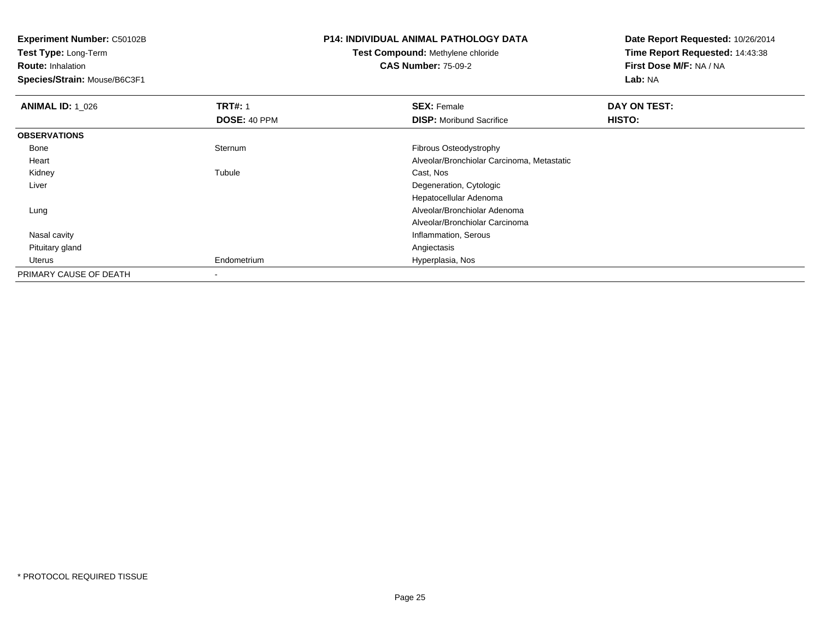**Test Type:** Long-Term

**Route:** Inhalation

**Species/Strain:** Mouse/B6C3F1

# **P14: INDIVIDUAL ANIMAL PATHOLOGY DATA**

## **Test Compound:** Methylene chloride**CAS Number:** 75-09-2

| <b>ANIMAL ID: 1_026</b> | <b>TRT#: 1</b> | <b>SEX: Female</b>                         | DAY ON TEST: |  |
|-------------------------|----------------|--------------------------------------------|--------------|--|
|                         | DOSE: 40 PPM   | <b>DISP:</b> Moribund Sacrifice            | HISTO:       |  |
| <b>OBSERVATIONS</b>     |                |                                            |              |  |
| Bone                    | Sternum        | Fibrous Osteodystrophy                     |              |  |
| Heart                   |                | Alveolar/Bronchiolar Carcinoma, Metastatic |              |  |
| Kidney                  | Tubule         | Cast, Nos                                  |              |  |
| Liver                   |                | Degeneration, Cytologic                    |              |  |
|                         |                | Hepatocellular Adenoma                     |              |  |
| Lung                    |                | Alveolar/Bronchiolar Adenoma               |              |  |
|                         |                | Alveolar/Bronchiolar Carcinoma             |              |  |
| Nasal cavity            |                | Inflammation, Serous                       |              |  |
| Pituitary gland         |                | Angiectasis                                |              |  |
| Uterus                  | Endometrium    | Hyperplasia, Nos                           |              |  |
| PRIMARY CAUSE OF DEATH  | -              |                                            |              |  |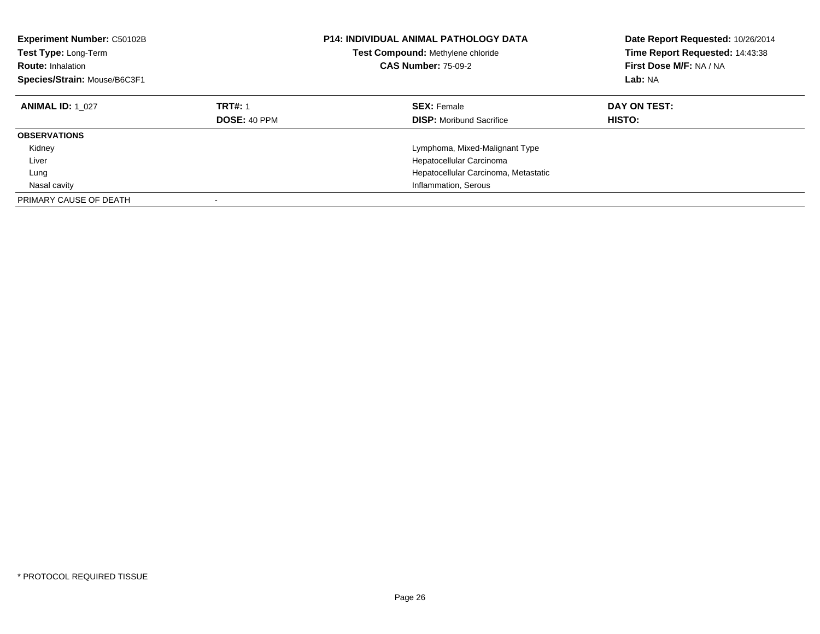| <b>Experiment Number: C50102B</b><br><b>Test Type: Long-Term</b><br><b>Route: Inhalation</b><br>Species/Strain: Mouse/B6C3F1 |                                       | <b>P14: INDIVIDUAL ANIMAL PATHOLOGY DATA</b><br>Test Compound: Methylene chloride<br><b>CAS Number: 75-09-2</b> | Date Report Requested: 10/26/2014<br>Time Report Requested: 14:43:38<br>First Dose M/F: NA / NA<br>Lab: NA |
|------------------------------------------------------------------------------------------------------------------------------|---------------------------------------|-----------------------------------------------------------------------------------------------------------------|------------------------------------------------------------------------------------------------------------|
| <b>ANIMAL ID: 1 027</b>                                                                                                      | <b>TRT#: 1</b><br><b>DOSE: 40 PPM</b> | <b>SEX: Female</b><br><b>DISP:</b> Moribund Sacrifice                                                           | DAY ON TEST:<br><b>HISTO:</b>                                                                              |
| <b>OBSERVATIONS</b>                                                                                                          |                                       |                                                                                                                 |                                                                                                            |
| Kidney<br>Liver                                                                                                              |                                       | Lymphoma, Mixed-Malignant Type<br>Hepatocellular Carcinoma                                                      |                                                                                                            |
| Lung                                                                                                                         |                                       | Hepatocellular Carcinoma, Metastatic                                                                            |                                                                                                            |
| Nasal cavity                                                                                                                 |                                       | Inflammation, Serous                                                                                            |                                                                                                            |
| PRIMARY CAUSE OF DEATH                                                                                                       |                                       |                                                                                                                 |                                                                                                            |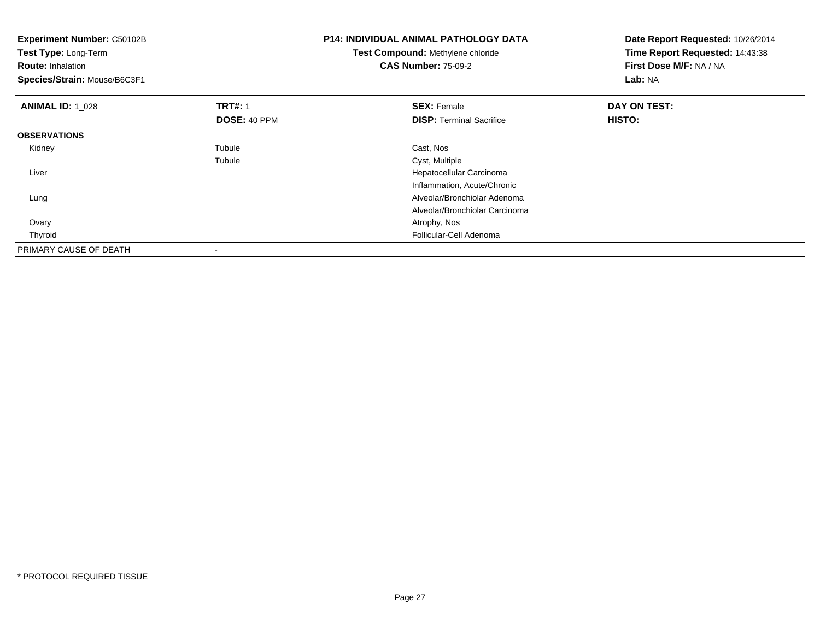| Experiment Number: C50102B<br>Test Type: Long-Term<br><b>Route: Inhalation</b><br>Species/Strain: Mouse/B6C3F1 |                | <b>P14: INDIVIDUAL ANIMAL PATHOLOGY DATA</b><br>Test Compound: Methylene chloride<br><b>CAS Number: 75-09-2</b> | Date Report Requested: 10/26/2014<br>Time Report Requested: 14:43:38<br>First Dose M/F: NA / NA<br><b>Lab: NA</b> |
|----------------------------------------------------------------------------------------------------------------|----------------|-----------------------------------------------------------------------------------------------------------------|-------------------------------------------------------------------------------------------------------------------|
| <b>ANIMAL ID: 1 028</b>                                                                                        | <b>TRT#: 1</b> | <b>SEX: Female</b>                                                                                              | DAY ON TEST:                                                                                                      |
|                                                                                                                | DOSE: 40 PPM   | <b>DISP:</b> Terminal Sacrifice                                                                                 | <b>HISTO:</b>                                                                                                     |
| <b>OBSERVATIONS</b>                                                                                            |                |                                                                                                                 |                                                                                                                   |
| Kidney                                                                                                         | Tubule         | Cast, Nos                                                                                                       |                                                                                                                   |
|                                                                                                                | Tubule         | Cyst, Multiple                                                                                                  |                                                                                                                   |
| Liver                                                                                                          |                | Hepatocellular Carcinoma                                                                                        |                                                                                                                   |
|                                                                                                                |                | Inflammation, Acute/Chronic                                                                                     |                                                                                                                   |
| Lung                                                                                                           |                | Alveolar/Bronchiolar Adenoma                                                                                    |                                                                                                                   |
|                                                                                                                |                | Alveolar/Bronchiolar Carcinoma                                                                                  |                                                                                                                   |
| Ovary                                                                                                          |                | Atrophy, Nos                                                                                                    |                                                                                                                   |
| Thyroid                                                                                                        |                | Follicular-Cell Adenoma                                                                                         |                                                                                                                   |
| PRIMARY CAUSE OF DEATH                                                                                         |                |                                                                                                                 |                                                                                                                   |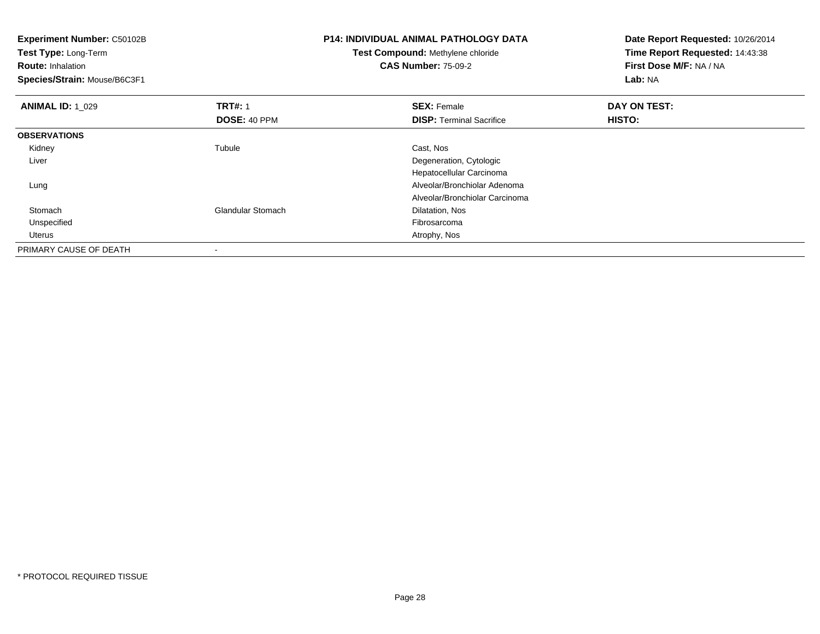| <b>Experiment Number: C50102B</b><br>Test Type: Long-Term<br><b>Route: Inhalation</b><br>Species/Strain: Mouse/B6C3F1 |                          | <b>P14: INDIVIDUAL ANIMAL PATHOLOGY DATA</b><br>Test Compound: Methylene chloride<br><b>CAS Number: 75-09-2</b> | Date Report Requested: 10/26/2014<br>Time Report Requested: 14:43:38<br>First Dose M/F: NA / NA<br>Lab: NA |
|-----------------------------------------------------------------------------------------------------------------------|--------------------------|-----------------------------------------------------------------------------------------------------------------|------------------------------------------------------------------------------------------------------------|
| <b>ANIMAL ID: 1_029</b>                                                                                               | <b>TRT#: 1</b>           | <b>SEX: Female</b>                                                                                              | DAY ON TEST:                                                                                               |
|                                                                                                                       | DOSE: 40 PPM             | <b>DISP: Terminal Sacrifice</b>                                                                                 | HISTO:                                                                                                     |
| <b>OBSERVATIONS</b>                                                                                                   |                          |                                                                                                                 |                                                                                                            |
| Kidney                                                                                                                | Tubule                   | Cast, Nos                                                                                                       |                                                                                                            |
| Liver                                                                                                                 |                          | Degeneration, Cytologic                                                                                         |                                                                                                            |
|                                                                                                                       |                          | Hepatocellular Carcinoma                                                                                        |                                                                                                            |
| Lung                                                                                                                  |                          | Alveolar/Bronchiolar Adenoma                                                                                    |                                                                                                            |
|                                                                                                                       |                          | Alveolar/Bronchiolar Carcinoma                                                                                  |                                                                                                            |
| Stomach                                                                                                               | <b>Glandular Stomach</b> | Dilatation, Nos                                                                                                 |                                                                                                            |
| Unspecified                                                                                                           |                          | Fibrosarcoma                                                                                                    |                                                                                                            |
| Uterus                                                                                                                |                          | Atrophy, Nos                                                                                                    |                                                                                                            |
| PRIMARY CAUSE OF DEATH                                                                                                |                          |                                                                                                                 |                                                                                                            |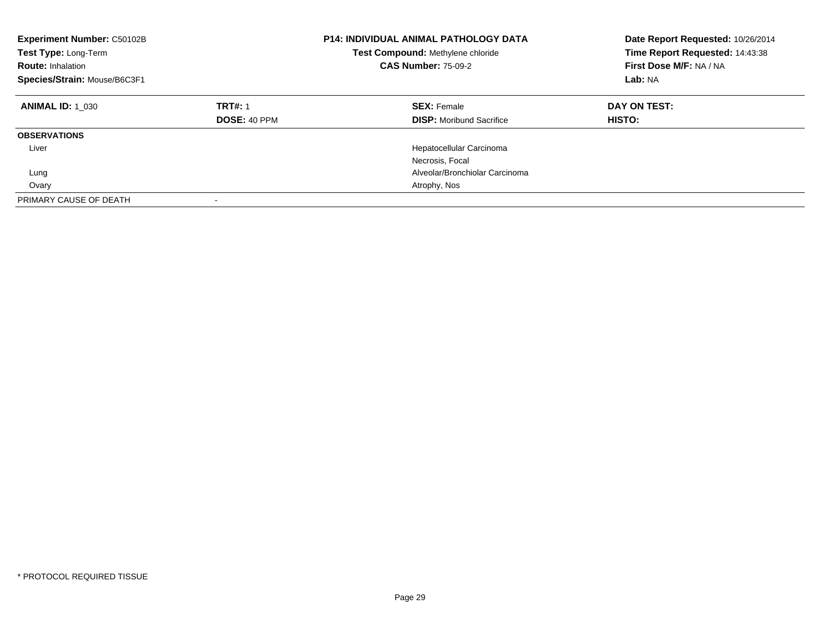| Experiment Number: C50102B<br>Test Type: Long-Term<br><b>Route: Inhalation</b><br>Species/Strain: Mouse/B6C3F1 |                                       | <b>P14: INDIVIDUAL ANIMAL PATHOLOGY DATA</b><br>Test Compound: Methylene chloride<br><b>CAS Number: 75-09-2</b> | Date Report Requested: 10/26/2014<br>Time Report Requested: 14:43:38<br>First Dose M/F: NA / NA<br>Lab: NA |
|----------------------------------------------------------------------------------------------------------------|---------------------------------------|-----------------------------------------------------------------------------------------------------------------|------------------------------------------------------------------------------------------------------------|
| <b>ANIMAL ID: 1 030</b>                                                                                        | <b>TRT#: 1</b><br><b>DOSE: 40 PPM</b> | <b>SEX: Female</b><br><b>DISP:</b> Moribund Sacrifice                                                           | DAY ON TEST:<br>HISTO:                                                                                     |
| <b>OBSERVATIONS</b>                                                                                            |                                       |                                                                                                                 |                                                                                                            |
| Liver                                                                                                          |                                       | Hepatocellular Carcinoma                                                                                        |                                                                                                            |
|                                                                                                                |                                       | Necrosis, Focal                                                                                                 |                                                                                                            |
| Lung                                                                                                           |                                       | Alveolar/Bronchiolar Carcinoma                                                                                  |                                                                                                            |
| Ovary                                                                                                          |                                       | Atrophy, Nos                                                                                                    |                                                                                                            |
| PRIMARY CAUSE OF DEATH                                                                                         |                                       |                                                                                                                 |                                                                                                            |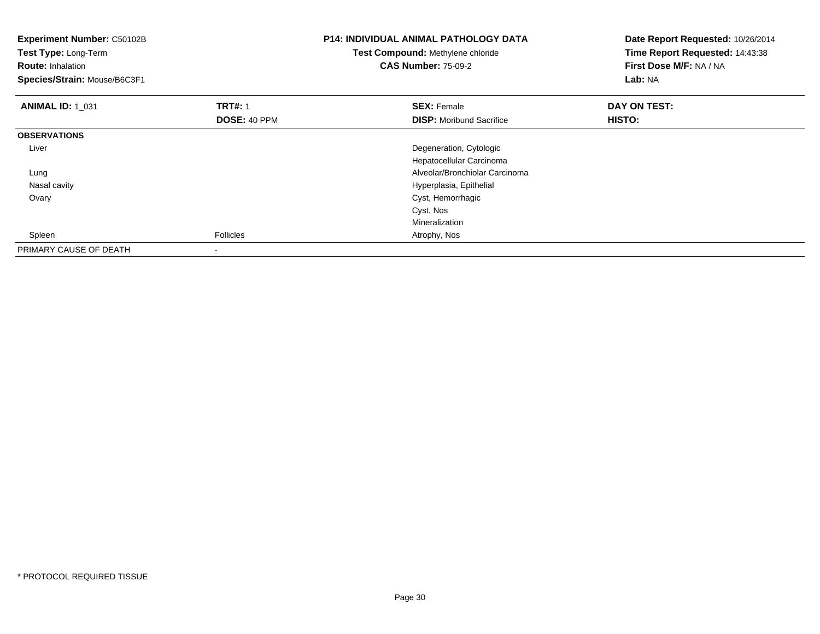| Experiment Number: C50102B<br>Test Type: Long-Term<br><b>Route: Inhalation</b><br>Species/Strain: Mouse/B6C3F1 |                                | <b>P14: INDIVIDUAL ANIMAL PATHOLOGY DATA</b><br>Test Compound: Methylene chloride<br><b>CAS Number: 75-09-2</b> | Date Report Requested: 10/26/2014<br>Time Report Requested: 14:43:38<br>First Dose M/F: NA / NA<br>Lab: NA |
|----------------------------------------------------------------------------------------------------------------|--------------------------------|-----------------------------------------------------------------------------------------------------------------|------------------------------------------------------------------------------------------------------------|
| <b>ANIMAL ID: 1_031</b>                                                                                        | <b>TRT#: 1</b><br>DOSE: 40 PPM | <b>SEX: Female</b><br><b>DISP:</b> Moribund Sacrifice                                                           | DAY ON TEST:<br>HISTO:                                                                                     |
| <b>OBSERVATIONS</b>                                                                                            |                                |                                                                                                                 |                                                                                                            |
| Liver                                                                                                          |                                | Degeneration, Cytologic<br>Hepatocellular Carcinoma                                                             |                                                                                                            |
| Lung<br>Nasal cavity                                                                                           |                                | Alveolar/Bronchiolar Carcinoma<br>Hyperplasia, Epithelial                                                       |                                                                                                            |
| Ovary                                                                                                          |                                | Cyst, Hemorrhagic<br>Cyst, Nos                                                                                  |                                                                                                            |
| Spleen                                                                                                         | <b>Follicles</b>               | Mineralization<br>Atrophy, Nos                                                                                  |                                                                                                            |
| PRIMARY CAUSE OF DEATH                                                                                         |                                |                                                                                                                 |                                                                                                            |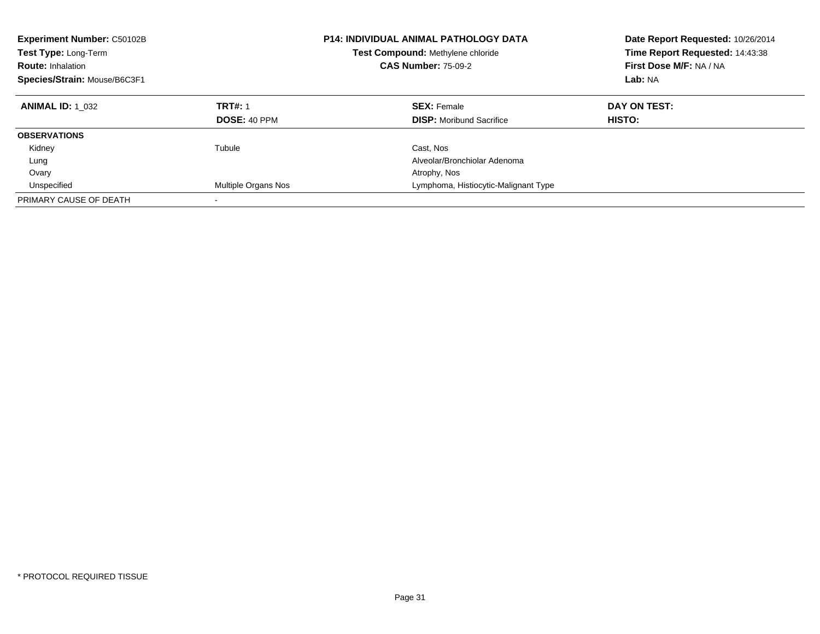| <b>Experiment Number: C50102B</b><br>Test Type: Long-Term<br><b>Route: Inhalation</b><br>Species/Strain: Mouse/B6C3F1 |                     | <b>P14: INDIVIDUAL ANIMAL PATHOLOGY DATA</b><br>Test Compound: Methylene chloride<br><b>CAS Number: 75-09-2</b> | Date Report Requested: 10/26/2014<br>Time Report Requested: 14:43:38<br>First Dose M/F: NA / NA<br>Lab: NA |
|-----------------------------------------------------------------------------------------------------------------------|---------------------|-----------------------------------------------------------------------------------------------------------------|------------------------------------------------------------------------------------------------------------|
| <b>ANIMAL ID: 1 032</b>                                                                                               | <b>TRT#: 1</b>      | <b>SEX: Female</b>                                                                                              | DAY ON TEST:                                                                                               |
|                                                                                                                       | <b>DOSE: 40 PPM</b> | <b>DISP:</b> Moribund Sacrifice                                                                                 | HISTO:                                                                                                     |
| <b>OBSERVATIONS</b>                                                                                                   |                     |                                                                                                                 |                                                                                                            |
| Kidney                                                                                                                | Tubule              | Cast, Nos                                                                                                       |                                                                                                            |
| Lung                                                                                                                  |                     | Alveolar/Bronchiolar Adenoma                                                                                    |                                                                                                            |
| Ovary                                                                                                                 |                     | Atrophy, Nos                                                                                                    |                                                                                                            |
| Unspecified                                                                                                           | Multiple Organs Nos | Lymphoma, Histiocytic-Malignant Type                                                                            |                                                                                                            |
| PRIMARY CAUSE OF DEATH                                                                                                |                     |                                                                                                                 |                                                                                                            |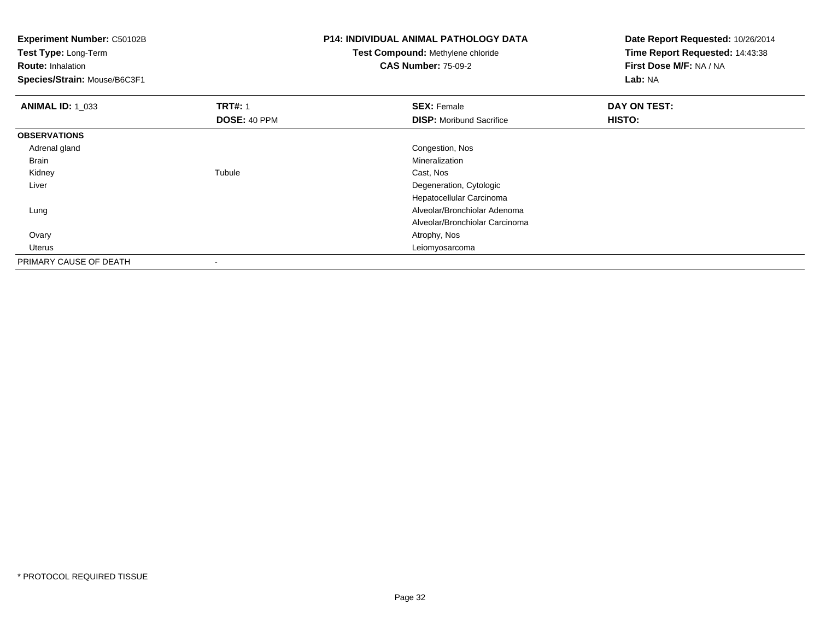| <b>Experiment Number: C50102B</b><br>Test Type: Long-Term<br><b>Route: Inhalation</b><br>Species/Strain: Mouse/B6C3F1 |                                | <b>P14: INDIVIDUAL ANIMAL PATHOLOGY DATA</b><br>Test Compound: Methylene chloride<br><b>CAS Number: 75-09-2</b> | Date Report Requested: 10/26/2014<br>Time Report Requested: 14:43:38<br>First Dose M/F: NA / NA<br>Lab: NA |
|-----------------------------------------------------------------------------------------------------------------------|--------------------------------|-----------------------------------------------------------------------------------------------------------------|------------------------------------------------------------------------------------------------------------|
| <b>ANIMAL ID: 1_033</b>                                                                                               | <b>TRT#: 1</b><br>DOSE: 40 PPM | <b>SEX: Female</b><br><b>DISP:</b> Moribund Sacrifice                                                           | DAY ON TEST:<br><b>HISTO:</b>                                                                              |
| <b>OBSERVATIONS</b>                                                                                                   |                                |                                                                                                                 |                                                                                                            |
| Adrenal gland                                                                                                         |                                | Congestion, Nos                                                                                                 |                                                                                                            |
| Brain                                                                                                                 |                                | Mineralization                                                                                                  |                                                                                                            |
| Kidney                                                                                                                | Tubule                         | Cast, Nos                                                                                                       |                                                                                                            |
| Liver                                                                                                                 |                                | Degeneration, Cytologic                                                                                         |                                                                                                            |
|                                                                                                                       |                                | Hepatocellular Carcinoma                                                                                        |                                                                                                            |
| Lung                                                                                                                  |                                | Alveolar/Bronchiolar Adenoma                                                                                    |                                                                                                            |
|                                                                                                                       |                                | Alveolar/Bronchiolar Carcinoma                                                                                  |                                                                                                            |
| Ovary                                                                                                                 |                                | Atrophy, Nos                                                                                                    |                                                                                                            |
| Uterus                                                                                                                |                                | Leiomyosarcoma                                                                                                  |                                                                                                            |
| PRIMARY CAUSE OF DEATH                                                                                                | $\,$                           |                                                                                                                 |                                                                                                            |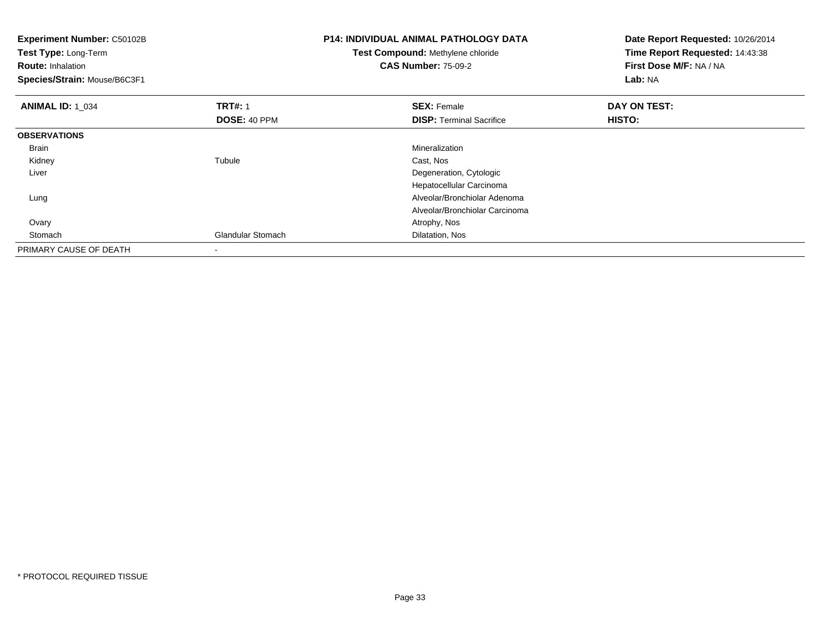| Experiment Number: C50102B<br>Test Type: Long-Term<br><b>Route: Inhalation</b><br>Species/Strain: Mouse/B6C3F1 |                          | <b>P14: INDIVIDUAL ANIMAL PATHOLOGY DATA</b><br>Test Compound: Methylene chloride<br><b>CAS Number: 75-09-2</b> | Date Report Requested: 10/26/2014<br>Time Report Requested: 14:43:38<br>First Dose M/F: NA / NA<br>Lab: NA |
|----------------------------------------------------------------------------------------------------------------|--------------------------|-----------------------------------------------------------------------------------------------------------------|------------------------------------------------------------------------------------------------------------|
| <b>ANIMAL ID: 1 034</b>                                                                                        | <b>TRT#: 1</b>           | <b>SEX: Female</b>                                                                                              | DAY ON TEST:                                                                                               |
|                                                                                                                | DOSE: 40 PPM             | <b>DISP:</b> Terminal Sacrifice                                                                                 | <b>HISTO:</b>                                                                                              |
| <b>OBSERVATIONS</b>                                                                                            |                          |                                                                                                                 |                                                                                                            |
| <b>Brain</b>                                                                                                   |                          | <b>Mineralization</b>                                                                                           |                                                                                                            |
| Kidney                                                                                                         | Tubule                   | Cast, Nos                                                                                                       |                                                                                                            |
| Liver                                                                                                          |                          | Degeneration, Cytologic                                                                                         |                                                                                                            |
|                                                                                                                |                          | Hepatocellular Carcinoma                                                                                        |                                                                                                            |
| Lung                                                                                                           |                          | Alveolar/Bronchiolar Adenoma                                                                                    |                                                                                                            |
|                                                                                                                |                          | Alveolar/Bronchiolar Carcinoma                                                                                  |                                                                                                            |
| Ovary                                                                                                          |                          | Atrophy, Nos                                                                                                    |                                                                                                            |
| Stomach                                                                                                        | <b>Glandular Stomach</b> | Dilatation, Nos                                                                                                 |                                                                                                            |
| PRIMARY CAUSE OF DEATH                                                                                         |                          |                                                                                                                 |                                                                                                            |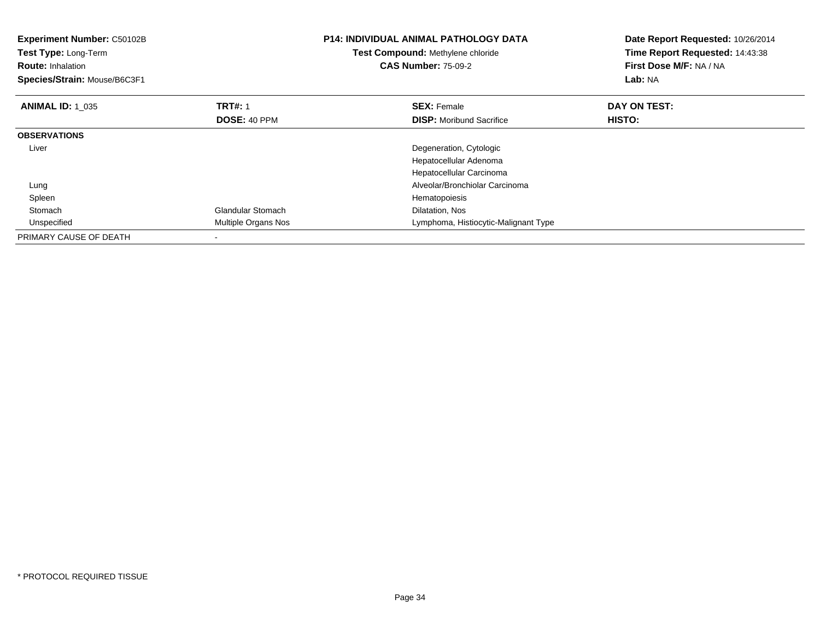| Experiment Number: C50102B<br>Test Type: Long-Term<br><b>Route: Inhalation</b><br>Species/Strain: Mouse/B6C3F1 |                          | <b>P14: INDIVIDUAL ANIMAL PATHOLOGY DATA</b><br>Test Compound: Methylene chloride<br><b>CAS Number: 75-09-2</b> | Date Report Requested: 10/26/2014<br>Time Report Requested: 14:43:38<br>First Dose M/F: NA / NA<br>Lab: NA |
|----------------------------------------------------------------------------------------------------------------|--------------------------|-----------------------------------------------------------------------------------------------------------------|------------------------------------------------------------------------------------------------------------|
| <b>ANIMAL ID: 1 035</b>                                                                                        | <b>TRT#: 1</b>           | <b>SEX: Female</b>                                                                                              | DAY ON TEST:                                                                                               |
|                                                                                                                | DOSE: 40 PPM             | <b>DISP:</b> Moribund Sacrifice                                                                                 | <b>HISTO:</b>                                                                                              |
| <b>OBSERVATIONS</b>                                                                                            |                          |                                                                                                                 |                                                                                                            |
| Liver                                                                                                          |                          | Degeneration, Cytologic                                                                                         |                                                                                                            |
|                                                                                                                |                          | Hepatocellular Adenoma                                                                                          |                                                                                                            |
|                                                                                                                |                          | Hepatocellular Carcinoma                                                                                        |                                                                                                            |
| Lung                                                                                                           |                          | Alveolar/Bronchiolar Carcinoma                                                                                  |                                                                                                            |
| Spleen                                                                                                         |                          | Hematopoiesis                                                                                                   |                                                                                                            |
| Stomach                                                                                                        | <b>Glandular Stomach</b> | Dilatation, Nos                                                                                                 |                                                                                                            |
| Unspecified                                                                                                    | Multiple Organs Nos      | Lymphoma, Histiocytic-Malignant Type                                                                            |                                                                                                            |
| PRIMARY CAUSE OF DEATH                                                                                         |                          |                                                                                                                 |                                                                                                            |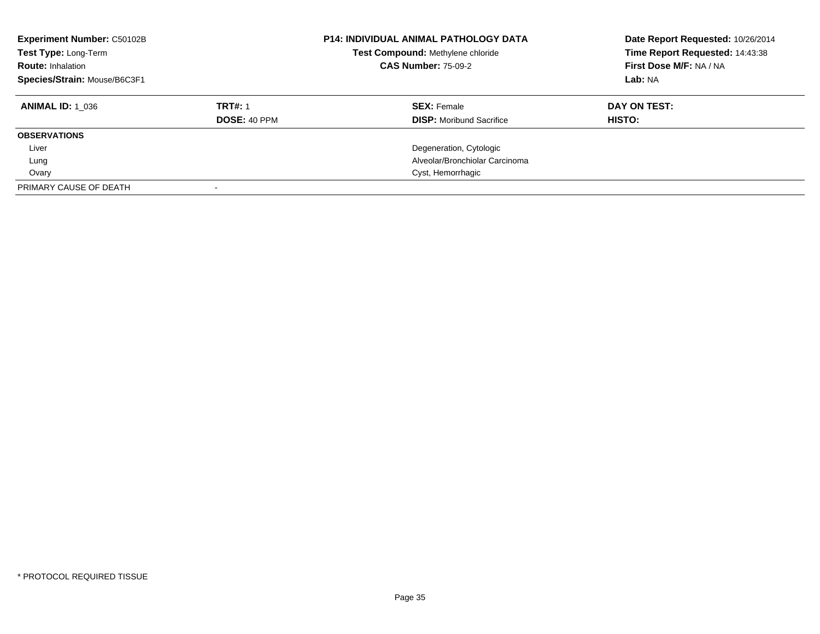| <b>Experiment Number: C50102B</b><br>Test Type: Long-Term<br><b>Route: Inhalation</b><br>Species/Strain: Mouse/B6C3F1 |                                | <b>P14: INDIVIDUAL ANIMAL PATHOLOGY DATA</b><br>Test Compound: Methylene chloride<br><b>CAS Number: 75-09-2</b> | Date Report Requested: 10/26/2014<br>Time Report Requested: 14:43:38<br>First Dose M/F: NA / NA<br>Lab: NA |
|-----------------------------------------------------------------------------------------------------------------------|--------------------------------|-----------------------------------------------------------------------------------------------------------------|------------------------------------------------------------------------------------------------------------|
| <b>ANIMAL ID: 1 036</b>                                                                                               | <b>TRT#: 1</b><br>DOSE: 40 PPM | <b>SEX: Female</b><br><b>DISP:</b> Moribund Sacrifice                                                           | DAY ON TEST:<br>HISTO:                                                                                     |
| <b>OBSERVATIONS</b>                                                                                                   |                                |                                                                                                                 |                                                                                                            |
| Liver                                                                                                                 |                                | Degeneration, Cytologic                                                                                         |                                                                                                            |
| Lung                                                                                                                  |                                | Alveolar/Bronchiolar Carcinoma                                                                                  |                                                                                                            |
| Ovary                                                                                                                 |                                | Cyst, Hemorrhagic                                                                                               |                                                                                                            |
| PRIMARY CAUSE OF DEATH                                                                                                |                                |                                                                                                                 |                                                                                                            |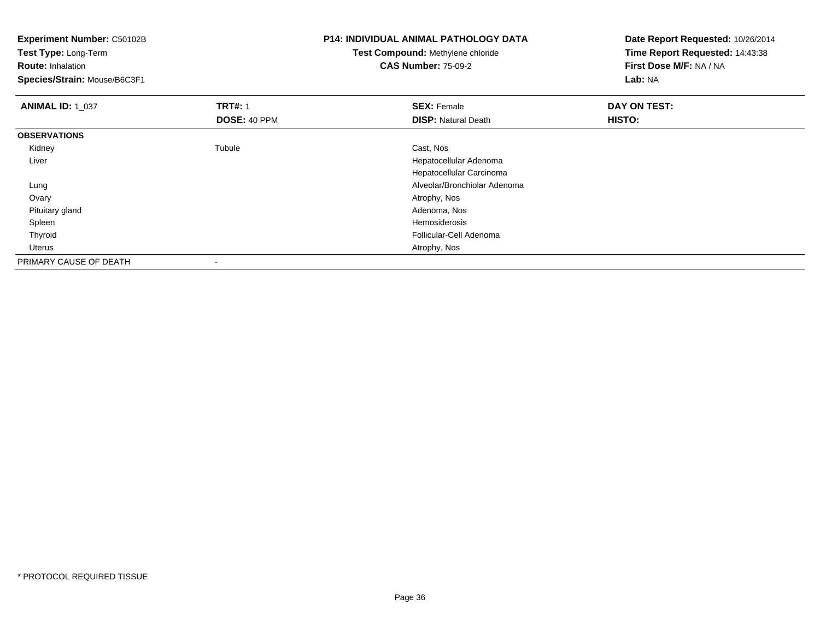| <b>Experiment Number: C50102B</b><br>Test Type: Long-Term |                | <b>P14: INDIVIDUAL ANIMAL PATHOLOGY DATA</b><br>Test Compound: Methylene chloride | Date Report Requested: 10/26/2014<br>Time Report Requested: 14:43:38 |
|-----------------------------------------------------------|----------------|-----------------------------------------------------------------------------------|----------------------------------------------------------------------|
| <b>Route: Inhalation</b>                                  |                | <b>CAS Number: 75-09-2</b>                                                        | First Dose M/F: NA / NA                                              |
| Species/Strain: Mouse/B6C3F1                              |                |                                                                                   | Lab: NA                                                              |
| <b>ANIMAL ID: 1_037</b>                                   | <b>TRT#: 1</b> | <b>SEX: Female</b>                                                                | DAY ON TEST:                                                         |
|                                                           | DOSE: 40 PPM   | <b>DISP: Natural Death</b>                                                        | HISTO:                                                               |
| <b>OBSERVATIONS</b>                                       |                |                                                                                   |                                                                      |
| Kidney                                                    | Tubule         | Cast, Nos                                                                         |                                                                      |
| Liver                                                     |                | Hepatocellular Adenoma                                                            |                                                                      |
|                                                           |                | Hepatocellular Carcinoma                                                          |                                                                      |
| Lung                                                      |                | Alveolar/Bronchiolar Adenoma                                                      |                                                                      |
| Ovary                                                     |                | Atrophy, Nos                                                                      |                                                                      |
| Pituitary gland                                           |                | Adenoma, Nos                                                                      |                                                                      |
| Spleen                                                    |                | Hemosiderosis                                                                     |                                                                      |
| Thyroid                                                   |                | Follicular-Cell Adenoma                                                           |                                                                      |
| Uterus                                                    |                | Atrophy, Nos                                                                      |                                                                      |
| PRIMARY CAUSE OF DEATH                                    |                |                                                                                   |                                                                      |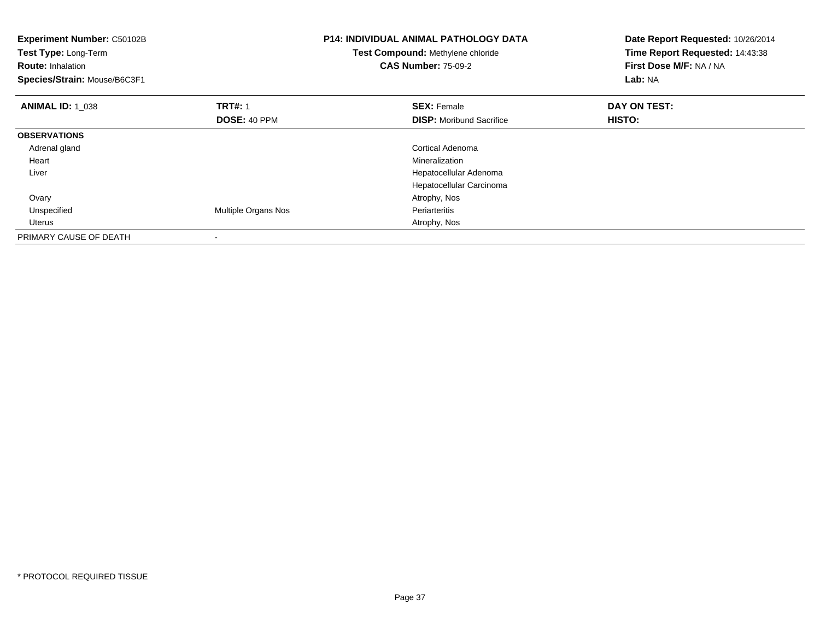| <b>Experiment Number: C50102B</b><br><b>Test Type: Long-Term</b><br><b>Route: Inhalation</b><br>Species/Strain: Mouse/B6C3F1 |                            | <b>P14: INDIVIDUAL ANIMAL PATHOLOGY DATA</b><br>Test Compound: Methylene chloride<br><b>CAS Number: 75-09-2</b> | Date Report Requested: 10/26/2014<br>Time Report Requested: 14:43:38<br>First Dose M/F: NA / NA<br>Lab: NA |
|------------------------------------------------------------------------------------------------------------------------------|----------------------------|-----------------------------------------------------------------------------------------------------------------|------------------------------------------------------------------------------------------------------------|
| <b>ANIMAL ID: 1 038</b>                                                                                                      | <b>TRT#: 1</b>             | <b>SEX: Female</b>                                                                                              | DAY ON TEST:                                                                                               |
|                                                                                                                              | DOSE: 40 PPM               | <b>DISP:</b> Moribund Sacrifice                                                                                 | HISTO:                                                                                                     |
| <b>OBSERVATIONS</b>                                                                                                          |                            |                                                                                                                 |                                                                                                            |
| Adrenal gland                                                                                                                |                            | Cortical Adenoma                                                                                                |                                                                                                            |
| Heart                                                                                                                        |                            | Mineralization                                                                                                  |                                                                                                            |
| Liver                                                                                                                        |                            | Hepatocellular Adenoma                                                                                          |                                                                                                            |
|                                                                                                                              |                            | Hepatocellular Carcinoma                                                                                        |                                                                                                            |
| Ovary                                                                                                                        |                            | Atrophy, Nos                                                                                                    |                                                                                                            |
| Unspecified                                                                                                                  | <b>Multiple Organs Nos</b> | Periarteritis                                                                                                   |                                                                                                            |
| Uterus                                                                                                                       |                            | Atrophy, Nos                                                                                                    |                                                                                                            |
| PRIMARY CAUSE OF DEATH                                                                                                       |                            |                                                                                                                 |                                                                                                            |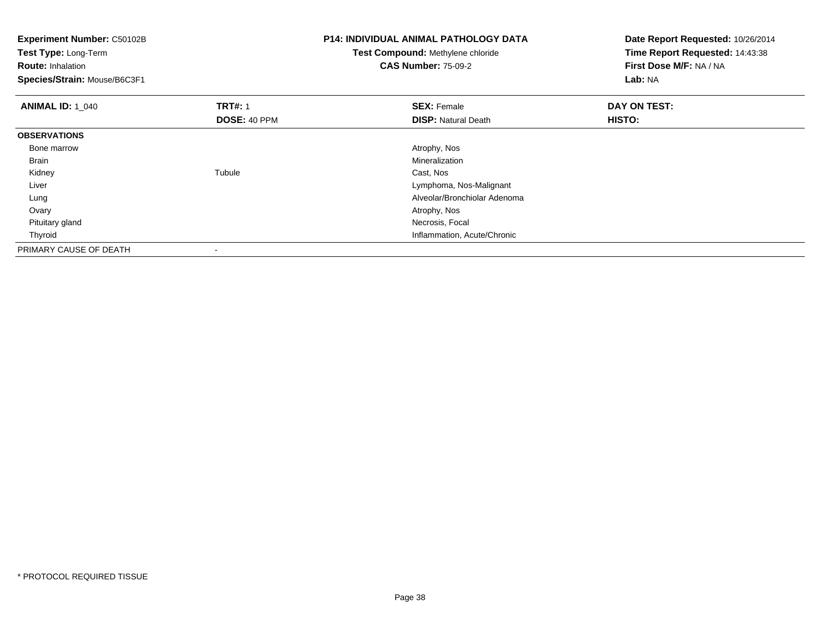| <b>Experiment Number: C50102B</b><br>Test Type: Long-Term<br><b>Route: Inhalation</b><br>Species/Strain: Mouse/B6C3F1 |                | P14: INDIVIDUAL ANIMAL PATHOLOGY DATA<br>Date Report Requested: 10/26/2014<br>Time Report Requested: 14:43:38<br>Test Compound: Methylene chloride<br><b>CAS Number: 75-09-2</b><br>First Dose M/F: NA / NA<br>Lab: NA |              |
|-----------------------------------------------------------------------------------------------------------------------|----------------|------------------------------------------------------------------------------------------------------------------------------------------------------------------------------------------------------------------------|--------------|
| <b>ANIMAL ID: 1 040</b>                                                                                               | <b>TRT#: 1</b> | <b>SEX: Female</b>                                                                                                                                                                                                     | DAY ON TEST: |
|                                                                                                                       | DOSE: 40 PPM   | <b>DISP:</b> Natural Death                                                                                                                                                                                             | HISTO:       |
| <b>OBSERVATIONS</b>                                                                                                   |                |                                                                                                                                                                                                                        |              |
| Bone marrow                                                                                                           |                | Atrophy, Nos                                                                                                                                                                                                           |              |
| Brain                                                                                                                 |                | Mineralization                                                                                                                                                                                                         |              |
| Kidney                                                                                                                | Tubule         | Cast, Nos                                                                                                                                                                                                              |              |
| Liver                                                                                                                 |                | Lymphoma, Nos-Malignant                                                                                                                                                                                                |              |
| Lung                                                                                                                  |                | Alveolar/Bronchiolar Adenoma                                                                                                                                                                                           |              |
| Ovary                                                                                                                 |                | Atrophy, Nos                                                                                                                                                                                                           |              |
| Pituitary gland                                                                                                       |                | Necrosis, Focal                                                                                                                                                                                                        |              |
| Thyroid                                                                                                               |                | Inflammation, Acute/Chronic                                                                                                                                                                                            |              |
| PRIMARY CAUSE OF DEATH                                                                                                |                |                                                                                                                                                                                                                        |              |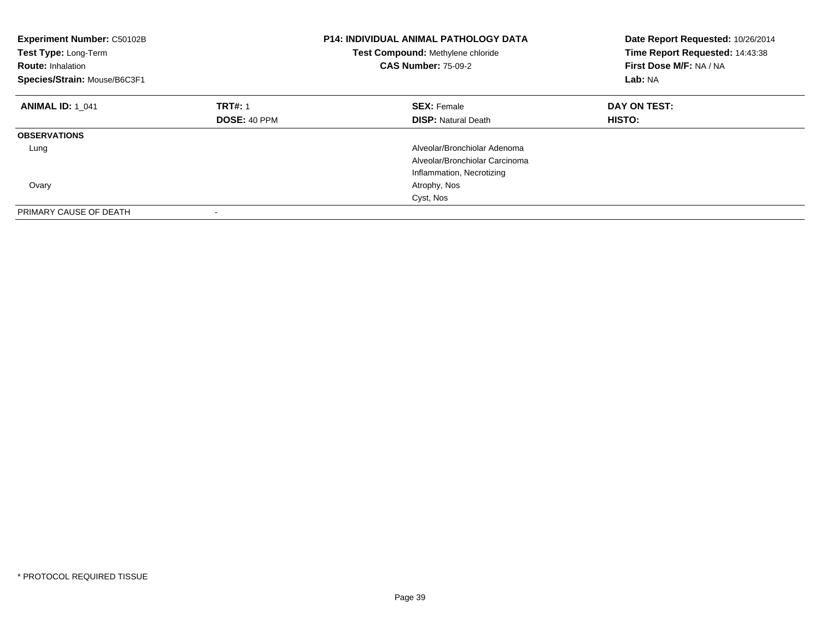| <b>Experiment Number: C50102B</b><br>Test Type: Long-Term<br><b>Route: Inhalation</b><br>Species/Strain: Mouse/B6C3F1 |                | <b>P14: INDIVIDUAL ANIMAL PATHOLOGY DATA</b><br>Test Compound: Methylene chloride<br><b>CAS Number: 75-09-2</b> | Date Report Requested: 10/26/2014<br>Time Report Requested: 14:43:38<br>First Dose M/F: NA / NA<br>Lab: NA |
|-----------------------------------------------------------------------------------------------------------------------|----------------|-----------------------------------------------------------------------------------------------------------------|------------------------------------------------------------------------------------------------------------|
| <b>ANIMAL ID: 1 041</b>                                                                                               | <b>TRT#: 1</b> | <b>SEX: Female</b>                                                                                              | DAY ON TEST:                                                                                               |
|                                                                                                                       | DOSE: 40 PPM   | <b>DISP:</b> Natural Death                                                                                      | HISTO:                                                                                                     |
| <b>OBSERVATIONS</b>                                                                                                   |                |                                                                                                                 |                                                                                                            |
| Lung                                                                                                                  |                | Alveolar/Bronchiolar Adenoma                                                                                    |                                                                                                            |
|                                                                                                                       |                | Alveolar/Bronchiolar Carcinoma                                                                                  |                                                                                                            |
|                                                                                                                       |                | Inflammation, Necrotizing                                                                                       |                                                                                                            |
| Ovary                                                                                                                 |                | Atrophy, Nos                                                                                                    |                                                                                                            |
|                                                                                                                       |                | Cyst, Nos                                                                                                       |                                                                                                            |
| PRIMARY CAUSE OF DEATH                                                                                                |                |                                                                                                                 |                                                                                                            |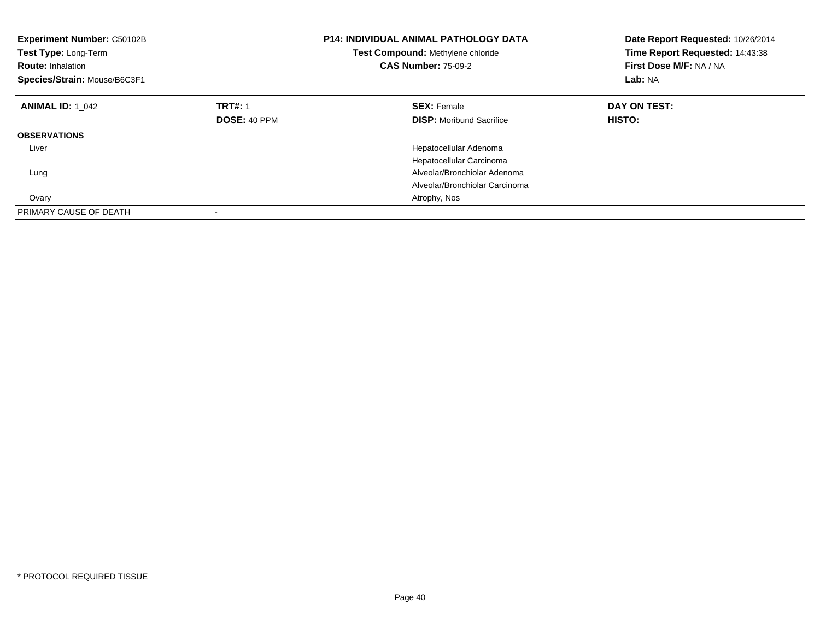| <b>Experiment Number: C50102B</b><br>Test Type: Long-Term<br><b>Route: Inhalation</b><br>Species/Strain: Mouse/B6C3F1 |                     | <b>P14: INDIVIDUAL ANIMAL PATHOLOGY DATA</b><br>Test Compound: Methylene chloride<br><b>CAS Number: 75-09-2</b> | Date Report Requested: 10/26/2014<br>Time Report Requested: 14:43:38<br>First Dose M/F: NA / NA<br>Lab: NA |
|-----------------------------------------------------------------------------------------------------------------------|---------------------|-----------------------------------------------------------------------------------------------------------------|------------------------------------------------------------------------------------------------------------|
| <b>ANIMAL ID: 1 042</b>                                                                                               | <b>TRT#: 1</b>      | <b>SEX: Female</b>                                                                                              | DAY ON TEST:                                                                                               |
|                                                                                                                       | <b>DOSE: 40 PPM</b> | <b>DISP:</b> Moribund Sacrifice                                                                                 | HISTO:                                                                                                     |
| <b>OBSERVATIONS</b>                                                                                                   |                     |                                                                                                                 |                                                                                                            |
| Liver                                                                                                                 |                     | Hepatocellular Adenoma                                                                                          |                                                                                                            |
|                                                                                                                       |                     | Hepatocellular Carcinoma                                                                                        |                                                                                                            |
| Lung                                                                                                                  |                     | Alveolar/Bronchiolar Adenoma                                                                                    |                                                                                                            |
|                                                                                                                       |                     | Alveolar/Bronchiolar Carcinoma                                                                                  |                                                                                                            |
| Ovary                                                                                                                 |                     | Atrophy, Nos                                                                                                    |                                                                                                            |
| PRIMARY CAUSE OF DEATH                                                                                                |                     |                                                                                                                 |                                                                                                            |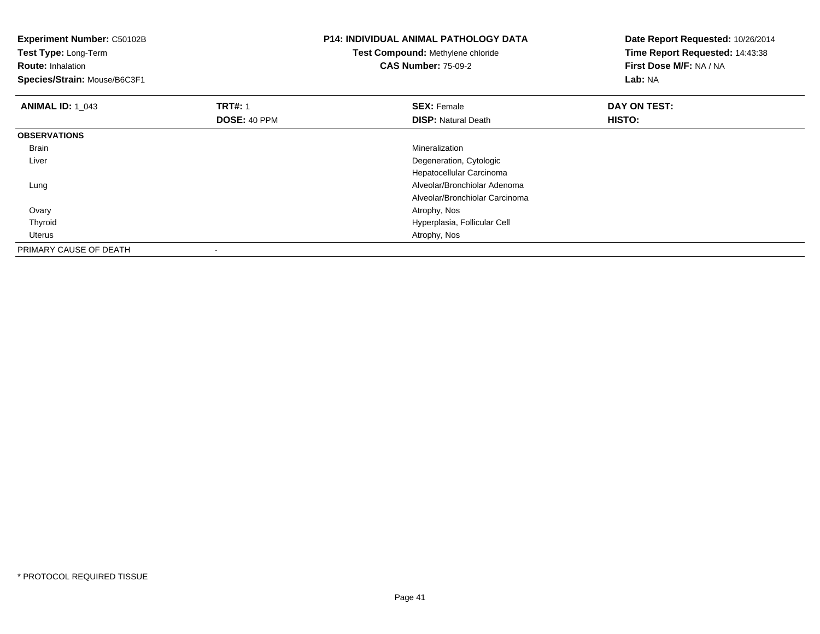| Experiment Number: C50102B<br>Test Type: Long-Term<br><b>Route: Inhalation</b><br>Species/Strain: Mouse/B6C3F1 |                | <b>P14: INDIVIDUAL ANIMAL PATHOLOGY DATA</b><br>Test Compound: Methylene chloride<br><b>CAS Number: 75-09-2</b> | Date Report Requested: 10/26/2014<br>Time Report Requested: 14:43:38<br>First Dose M/F: NA / NA<br>Lab: NA |
|----------------------------------------------------------------------------------------------------------------|----------------|-----------------------------------------------------------------------------------------------------------------|------------------------------------------------------------------------------------------------------------|
| <b>ANIMAL ID: 1 043</b>                                                                                        | <b>TRT#: 1</b> | <b>SEX: Female</b>                                                                                              | DAY ON TEST:                                                                                               |
|                                                                                                                | DOSE: 40 PPM   | <b>DISP:</b> Natural Death                                                                                      | HISTO:                                                                                                     |
| <b>OBSERVATIONS</b>                                                                                            |                |                                                                                                                 |                                                                                                            |
| Brain                                                                                                          |                | Mineralization                                                                                                  |                                                                                                            |
| Liver                                                                                                          |                | Degeneration, Cytologic                                                                                         |                                                                                                            |
|                                                                                                                |                | Hepatocellular Carcinoma                                                                                        |                                                                                                            |
| Lung                                                                                                           |                | Alveolar/Bronchiolar Adenoma                                                                                    |                                                                                                            |
|                                                                                                                |                | Alveolar/Bronchiolar Carcinoma                                                                                  |                                                                                                            |
| Ovary                                                                                                          |                | Atrophy, Nos                                                                                                    |                                                                                                            |
| Thyroid                                                                                                        |                | Hyperplasia, Follicular Cell                                                                                    |                                                                                                            |
| Uterus                                                                                                         |                | Atrophy, Nos                                                                                                    |                                                                                                            |
| PRIMARY CAUSE OF DEATH                                                                                         |                |                                                                                                                 |                                                                                                            |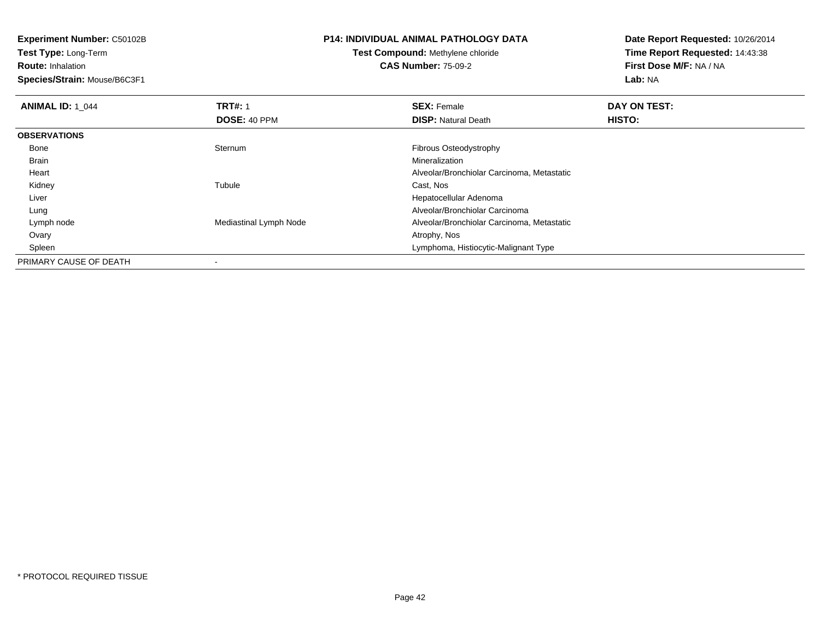**Test Type:** Long-Term**Route:** Inhalation

**Species/Strain:** Mouse/B6C3F1

# **P14: INDIVIDUAL ANIMAL PATHOLOGY DATA**

**Test Compound:** Methylene chloride**CAS Number:** 75-09-2

| <b>ANIMAL ID: 1 044</b> | <b>TRT#: 1</b>         | <b>SEX: Female</b>                         | DAY ON TEST: |  |
|-------------------------|------------------------|--------------------------------------------|--------------|--|
|                         | <b>DOSE: 40 PPM</b>    | <b>DISP:</b> Natural Death                 | HISTO:       |  |
| <b>OBSERVATIONS</b>     |                        |                                            |              |  |
| Bone                    | Sternum                | Fibrous Osteodystrophy                     |              |  |
| Brain                   |                        | Mineralization                             |              |  |
| Heart                   |                        | Alveolar/Bronchiolar Carcinoma, Metastatic |              |  |
| Kidney                  | Tubule                 | Cast, Nos                                  |              |  |
| Liver                   |                        | Hepatocellular Adenoma                     |              |  |
| Lung                    |                        | Alveolar/Bronchiolar Carcinoma             |              |  |
| Lymph node              | Mediastinal Lymph Node | Alveolar/Bronchiolar Carcinoma, Metastatic |              |  |
| Ovary                   |                        | Atrophy, Nos                               |              |  |
| Spleen                  |                        | Lymphoma, Histiocytic-Malignant Type       |              |  |
| PRIMARY CAUSE OF DEATH  |                        |                                            |              |  |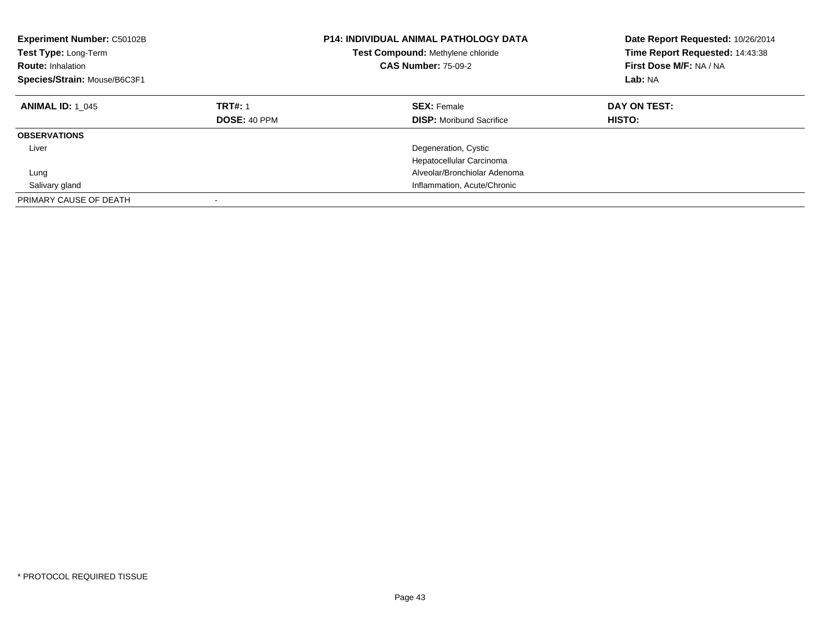| Experiment Number: C50102B<br><b>Test Type: Long-Term</b><br><b>Route: Inhalation</b><br>Species/Strain: Mouse/B6C3F1 | <b>P14: INDIVIDUAL ANIMAL PATHOLOGY DATA</b><br>Test Compound: Methylene chloride<br><b>CAS Number: 75-09-2</b> |                                                       | Date Report Requested: 10/26/2014<br>Time Report Requested: 14:43:38<br>First Dose M/F: NA / NA<br>Lab: NA |
|-----------------------------------------------------------------------------------------------------------------------|-----------------------------------------------------------------------------------------------------------------|-------------------------------------------------------|------------------------------------------------------------------------------------------------------------|
| <b>ANIMAL ID: 1 045</b>                                                                                               | <b>TRT#: 1</b><br><b>DOSE: 40 PPM</b>                                                                           | <b>SEX: Female</b><br><b>DISP:</b> Moribund Sacrifice | DAY ON TEST:<br>HISTO:                                                                                     |
| <b>OBSERVATIONS</b>                                                                                                   |                                                                                                                 |                                                       |                                                                                                            |
| Liver                                                                                                                 |                                                                                                                 | Degeneration, Cystic<br>Hepatocellular Carcinoma      |                                                                                                            |
| Lung                                                                                                                  |                                                                                                                 | Alveolar/Bronchiolar Adenoma                          |                                                                                                            |
| Salivary gland                                                                                                        |                                                                                                                 | Inflammation, Acute/Chronic                           |                                                                                                            |
| PRIMARY CAUSE OF DEATH                                                                                                |                                                                                                                 |                                                       |                                                                                                            |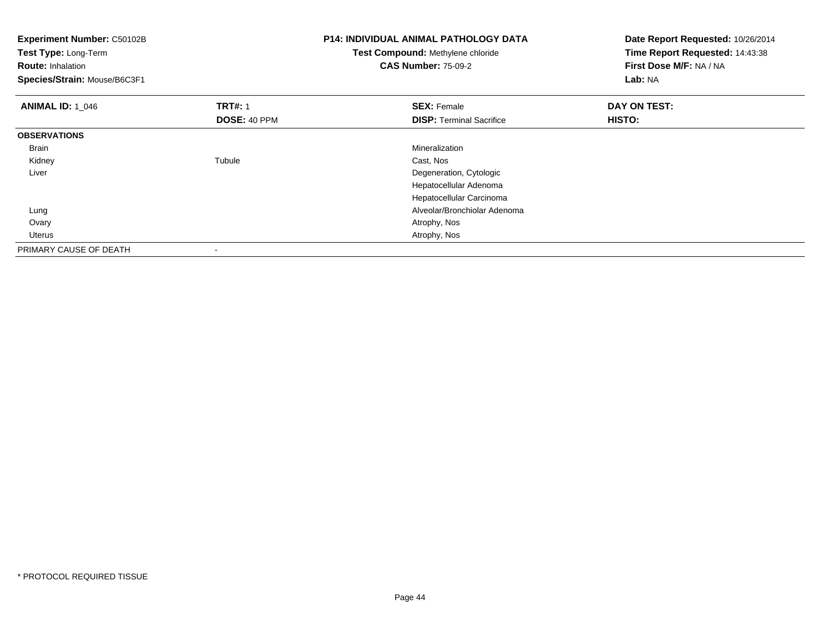| Experiment Number: C50102B<br>Test Type: Long-Term<br><b>Route: Inhalation</b><br>Species/Strain: Mouse/B6C3F1 |                | <b>P14: INDIVIDUAL ANIMAL PATHOLOGY DATA</b><br>Test Compound: Methylene chloride<br><b>CAS Number: 75-09-2</b> | Date Report Requested: 10/26/2014<br>Time Report Requested: 14:43:38<br>First Dose M/F: NA / NA<br>Lab: NA |
|----------------------------------------------------------------------------------------------------------------|----------------|-----------------------------------------------------------------------------------------------------------------|------------------------------------------------------------------------------------------------------------|
| <b>ANIMAL ID: 1 046</b>                                                                                        | <b>TRT#: 1</b> | <b>SEX: Female</b>                                                                                              | DAY ON TEST:                                                                                               |
|                                                                                                                | DOSE: 40 PPM   | <b>DISP: Terminal Sacrifice</b>                                                                                 | HISTO:                                                                                                     |
| <b>OBSERVATIONS</b>                                                                                            |                |                                                                                                                 |                                                                                                            |
| Brain                                                                                                          |                | Mineralization                                                                                                  |                                                                                                            |
| Kidney                                                                                                         | Tubule         | Cast, Nos                                                                                                       |                                                                                                            |
| Liver                                                                                                          |                | Degeneration, Cytologic                                                                                         |                                                                                                            |
|                                                                                                                |                | Hepatocellular Adenoma                                                                                          |                                                                                                            |
|                                                                                                                |                | Hepatocellular Carcinoma                                                                                        |                                                                                                            |
| Lung                                                                                                           |                | Alveolar/Bronchiolar Adenoma                                                                                    |                                                                                                            |
| Ovary                                                                                                          |                | Atrophy, Nos                                                                                                    |                                                                                                            |
| Uterus                                                                                                         |                | Atrophy, Nos                                                                                                    |                                                                                                            |
| PRIMARY CAUSE OF DEATH                                                                                         |                |                                                                                                                 |                                                                                                            |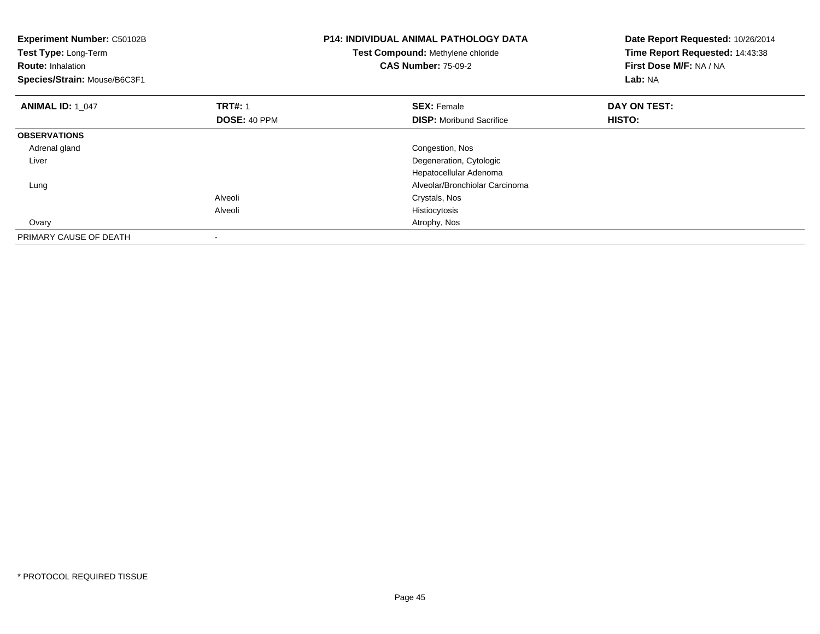| Experiment Number: C50102B<br>Test Type: Long-Term<br><b>Route: Inhalation</b><br>Species/Strain: Mouse/B6C3F1 |                | <b>P14: INDIVIDUAL ANIMAL PATHOLOGY DATA</b><br>Date Report Requested: 10/26/2014<br>Time Report Requested: 14:43:38<br>Test Compound: Methylene chloride<br>First Dose M/F: NA / NA<br><b>CAS Number: 75-09-2</b><br>Lab: NA |              |
|----------------------------------------------------------------------------------------------------------------|----------------|-------------------------------------------------------------------------------------------------------------------------------------------------------------------------------------------------------------------------------|--------------|
| <b>ANIMAL ID: 1 047</b>                                                                                        | <b>TRT#: 1</b> | <b>SEX: Female</b>                                                                                                                                                                                                            | DAY ON TEST: |
|                                                                                                                | DOSE: 40 PPM   | <b>DISP:</b> Moribund Sacrifice                                                                                                                                                                                               | HISTO:       |
| <b>OBSERVATIONS</b>                                                                                            |                |                                                                                                                                                                                                                               |              |
| Adrenal gland                                                                                                  |                | Congestion, Nos                                                                                                                                                                                                               |              |
| Liver                                                                                                          |                | Degeneration, Cytologic                                                                                                                                                                                                       |              |
|                                                                                                                |                | Hepatocellular Adenoma                                                                                                                                                                                                        |              |
| Lung                                                                                                           |                | Alveolar/Bronchiolar Carcinoma                                                                                                                                                                                                |              |
|                                                                                                                | Alveoli        | Crystals, Nos                                                                                                                                                                                                                 |              |
|                                                                                                                | Alveoli        | Histiocytosis                                                                                                                                                                                                                 |              |
| Ovary                                                                                                          |                | Atrophy, Nos                                                                                                                                                                                                                  |              |
| PRIMARY CAUSE OF DEATH                                                                                         |                |                                                                                                                                                                                                                               |              |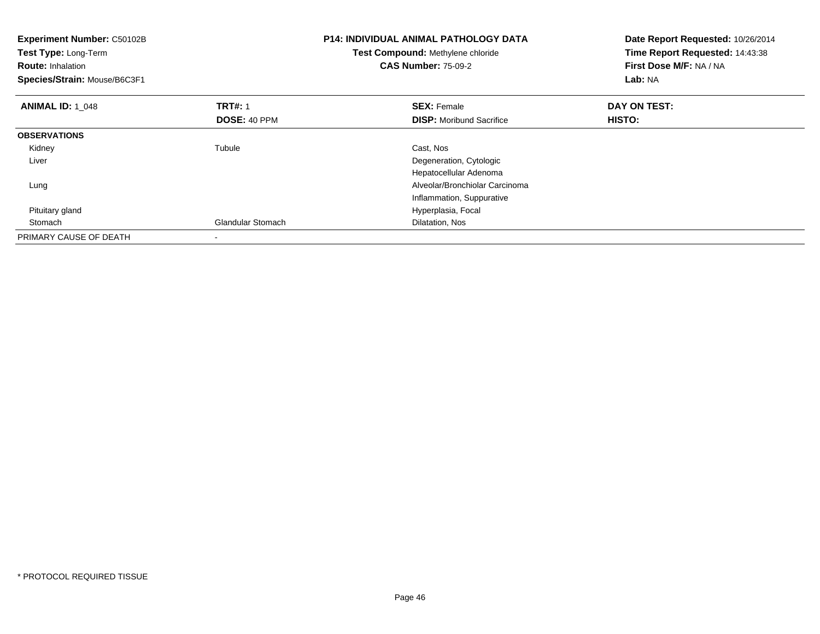| <b>Experiment Number: C50102B</b><br>Test Type: Long-Term<br><b>Route: Inhalation</b><br>Species/Strain: Mouse/B6C3F1 |                          | <b>P14: INDIVIDUAL ANIMAL PATHOLOGY DATA</b><br>Test Compound: Methylene chloride<br><b>CAS Number: 75-09-2</b> | Date Report Requested: 10/26/2014<br>Time Report Requested: 14:43:38<br>First Dose M/F: NA / NA<br>Lab: NA |
|-----------------------------------------------------------------------------------------------------------------------|--------------------------|-----------------------------------------------------------------------------------------------------------------|------------------------------------------------------------------------------------------------------------|
| <b>ANIMAL ID: 1 048</b>                                                                                               | <b>TRT#: 1</b>           | <b>SEX: Female</b>                                                                                              | DAY ON TEST:                                                                                               |
|                                                                                                                       | DOSE: 40 PPM             | <b>DISP:</b> Moribund Sacrifice                                                                                 | HISTO:                                                                                                     |
| <b>OBSERVATIONS</b>                                                                                                   |                          |                                                                                                                 |                                                                                                            |
| Kidney                                                                                                                | Tubule                   | Cast, Nos                                                                                                       |                                                                                                            |
| Liver                                                                                                                 |                          | Degeneration, Cytologic                                                                                         |                                                                                                            |
|                                                                                                                       |                          | Hepatocellular Adenoma                                                                                          |                                                                                                            |
| Lung                                                                                                                  |                          | Alveolar/Bronchiolar Carcinoma                                                                                  |                                                                                                            |
|                                                                                                                       |                          | Inflammation, Suppurative                                                                                       |                                                                                                            |
| Pituitary gland                                                                                                       |                          | Hyperplasia, Focal                                                                                              |                                                                                                            |
| Stomach                                                                                                               | <b>Glandular Stomach</b> | Dilatation, Nos                                                                                                 |                                                                                                            |
| PRIMARY CAUSE OF DEATH                                                                                                |                          |                                                                                                                 |                                                                                                            |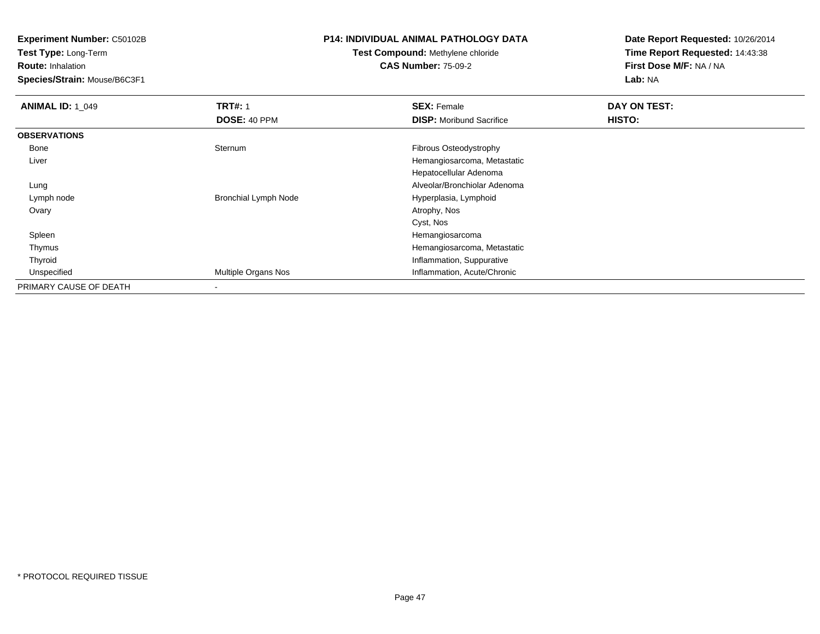**Test Type:** Long-Term

**Route:** Inhalation

**Species/Strain:** Mouse/B6C3F1

#### **P14: INDIVIDUAL ANIMAL PATHOLOGY DATA**

# **Test Compound:** Methylene chloride**CAS Number:** 75-09-2

| <b>ANIMAL ID: 1_049</b> | <b>TRT#: 1</b>              | <b>SEX: Female</b>              | DAY ON TEST: |  |
|-------------------------|-----------------------------|---------------------------------|--------------|--|
|                         | DOSE: 40 PPM                | <b>DISP:</b> Moribund Sacrifice | HISTO:       |  |
| <b>OBSERVATIONS</b>     |                             |                                 |              |  |
| Bone                    | Sternum                     | Fibrous Osteodystrophy          |              |  |
| Liver                   |                             | Hemangiosarcoma, Metastatic     |              |  |
|                         |                             | Hepatocellular Adenoma          |              |  |
| Lung                    |                             | Alveolar/Bronchiolar Adenoma    |              |  |
| Lymph node              | <b>Bronchial Lymph Node</b> | Hyperplasia, Lymphoid           |              |  |
| Ovary                   |                             | Atrophy, Nos                    |              |  |
|                         |                             | Cyst, Nos                       |              |  |
| Spleen                  |                             | Hemangiosarcoma                 |              |  |
| Thymus                  |                             | Hemangiosarcoma, Metastatic     |              |  |
| Thyroid                 |                             | Inflammation, Suppurative       |              |  |
| Unspecified             | Multiple Organs Nos         | Inflammation, Acute/Chronic     |              |  |
| PRIMARY CAUSE OF DEATH  |                             |                                 |              |  |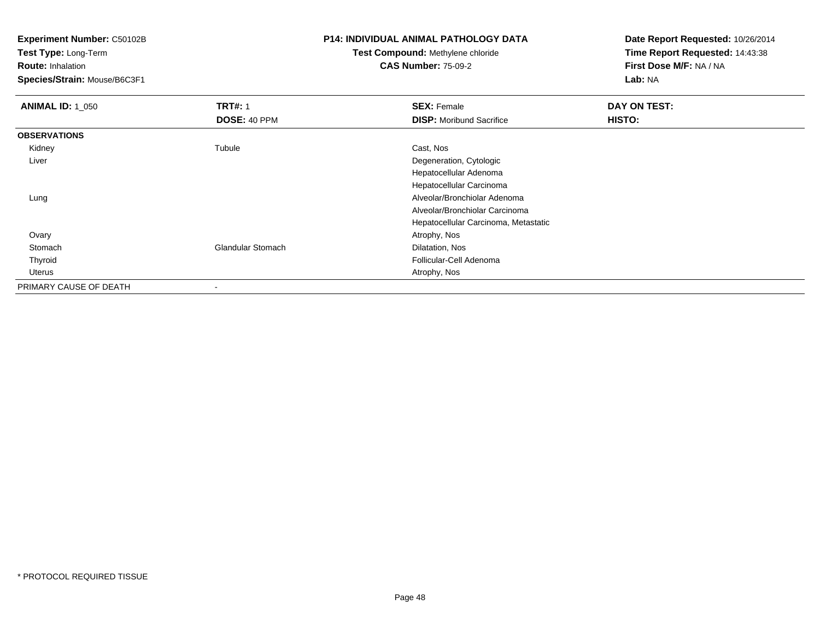**Test Type:** Long-Term

**Route:** Inhalation

**Species/Strain:** Mouse/B6C3F1

# **P14: INDIVIDUAL ANIMAL PATHOLOGY DATA**

# **Test Compound:** Methylene chloride**CAS Number:** 75-09-2

| <b>ANIMAL ID: 1_050</b> | <b>TRT#: 1</b>           | <b>SEX: Female</b>                   | DAY ON TEST: |
|-------------------------|--------------------------|--------------------------------------|--------------|
|                         | DOSE: 40 PPM             | <b>DISP:</b> Moribund Sacrifice      | HISTO:       |
| <b>OBSERVATIONS</b>     |                          |                                      |              |
| Kidney                  | Tubule                   | Cast, Nos                            |              |
| Liver                   |                          | Degeneration, Cytologic              |              |
|                         |                          | Hepatocellular Adenoma               |              |
|                         |                          | Hepatocellular Carcinoma             |              |
| Lung                    |                          | Alveolar/Bronchiolar Adenoma         |              |
|                         |                          | Alveolar/Bronchiolar Carcinoma       |              |
|                         |                          | Hepatocellular Carcinoma, Metastatic |              |
| Ovary                   |                          | Atrophy, Nos                         |              |
| Stomach                 | <b>Glandular Stomach</b> | Dilatation, Nos                      |              |
| Thyroid                 |                          | Follicular-Cell Adenoma              |              |
| Uterus                  |                          | Atrophy, Nos                         |              |
| PRIMARY CAUSE OF DEATH  | $\blacksquare$           |                                      |              |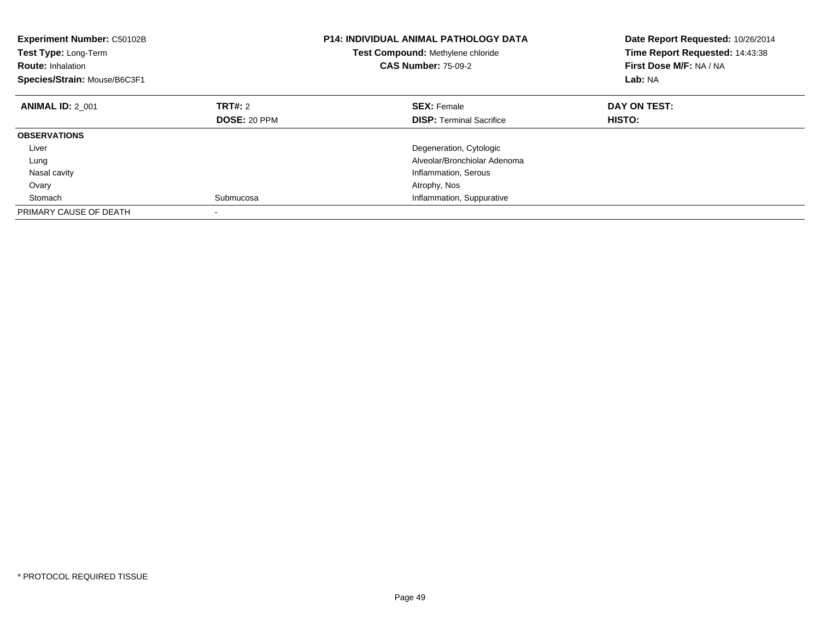| <b>Experiment Number: C50102B</b><br>Test Type: Long-Term<br><b>Route: Inhalation</b><br>Species/Strain: Mouse/B6C3F1 | <b>P14: INDIVIDUAL ANIMAL PATHOLOGY DATA</b><br>Test Compound: Methylene chloride<br><b>CAS Number: 75-09-2</b> |                                 | Date Report Requested: 10/26/2014<br>Time Report Requested: 14:43:38<br>First Dose M/F: NA / NA<br>Lab: NA |
|-----------------------------------------------------------------------------------------------------------------------|-----------------------------------------------------------------------------------------------------------------|---------------------------------|------------------------------------------------------------------------------------------------------------|
| <b>ANIMAL ID: 2 001</b>                                                                                               | TRT#: 2                                                                                                         | <b>SEX: Female</b>              | DAY ON TEST:                                                                                               |
|                                                                                                                       | <b>DOSE: 20 PPM</b>                                                                                             | <b>DISP:</b> Terminal Sacrifice | HISTO:                                                                                                     |
| <b>OBSERVATIONS</b>                                                                                                   |                                                                                                                 |                                 |                                                                                                            |
| Liver                                                                                                                 |                                                                                                                 | Degeneration, Cytologic         |                                                                                                            |
| Lung                                                                                                                  |                                                                                                                 | Alveolar/Bronchiolar Adenoma    |                                                                                                            |
| Nasal cavity                                                                                                          |                                                                                                                 | Inflammation, Serous            |                                                                                                            |
| Ovary                                                                                                                 |                                                                                                                 | Atrophy, Nos                    |                                                                                                            |
| Stomach                                                                                                               | Submucosa                                                                                                       | Inflammation, Suppurative       |                                                                                                            |
| PRIMARY CAUSE OF DEATH                                                                                                |                                                                                                                 |                                 |                                                                                                            |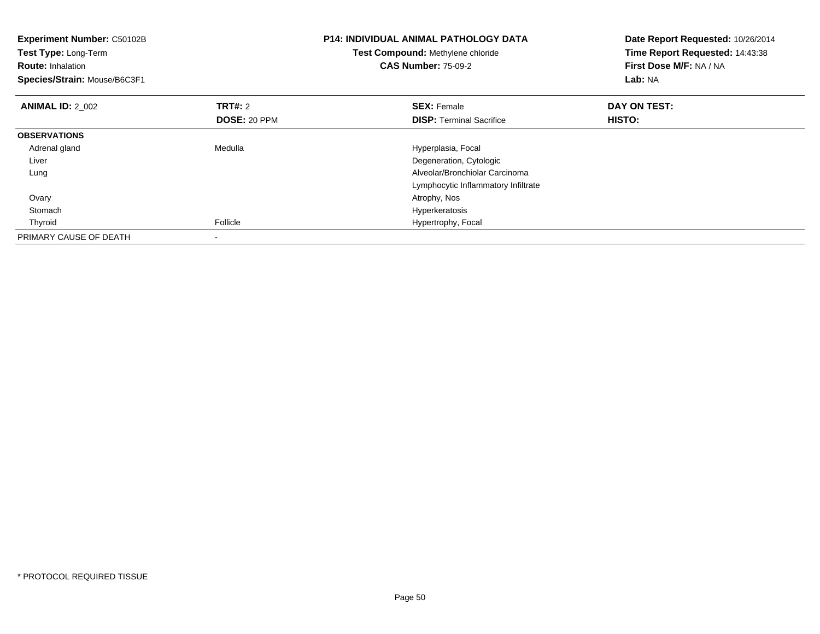| Experiment Number: C50102B<br>Test Type: Long-Term<br><b>Route: Inhalation</b><br>Species/Strain: Mouse/B6C3F1 |                                | <b>P14: INDIVIDUAL ANIMAL PATHOLOGY DATA</b><br>Test Compound: Methylene chloride<br><b>CAS Number: 75-09-2</b> | Date Report Requested: 10/26/2014<br>Time Report Requested: 14:43:38<br>First Dose M/F: NA / NA<br>Lab: NA |
|----------------------------------------------------------------------------------------------------------------|--------------------------------|-----------------------------------------------------------------------------------------------------------------|------------------------------------------------------------------------------------------------------------|
| <b>ANIMAL ID: 2 002</b>                                                                                        | <b>TRT#: 2</b><br>DOSE: 20 PPM | <b>SEX: Female</b><br><b>DISP:</b> Terminal Sacrifice                                                           | DAY ON TEST:<br>HISTO:                                                                                     |
| <b>OBSERVATIONS</b>                                                                                            |                                |                                                                                                                 |                                                                                                            |
| Adrenal gland                                                                                                  | Medulla                        | Hyperplasia, Focal                                                                                              |                                                                                                            |
| Liver                                                                                                          |                                | Degeneration, Cytologic                                                                                         |                                                                                                            |
| Lung                                                                                                           |                                | Alveolar/Bronchiolar Carcinoma                                                                                  |                                                                                                            |
|                                                                                                                |                                | Lymphocytic Inflammatory Infiltrate                                                                             |                                                                                                            |
| Ovary                                                                                                          |                                | Atrophy, Nos                                                                                                    |                                                                                                            |
| Stomach                                                                                                        |                                | Hyperkeratosis                                                                                                  |                                                                                                            |
| Thyroid                                                                                                        | Follicle                       | Hypertrophy, Focal                                                                                              |                                                                                                            |
| PRIMARY CAUSE OF DEATH                                                                                         |                                |                                                                                                                 |                                                                                                            |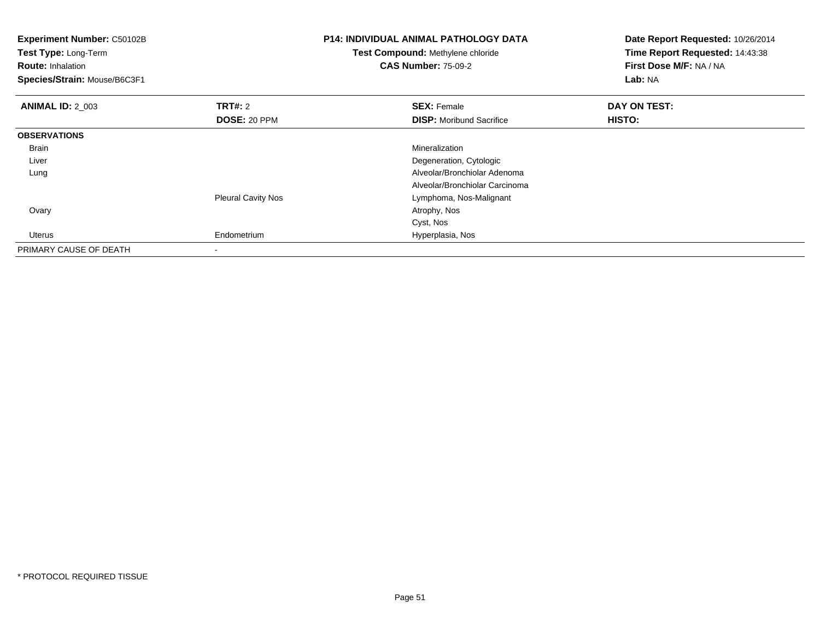| <b>Experiment Number: C50102B</b><br>Test Type: Long-Term<br><b>Route: Inhalation</b><br>Species/Strain: Mouse/B6C3F1 |                           | <b>P14: INDIVIDUAL ANIMAL PATHOLOGY DATA</b><br>Test Compound: Methylene chloride<br><b>CAS Number: 75-09-2</b> | Date Report Requested: 10/26/2014<br>Time Report Requested: 14:43:38<br>First Dose M/F: NA / NA<br>Lab: NA |
|-----------------------------------------------------------------------------------------------------------------------|---------------------------|-----------------------------------------------------------------------------------------------------------------|------------------------------------------------------------------------------------------------------------|
| <b>ANIMAL ID: 2_003</b>                                                                                               | <b>TRT#: 2</b>            | <b>SEX: Female</b>                                                                                              | DAY ON TEST:                                                                                               |
|                                                                                                                       | DOSE: 20 PPM              | <b>DISP:</b> Moribund Sacrifice                                                                                 | HISTO:                                                                                                     |
| <b>OBSERVATIONS</b>                                                                                                   |                           |                                                                                                                 |                                                                                                            |
| Brain                                                                                                                 |                           | Mineralization                                                                                                  |                                                                                                            |
| Liver                                                                                                                 |                           | Degeneration, Cytologic                                                                                         |                                                                                                            |
| Lung                                                                                                                  |                           | Alveolar/Bronchiolar Adenoma                                                                                    |                                                                                                            |
|                                                                                                                       |                           | Alveolar/Bronchiolar Carcinoma                                                                                  |                                                                                                            |
|                                                                                                                       | <b>Pleural Cavity Nos</b> | Lymphoma, Nos-Malignant                                                                                         |                                                                                                            |
| Ovary                                                                                                                 |                           | Atrophy, Nos                                                                                                    |                                                                                                            |
|                                                                                                                       |                           | Cyst, Nos                                                                                                       |                                                                                                            |
| Uterus                                                                                                                | Endometrium               | Hyperplasia, Nos                                                                                                |                                                                                                            |
| PRIMARY CAUSE OF DEATH                                                                                                |                           |                                                                                                                 |                                                                                                            |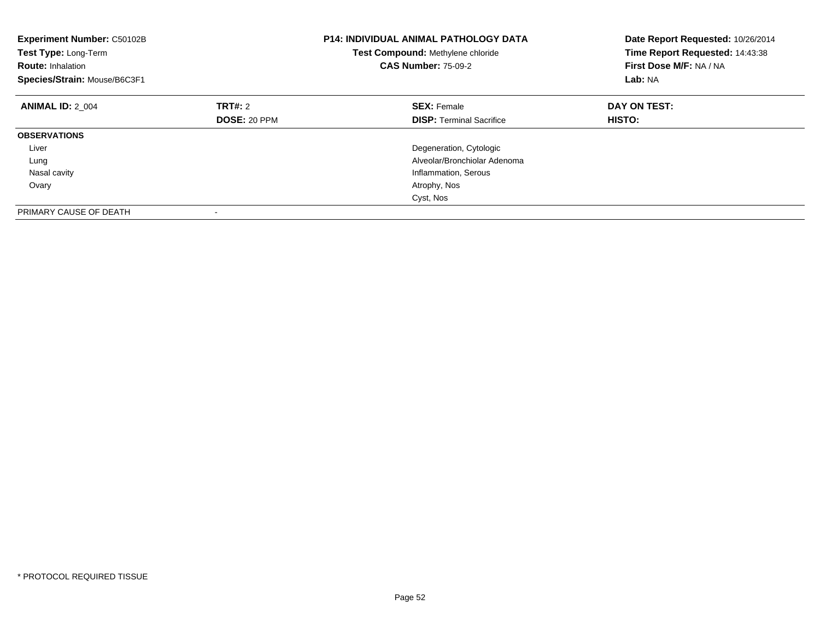| Experiment Number: C50102B<br>Test Type: Long-Term<br><b>Route: Inhalation</b><br>Species/Strain: Mouse/B6C3F1 | <b>P14: INDIVIDUAL ANIMAL PATHOLOGY DATA</b><br>Test Compound: Methylene chloride<br><b>CAS Number: 75-09-2</b> |                                 | Date Report Requested: 10/26/2014<br>Time Report Requested: 14:43:38<br>First Dose M/F: NA / NA<br>Lab: NA |
|----------------------------------------------------------------------------------------------------------------|-----------------------------------------------------------------------------------------------------------------|---------------------------------|------------------------------------------------------------------------------------------------------------|
| <b>ANIMAL ID: 2 004</b>                                                                                        | TRT#: 2                                                                                                         | <b>SEX: Female</b>              | DAY ON TEST:                                                                                               |
|                                                                                                                | DOSE: 20 PPM                                                                                                    | <b>DISP:</b> Terminal Sacrifice | HISTO:                                                                                                     |
| <b>OBSERVATIONS</b>                                                                                            |                                                                                                                 |                                 |                                                                                                            |
| Liver                                                                                                          |                                                                                                                 | Degeneration, Cytologic         |                                                                                                            |
| Lung                                                                                                           |                                                                                                                 | Alveolar/Bronchiolar Adenoma    |                                                                                                            |
| Nasal cavity                                                                                                   |                                                                                                                 | Inflammation, Serous            |                                                                                                            |
| Ovary                                                                                                          |                                                                                                                 | Atrophy, Nos                    |                                                                                                            |
|                                                                                                                |                                                                                                                 | Cyst, Nos                       |                                                                                                            |
| PRIMARY CAUSE OF DEATH                                                                                         |                                                                                                                 |                                 |                                                                                                            |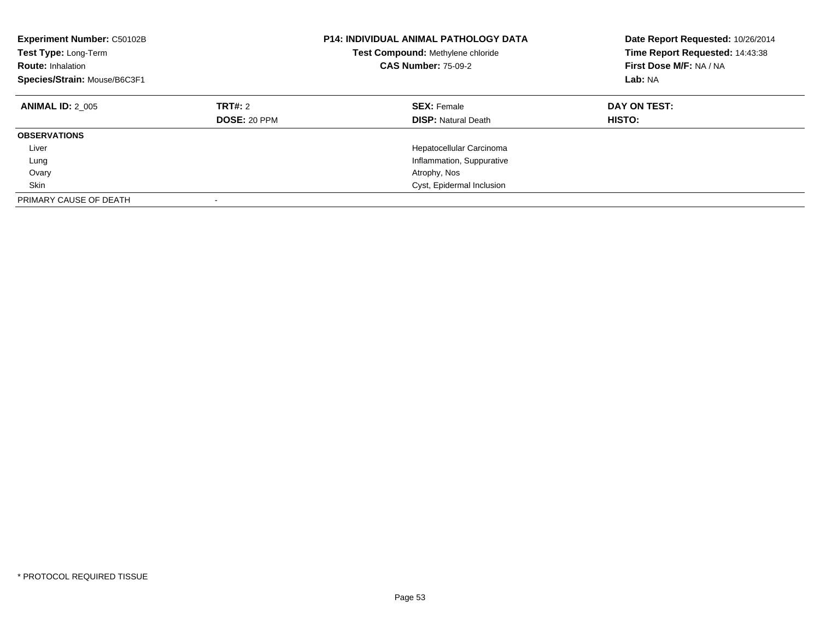| <b>Experiment Number: C50102B</b><br>Test Type: Long-Term<br><b>Route: Inhalation</b><br>Species/Strain: Mouse/B6C3F1 |                         | <b>P14: INDIVIDUAL ANIMAL PATHOLOGY DATA</b><br>Test Compound: Methylene chloride<br><b>CAS Number: 75-09-2</b> | Date Report Requested: 10/26/2014<br>Time Report Requested: 14:43:38<br>First Dose M/F: NA / NA<br>Lab: NA |  |
|-----------------------------------------------------------------------------------------------------------------------|-------------------------|-----------------------------------------------------------------------------------------------------------------|------------------------------------------------------------------------------------------------------------|--|
| <b>ANIMAL ID: 2 005</b>                                                                                               | TRT#: 2<br>DOSE: 20 PPM | <b>SEX: Female</b><br><b>DISP: Natural Death</b>                                                                | DAY ON TEST:<br><b>HISTO:</b>                                                                              |  |
| <b>OBSERVATIONS</b>                                                                                                   |                         |                                                                                                                 |                                                                                                            |  |
| Liver                                                                                                                 |                         | Hepatocellular Carcinoma                                                                                        |                                                                                                            |  |
| Lung                                                                                                                  |                         | Inflammation, Suppurative                                                                                       |                                                                                                            |  |
| Ovary                                                                                                                 |                         | Atrophy, Nos                                                                                                    |                                                                                                            |  |
| Skin                                                                                                                  |                         | Cyst, Epidermal Inclusion                                                                                       |                                                                                                            |  |
| PRIMARY CAUSE OF DEATH                                                                                                |                         |                                                                                                                 |                                                                                                            |  |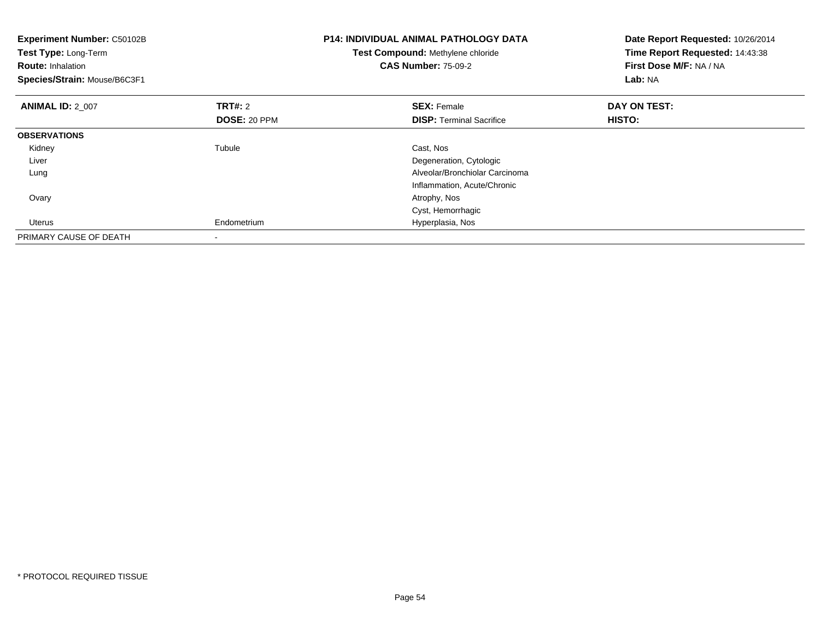| <b>Experiment Number: C50102B</b><br>Test Type: Long-Term<br><b>Route: Inhalation</b><br>Species/Strain: Mouse/B6C3F1 |                | <b>P14: INDIVIDUAL ANIMAL PATHOLOGY DATA</b><br>Test Compound: Methylene chloride<br><b>CAS Number: 75-09-2</b> | Date Report Requested: 10/26/2014<br>Time Report Requested: 14:43:38<br>First Dose M/F: NA / NA<br>Lab: NA |
|-----------------------------------------------------------------------------------------------------------------------|----------------|-----------------------------------------------------------------------------------------------------------------|------------------------------------------------------------------------------------------------------------|
| <b>ANIMAL ID: 2_007</b>                                                                                               | <b>TRT#: 2</b> | <b>SEX: Female</b>                                                                                              | DAY ON TEST:                                                                                               |
|                                                                                                                       | DOSE: 20 PPM   | <b>DISP:</b> Terminal Sacrifice                                                                                 | HISTO:                                                                                                     |
| <b>OBSERVATIONS</b>                                                                                                   |                |                                                                                                                 |                                                                                                            |
| Kidney                                                                                                                | Tubule         | Cast, Nos                                                                                                       |                                                                                                            |
| Liver                                                                                                                 |                | Degeneration, Cytologic                                                                                         |                                                                                                            |
| Lung                                                                                                                  |                | Alveolar/Bronchiolar Carcinoma                                                                                  |                                                                                                            |
|                                                                                                                       |                | Inflammation, Acute/Chronic                                                                                     |                                                                                                            |
| Ovary                                                                                                                 |                | Atrophy, Nos                                                                                                    |                                                                                                            |
|                                                                                                                       |                | Cyst, Hemorrhagic                                                                                               |                                                                                                            |
| Uterus                                                                                                                | Endometrium    | Hyperplasia, Nos                                                                                                |                                                                                                            |
| PRIMARY CAUSE OF DEATH                                                                                                |                |                                                                                                                 |                                                                                                            |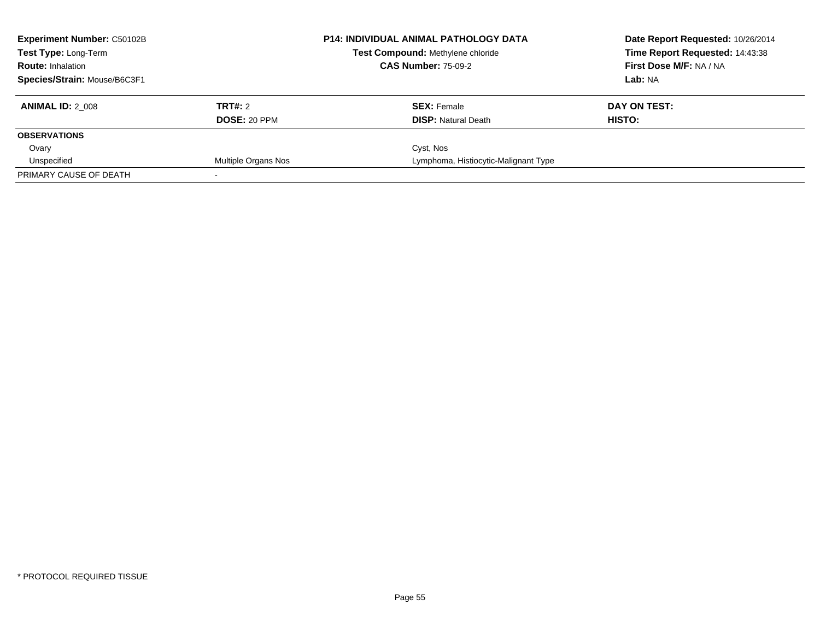| <b>Experiment Number: C50102B</b><br>Test Type: Long-Term |                     | <b>P14: INDIVIDUAL ANIMAL PATHOLOGY DATA</b> | Date Report Requested: 10/26/2014 |
|-----------------------------------------------------------|---------------------|----------------------------------------------|-----------------------------------|
|                                                           |                     | Test Compound: Methylene chloride            | Time Report Requested: 14:43:38   |
| <b>Route: Inhalation</b>                                  |                     | <b>CAS Number: 75-09-2</b>                   | First Dose M/F: NA / NA           |
| Species/Strain: Mouse/B6C3F1                              |                     |                                              | Lab: NA                           |
| <b>ANIMAL ID: 2 008</b>                                   | TRT#: 2             | <b>SEX: Female</b>                           | DAY ON TEST:                      |
|                                                           | DOSE: 20 PPM        | <b>DISP:</b> Natural Death                   | HISTO:                            |
| <b>OBSERVATIONS</b>                                       |                     |                                              |                                   |
| Ovary                                                     |                     | Cyst, Nos                                    |                                   |
| Unspecified                                               | Multiple Organs Nos | Lymphoma, Histiocytic-Malignant Type         |                                   |
| PRIMARY CAUSE OF DEATH                                    |                     |                                              |                                   |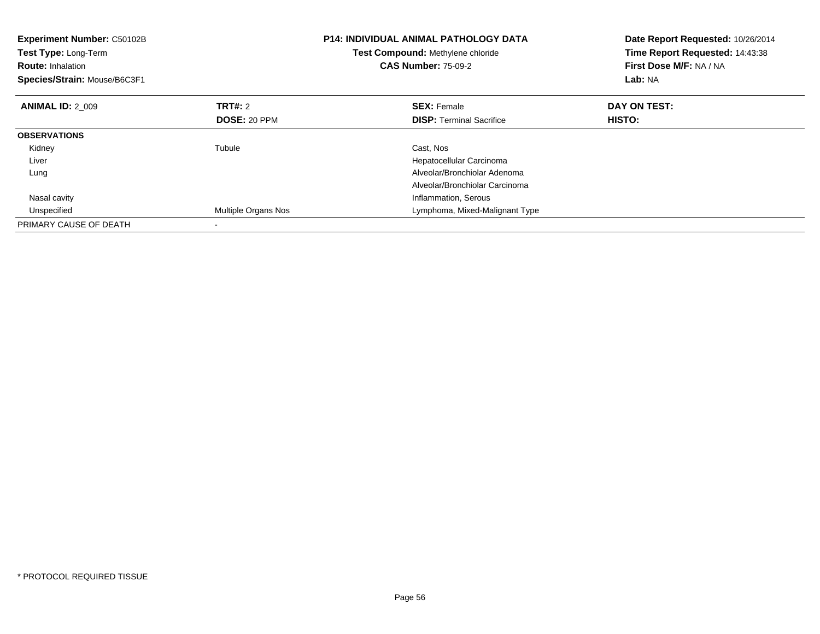| <b>Experiment Number: C50102B</b><br>Test Type: Long-Term<br><b>Route:</b> Inhalation<br>Species/Strain: Mouse/B6C3F1 |                     | <b>P14: INDIVIDUAL ANIMAL PATHOLOGY DATA</b><br>Test Compound: Methylene chloride<br><b>CAS Number: 75-09-2</b> | Date Report Requested: 10/26/2014<br>Time Report Requested: 14:43:38<br>First Dose M/F: NA / NA<br>Lab: NA |
|-----------------------------------------------------------------------------------------------------------------------|---------------------|-----------------------------------------------------------------------------------------------------------------|------------------------------------------------------------------------------------------------------------|
| <b>ANIMAL ID: 2 009</b>                                                                                               | TRT#: 2             | <b>SEX: Female</b>                                                                                              | DAY ON TEST:                                                                                               |
|                                                                                                                       | <b>DOSE: 20 PPM</b> | <b>DISP:</b> Terminal Sacrifice                                                                                 | HISTO:                                                                                                     |
| <b>OBSERVATIONS</b>                                                                                                   |                     |                                                                                                                 |                                                                                                            |
| Kidney                                                                                                                | Tubule              | Cast, Nos                                                                                                       |                                                                                                            |
| Liver                                                                                                                 |                     | Hepatocellular Carcinoma                                                                                        |                                                                                                            |
| Lung                                                                                                                  |                     | Alveolar/Bronchiolar Adenoma                                                                                    |                                                                                                            |
|                                                                                                                       |                     | Alveolar/Bronchiolar Carcinoma                                                                                  |                                                                                                            |
| Nasal cavity                                                                                                          |                     | Inflammation, Serous                                                                                            |                                                                                                            |
| Unspecified                                                                                                           | Multiple Organs Nos | Lymphoma, Mixed-Malignant Type                                                                                  |                                                                                                            |
| PRIMARY CAUSE OF DEATH                                                                                                |                     |                                                                                                                 |                                                                                                            |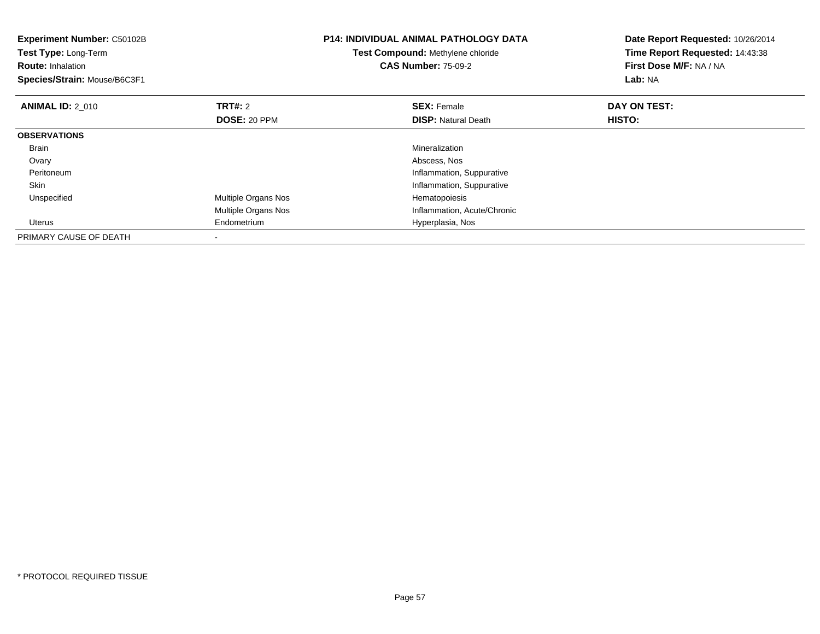| Experiment Number: C50102B<br>Test Type: Long-Term<br><b>Route: Inhalation</b><br>Species/Strain: Mouse/B6C3F1 |                            | <b>P14: INDIVIDUAL ANIMAL PATHOLOGY DATA</b><br>Test Compound: Methylene chloride<br><b>CAS Number: 75-09-2</b> | Date Report Requested: 10/26/2014<br>Time Report Requested: 14:43:38<br>First Dose M/F: NA / NA<br>Lab: NA |
|----------------------------------------------------------------------------------------------------------------|----------------------------|-----------------------------------------------------------------------------------------------------------------|------------------------------------------------------------------------------------------------------------|
| <b>ANIMAL ID: 2 010</b>                                                                                        | TRT#: 2                    | <b>SEX: Female</b>                                                                                              | DAY ON TEST:                                                                                               |
|                                                                                                                | <b>DOSE: 20 PPM</b>        | <b>DISP:</b> Natural Death                                                                                      | HISTO:                                                                                                     |
| <b>OBSERVATIONS</b>                                                                                            |                            |                                                                                                                 |                                                                                                            |
| <b>Brain</b>                                                                                                   |                            | Mineralization                                                                                                  |                                                                                                            |
| Ovary                                                                                                          |                            | Abscess, Nos                                                                                                    |                                                                                                            |
| Peritoneum                                                                                                     |                            | Inflammation, Suppurative                                                                                       |                                                                                                            |
| Skin                                                                                                           |                            | Inflammation, Suppurative                                                                                       |                                                                                                            |
| Unspecified                                                                                                    | Multiple Organs Nos        | Hematopoiesis                                                                                                   |                                                                                                            |
|                                                                                                                | <b>Multiple Organs Nos</b> | Inflammation, Acute/Chronic                                                                                     |                                                                                                            |
| Uterus                                                                                                         | Endometrium                | Hyperplasia, Nos                                                                                                |                                                                                                            |
| PRIMARY CAUSE OF DEATH                                                                                         |                            |                                                                                                                 |                                                                                                            |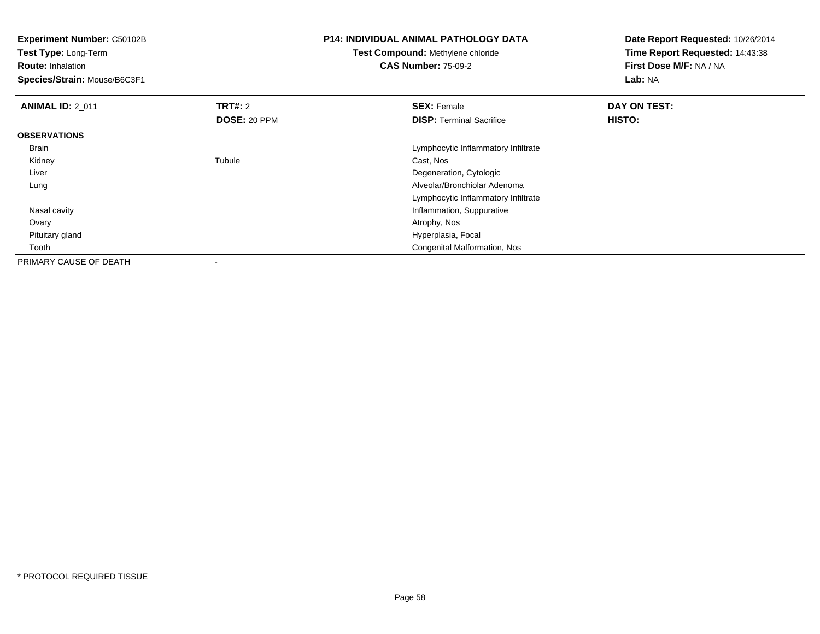| <b>Experiment Number: C50102B</b><br>Test Type: Long-Term |                | <b>P14: INDIVIDUAL ANIMAL PATHOLOGY DATA</b> | Date Report Requested: 10/26/2014<br>Time Report Requested: 14:43:38 |
|-----------------------------------------------------------|----------------|----------------------------------------------|----------------------------------------------------------------------|
|                                                           |                | <b>Test Compound: Methylene chloride</b>     |                                                                      |
| <b>Route: Inhalation</b>                                  |                | <b>CAS Number: 75-09-2</b>                   | First Dose M/F: NA / NA                                              |
| Species/Strain: Mouse/B6C3F1                              |                |                                              | Lab: NA                                                              |
| <b>ANIMAL ID: 2_011</b>                                   | <b>TRT#: 2</b> | <b>SEX: Female</b>                           | DAY ON TEST:                                                         |
|                                                           | DOSE: 20 PPM   | <b>DISP:</b> Terminal Sacrifice              | <b>HISTO:</b>                                                        |
| <b>OBSERVATIONS</b>                                       |                |                                              |                                                                      |
| Brain                                                     |                | Lymphocytic Inflammatory Infiltrate          |                                                                      |
| Kidney                                                    | Tubule         | Cast, Nos                                    |                                                                      |
| Liver                                                     |                | Degeneration, Cytologic                      |                                                                      |
| Lung                                                      |                | Alveolar/Bronchiolar Adenoma                 |                                                                      |
|                                                           |                | Lymphocytic Inflammatory Infiltrate          |                                                                      |
| Nasal cavity                                              |                | Inflammation, Suppurative                    |                                                                      |
| Ovary                                                     |                | Atrophy, Nos                                 |                                                                      |
| Pituitary gland                                           |                | Hyperplasia, Focal                           |                                                                      |
| Tooth                                                     |                | Congenital Malformation, Nos                 |                                                                      |
| PRIMARY CAUSE OF DEATH                                    | ٠              |                                              |                                                                      |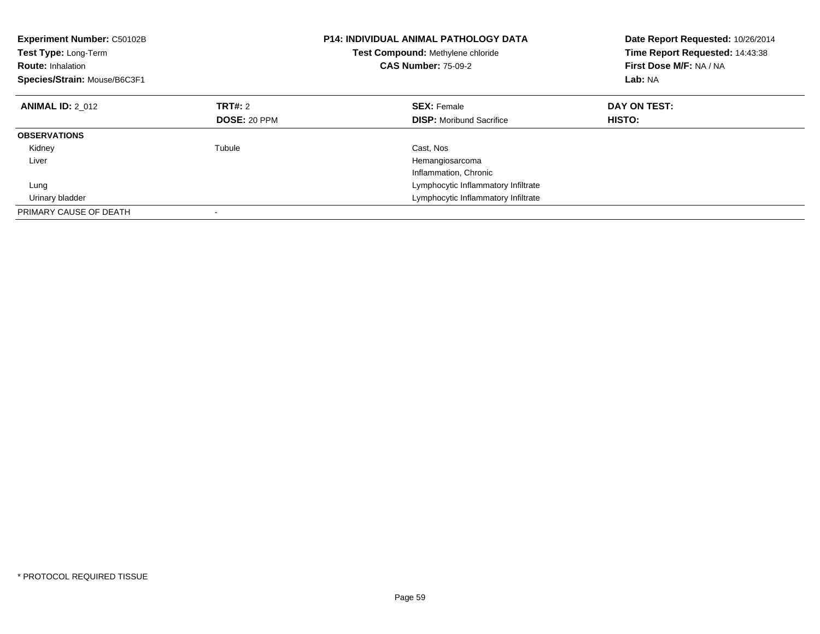| <b>Experiment Number: C50102B</b><br>Test Type: Long-Term<br><b>Route: Inhalation</b><br>Species/Strain: Mouse/B6C3F1 | <b>P14: INDIVIDUAL ANIMAL PATHOLOGY DATA</b><br>Test Compound: Methylene chloride<br><b>CAS Number: 75-09-2</b> |                                     | Date Report Requested: 10/26/2014<br>Time Report Requested: 14:43:38<br>First Dose M/F: NA / NA<br>Lab: NA |
|-----------------------------------------------------------------------------------------------------------------------|-----------------------------------------------------------------------------------------------------------------|-------------------------------------|------------------------------------------------------------------------------------------------------------|
| <b>ANIMAL ID: 2 012</b>                                                                                               | TRT#: 2                                                                                                         | <b>SEX: Female</b>                  | DAY ON TEST:                                                                                               |
|                                                                                                                       | <b>DOSE: 20 PPM</b>                                                                                             | <b>DISP:</b> Moribund Sacrifice     | <b>HISTO:</b>                                                                                              |
| <b>OBSERVATIONS</b>                                                                                                   |                                                                                                                 |                                     |                                                                                                            |
| Kidney                                                                                                                | Tubule                                                                                                          | Cast, Nos                           |                                                                                                            |
| Liver                                                                                                                 |                                                                                                                 | Hemangiosarcoma                     |                                                                                                            |
|                                                                                                                       |                                                                                                                 | Inflammation, Chronic               |                                                                                                            |
| Lung                                                                                                                  |                                                                                                                 | Lymphocytic Inflammatory Infiltrate |                                                                                                            |
| Urinary bladder                                                                                                       |                                                                                                                 | Lymphocytic Inflammatory Infiltrate |                                                                                                            |
| PRIMARY CAUSE OF DEATH                                                                                                |                                                                                                                 |                                     |                                                                                                            |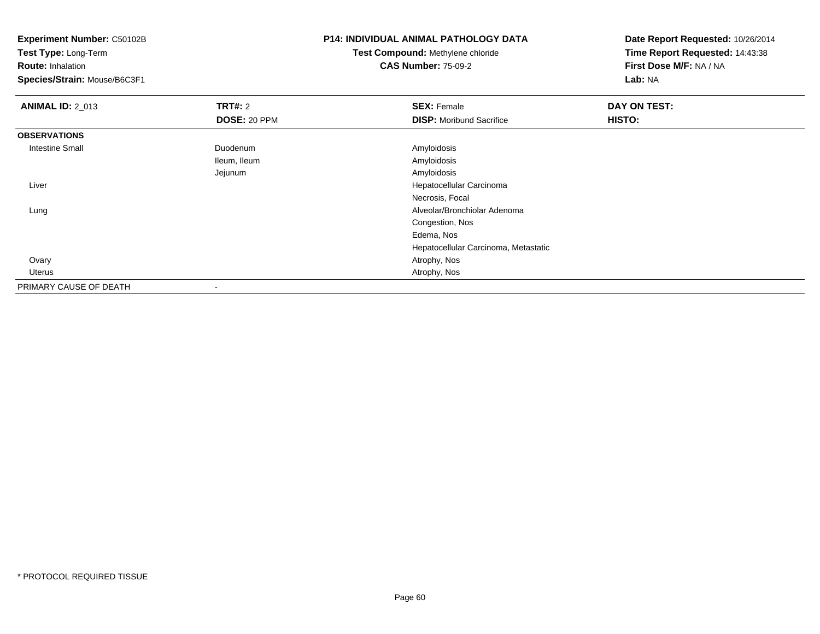**Test Type:** Long-Term

**Route:** Inhalation

**Species/Strain:** Mouse/B6C3F1

# **P14: INDIVIDUAL ANIMAL PATHOLOGY DATA**

**Test Compound:** Methylene chloride**CAS Number:** 75-09-2

| <b>ANIMAL ID: 2_013</b> | TRT#: 2             | <b>SEX: Female</b>                   | DAY ON TEST: |  |
|-------------------------|---------------------|--------------------------------------|--------------|--|
|                         | <b>DOSE: 20 PPM</b> | <b>DISP:</b> Moribund Sacrifice      | HISTO:       |  |
| <b>OBSERVATIONS</b>     |                     |                                      |              |  |
| <b>Intestine Small</b>  | Duodenum            | Amyloidosis                          |              |  |
|                         | Ileum, Ileum        | Amyloidosis                          |              |  |
|                         | Jejunum             | Amyloidosis                          |              |  |
| Liver                   |                     | Hepatocellular Carcinoma             |              |  |
|                         |                     | Necrosis, Focal                      |              |  |
| Lung                    |                     | Alveolar/Bronchiolar Adenoma         |              |  |
|                         |                     | Congestion, Nos                      |              |  |
|                         |                     | Edema, Nos                           |              |  |
|                         |                     | Hepatocellular Carcinoma, Metastatic |              |  |
| Ovary                   |                     | Atrophy, Nos                         |              |  |
| Uterus                  |                     | Atrophy, Nos                         |              |  |
| PRIMARY CAUSE OF DEATH  |                     |                                      |              |  |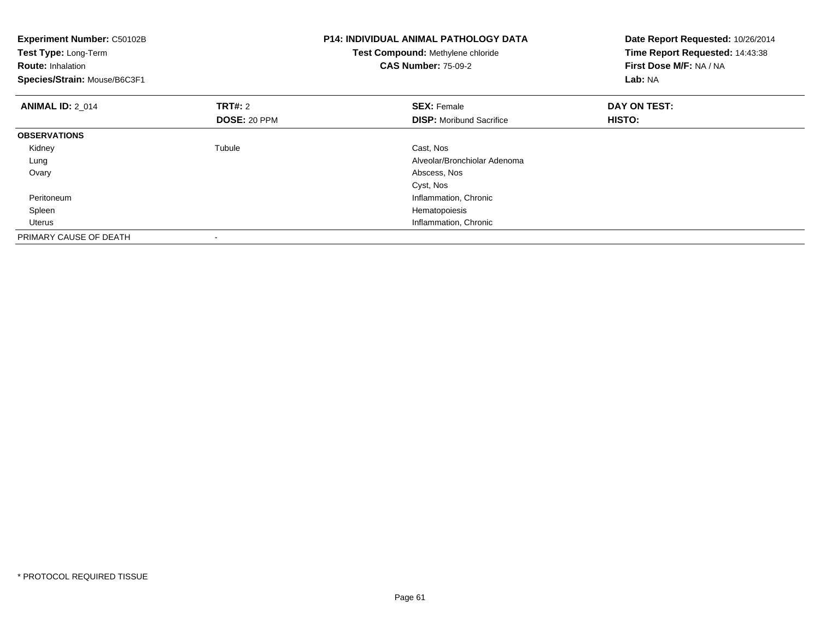| <b>Experiment Number: C50102B</b><br>Test Type: Long-Term<br><b>Route: Inhalation</b><br>Species/Strain: Mouse/B6C3F1 |                                | <b>P14: INDIVIDUAL ANIMAL PATHOLOGY DATA</b><br>Test Compound: Methylene chloride<br><b>CAS Number: 75-09-2</b> | Date Report Requested: 10/26/2014<br>Time Report Requested: 14:43:38<br>First Dose M/F: NA / NA<br><b>Lab: NA</b> |
|-----------------------------------------------------------------------------------------------------------------------|--------------------------------|-----------------------------------------------------------------------------------------------------------------|-------------------------------------------------------------------------------------------------------------------|
| <b>ANIMAL ID: 2 014</b>                                                                                               | <b>TRT#: 2</b><br>DOSE: 20 PPM | <b>SEX: Female</b><br><b>DISP:</b> Moribund Sacrifice                                                           | DAY ON TEST:<br>HISTO:                                                                                            |
| <b>OBSERVATIONS</b>                                                                                                   |                                |                                                                                                                 |                                                                                                                   |
| Kidney                                                                                                                | Tubule                         | Cast, Nos                                                                                                       |                                                                                                                   |
| Lung                                                                                                                  |                                | Alveolar/Bronchiolar Adenoma                                                                                    |                                                                                                                   |
| Ovary                                                                                                                 |                                | Abscess, Nos                                                                                                    |                                                                                                                   |
|                                                                                                                       |                                | Cyst, Nos                                                                                                       |                                                                                                                   |
| Peritoneum                                                                                                            |                                | Inflammation, Chronic                                                                                           |                                                                                                                   |
| Spleen                                                                                                                |                                | Hematopoiesis                                                                                                   |                                                                                                                   |
| Uterus                                                                                                                |                                | Inflammation, Chronic                                                                                           |                                                                                                                   |
| PRIMARY CAUSE OF DEATH                                                                                                |                                |                                                                                                                 |                                                                                                                   |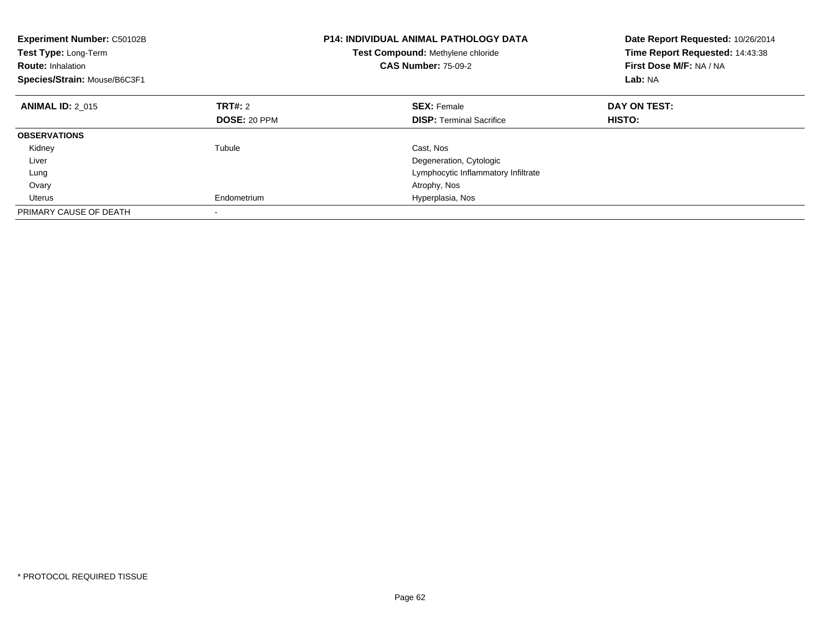| <b>Experiment Number: C50102B</b><br><b>Test Type: Long-Term</b><br><b>Route: Inhalation</b><br>Species/Strain: Mouse/B6C3F1 |                     | <b>P14: INDIVIDUAL ANIMAL PATHOLOGY DATA</b><br><b>Test Compound: Methylene chloride</b><br><b>CAS Number: 75-09-2</b> | Date Report Requested: 10/26/2014<br>Time Report Requested: 14:43:38<br>First Dose M/F: NA / NA<br>Lab: NA |
|------------------------------------------------------------------------------------------------------------------------------|---------------------|------------------------------------------------------------------------------------------------------------------------|------------------------------------------------------------------------------------------------------------|
| <b>ANIMAL ID: 2 015</b>                                                                                                      | TRT#: 2             | <b>SEX: Female</b>                                                                                                     | DAY ON TEST:                                                                                               |
|                                                                                                                              | <b>DOSE: 20 PPM</b> | <b>DISP:</b> Terminal Sacrifice                                                                                        | HISTO:                                                                                                     |
| <b>OBSERVATIONS</b>                                                                                                          |                     |                                                                                                                        |                                                                                                            |
| Kidney                                                                                                                       | Tubule              | Cast, Nos                                                                                                              |                                                                                                            |
| Liver                                                                                                                        |                     | Degeneration, Cytologic                                                                                                |                                                                                                            |
| Lung                                                                                                                         |                     | Lymphocytic Inflammatory Infiltrate                                                                                    |                                                                                                            |
| Ovary                                                                                                                        |                     | Atrophy, Nos                                                                                                           |                                                                                                            |
| Uterus                                                                                                                       | Endometrium         | Hyperplasia, Nos                                                                                                       |                                                                                                            |
| PRIMARY CAUSE OF DEATH                                                                                                       |                     |                                                                                                                        |                                                                                                            |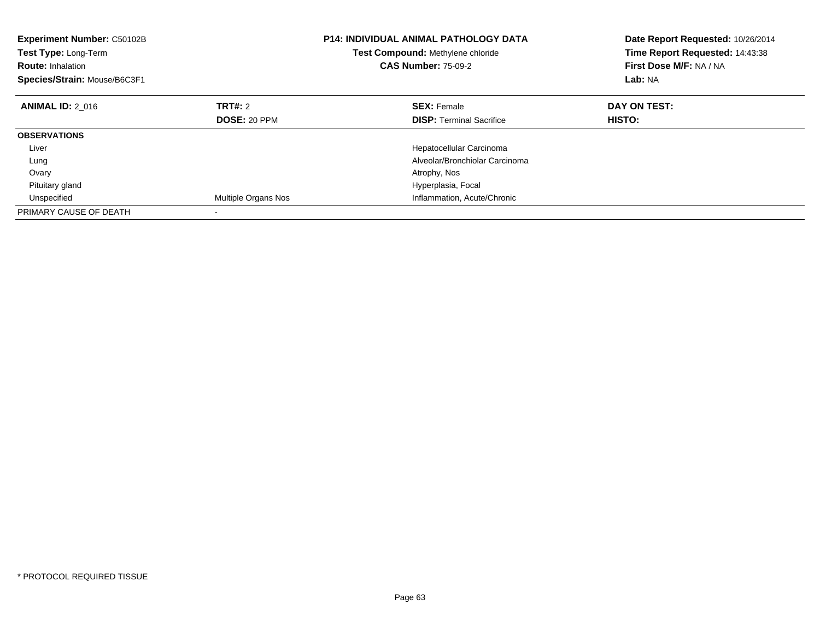| <b>Experiment Number: C50102B</b><br>Test Type: Long-Term<br><b>Route: Inhalation</b><br>Species/Strain: Mouse/B6C3F1 |                     | <b>P14: INDIVIDUAL ANIMAL PATHOLOGY DATA</b><br>Test Compound: Methylene chloride<br><b>CAS Number: 75-09-2</b> | Date Report Requested: 10/26/2014<br>Time Report Requested: 14:43:38<br>First Dose M/F: NA / NA<br>Lab: NA |
|-----------------------------------------------------------------------------------------------------------------------|---------------------|-----------------------------------------------------------------------------------------------------------------|------------------------------------------------------------------------------------------------------------|
| <b>ANIMAL ID: 2 016</b>                                                                                               | TRT#: 2             | <b>SEX: Female</b>                                                                                              | DAY ON TEST:                                                                                               |
|                                                                                                                       | <b>DOSE: 20 PPM</b> | <b>DISP:</b> Terminal Sacrifice                                                                                 | HISTO:                                                                                                     |
| <b>OBSERVATIONS</b>                                                                                                   |                     |                                                                                                                 |                                                                                                            |
| Liver                                                                                                                 |                     | Hepatocellular Carcinoma                                                                                        |                                                                                                            |
| Lung                                                                                                                  |                     | Alveolar/Bronchiolar Carcinoma                                                                                  |                                                                                                            |
| Ovary                                                                                                                 |                     | Atrophy, Nos                                                                                                    |                                                                                                            |
| Pituitary gland                                                                                                       |                     | Hyperplasia, Focal                                                                                              |                                                                                                            |
| Unspecified                                                                                                           | Multiple Organs Nos | Inflammation, Acute/Chronic                                                                                     |                                                                                                            |
| PRIMARY CAUSE OF DEATH                                                                                                |                     |                                                                                                                 |                                                                                                            |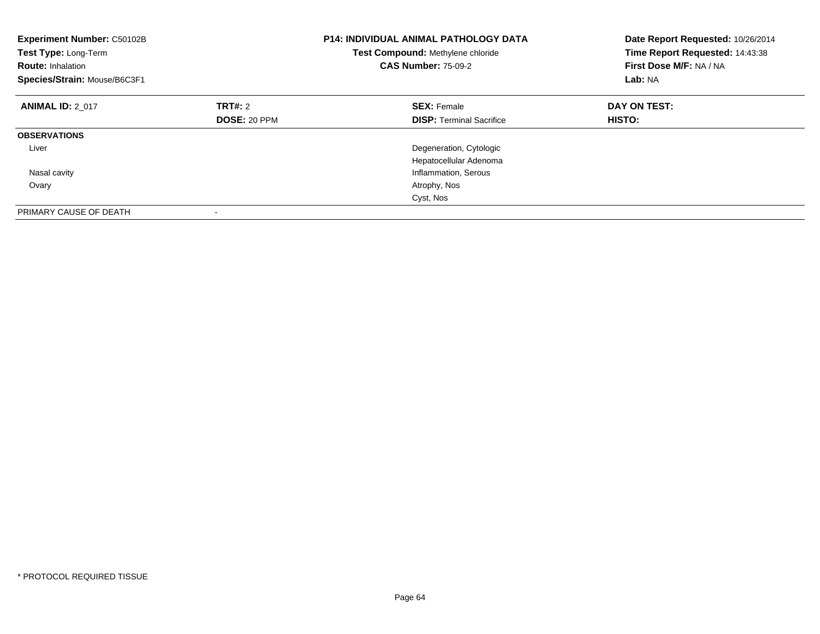| <b>Experiment Number: C50102B</b><br>Test Type: Long-Term<br><b>Route: Inhalation</b><br>Species/Strain: Mouse/B6C3F1 |              | <b>P14: INDIVIDUAL ANIMAL PATHOLOGY DATA</b><br>Test Compound: Methylene chloride<br><b>CAS Number: 75-09-2</b> | Date Report Requested: 10/26/2014<br>Time Report Requested: 14:43:38<br>First Dose M/F: NA / NA<br>Lab: NA |
|-----------------------------------------------------------------------------------------------------------------------|--------------|-----------------------------------------------------------------------------------------------------------------|------------------------------------------------------------------------------------------------------------|
| <b>ANIMAL ID: 2 017</b>                                                                                               | TRT#: 2      | <b>SEX: Female</b>                                                                                              | DAY ON TEST:                                                                                               |
|                                                                                                                       | DOSE: 20 PPM | <b>DISP:</b> Terminal Sacrifice                                                                                 | HISTO:                                                                                                     |
| <b>OBSERVATIONS</b>                                                                                                   |              |                                                                                                                 |                                                                                                            |
| Liver                                                                                                                 |              | Degeneration, Cytologic                                                                                         |                                                                                                            |
|                                                                                                                       |              | Hepatocellular Adenoma                                                                                          |                                                                                                            |
| Nasal cavity                                                                                                          |              | Inflammation, Serous                                                                                            |                                                                                                            |
| Ovary                                                                                                                 |              | Atrophy, Nos                                                                                                    |                                                                                                            |
|                                                                                                                       |              | Cyst, Nos                                                                                                       |                                                                                                            |
| PRIMARY CAUSE OF DEATH                                                                                                |              |                                                                                                                 |                                                                                                            |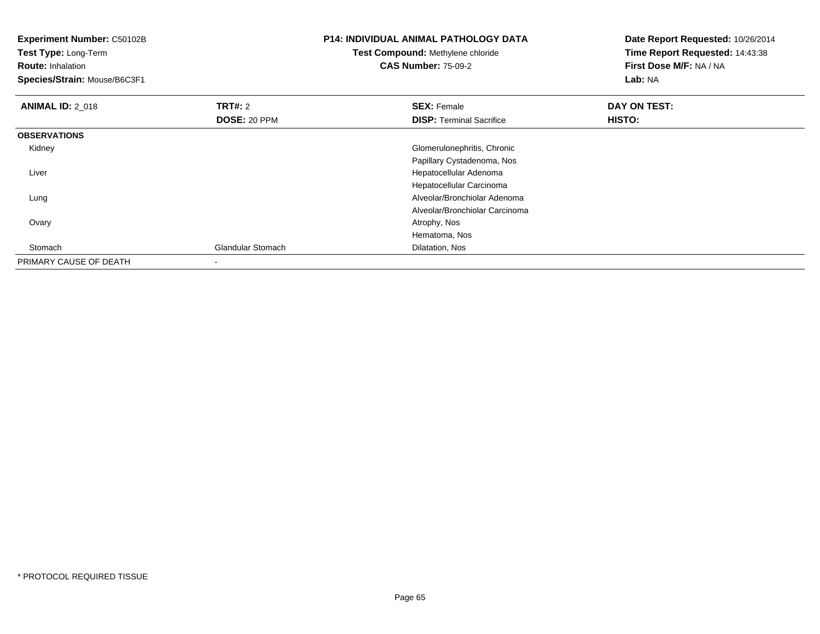| <b>Experiment Number: C50102B</b><br>Test Type: Long-Term<br><b>Route: Inhalation</b><br>Species/Strain: Mouse/B6C3F1 |                          | <b>P14: INDIVIDUAL ANIMAL PATHOLOGY DATA</b><br>Test Compound: Methylene chloride<br><b>CAS Number: 75-09-2</b> | Date Report Requested: 10/26/2014<br>Time Report Requested: 14:43:38<br>First Dose M/F: NA / NA<br>Lab: NA |
|-----------------------------------------------------------------------------------------------------------------------|--------------------------|-----------------------------------------------------------------------------------------------------------------|------------------------------------------------------------------------------------------------------------|
| <b>ANIMAL ID: 2_018</b>                                                                                               | <b>TRT#: 2</b>           | <b>SEX: Female</b>                                                                                              | DAY ON TEST:                                                                                               |
|                                                                                                                       | DOSE: 20 PPM             | <b>DISP: Terminal Sacrifice</b>                                                                                 | HISTO:                                                                                                     |
| <b>OBSERVATIONS</b>                                                                                                   |                          |                                                                                                                 |                                                                                                            |
| Kidney                                                                                                                |                          | Glomerulonephritis, Chronic                                                                                     |                                                                                                            |
|                                                                                                                       |                          | Papillary Cystadenoma, Nos                                                                                      |                                                                                                            |
| Liver                                                                                                                 |                          | Hepatocellular Adenoma                                                                                          |                                                                                                            |
|                                                                                                                       |                          | Hepatocellular Carcinoma                                                                                        |                                                                                                            |
| Lung                                                                                                                  |                          | Alveolar/Bronchiolar Adenoma                                                                                    |                                                                                                            |
|                                                                                                                       |                          | Alveolar/Bronchiolar Carcinoma                                                                                  |                                                                                                            |
| Ovary                                                                                                                 |                          | Atrophy, Nos                                                                                                    |                                                                                                            |
|                                                                                                                       |                          | Hematoma, Nos                                                                                                   |                                                                                                            |
| Stomach                                                                                                               | <b>Glandular Stomach</b> | Dilatation, Nos                                                                                                 |                                                                                                            |
| PRIMARY CAUSE OF DEATH                                                                                                |                          |                                                                                                                 |                                                                                                            |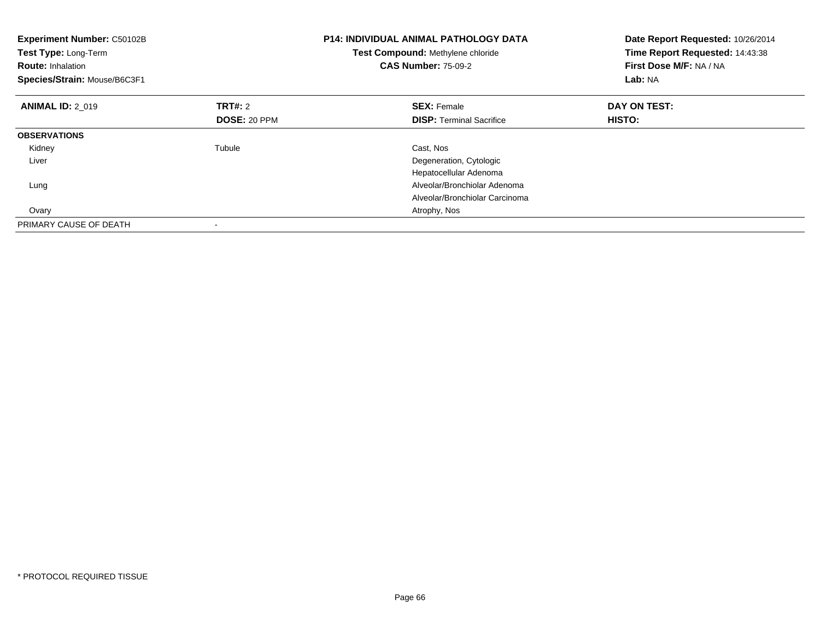| <b>Experiment Number: C50102B</b><br>Test Type: Long-Term<br><b>Route: Inhalation</b><br>Species/Strain: Mouse/B6C3F1 |                     | <b>P14: INDIVIDUAL ANIMAL PATHOLOGY DATA</b><br>Test Compound: Methylene chloride<br><b>CAS Number: 75-09-2</b> | Date Report Requested: 10/26/2014<br>Time Report Requested: 14:43:38<br>First Dose M/F: NA / NA<br>Lab: NA |
|-----------------------------------------------------------------------------------------------------------------------|---------------------|-----------------------------------------------------------------------------------------------------------------|------------------------------------------------------------------------------------------------------------|
| <b>ANIMAL ID: 2 019</b>                                                                                               | TRT#: 2             | <b>SEX: Female</b>                                                                                              | DAY ON TEST:                                                                                               |
|                                                                                                                       | <b>DOSE: 20 PPM</b> | <b>DISP:</b> Terminal Sacrifice                                                                                 | HISTO:                                                                                                     |
| <b>OBSERVATIONS</b>                                                                                                   |                     |                                                                                                                 |                                                                                                            |
| Kidney                                                                                                                | Tubule              | Cast, Nos                                                                                                       |                                                                                                            |
| Liver                                                                                                                 |                     | Degeneration, Cytologic                                                                                         |                                                                                                            |
|                                                                                                                       |                     | Hepatocellular Adenoma                                                                                          |                                                                                                            |
| Lung                                                                                                                  |                     | Alveolar/Bronchiolar Adenoma                                                                                    |                                                                                                            |
|                                                                                                                       |                     | Alveolar/Bronchiolar Carcinoma                                                                                  |                                                                                                            |
| Ovary                                                                                                                 |                     | Atrophy, Nos                                                                                                    |                                                                                                            |
| PRIMARY CAUSE OF DEATH                                                                                                |                     |                                                                                                                 |                                                                                                            |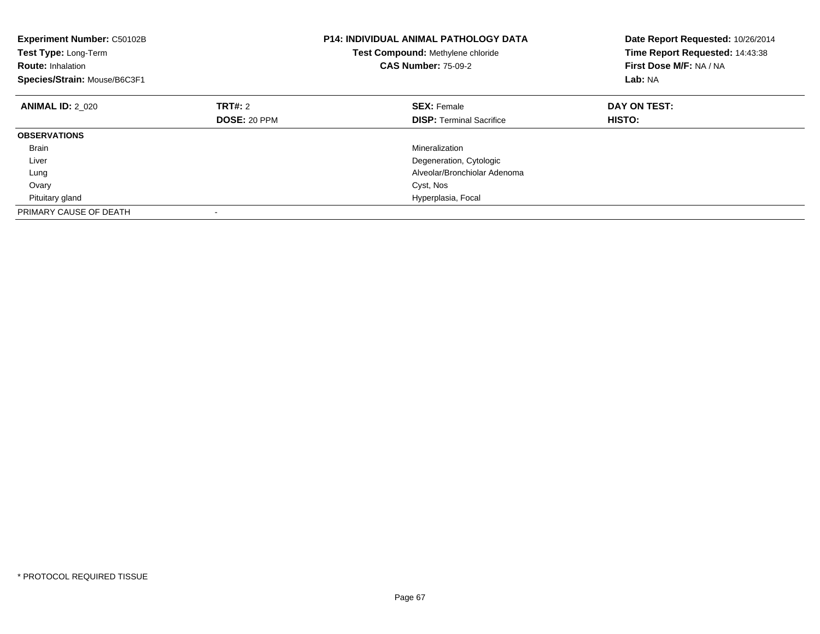| <b>Experiment Number: C50102B</b><br>Test Type: Long-Term<br><b>Route: Inhalation</b><br>Species/Strain: Mouse/B6C3F1 |              | <b>P14: INDIVIDUAL ANIMAL PATHOLOGY DATA</b><br>Test Compound: Methylene chloride<br><b>CAS Number: 75-09-2</b> | Date Report Requested: 10/26/2014<br>Time Report Requested: 14:43:38<br>First Dose M/F: NA / NA<br>Lab: NA |
|-----------------------------------------------------------------------------------------------------------------------|--------------|-----------------------------------------------------------------------------------------------------------------|------------------------------------------------------------------------------------------------------------|
| <b>ANIMAL ID: 2 020</b>                                                                                               | TRT#: 2      | <b>SEX: Female</b>                                                                                              | DAY ON TEST:                                                                                               |
|                                                                                                                       | DOSE: 20 PPM | <b>DISP:</b> Terminal Sacrifice                                                                                 | HISTO:                                                                                                     |
| <b>OBSERVATIONS</b>                                                                                                   |              |                                                                                                                 |                                                                                                            |
| <b>Brain</b>                                                                                                          |              | Mineralization                                                                                                  |                                                                                                            |
| Liver                                                                                                                 |              | Degeneration, Cytologic                                                                                         |                                                                                                            |
| Lung                                                                                                                  |              | Alveolar/Bronchiolar Adenoma                                                                                    |                                                                                                            |
| Ovary                                                                                                                 |              | Cyst, Nos                                                                                                       |                                                                                                            |
| Pituitary gland                                                                                                       |              | Hyperplasia, Focal                                                                                              |                                                                                                            |
| PRIMARY CAUSE OF DEATH                                                                                                |              |                                                                                                                 |                                                                                                            |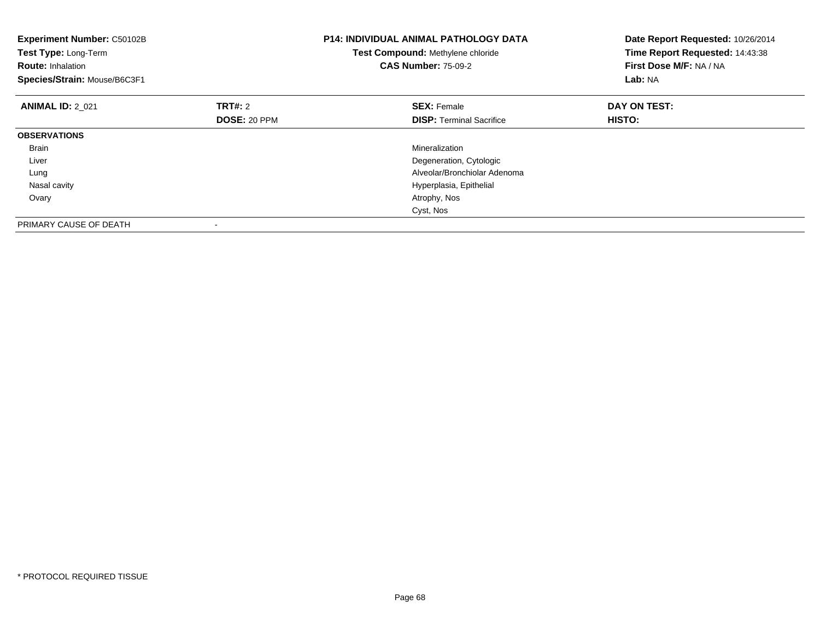| <b>Experiment Number: C50102B</b><br>Test Type: Long-Term<br><b>Route: Inhalation</b><br>Species/Strain: Mouse/B6C3F1 |                     | <b>P14: INDIVIDUAL ANIMAL PATHOLOGY DATA</b><br>Test Compound: Methylene chloride<br><b>CAS Number: 75-09-2</b> | Date Report Requested: 10/26/2014<br>Time Report Requested: 14:43:38<br>First Dose M/F: NA / NA<br>Lab: NA |
|-----------------------------------------------------------------------------------------------------------------------|---------------------|-----------------------------------------------------------------------------------------------------------------|------------------------------------------------------------------------------------------------------------|
| <b>ANIMAL ID: 2 021</b>                                                                                               | <b>TRT#: 2</b>      | <b>SEX: Female</b>                                                                                              | DAY ON TEST:                                                                                               |
|                                                                                                                       | <b>DOSE: 20 PPM</b> | <b>DISP:</b> Terminal Sacrifice                                                                                 | <b>HISTO:</b>                                                                                              |
| <b>OBSERVATIONS</b>                                                                                                   |                     |                                                                                                                 |                                                                                                            |
| Brain                                                                                                                 |                     | Mineralization                                                                                                  |                                                                                                            |
| Liver                                                                                                                 |                     | Degeneration, Cytologic                                                                                         |                                                                                                            |
| Lung                                                                                                                  |                     | Alveolar/Bronchiolar Adenoma                                                                                    |                                                                                                            |
| Nasal cavity                                                                                                          |                     | Hyperplasia, Epithelial                                                                                         |                                                                                                            |
| Ovary                                                                                                                 |                     | Atrophy, Nos                                                                                                    |                                                                                                            |
|                                                                                                                       |                     | Cyst, Nos                                                                                                       |                                                                                                            |
| PRIMARY CAUSE OF DEATH                                                                                                |                     |                                                                                                                 |                                                                                                            |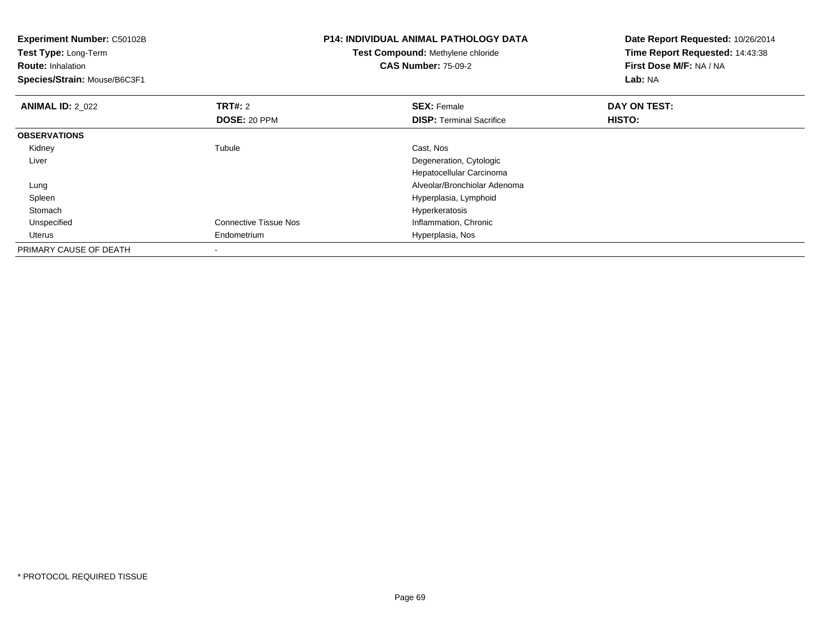| <b>Experiment Number: C50102B</b><br>Test Type: Long-Term<br><b>Route: Inhalation</b><br>Species/Strain: Mouse/B6C3F1 |                              | <b>P14: INDIVIDUAL ANIMAL PATHOLOGY DATA</b><br>Test Compound: Methylene chloride<br><b>CAS Number: 75-09-2</b> | Date Report Requested: 10/26/2014<br>Time Report Requested: 14:43:38<br>First Dose M/F: NA / NA<br>Lab: NA |
|-----------------------------------------------------------------------------------------------------------------------|------------------------------|-----------------------------------------------------------------------------------------------------------------|------------------------------------------------------------------------------------------------------------|
| <b>ANIMAL ID: 2 022</b>                                                                                               | TRT#: 2                      | <b>SEX: Female</b>                                                                                              | DAY ON TEST:                                                                                               |
|                                                                                                                       | DOSE: 20 PPM                 | <b>DISP: Terminal Sacrifice</b>                                                                                 | <b>HISTO:</b>                                                                                              |
| <b>OBSERVATIONS</b>                                                                                                   |                              |                                                                                                                 |                                                                                                            |
| Kidney                                                                                                                | Tubule                       | Cast, Nos                                                                                                       |                                                                                                            |
| Liver                                                                                                                 |                              | Degeneration, Cytologic                                                                                         |                                                                                                            |
|                                                                                                                       |                              | Hepatocellular Carcinoma                                                                                        |                                                                                                            |
| Lung                                                                                                                  |                              | Alveolar/Bronchiolar Adenoma                                                                                    |                                                                                                            |
| Spleen                                                                                                                |                              | Hyperplasia, Lymphoid                                                                                           |                                                                                                            |
| Stomach                                                                                                               |                              | Hyperkeratosis                                                                                                  |                                                                                                            |
| Unspecified                                                                                                           | <b>Connective Tissue Nos</b> | Inflammation, Chronic                                                                                           |                                                                                                            |
| Uterus                                                                                                                | Endometrium                  | Hyperplasia, Nos                                                                                                |                                                                                                            |
| PRIMARY CAUSE OF DEATH                                                                                                |                              |                                                                                                                 |                                                                                                            |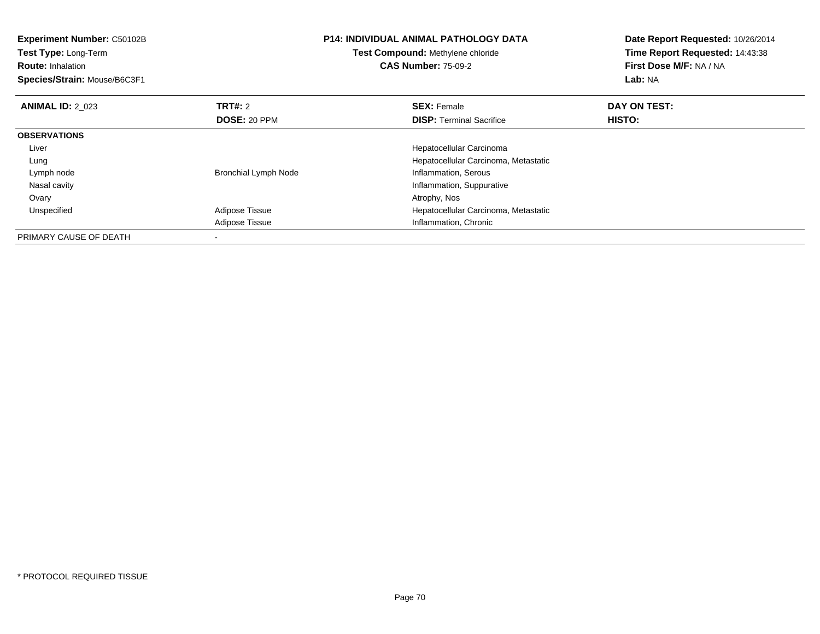| <b>Experiment Number: C50102B</b><br><b>Test Type: Long-Term</b><br><b>Route: Inhalation</b><br>Species/Strain: Mouse/B6C3F1 |                                | <b>P14: INDIVIDUAL ANIMAL PATHOLOGY DATA</b><br>Test Compound: Methylene chloride<br><b>CAS Number: 75-09-2</b> | Date Report Requested: 10/26/2014<br>Time Report Requested: 14:43:38<br>First Dose M/F: NA / NA<br>Lab: NA |
|------------------------------------------------------------------------------------------------------------------------------|--------------------------------|-----------------------------------------------------------------------------------------------------------------|------------------------------------------------------------------------------------------------------------|
| <b>ANIMAL ID: 2 023</b>                                                                                                      | TRT#: 2<br><b>DOSE: 20 PPM</b> | <b>SEX: Female</b><br><b>DISP:</b> Terminal Sacrifice                                                           | DAY ON TEST:<br>HISTO:                                                                                     |
| <b>OBSERVATIONS</b>                                                                                                          |                                |                                                                                                                 |                                                                                                            |
| Liver                                                                                                                        |                                | Hepatocellular Carcinoma                                                                                        |                                                                                                            |
| Lung                                                                                                                         |                                | Hepatocellular Carcinoma, Metastatic                                                                            |                                                                                                            |
| Lymph node                                                                                                                   | <b>Bronchial Lymph Node</b>    | Inflammation, Serous                                                                                            |                                                                                                            |
| Nasal cavity                                                                                                                 |                                | Inflammation, Suppurative                                                                                       |                                                                                                            |
| Ovary                                                                                                                        |                                | Atrophy, Nos                                                                                                    |                                                                                                            |
| Unspecified                                                                                                                  | Adipose Tissue                 | Hepatocellular Carcinoma, Metastatic                                                                            |                                                                                                            |
|                                                                                                                              | Adipose Tissue                 | Inflammation, Chronic                                                                                           |                                                                                                            |
| PRIMARY CAUSE OF DEATH                                                                                                       |                                |                                                                                                                 |                                                                                                            |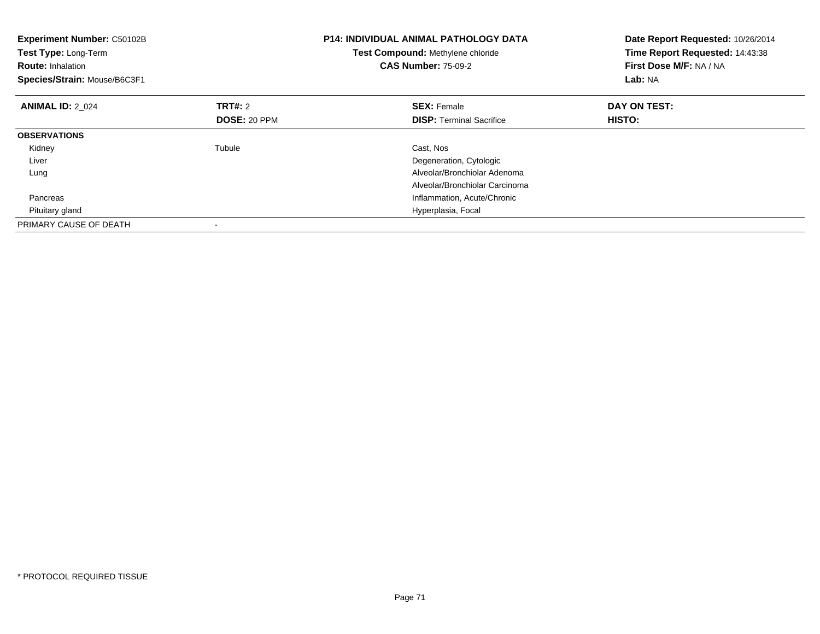| <b>Experiment Number: C50102B</b><br>Test Type: Long-Term<br><b>Route: Inhalation</b><br>Species/Strain: Mouse/B6C3F1 |              | <b>P14: INDIVIDUAL ANIMAL PATHOLOGY DATA</b><br>Test Compound: Methylene chloride<br><b>CAS Number: 75-09-2</b> | Date Report Requested: 10/26/2014<br>Time Report Requested: 14:43:38<br>First Dose M/F: NA / NA<br>Lab: NA |
|-----------------------------------------------------------------------------------------------------------------------|--------------|-----------------------------------------------------------------------------------------------------------------|------------------------------------------------------------------------------------------------------------|
| <b>ANIMAL ID: 2 024</b>                                                                                               | TRT#: 2      | <b>SEX: Female</b>                                                                                              | DAY ON TEST:                                                                                               |
|                                                                                                                       | DOSE: 20 PPM | <b>DISP:</b> Terminal Sacrifice                                                                                 | HISTO:                                                                                                     |
| <b>OBSERVATIONS</b>                                                                                                   |              |                                                                                                                 |                                                                                                            |
| Kidney                                                                                                                | Tubule       | Cast, Nos                                                                                                       |                                                                                                            |
| Liver                                                                                                                 |              | Degeneration, Cytologic                                                                                         |                                                                                                            |
| Lung                                                                                                                  |              | Alveolar/Bronchiolar Adenoma                                                                                    |                                                                                                            |
|                                                                                                                       |              | Alveolar/Bronchiolar Carcinoma                                                                                  |                                                                                                            |
| Pancreas                                                                                                              |              | Inflammation, Acute/Chronic                                                                                     |                                                                                                            |
| Pituitary gland                                                                                                       |              | Hyperplasia, Focal                                                                                              |                                                                                                            |
| PRIMARY CAUSE OF DEATH                                                                                                |              |                                                                                                                 |                                                                                                            |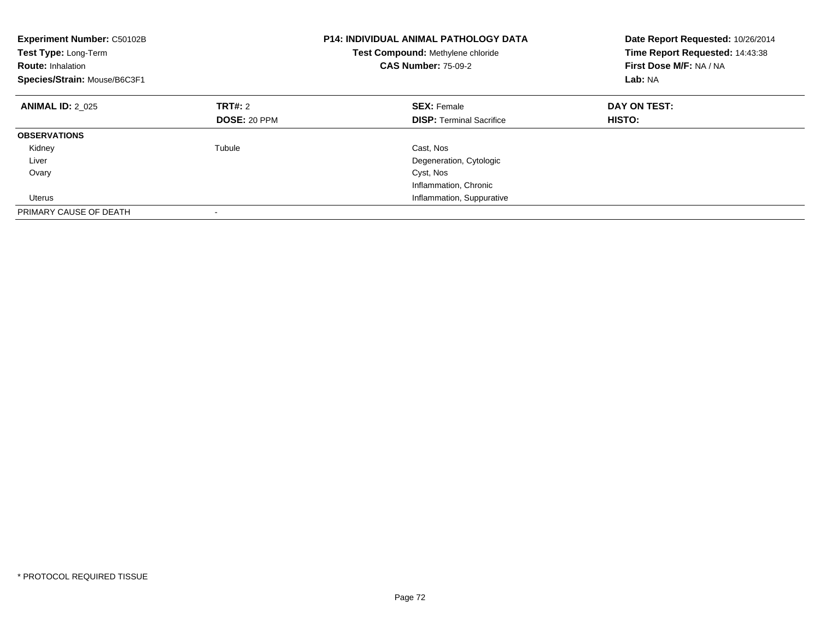| Experiment Number: C50102B<br>Test Type: Long-Term<br><b>Route: Inhalation</b><br>Species/Strain: Mouse/B6C3F1 |                     | <b>P14: INDIVIDUAL ANIMAL PATHOLOGY DATA</b><br>Test Compound: Methylene chloride<br><b>CAS Number: 75-09-2</b> | Date Report Requested: 10/26/2014<br>Time Report Requested: 14:43:38<br>First Dose M/F: NA / NA<br>Lab: NA |
|----------------------------------------------------------------------------------------------------------------|---------------------|-----------------------------------------------------------------------------------------------------------------|------------------------------------------------------------------------------------------------------------|
| <b>ANIMAL ID: 2 025</b>                                                                                        | TRT#: 2             | <b>SEX: Female</b>                                                                                              | DAY ON TEST:                                                                                               |
|                                                                                                                | <b>DOSE: 20 PPM</b> | <b>DISP:</b> Terminal Sacrifice                                                                                 | <b>HISTO:</b>                                                                                              |
| <b>OBSERVATIONS</b>                                                                                            |                     |                                                                                                                 |                                                                                                            |
| Kidney                                                                                                         | Tubule              | Cast, Nos                                                                                                       |                                                                                                            |
| Liver                                                                                                          |                     | Degeneration, Cytologic                                                                                         |                                                                                                            |
| Ovary                                                                                                          |                     | Cyst, Nos                                                                                                       |                                                                                                            |
|                                                                                                                |                     | Inflammation, Chronic                                                                                           |                                                                                                            |
| Uterus                                                                                                         |                     | Inflammation, Suppurative                                                                                       |                                                                                                            |
| PRIMARY CAUSE OF DEATH                                                                                         |                     |                                                                                                                 |                                                                                                            |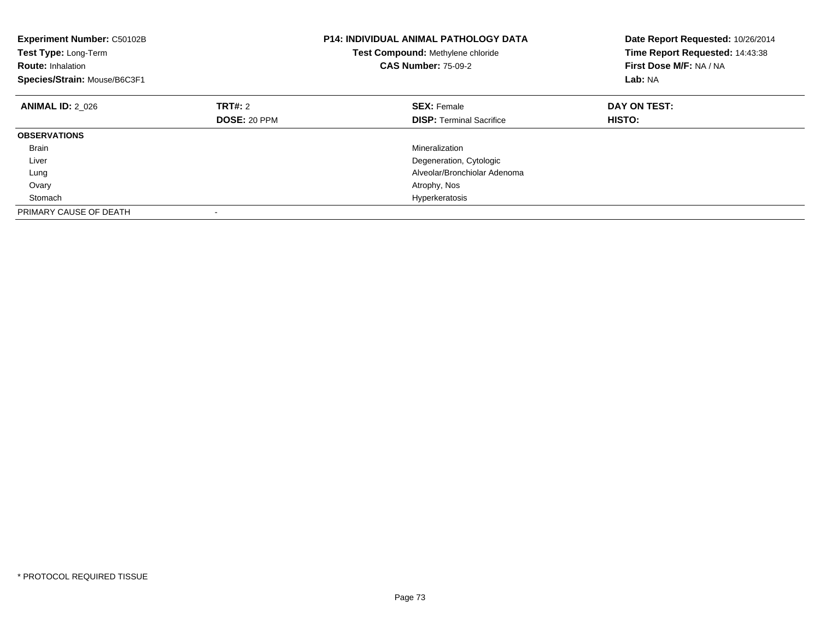| Experiment Number: C50102B<br>Test Type: Long-Term<br><b>Route: Inhalation</b><br>Species/Strain: Mouse/B6C3F1 | <b>P14: INDIVIDUAL ANIMAL PATHOLOGY DATA</b><br>Test Compound: Methylene chloride<br><b>CAS Number: 75-09-2</b> |                                 | Date Report Requested: 10/26/2014<br>Time Report Requested: 14:43:38<br>First Dose M/F: NA / NA<br>Lab: NA |
|----------------------------------------------------------------------------------------------------------------|-----------------------------------------------------------------------------------------------------------------|---------------------------------|------------------------------------------------------------------------------------------------------------|
| <b>ANIMAL ID: 2 026</b>                                                                                        | <b>TRT#: 2</b>                                                                                                  | <b>SEX: Female</b>              | DAY ON TEST:                                                                                               |
|                                                                                                                | DOSE: 20 PPM                                                                                                    | <b>DISP:</b> Terminal Sacrifice | HISTO:                                                                                                     |
| <b>OBSERVATIONS</b>                                                                                            |                                                                                                                 |                                 |                                                                                                            |
| <b>Brain</b>                                                                                                   |                                                                                                                 | Mineralization                  |                                                                                                            |
| Liver                                                                                                          |                                                                                                                 | Degeneration, Cytologic         |                                                                                                            |
| Lung                                                                                                           |                                                                                                                 | Alveolar/Bronchiolar Adenoma    |                                                                                                            |
| Ovary                                                                                                          |                                                                                                                 | Atrophy, Nos                    |                                                                                                            |
| Stomach                                                                                                        |                                                                                                                 | Hyperkeratosis                  |                                                                                                            |
| PRIMARY CAUSE OF DEATH                                                                                         |                                                                                                                 |                                 |                                                                                                            |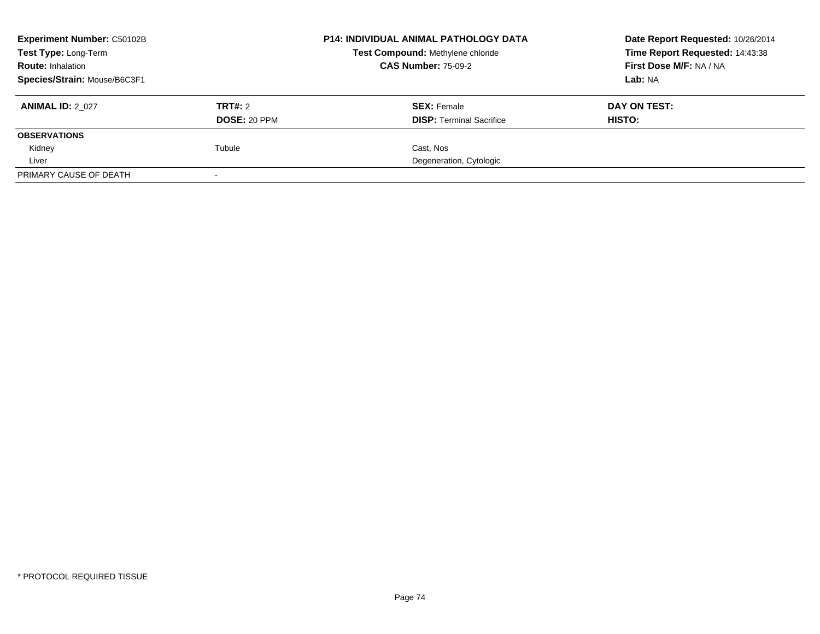| <b>Experiment Number: C50102B</b><br>Test Type: Long-Term<br><b>Route: Inhalation</b> |                     | <b>P14: INDIVIDUAL ANIMAL PATHOLOGY DATA</b> | Date Report Requested: 10/26/2014 |
|---------------------------------------------------------------------------------------|---------------------|----------------------------------------------|-----------------------------------|
|                                                                                       |                     | Test Compound: Methylene chloride            | Time Report Requested: 14:43:38   |
|                                                                                       |                     | <b>CAS Number: 75-09-2</b>                   | First Dose M/F: NA / NA           |
| Species/Strain: Mouse/B6C3F1                                                          |                     |                                              | Lab: NA                           |
| <b>ANIMAL ID: 2_027</b>                                                               | TRT#: 2             | <b>SEX: Female</b>                           | DAY ON TEST:                      |
|                                                                                       | <b>DOSE: 20 PPM</b> | <b>DISP:</b> Terminal Sacrifice              | <b>HISTO:</b>                     |
| <b>OBSERVATIONS</b>                                                                   |                     |                                              |                                   |
| Kidney                                                                                | Tubule              | Cast. Nos                                    |                                   |
| Liver                                                                                 |                     | Degeneration, Cytologic                      |                                   |
| PRIMARY CAUSE OF DEATH                                                                |                     |                                              |                                   |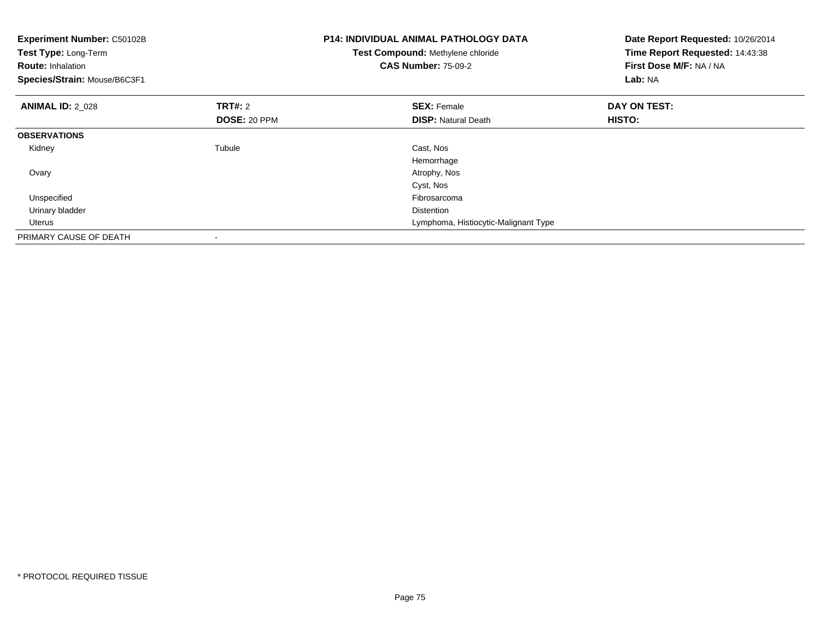| <b>Experiment Number: C50102B</b><br>Test Type: Long-Term<br><b>Route: Inhalation</b><br>Species/Strain: Mouse/B6C3F1 |                                | <b>P14: INDIVIDUAL ANIMAL PATHOLOGY DATA</b><br>Test Compound: Methylene chloride<br><b>CAS Number: 75-09-2</b> | Date Report Requested: 10/26/2014<br>Time Report Requested: 14:43:38<br>First Dose M/F: NA / NA<br>Lab: NA |
|-----------------------------------------------------------------------------------------------------------------------|--------------------------------|-----------------------------------------------------------------------------------------------------------------|------------------------------------------------------------------------------------------------------------|
| <b>ANIMAL ID: 2 028</b>                                                                                               | <b>TRT#: 2</b><br>DOSE: 20 PPM | <b>SEX: Female</b><br><b>DISP:</b> Natural Death                                                                | DAY ON TEST:<br>HISTO:                                                                                     |
| <b>OBSERVATIONS</b>                                                                                                   |                                |                                                                                                                 |                                                                                                            |
| Kidney                                                                                                                | Tubule                         | Cast, Nos<br>Hemorrhage                                                                                         |                                                                                                            |
| Ovary                                                                                                                 |                                | Atrophy, Nos                                                                                                    |                                                                                                            |
|                                                                                                                       |                                | Cyst, Nos                                                                                                       |                                                                                                            |
| Unspecified                                                                                                           |                                | Fibrosarcoma                                                                                                    |                                                                                                            |
| Urinary bladder                                                                                                       |                                | <b>Distention</b>                                                                                               |                                                                                                            |
| Uterus                                                                                                                |                                | Lymphoma, Histiocytic-Malignant Type                                                                            |                                                                                                            |
| PRIMARY CAUSE OF DEATH                                                                                                |                                |                                                                                                                 |                                                                                                            |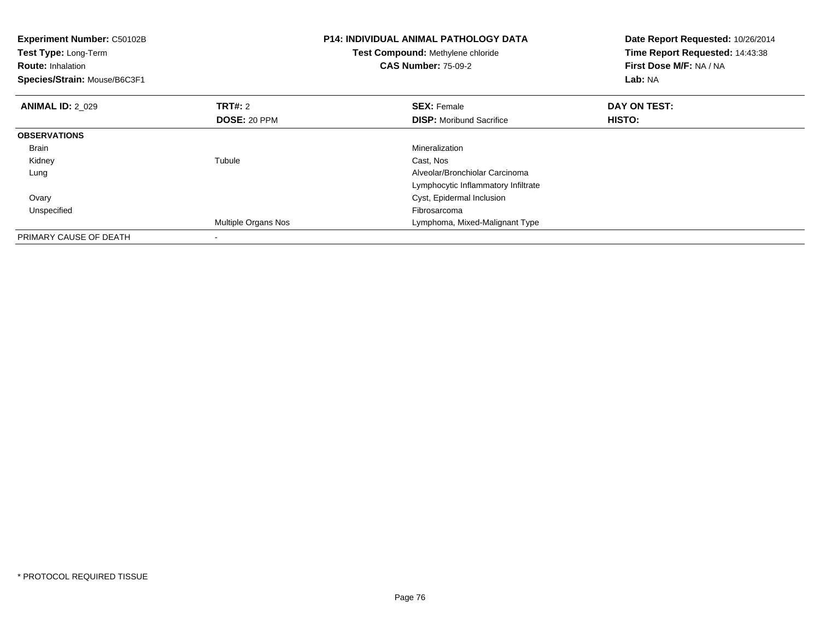| Experiment Number: C50102B<br>Test Type: Long-Term<br><b>Route: Inhalation</b><br>Species/Strain: Mouse/B6C3F1 |                     | <b>P14: INDIVIDUAL ANIMAL PATHOLOGY DATA</b><br>Test Compound: Methylene chloride<br><b>CAS Number: 75-09-2</b> | Date Report Requested: 10/26/2014<br>Time Report Requested: 14:43:38<br>First Dose M/F: NA / NA<br>Lab: NA |
|----------------------------------------------------------------------------------------------------------------|---------------------|-----------------------------------------------------------------------------------------------------------------|------------------------------------------------------------------------------------------------------------|
| <b>ANIMAL ID: 2 029</b>                                                                                        | <b>TRT#: 2</b>      | <b>SEX: Female</b>                                                                                              | DAY ON TEST:                                                                                               |
|                                                                                                                | DOSE: 20 PPM        | <b>DISP:</b> Moribund Sacrifice                                                                                 | HISTO:                                                                                                     |
| <b>OBSERVATIONS</b>                                                                                            |                     |                                                                                                                 |                                                                                                            |
| Brain                                                                                                          |                     | Mineralization                                                                                                  |                                                                                                            |
| Kidney                                                                                                         | Tubule              | Cast, Nos                                                                                                       |                                                                                                            |
| Lung                                                                                                           |                     | Alveolar/Bronchiolar Carcinoma                                                                                  |                                                                                                            |
|                                                                                                                |                     | Lymphocytic Inflammatory Infiltrate                                                                             |                                                                                                            |
| Ovary                                                                                                          |                     | Cyst, Epidermal Inclusion                                                                                       |                                                                                                            |
| Unspecified                                                                                                    |                     | Fibrosarcoma                                                                                                    |                                                                                                            |
|                                                                                                                | Multiple Organs Nos | Lymphoma, Mixed-Malignant Type                                                                                  |                                                                                                            |
| PRIMARY CAUSE OF DEATH                                                                                         |                     |                                                                                                                 |                                                                                                            |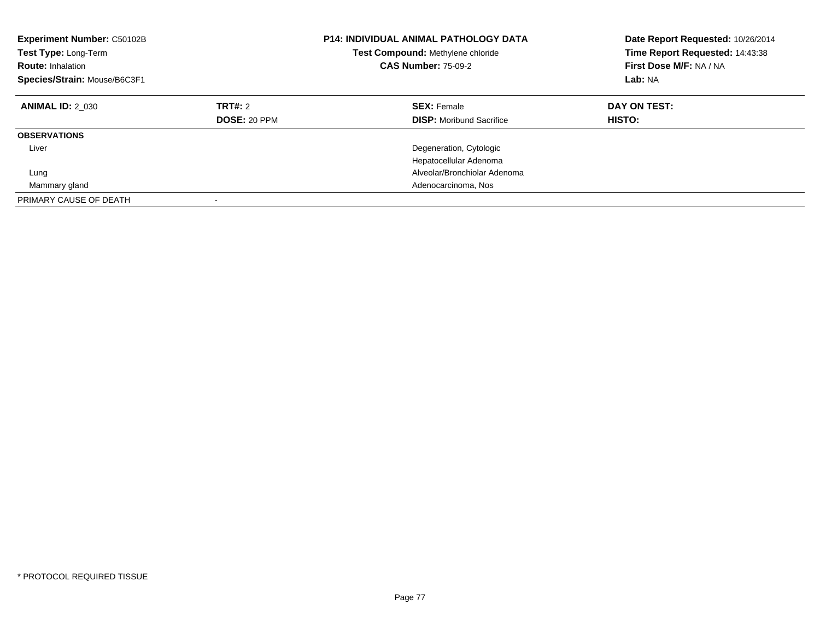| Experiment Number: C50102B<br><b>Test Type: Long-Term</b><br><b>Route: Inhalation</b><br>Species/Strain: Mouse/B6C3F1 |                                | <b>P14: INDIVIDUAL ANIMAL PATHOLOGY DATA</b><br>Test Compound: Methylene chloride<br><b>CAS Number: 75-09-2</b> | Date Report Requested: 10/26/2014<br>Time Report Requested: 14:43:38<br>First Dose M/F: NA / NA<br>Lab: NA |
|-----------------------------------------------------------------------------------------------------------------------|--------------------------------|-----------------------------------------------------------------------------------------------------------------|------------------------------------------------------------------------------------------------------------|
| <b>ANIMAL ID: 2 030</b>                                                                                               | TRT#: 2<br><b>DOSE: 20 PPM</b> | <b>SEX: Female</b><br><b>DISP:</b> Moribund Sacrifice                                                           | DAY ON TEST:<br>HISTO:                                                                                     |
| <b>OBSERVATIONS</b>                                                                                                   |                                |                                                                                                                 |                                                                                                            |
| Liver                                                                                                                 |                                | Degeneration, Cytologic<br>Hepatocellular Adenoma                                                               |                                                                                                            |
| Lung                                                                                                                  |                                | Alveolar/Bronchiolar Adenoma                                                                                    |                                                                                                            |
| Mammary gland                                                                                                         |                                | Adenocarcinoma, Nos                                                                                             |                                                                                                            |
| PRIMARY CAUSE OF DEATH                                                                                                |                                |                                                                                                                 |                                                                                                            |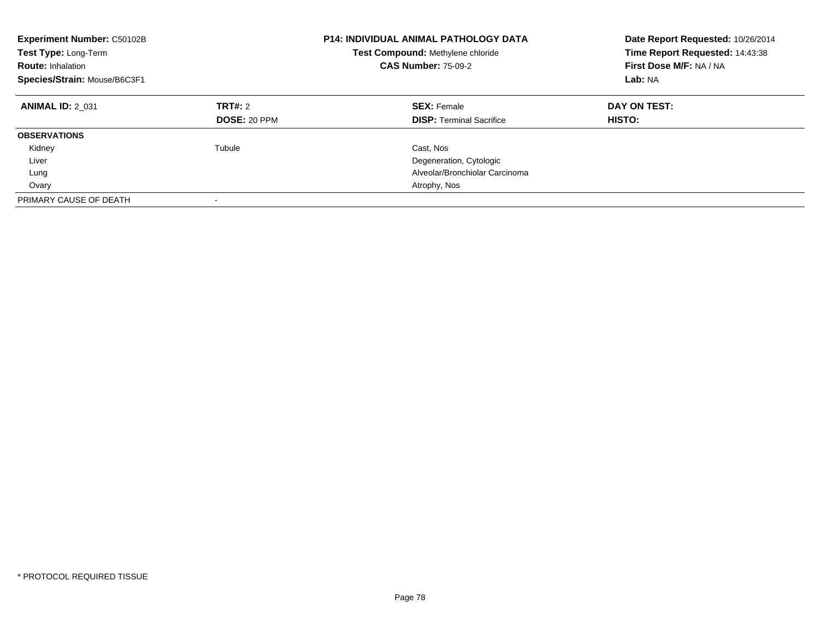| Experiment Number: C50102B<br><b>Test Type: Long-Term</b><br><b>Route: Inhalation</b><br>Species/Strain: Mouse/B6C3F1 |                                | <b>P14: INDIVIDUAL ANIMAL PATHOLOGY DATA</b><br>Test Compound: Methylene chloride<br><b>CAS Number: 75-09-2</b> | Date Report Requested: 10/26/2014<br>Time Report Requested: 14:43:38<br>First Dose M/F: NA / NA<br>Lab: NA |
|-----------------------------------------------------------------------------------------------------------------------|--------------------------------|-----------------------------------------------------------------------------------------------------------------|------------------------------------------------------------------------------------------------------------|
| <b>ANIMAL ID: 2 031</b>                                                                                               | TRT#: 2<br><b>DOSE: 20 PPM</b> | <b>SEX: Female</b><br><b>DISP:</b> Terminal Sacrifice                                                           | DAY ON TEST:<br><b>HISTO:</b>                                                                              |
| <b>OBSERVATIONS</b>                                                                                                   |                                |                                                                                                                 |                                                                                                            |
| Kidney                                                                                                                | Tubule                         | Cast, Nos                                                                                                       |                                                                                                            |
| Liver                                                                                                                 |                                | Degeneration, Cytologic                                                                                         |                                                                                                            |
| Lung                                                                                                                  |                                | Alveolar/Bronchiolar Carcinoma                                                                                  |                                                                                                            |
| Ovary                                                                                                                 |                                | Atrophy, Nos                                                                                                    |                                                                                                            |
| PRIMARY CAUSE OF DEATH                                                                                                |                                |                                                                                                                 |                                                                                                            |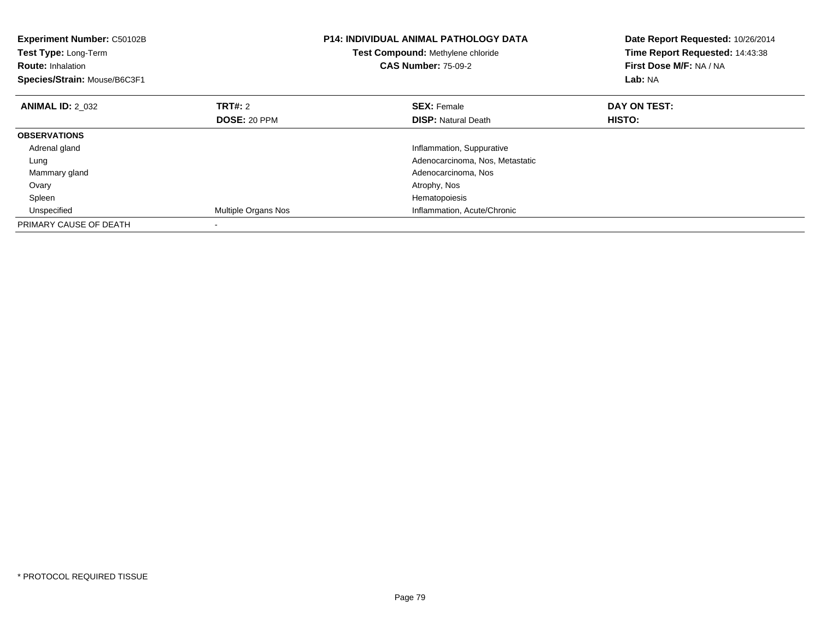| <b>Experiment Number: C50102B</b><br>Test Type: Long-Term<br><b>Route:</b> Inhalation<br>Species/Strain: Mouse/B6C3F1 |                     | <b>P14: INDIVIDUAL ANIMAL PATHOLOGY DATA</b><br>Test Compound: Methylene chloride<br><b>CAS Number: 75-09-2</b> | Date Report Requested: 10/26/2014<br>Time Report Requested: 14:43:38<br>First Dose M/F: NA / NA<br>Lab: NA |
|-----------------------------------------------------------------------------------------------------------------------|---------------------|-----------------------------------------------------------------------------------------------------------------|------------------------------------------------------------------------------------------------------------|
| <b>ANIMAL ID: 2 032</b>                                                                                               | TRT#: 2             | <b>SEX: Female</b>                                                                                              | DAY ON TEST:                                                                                               |
|                                                                                                                       | <b>DOSE: 20 PPM</b> | <b>DISP:</b> Natural Death                                                                                      | HISTO:                                                                                                     |
| <b>OBSERVATIONS</b>                                                                                                   |                     |                                                                                                                 |                                                                                                            |
| Adrenal gland                                                                                                         |                     | Inflammation, Suppurative                                                                                       |                                                                                                            |
| Lung                                                                                                                  |                     | Adenocarcinoma, Nos, Metastatic                                                                                 |                                                                                                            |
| Mammary gland                                                                                                         |                     | Adenocarcinoma, Nos                                                                                             |                                                                                                            |
| Ovary                                                                                                                 |                     | Atrophy, Nos                                                                                                    |                                                                                                            |
| Spleen                                                                                                                |                     | Hematopoiesis                                                                                                   |                                                                                                            |
| Unspecified                                                                                                           | Multiple Organs Nos | Inflammation, Acute/Chronic                                                                                     |                                                                                                            |
| PRIMARY CAUSE OF DEATH                                                                                                |                     |                                                                                                                 |                                                                                                            |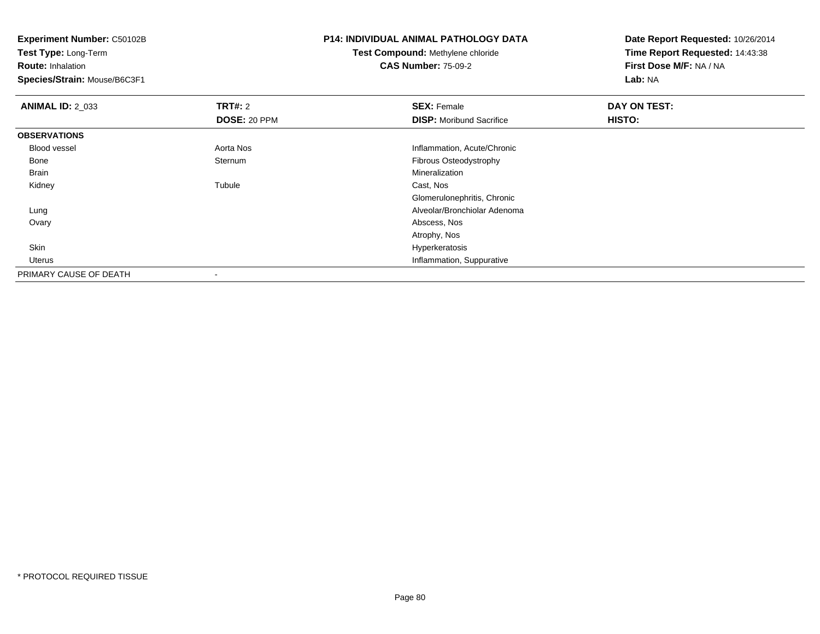**Experiment Number:** C50102B**Test Type:** Long-Term**Route:** Inhalation **Species/Strain:** Mouse/B6C3F1**P14: INDIVIDUAL ANIMAL PATHOLOGY DATATest Compound:** Methylene chloride**CAS Number:** 75-09-2**Date Report Requested:** 10/26/2014**Time Report Requested:** 14:43:38**First Dose M/F:** NA / NA**Lab:** NA**ANIMAL ID: 2 033 TRT#:** 2 **SEX:** Female **DAY ON TEST: DOSE:** 20 PPM**DISP:** Moribund Sacrifice **HISTO: OBSERVATIONS** Blood vessel Aorta Nos Inflammation, Acute/Chronic Bonee Sternum Sternum entity of the control of the Fibrous Osteodystrophy<br>
Mineralization Brainn and the control of the control of the control of the control of the control of the control of the control of the control of the control of the control of the control of the control of the control of the control of the co Kidneyy the contract of the contract of the contract of the contract of the contract of the contract of the contract of the contract of the contract of the contract of the contract of the contract of the contract of the contract Tubule Cast, Nos Glomerulonephritis, Chronic Alveolar/Bronchiolar Adenoma Lung Ovary Abscess, Nos Atrophy, NosHyperkeratosis Skinhyperkeratosis and the control of the control of the control of the control of the control of the control of the control of the control of the control of the control of the control of the control of the control of the cont Uterus Inflammation, SuppurativePRIMARY CAUSE OF DEATH-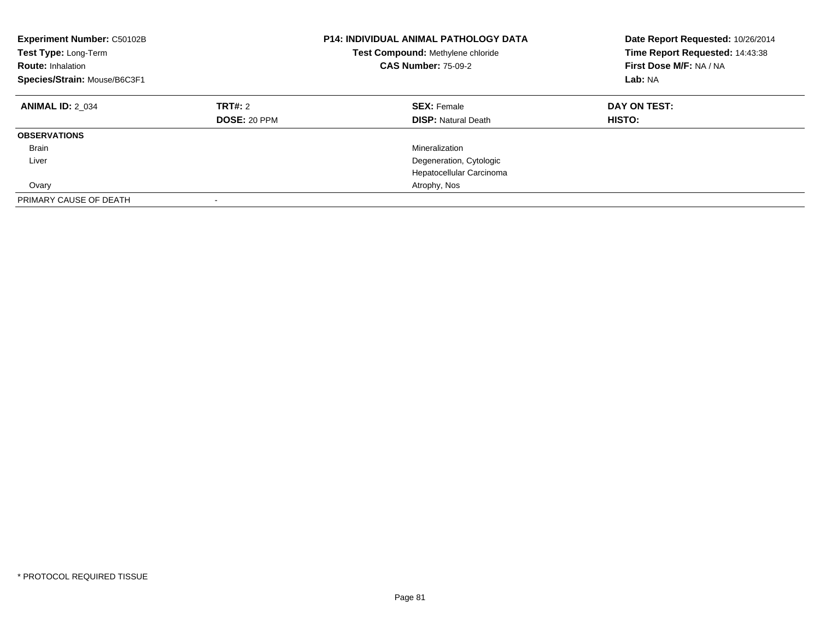| <b>Experiment Number: C50102B</b><br>Test Type: Long-Term<br><b>Route: Inhalation</b><br>Species/Strain: Mouse/B6C3F1 |                                | <b>P14: INDIVIDUAL ANIMAL PATHOLOGY DATA</b><br>Test Compound: Methylene chloride<br><b>CAS Number: 75-09-2</b> | Date Report Requested: 10/26/2014<br>Time Report Requested: 14:43:38<br>First Dose M/F: NA / NA<br>Lab: NA |
|-----------------------------------------------------------------------------------------------------------------------|--------------------------------|-----------------------------------------------------------------------------------------------------------------|------------------------------------------------------------------------------------------------------------|
| <b>ANIMAL ID: 2 034</b>                                                                                               | TRT#: 2<br><b>DOSE: 20 PPM</b> | <b>SEX: Female</b><br><b>DISP: Natural Death</b>                                                                | DAY ON TEST:<br>HISTO:                                                                                     |
| <b>OBSERVATIONS</b>                                                                                                   |                                |                                                                                                                 |                                                                                                            |
| <b>Brain</b>                                                                                                          |                                | Mineralization                                                                                                  |                                                                                                            |
| Liver                                                                                                                 |                                | Degeneration, Cytologic                                                                                         |                                                                                                            |
|                                                                                                                       |                                | Hepatocellular Carcinoma                                                                                        |                                                                                                            |
| Ovary                                                                                                                 |                                | Atrophy, Nos                                                                                                    |                                                                                                            |
| PRIMARY CAUSE OF DEATH                                                                                                |                                |                                                                                                                 |                                                                                                            |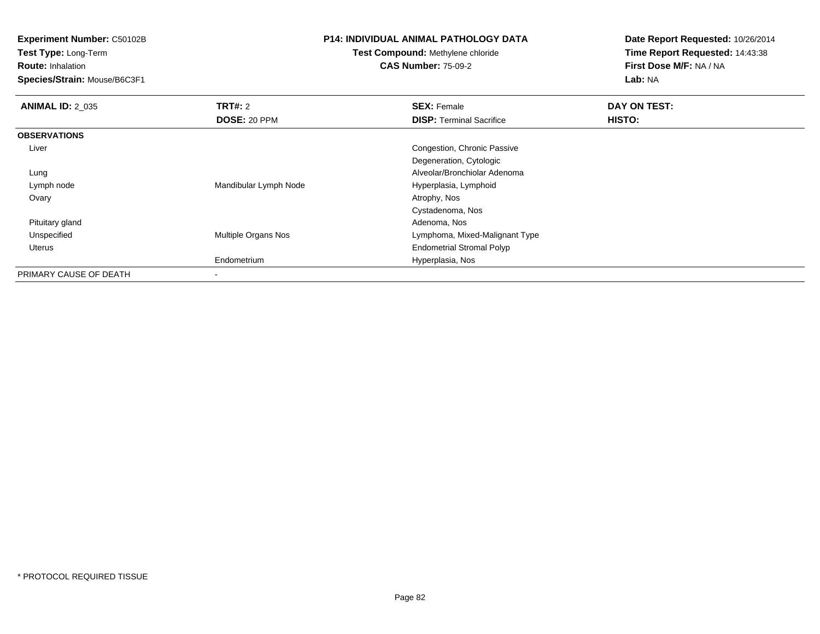**Experiment Number:** C50102B

**Test Type:** Long-Term

**Route:** Inhalation

**Species/Strain:** Mouse/B6C3F1

## **P14: INDIVIDUAL ANIMAL PATHOLOGY DATA**

## **Test Compound:** Methylene chloride**CAS Number:** 75-09-2

**Date Report Requested:** 10/26/2014**Time Report Requested:** 14:43:38**First Dose M/F:** NA / NA**Lab:** NA

| <b>ANIMAL ID: 2 035</b> | TRT#: 2               | <b>SEX: Female</b>               | DAY ON TEST: |  |
|-------------------------|-----------------------|----------------------------------|--------------|--|
|                         | <b>DOSE: 20 PPM</b>   | <b>DISP:</b> Terminal Sacrifice  | HISTO:       |  |
| <b>OBSERVATIONS</b>     |                       |                                  |              |  |
| Liver                   |                       | Congestion, Chronic Passive      |              |  |
|                         |                       | Degeneration, Cytologic          |              |  |
| Lung                    |                       | Alveolar/Bronchiolar Adenoma     |              |  |
| Lymph node              | Mandibular Lymph Node | Hyperplasia, Lymphoid            |              |  |
| Ovary                   |                       | Atrophy, Nos                     |              |  |
|                         |                       | Cystadenoma, Nos                 |              |  |
| Pituitary gland         |                       | Adenoma, Nos                     |              |  |
| Unspecified             | Multiple Organs Nos   | Lymphoma, Mixed-Malignant Type   |              |  |
| Uterus                  |                       | <b>Endometrial Stromal Polyp</b> |              |  |
|                         | Endometrium           | Hyperplasia, Nos                 |              |  |
| PRIMARY CAUSE OF DEATH  | -                     |                                  |              |  |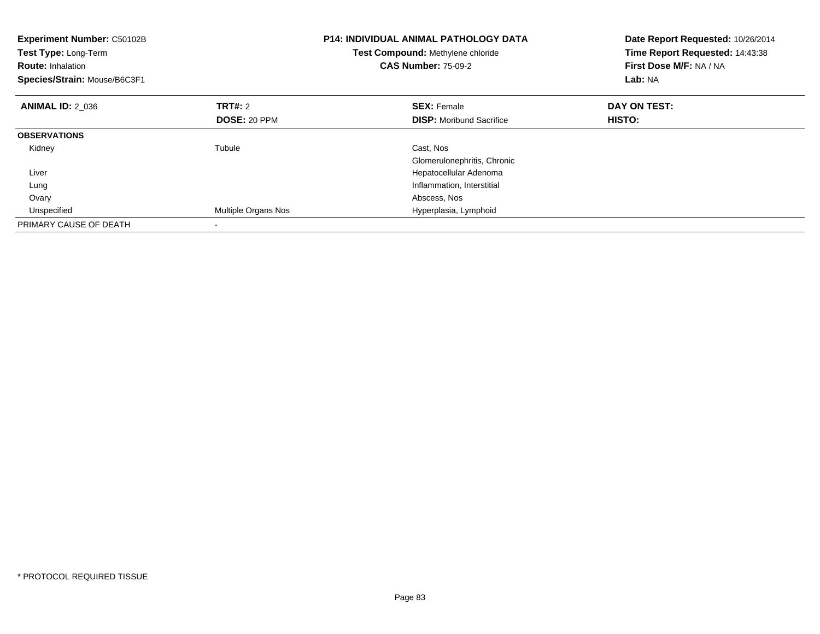| <b>Experiment Number: C50102B</b><br>Test Type: Long-Term<br><b>Route: Inhalation</b><br>Species/Strain: Mouse/B6C3F1 |                     | <b>P14: INDIVIDUAL ANIMAL PATHOLOGY DATA</b><br>Test Compound: Methylene chloride<br><b>CAS Number: 75-09-2</b> | Date Report Requested: 10/26/2014<br>Time Report Requested: 14:43:38<br>First Dose M/F: NA / NA<br>Lab: NA |
|-----------------------------------------------------------------------------------------------------------------------|---------------------|-----------------------------------------------------------------------------------------------------------------|------------------------------------------------------------------------------------------------------------|
| <b>ANIMAL ID: 2 036</b>                                                                                               | TRT#: 2             | <b>SEX: Female</b>                                                                                              | DAY ON TEST:                                                                                               |
|                                                                                                                       | <b>DOSE: 20 PPM</b> | <b>DISP:</b> Moribund Sacrifice                                                                                 | HISTO:                                                                                                     |
| <b>OBSERVATIONS</b>                                                                                                   |                     |                                                                                                                 |                                                                                                            |
| Kidney                                                                                                                | Tubule              | Cast, Nos                                                                                                       |                                                                                                            |
|                                                                                                                       |                     | Glomerulonephritis, Chronic                                                                                     |                                                                                                            |
| Liver                                                                                                                 |                     | Hepatocellular Adenoma                                                                                          |                                                                                                            |
| Lung                                                                                                                  |                     | Inflammation, Interstitial                                                                                      |                                                                                                            |
| Ovary                                                                                                                 |                     | Abscess, Nos                                                                                                    |                                                                                                            |
| Unspecified                                                                                                           | Multiple Organs Nos | Hyperplasia, Lymphoid                                                                                           |                                                                                                            |
| PRIMARY CAUSE OF DEATH                                                                                                |                     |                                                                                                                 |                                                                                                            |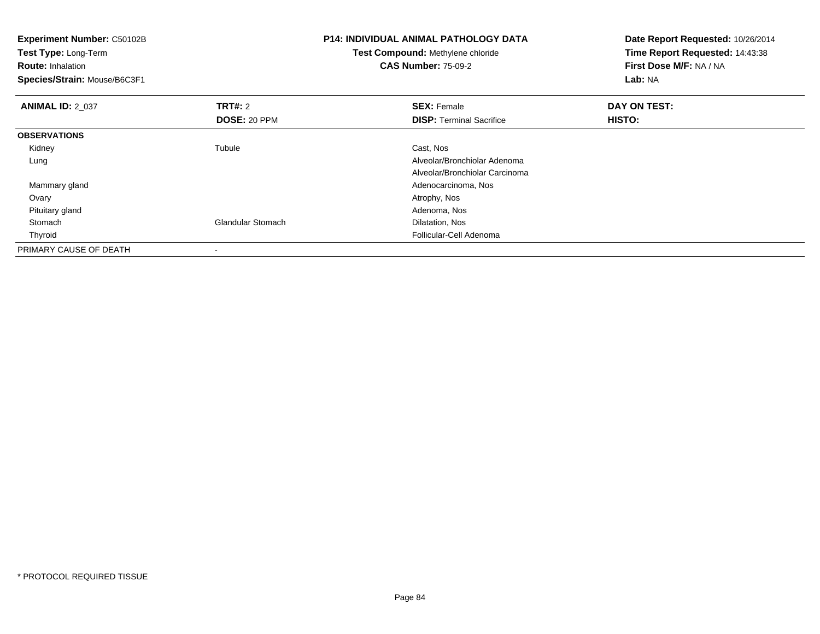| <b>Experiment Number: C50102B</b><br>Test Type: Long-Term<br><b>Route: Inhalation</b><br>Species/Strain: Mouse/B6C3F1 |                          | <b>P14: INDIVIDUAL ANIMAL PATHOLOGY DATA</b><br>Test Compound: Methylene chloride<br><b>CAS Number: 75-09-2</b> | Date Report Requested: 10/26/2014<br>Time Report Requested: 14:43:38<br>First Dose M/F: NA / NA<br>Lab: NA |  |
|-----------------------------------------------------------------------------------------------------------------------|--------------------------|-----------------------------------------------------------------------------------------------------------------|------------------------------------------------------------------------------------------------------------|--|
| <b>ANIMAL ID: 2 037</b>                                                                                               | TRT#: 2                  | <b>SEX: Female</b>                                                                                              | DAY ON TEST:                                                                                               |  |
|                                                                                                                       | DOSE: 20 PPM             | <b>DISP: Terminal Sacrifice</b>                                                                                 | HISTO:                                                                                                     |  |
| <b>OBSERVATIONS</b>                                                                                                   |                          |                                                                                                                 |                                                                                                            |  |
| Kidney                                                                                                                | Tubule                   | Cast, Nos                                                                                                       |                                                                                                            |  |
| Lung                                                                                                                  |                          | Alveolar/Bronchiolar Adenoma                                                                                    |                                                                                                            |  |
|                                                                                                                       |                          | Alveolar/Bronchiolar Carcinoma                                                                                  |                                                                                                            |  |
| Mammary gland                                                                                                         |                          | Adenocarcinoma, Nos                                                                                             |                                                                                                            |  |
| Ovary                                                                                                                 |                          | Atrophy, Nos                                                                                                    |                                                                                                            |  |
| Pituitary gland                                                                                                       |                          | Adenoma, Nos                                                                                                    |                                                                                                            |  |
| Stomach                                                                                                               | <b>Glandular Stomach</b> | Dilatation, Nos                                                                                                 |                                                                                                            |  |
| Thyroid                                                                                                               |                          | Follicular-Cell Adenoma                                                                                         |                                                                                                            |  |
| PRIMARY CAUSE OF DEATH                                                                                                |                          |                                                                                                                 |                                                                                                            |  |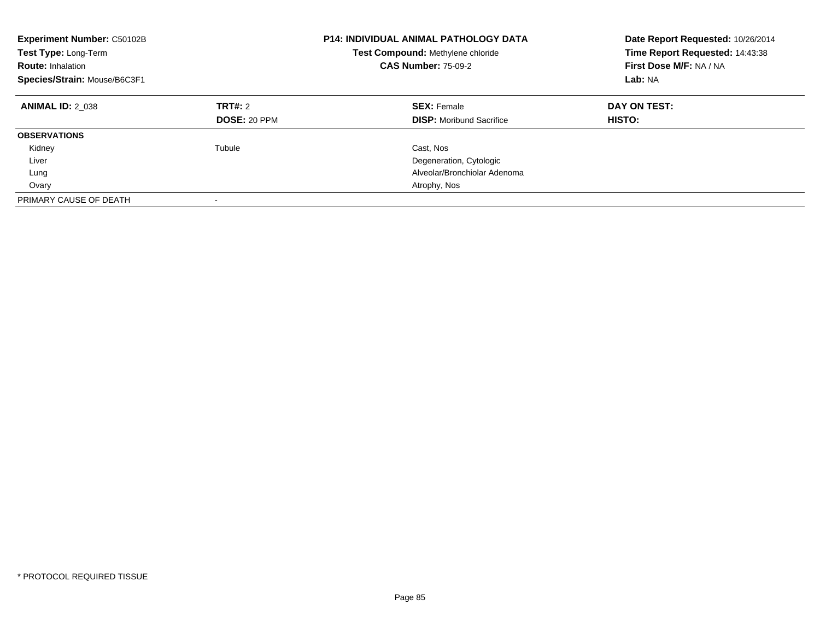| Experiment Number: C50102B<br><b>Test Type: Long-Term</b><br><b>Route: Inhalation</b><br>Species/Strain: Mouse/B6C3F1 |                                | <b>P14: INDIVIDUAL ANIMAL PATHOLOGY DATA</b><br>Test Compound: Methylene chloride<br><b>CAS Number: 75-09-2</b> | Date Report Requested: 10/26/2014<br>Time Report Requested: 14:43:38<br>First Dose M/F: NA / NA<br>Lab: NA |
|-----------------------------------------------------------------------------------------------------------------------|--------------------------------|-----------------------------------------------------------------------------------------------------------------|------------------------------------------------------------------------------------------------------------|
| <b>ANIMAL ID: 2 038</b>                                                                                               | TRT#: 2<br><b>DOSE: 20 PPM</b> | <b>SEX: Female</b><br><b>DISP:</b> Moribund Sacrifice                                                           | DAY ON TEST:<br>HISTO:                                                                                     |
| <b>OBSERVATIONS</b>                                                                                                   |                                |                                                                                                                 |                                                                                                            |
| Kidney                                                                                                                | Tubule                         | Cast, Nos                                                                                                       |                                                                                                            |
| Liver                                                                                                                 |                                | Degeneration, Cytologic                                                                                         |                                                                                                            |
| Lung                                                                                                                  |                                | Alveolar/Bronchiolar Adenoma                                                                                    |                                                                                                            |
| Ovary                                                                                                                 |                                | Atrophy, Nos                                                                                                    |                                                                                                            |
| PRIMARY CAUSE OF DEATH                                                                                                |                                |                                                                                                                 |                                                                                                            |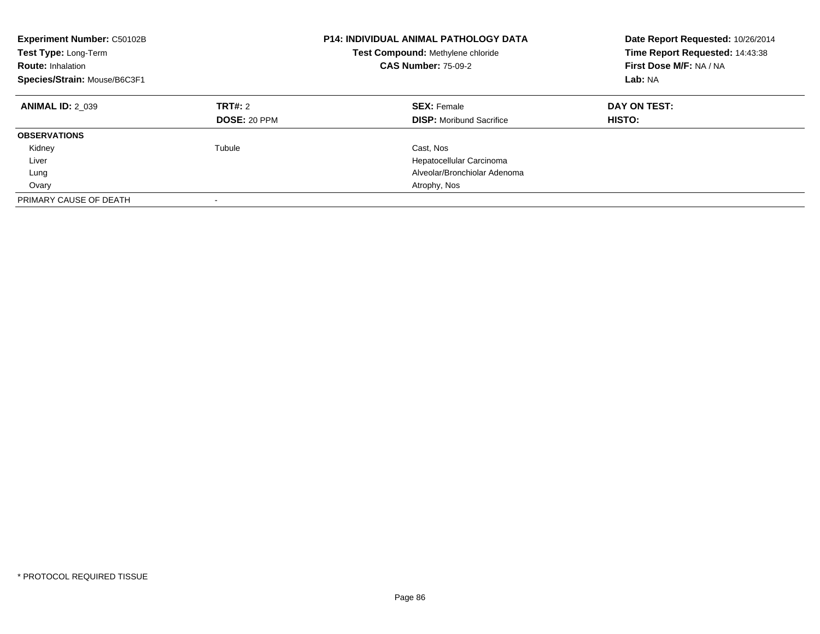| Experiment Number: C50102B<br>Test Type: Long-Term<br><b>Route: Inhalation</b><br>Species/Strain: Mouse/B6C3F1 |                                | <b>P14: INDIVIDUAL ANIMAL PATHOLOGY DATA</b><br>Test Compound: Methylene chloride<br><b>CAS Number: 75-09-2</b> | Date Report Requested: 10/26/2014<br>Time Report Requested: 14:43:38<br>First Dose M/F: NA / NA<br>Lab: NA |
|----------------------------------------------------------------------------------------------------------------|--------------------------------|-----------------------------------------------------------------------------------------------------------------|------------------------------------------------------------------------------------------------------------|
| <b>ANIMAL ID: 2 039</b>                                                                                        | TRT#: 2<br><b>DOSE: 20 PPM</b> | <b>SEX: Female</b><br><b>DISP:</b> Moribund Sacrifice                                                           | DAY ON TEST:<br>HISTO:                                                                                     |
| <b>OBSERVATIONS</b>                                                                                            |                                |                                                                                                                 |                                                                                                            |
| Kidney                                                                                                         | Tubule                         | Cast, Nos                                                                                                       |                                                                                                            |
| Liver                                                                                                          |                                | Hepatocellular Carcinoma                                                                                        |                                                                                                            |
| Lung                                                                                                           |                                | Alveolar/Bronchiolar Adenoma                                                                                    |                                                                                                            |
| Ovary                                                                                                          |                                | Atrophy, Nos                                                                                                    |                                                                                                            |
| PRIMARY CAUSE OF DEATH                                                                                         |                                |                                                                                                                 |                                                                                                            |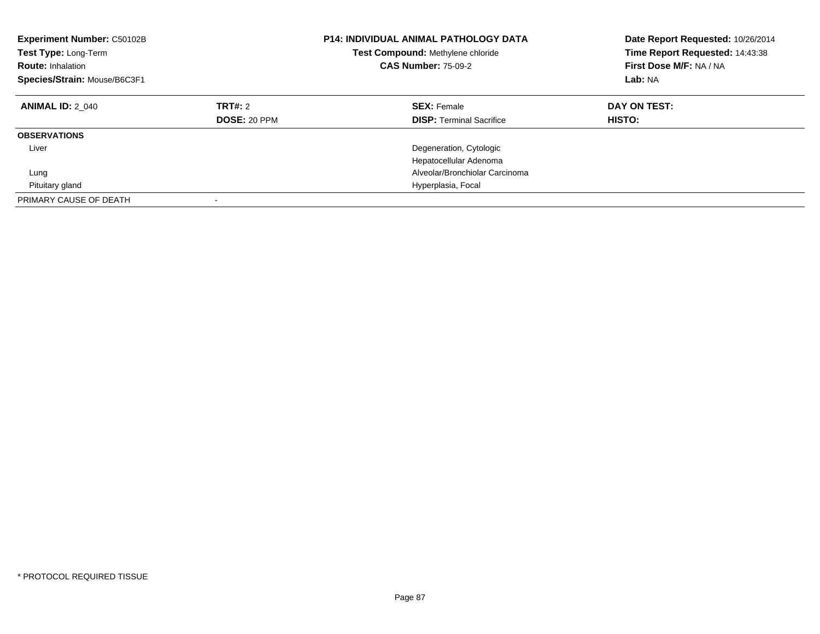| Experiment Number: C50102B<br>Test Type: Long-Term<br><b>Route: Inhalation</b><br>Species/Strain: Mouse/B6C3F1 |                         | <b>P14: INDIVIDUAL ANIMAL PATHOLOGY DATA</b><br>Test Compound: Methylene chloride<br><b>CAS Number: 75-09-2</b> | Date Report Requested: 10/26/2014<br>Time Report Requested: 14:43:38<br>First Dose M/F: NA / NA<br>Lab: NA |
|----------------------------------------------------------------------------------------------------------------|-------------------------|-----------------------------------------------------------------------------------------------------------------|------------------------------------------------------------------------------------------------------------|
| <b>ANIMAL ID: 2 040</b>                                                                                        | TRT#: 2<br>DOSE: 20 PPM | <b>SEX: Female</b><br><b>DISP:</b> Terminal Sacrifice                                                           | DAY ON TEST:<br>HISTO:                                                                                     |
| <b>OBSERVATIONS</b>                                                                                            |                         |                                                                                                                 |                                                                                                            |
| Liver                                                                                                          |                         | Degeneration, Cytologic<br>Hepatocellular Adenoma                                                               |                                                                                                            |
| Lung                                                                                                           |                         | Alveolar/Bronchiolar Carcinoma                                                                                  |                                                                                                            |
| Pituitary gland                                                                                                |                         | Hyperplasia, Focal                                                                                              |                                                                                                            |
| PRIMARY CAUSE OF DEATH                                                                                         |                         |                                                                                                                 |                                                                                                            |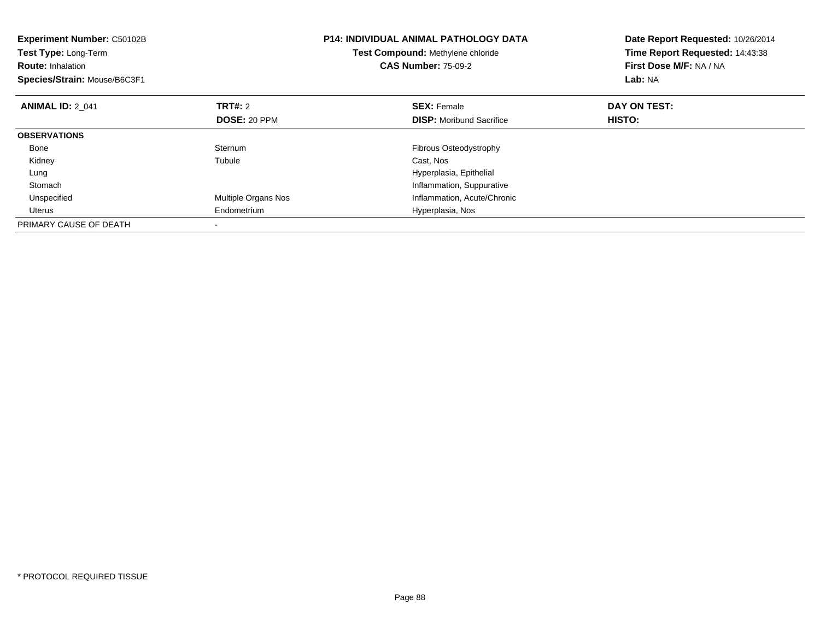| <b>Experiment Number: C50102B</b><br>Test Type: Long-Term<br><b>Route: Inhalation</b><br>Species/Strain: Mouse/B6C3F1 |                     | <b>P14: INDIVIDUAL ANIMAL PATHOLOGY DATA</b><br>Test Compound: Methylene chloride<br><b>CAS Number: 75-09-2</b> | Date Report Requested: 10/26/2014<br>Time Report Requested: 14:43:38<br>First Dose M/F: NA / NA<br>Lab: NA |
|-----------------------------------------------------------------------------------------------------------------------|---------------------|-----------------------------------------------------------------------------------------------------------------|------------------------------------------------------------------------------------------------------------|
| <b>ANIMAL ID: 2 041</b>                                                                                               | <b>TRT#: 2</b>      | <b>SEX: Female</b>                                                                                              | DAY ON TEST:                                                                                               |
|                                                                                                                       | <b>DOSE: 20 PPM</b> | <b>DISP:</b> Moribund Sacrifice                                                                                 | <b>HISTO:</b>                                                                                              |
| <b>OBSERVATIONS</b>                                                                                                   |                     |                                                                                                                 |                                                                                                            |
| Bone                                                                                                                  | Sternum             | Fibrous Osteodystrophy                                                                                          |                                                                                                            |
| Kidney                                                                                                                | Tubule              | Cast, Nos                                                                                                       |                                                                                                            |
| Lung                                                                                                                  |                     | Hyperplasia, Epithelial                                                                                         |                                                                                                            |
| Stomach                                                                                                               |                     | Inflammation, Suppurative                                                                                       |                                                                                                            |
| Unspecified                                                                                                           | Multiple Organs Nos | Inflammation, Acute/Chronic                                                                                     |                                                                                                            |
| Uterus                                                                                                                | Endometrium         | Hyperplasia, Nos                                                                                                |                                                                                                            |
| PRIMARY CAUSE OF DEATH                                                                                                |                     |                                                                                                                 |                                                                                                            |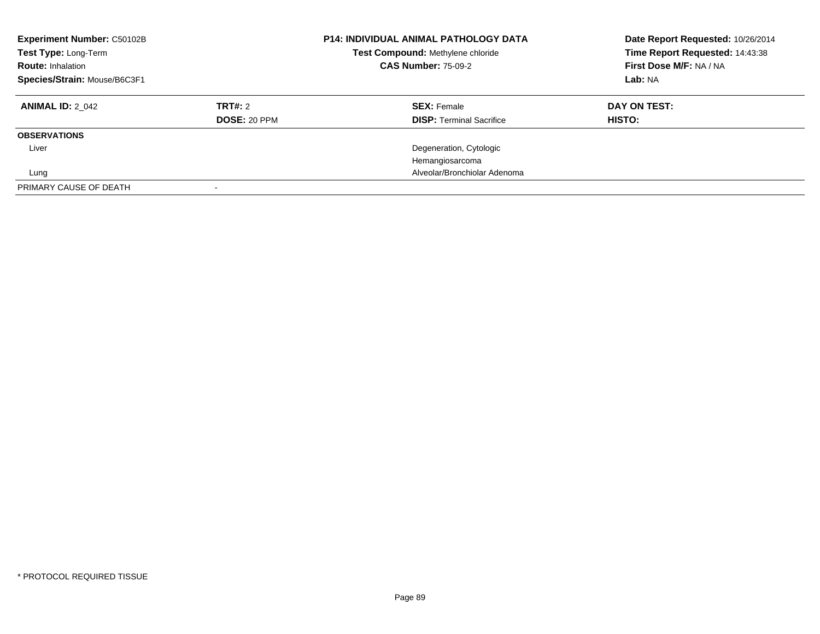| <b>Experiment Number: C50102B</b><br>Test Type: Long-Term<br><b>Route: Inhalation</b><br>Species/Strain: Mouse/B6C3F1 |                     | <b>P14: INDIVIDUAL ANIMAL PATHOLOGY DATA</b><br>Test Compound: Methylene chloride<br><b>CAS Number: 75-09-2</b> | Date Report Requested: 10/26/2014<br>Time Report Requested: 14:43:38<br>First Dose M/F: NA / NA<br>Lab: NA |  |
|-----------------------------------------------------------------------------------------------------------------------|---------------------|-----------------------------------------------------------------------------------------------------------------|------------------------------------------------------------------------------------------------------------|--|
| <b>ANIMAL ID: 2 042</b>                                                                                               | TRT#: 2             | <b>SEX: Female</b>                                                                                              | DAY ON TEST:                                                                                               |  |
|                                                                                                                       | <b>DOSE: 20 PPM</b> | <b>DISP:</b> Terminal Sacrifice                                                                                 | HISTO:                                                                                                     |  |
| <b>OBSERVATIONS</b>                                                                                                   |                     |                                                                                                                 |                                                                                                            |  |
| Liver                                                                                                                 |                     | Degeneration, Cytologic                                                                                         |                                                                                                            |  |
|                                                                                                                       |                     | Hemangiosarcoma                                                                                                 |                                                                                                            |  |
| Lung                                                                                                                  |                     | Alveolar/Bronchiolar Adenoma                                                                                    |                                                                                                            |  |
| PRIMARY CAUSE OF DEATH                                                                                                |                     |                                                                                                                 |                                                                                                            |  |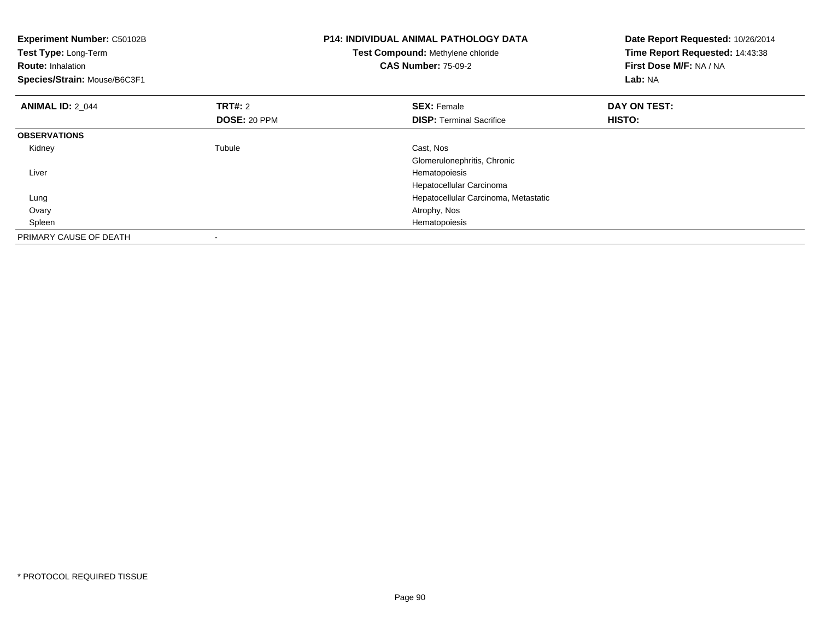| <b>Experiment Number: C50102B</b><br><b>Test Type: Long-Term</b><br><b>Route: Inhalation</b><br>Species/Strain: Mouse/B6C3F1 |                                       | <b>P14: INDIVIDUAL ANIMAL PATHOLOGY DATA</b><br>Test Compound: Methylene chloride<br><b>CAS Number: 75-09-2</b> | Date Report Requested: 10/26/2014<br>Time Report Requested: 14:43:38<br>First Dose M/F: NA / NA<br>Lab: NA |
|------------------------------------------------------------------------------------------------------------------------------|---------------------------------------|-----------------------------------------------------------------------------------------------------------------|------------------------------------------------------------------------------------------------------------|
| <b>ANIMAL ID: 2 044</b>                                                                                                      | <b>TRT#: 2</b><br><b>DOSE: 20 PPM</b> | <b>SEX: Female</b><br><b>DISP:</b> Terminal Sacrifice                                                           | DAY ON TEST:<br>HISTO:                                                                                     |
| <b>OBSERVATIONS</b>                                                                                                          |                                       |                                                                                                                 |                                                                                                            |
| Kidney                                                                                                                       | Tubule                                | Cast, Nos<br>Glomerulonephritis, Chronic                                                                        |                                                                                                            |
| Liver                                                                                                                        |                                       | Hematopoiesis<br>Hepatocellular Carcinoma                                                                       |                                                                                                            |
| Lung                                                                                                                         |                                       | Hepatocellular Carcinoma, Metastatic                                                                            |                                                                                                            |
| Ovary                                                                                                                        |                                       | Atrophy, Nos                                                                                                    |                                                                                                            |
| Spleen                                                                                                                       |                                       | Hematopoiesis                                                                                                   |                                                                                                            |
| PRIMARY CAUSE OF DEATH                                                                                                       |                                       |                                                                                                                 |                                                                                                            |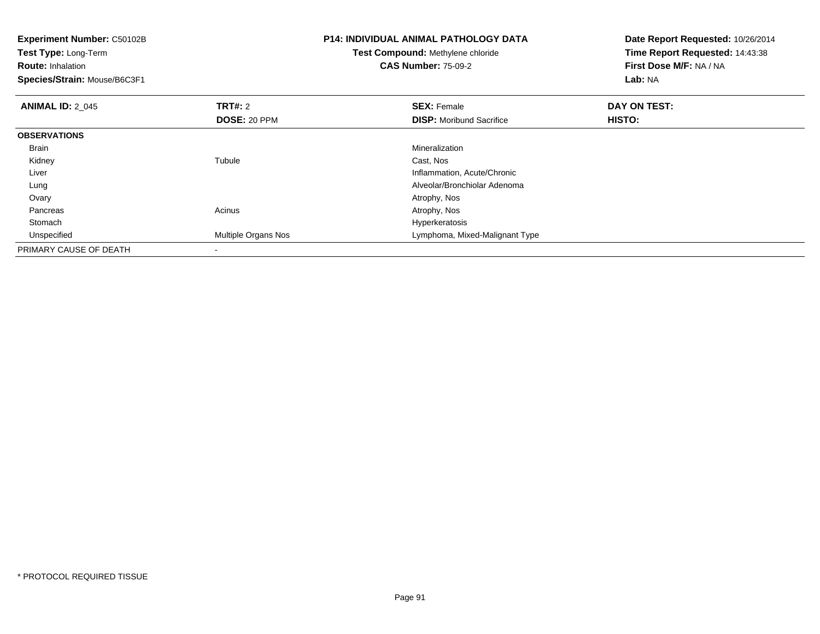| <b>Experiment Number: C50102B</b><br>Test Type: Long-Term<br><b>Route: Inhalation</b><br>Species/Strain: Mouse/B6C3F1 |                     | <b>P14: INDIVIDUAL ANIMAL PATHOLOGY DATA</b><br><b>Test Compound: Methylene chloride</b><br><b>CAS Number: 75-09-2</b> | Date Report Requested: 10/26/2014<br>Time Report Requested: 14:43:38<br>First Dose M/F: NA / NA<br><b>Lab: NA</b> |
|-----------------------------------------------------------------------------------------------------------------------|---------------------|------------------------------------------------------------------------------------------------------------------------|-------------------------------------------------------------------------------------------------------------------|
| <b>ANIMAL ID: 2 045</b>                                                                                               | <b>TRT#: 2</b>      | <b>SEX: Female</b>                                                                                                     | DAY ON TEST:                                                                                                      |
|                                                                                                                       | DOSE: 20 PPM        | <b>DISP:</b> Moribund Sacrifice                                                                                        | HISTO:                                                                                                            |
| <b>OBSERVATIONS</b>                                                                                                   |                     |                                                                                                                        |                                                                                                                   |
| Brain                                                                                                                 |                     | Mineralization                                                                                                         |                                                                                                                   |
| Kidney                                                                                                                | Tubule              | Cast, Nos                                                                                                              |                                                                                                                   |
| Liver                                                                                                                 |                     | Inflammation, Acute/Chronic                                                                                            |                                                                                                                   |
| Lung                                                                                                                  |                     | Alveolar/Bronchiolar Adenoma                                                                                           |                                                                                                                   |
| Ovary                                                                                                                 |                     | Atrophy, Nos                                                                                                           |                                                                                                                   |
| Pancreas                                                                                                              | Acinus              | Atrophy, Nos                                                                                                           |                                                                                                                   |
| Stomach                                                                                                               |                     | Hyperkeratosis                                                                                                         |                                                                                                                   |
| Unspecified                                                                                                           | Multiple Organs Nos | Lymphoma, Mixed-Malignant Type                                                                                         |                                                                                                                   |
| PRIMARY CAUSE OF DEATH                                                                                                |                     |                                                                                                                        |                                                                                                                   |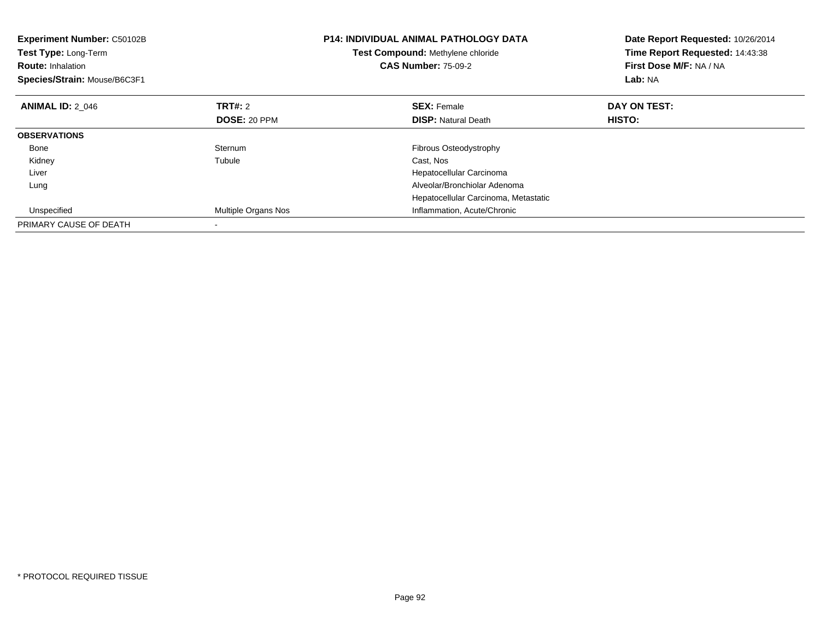| Experiment Number: C50102B<br>Test Type: Long-Term<br><b>Route: Inhalation</b><br>Species/Strain: Mouse/B6C3F1 |                     | <b>P14: INDIVIDUAL ANIMAL PATHOLOGY DATA</b><br>Test Compound: Methylene chloride<br><b>CAS Number: 75-09-2</b> | Date Report Requested: 10/26/2014<br>Time Report Requested: 14:43:38<br>First Dose M/F: NA / NA<br>Lab: NA |
|----------------------------------------------------------------------------------------------------------------|---------------------|-----------------------------------------------------------------------------------------------------------------|------------------------------------------------------------------------------------------------------------|
| <b>ANIMAL ID: 2 046</b>                                                                                        | TRT#: 2             | <b>SEX: Female</b>                                                                                              | DAY ON TEST:                                                                                               |
|                                                                                                                | <b>DOSE: 20 PPM</b> | <b>DISP:</b> Natural Death                                                                                      | HISTO:                                                                                                     |
| <b>OBSERVATIONS</b>                                                                                            |                     |                                                                                                                 |                                                                                                            |
| Bone                                                                                                           | Sternum             | <b>Fibrous Osteodystrophy</b>                                                                                   |                                                                                                            |
| Kidney                                                                                                         | Tubule              | Cast, Nos                                                                                                       |                                                                                                            |
| Liver                                                                                                          |                     | Hepatocellular Carcinoma                                                                                        |                                                                                                            |
| Lung                                                                                                           |                     | Alveolar/Bronchiolar Adenoma                                                                                    |                                                                                                            |
|                                                                                                                |                     | Hepatocellular Carcinoma, Metastatic                                                                            |                                                                                                            |
| Unspecified                                                                                                    | Multiple Organs Nos | Inflammation, Acute/Chronic                                                                                     |                                                                                                            |
| PRIMARY CAUSE OF DEATH                                                                                         |                     |                                                                                                                 |                                                                                                            |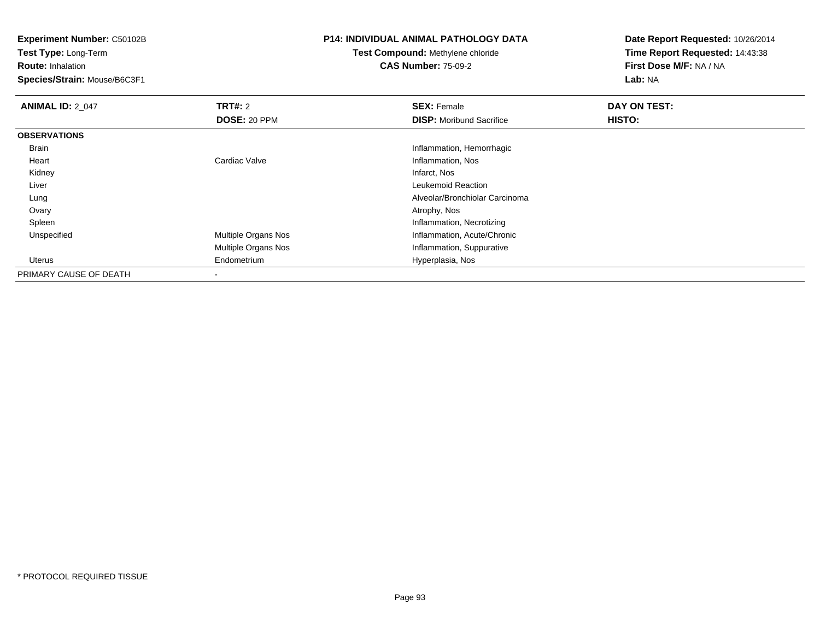**Experiment Number:** C50102B

**Test Type:** Long-Term**Route:** Inhalation

**Species/Strain:** Mouse/B6C3F1

## **P14: INDIVIDUAL ANIMAL PATHOLOGY DATA**

## **Test Compound:** Methylene chloride**CAS Number:** 75-09-2

**Date Report Requested:** 10/26/2014**Time Report Requested:** 14:43:38**First Dose M/F:** NA / NA**Lab:** NA

| <b>ANIMAL ID: 2 047</b> | TRT#: 2             | <b>SEX: Female</b>              | DAY ON TEST: |  |
|-------------------------|---------------------|---------------------------------|--------------|--|
|                         | DOSE: 20 PPM        | <b>DISP:</b> Moribund Sacrifice | HISTO:       |  |
| <b>OBSERVATIONS</b>     |                     |                                 |              |  |
| Brain                   |                     | Inflammation, Hemorrhagic       |              |  |
| Heart                   | Cardiac Valve       | Inflammation, Nos               |              |  |
| Kidney                  |                     | Infarct, Nos                    |              |  |
| Liver                   |                     | Leukemoid Reaction              |              |  |
| Lung                    |                     | Alveolar/Bronchiolar Carcinoma  |              |  |
| Ovary                   |                     | Atrophy, Nos                    |              |  |
| Spleen                  |                     | Inflammation, Necrotizing       |              |  |
| Unspecified             | Multiple Organs Nos | Inflammation, Acute/Chronic     |              |  |
|                         | Multiple Organs Nos | Inflammation, Suppurative       |              |  |
| Uterus                  | Endometrium         | Hyperplasia, Nos                |              |  |
| PRIMARY CAUSE OF DEATH  | $\blacksquare$      |                                 |              |  |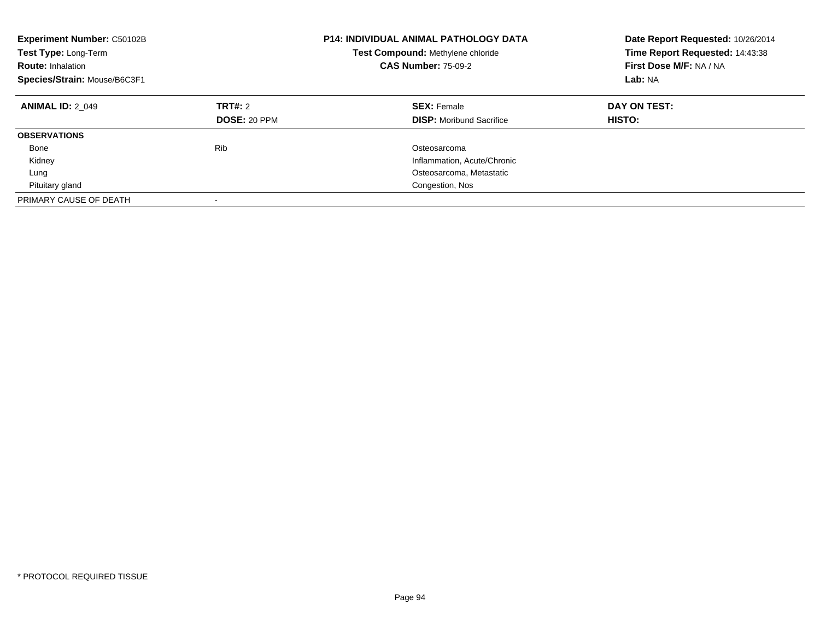| <b>Experiment Number: C50102B</b><br>Test Type: Long-Term<br><b>Route: Inhalation</b><br>Species/Strain: Mouse/B6C3F1 |                                       | <b>P14: INDIVIDUAL ANIMAL PATHOLOGY DATA</b><br>Test Compound: Methylene chloride<br><b>CAS Number: 75-09-2</b> | Date Report Requested: 10/26/2014<br>Time Report Requested: 14:43:38<br>First Dose M/F: NA / NA<br>Lab: NA |
|-----------------------------------------------------------------------------------------------------------------------|---------------------------------------|-----------------------------------------------------------------------------------------------------------------|------------------------------------------------------------------------------------------------------------|
| <b>ANIMAL ID: 2 049</b>                                                                                               | <b>TRT#: 2</b><br><b>DOSE: 20 PPM</b> | <b>SEX: Female</b><br><b>DISP:</b> Moribund Sacrifice                                                           | DAY ON TEST:<br>HISTO:                                                                                     |
| <b>OBSERVATIONS</b>                                                                                                   |                                       |                                                                                                                 |                                                                                                            |
| Bone                                                                                                                  | Rib                                   | Osteosarcoma                                                                                                    |                                                                                                            |
| Kidney                                                                                                                |                                       | Inflammation, Acute/Chronic                                                                                     |                                                                                                            |
| Lung                                                                                                                  |                                       | Osteosarcoma, Metastatic                                                                                        |                                                                                                            |
| Pituitary gland                                                                                                       |                                       | Congestion, Nos                                                                                                 |                                                                                                            |
| PRIMARY CAUSE OF DEATH                                                                                                | -                                     |                                                                                                                 |                                                                                                            |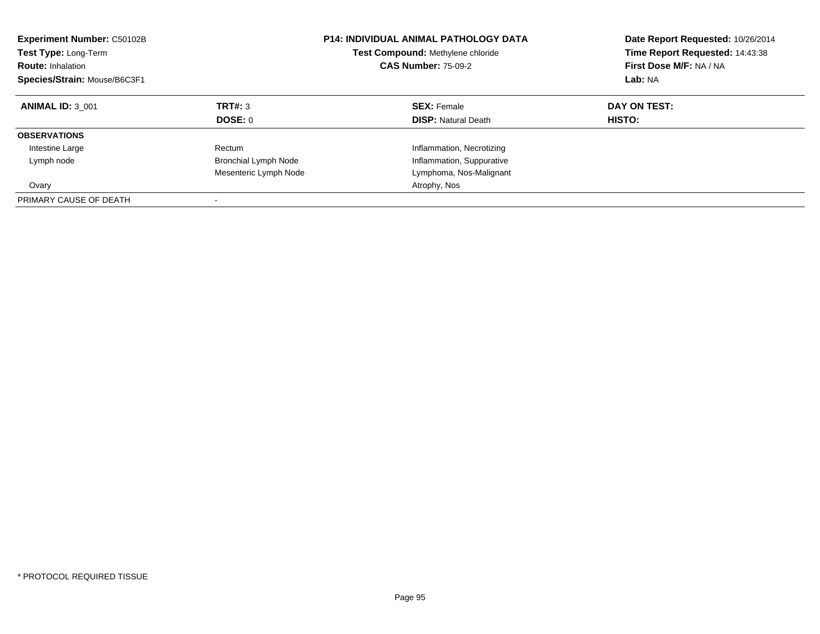| <b>Experiment Number: C50102B</b><br><b>Test Type: Long-Term</b><br><b>CAS Number: 75-09-2</b><br><b>Route: Inhalation</b><br>Species/Strain: Mouse/B6C3F1 |                       | <b>P14: INDIVIDUAL ANIMAL PATHOLOGY DATA</b><br>Test Compound: Methylene chloride | Date Report Requested: 10/26/2014<br>Time Report Requested: 14:43:38<br>First Dose M/F: NA / NA<br>Lab: NA |
|------------------------------------------------------------------------------------------------------------------------------------------------------------|-----------------------|-----------------------------------------------------------------------------------|------------------------------------------------------------------------------------------------------------|
| <b>ANIMAL ID: 3 001</b>                                                                                                                                    | TRT#: 3<br>DOSE: 0    | <b>SEX: Female</b><br><b>DISP:</b> Natural Death                                  | DAY ON TEST:<br>HISTO:                                                                                     |
| <b>OBSERVATIONS</b>                                                                                                                                        |                       |                                                                                   |                                                                                                            |
| Intestine Large                                                                                                                                            | Rectum                | Inflammation, Necrotizing                                                         |                                                                                                            |
| Lymph node                                                                                                                                                 | Bronchial Lymph Node  | Inflammation, Suppurative                                                         |                                                                                                            |
|                                                                                                                                                            | Mesenteric Lymph Node | Lymphoma, Nos-Malignant                                                           |                                                                                                            |
| Ovary                                                                                                                                                      |                       | Atrophy, Nos                                                                      |                                                                                                            |
| PRIMARY CAUSE OF DEATH                                                                                                                                     |                       |                                                                                   |                                                                                                            |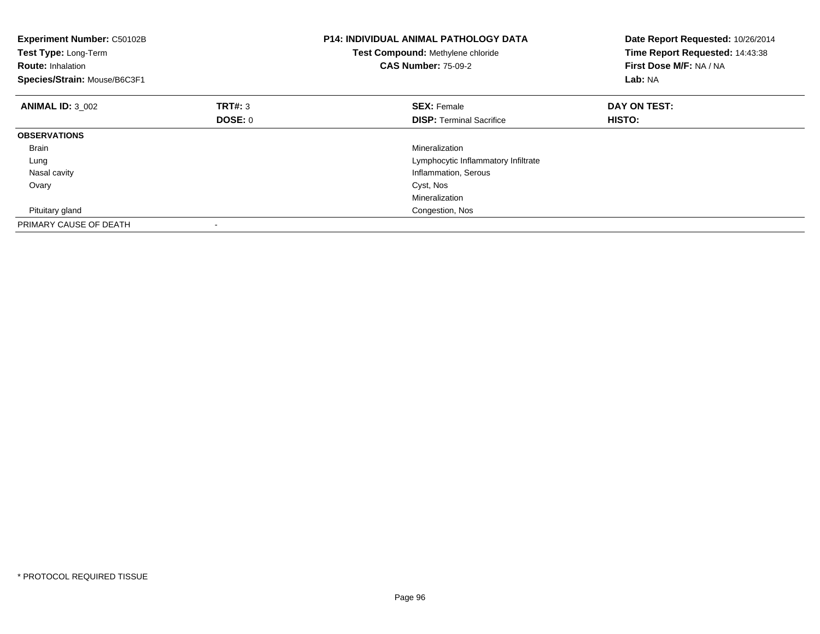| <b>P14: INDIVIDUAL ANIMAL PATHOLOGY DATA</b><br><b>Experiment Number: C50102B</b><br>Test Type: Long-Term<br>Test Compound: Methylene chloride<br><b>CAS Number: 75-09-2</b><br><b>Route: Inhalation</b><br>Species/Strain: Mouse/B6C3F1 |                |                                     | Date Report Requested: 10/26/2014<br>Time Report Requested: 14:43:38<br>First Dose M/F: NA / NA<br>Lab: NA |
|------------------------------------------------------------------------------------------------------------------------------------------------------------------------------------------------------------------------------------------|----------------|-------------------------------------|------------------------------------------------------------------------------------------------------------|
| <b>ANIMAL ID: 3 002</b>                                                                                                                                                                                                                  | TRT#: 3        | <b>SEX: Female</b>                  | DAY ON TEST:                                                                                               |
|                                                                                                                                                                                                                                          | <b>DOSE: 0</b> | <b>DISP:</b> Terminal Sacrifice     | HISTO:                                                                                                     |
| <b>OBSERVATIONS</b>                                                                                                                                                                                                                      |                |                                     |                                                                                                            |
| <b>Brain</b>                                                                                                                                                                                                                             |                | Mineralization                      |                                                                                                            |
| Lung                                                                                                                                                                                                                                     |                | Lymphocytic Inflammatory Infiltrate |                                                                                                            |
| Nasal cavity                                                                                                                                                                                                                             |                | Inflammation, Serous                |                                                                                                            |
| Ovary                                                                                                                                                                                                                                    |                | Cyst, Nos                           |                                                                                                            |
|                                                                                                                                                                                                                                          |                | Mineralization                      |                                                                                                            |
| Pituitary gland                                                                                                                                                                                                                          |                | Congestion, Nos                     |                                                                                                            |
| PRIMARY CAUSE OF DEATH                                                                                                                                                                                                                   |                |                                     |                                                                                                            |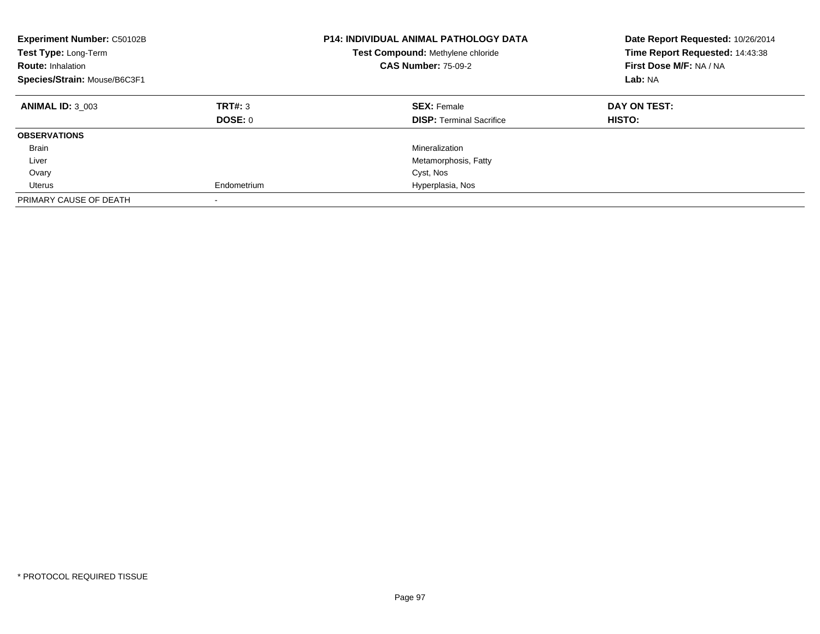| <b>Experiment Number: C50102B</b><br>Test Type: Long-Term<br><b>Route: Inhalation</b><br>Species/Strain: Mouse/B6C3F1 |                    | <b>P14: INDIVIDUAL ANIMAL PATHOLOGY DATA</b><br>Test Compound: Methylene chloride<br><b>CAS Number: 75-09-2</b> | Date Report Requested: 10/26/2014<br>Time Report Requested: 14:43:38<br>First Dose M/F: NA / NA<br>Lab: NA |
|-----------------------------------------------------------------------------------------------------------------------|--------------------|-----------------------------------------------------------------------------------------------------------------|------------------------------------------------------------------------------------------------------------|
| <b>ANIMAL ID: 3 003</b>                                                                                               | TRT#: 3<br>DOSE: 0 | <b>SEX: Female</b><br><b>DISP:</b> Terminal Sacrifice                                                           | DAY ON TEST:<br><b>HISTO:</b>                                                                              |
| <b>OBSERVATIONS</b>                                                                                                   |                    |                                                                                                                 |                                                                                                            |
| Brain                                                                                                                 |                    | Mineralization                                                                                                  |                                                                                                            |
| Liver                                                                                                                 |                    | Metamorphosis, Fatty                                                                                            |                                                                                                            |
| Ovary                                                                                                                 |                    | Cyst, Nos                                                                                                       |                                                                                                            |
| Uterus                                                                                                                | Endometrium        | Hyperplasia, Nos                                                                                                |                                                                                                            |
| PRIMARY CAUSE OF DEATH                                                                                                |                    |                                                                                                                 |                                                                                                            |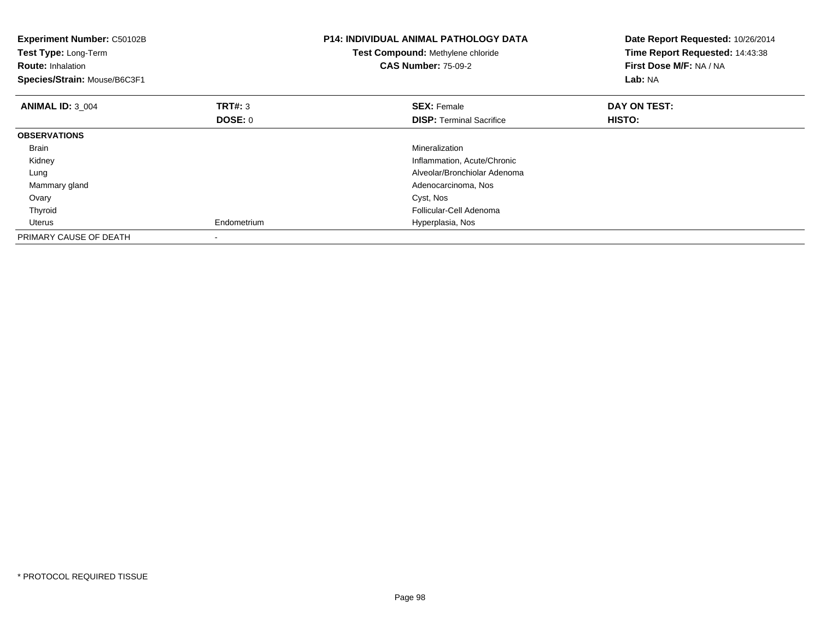| <b>Experiment Number: C50102B</b><br>Test Type: Long-Term<br><b>Route: Inhalation</b><br>Species/Strain: Mouse/B6C3F1 |                | <b>P14: INDIVIDUAL ANIMAL PATHOLOGY DATA</b><br>Test Compound: Methylene chloride<br><b>CAS Number: 75-09-2</b> | Date Report Requested: 10/26/2014<br>Time Report Requested: 14:43:38<br>First Dose M/F: NA / NA<br>Lab: NA |
|-----------------------------------------------------------------------------------------------------------------------|----------------|-----------------------------------------------------------------------------------------------------------------|------------------------------------------------------------------------------------------------------------|
| <b>ANIMAL ID: 3 004</b>                                                                                               | <b>TRT#: 3</b> | <b>SEX: Female</b>                                                                                              | DAY ON TEST:                                                                                               |
|                                                                                                                       | DOSE: 0        | <b>DISP:</b> Terminal Sacrifice                                                                                 | HISTO:                                                                                                     |
| <b>OBSERVATIONS</b>                                                                                                   |                |                                                                                                                 |                                                                                                            |
| <b>Brain</b>                                                                                                          |                | Mineralization                                                                                                  |                                                                                                            |
| Kidney                                                                                                                |                | Inflammation, Acute/Chronic                                                                                     |                                                                                                            |
| Lung                                                                                                                  |                | Alveolar/Bronchiolar Adenoma                                                                                    |                                                                                                            |
| Mammary gland                                                                                                         |                | Adenocarcinoma, Nos                                                                                             |                                                                                                            |
| Ovary                                                                                                                 |                | Cyst, Nos                                                                                                       |                                                                                                            |
| Thyroid                                                                                                               |                | Follicular-Cell Adenoma                                                                                         |                                                                                                            |
| <b>Uterus</b>                                                                                                         | Endometrium    | Hyperplasia, Nos                                                                                                |                                                                                                            |
| PRIMARY CAUSE OF DEATH                                                                                                |                |                                                                                                                 |                                                                                                            |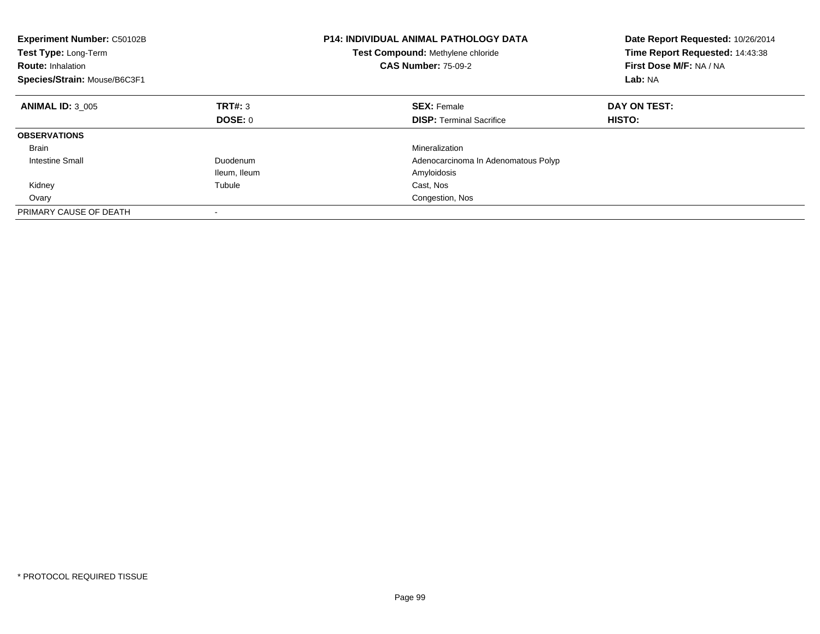| <b>Experiment Number: C50102B</b><br>Test Type: Long-Term<br><b>Route: Inhalation</b><br>Species/Strain: Mouse/B6C3F1 |              | <b>P14: INDIVIDUAL ANIMAL PATHOLOGY DATA</b><br>Test Compound: Methylene chloride<br><b>CAS Number: 75-09-2</b> | Date Report Requested: 10/26/2014<br>Time Report Requested: 14:43:38<br>First Dose M/F: NA / NA<br>Lab: NA |
|-----------------------------------------------------------------------------------------------------------------------|--------------|-----------------------------------------------------------------------------------------------------------------|------------------------------------------------------------------------------------------------------------|
| <b>ANIMAL ID: 3 005</b>                                                                                               | TRT#: 3      | <b>SEX: Female</b>                                                                                              | DAY ON TEST:                                                                                               |
|                                                                                                                       | DOSE: 0      | <b>DISP:</b> Terminal Sacrifice                                                                                 | HISTO:                                                                                                     |
| <b>OBSERVATIONS</b>                                                                                                   |              |                                                                                                                 |                                                                                                            |
| <b>Brain</b>                                                                                                          |              | Mineralization                                                                                                  |                                                                                                            |
| <b>Intestine Small</b>                                                                                                | Duodenum     | Adenocarcinoma In Adenomatous Polyp                                                                             |                                                                                                            |
|                                                                                                                       | Ileum, Ileum | Amyloidosis                                                                                                     |                                                                                                            |
| Kidney                                                                                                                | Tubule       | Cast, Nos                                                                                                       |                                                                                                            |
| Ovary                                                                                                                 |              | Congestion, Nos                                                                                                 |                                                                                                            |
| PRIMARY CAUSE OF DEATH                                                                                                |              |                                                                                                                 |                                                                                                            |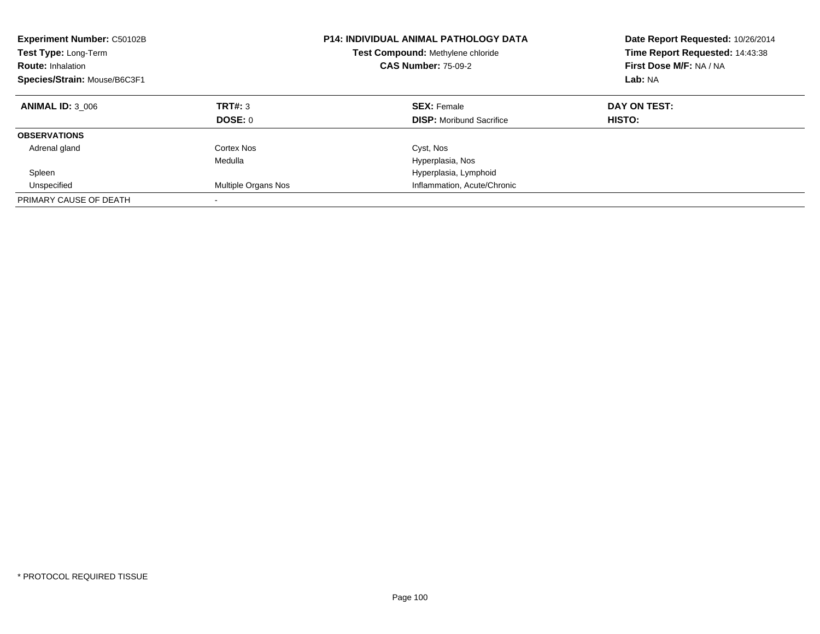| <b>Experiment Number: C50102B</b><br><b>Test Type: Long-Term</b><br><b>Route: Inhalation</b><br>Species/Strain: Mouse/B6C3F1 |                     | <b>P14: INDIVIDUAL ANIMAL PATHOLOGY DATA</b><br>Test Compound: Methylene chloride<br><b>CAS Number: 75-09-2</b> | Date Report Requested: 10/26/2014<br>Time Report Requested: 14:43:38<br>First Dose M/F: NA / NA<br>Lab: NA |
|------------------------------------------------------------------------------------------------------------------------------|---------------------|-----------------------------------------------------------------------------------------------------------------|------------------------------------------------------------------------------------------------------------|
| <b>ANIMAL ID: 3 006</b>                                                                                                      | TRT#: 3<br>DOSE: 0  | <b>SEX: Female</b><br><b>DISP:</b> Moribund Sacrifice                                                           | DAY ON TEST:<br>HISTO:                                                                                     |
|                                                                                                                              |                     |                                                                                                                 |                                                                                                            |
| <b>OBSERVATIONS</b>                                                                                                          |                     |                                                                                                                 |                                                                                                            |
| Adrenal gland                                                                                                                | Cortex Nos          | Cyst, Nos                                                                                                       |                                                                                                            |
|                                                                                                                              | Medulla             | Hyperplasia, Nos                                                                                                |                                                                                                            |
| Spleen                                                                                                                       |                     | Hyperplasia, Lymphoid                                                                                           |                                                                                                            |
| Unspecified                                                                                                                  | Multiple Organs Nos | Inflammation, Acute/Chronic                                                                                     |                                                                                                            |
| PRIMARY CAUSE OF DEATH                                                                                                       |                     |                                                                                                                 |                                                                                                            |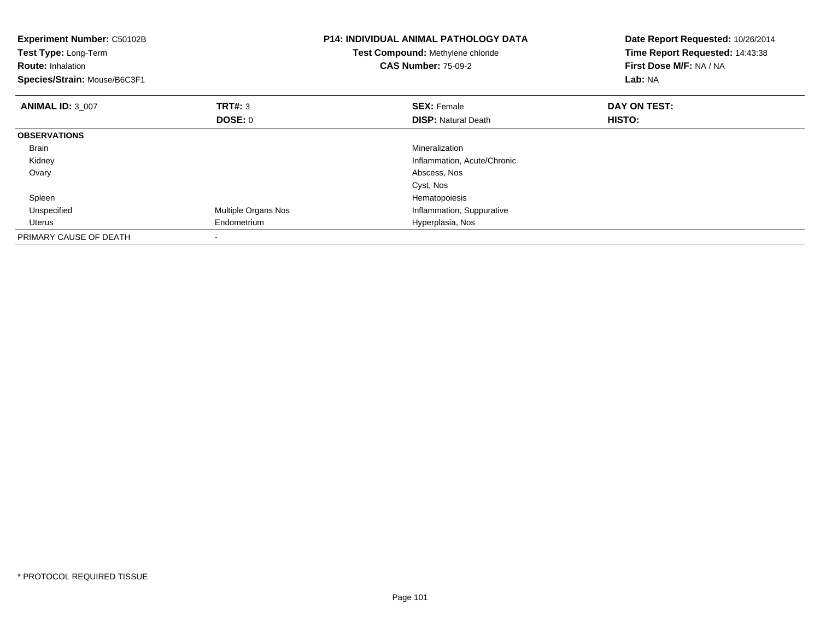| Experiment Number: C50102B<br>Test Type: Long-Term<br><b>Route: Inhalation</b><br>Species/Strain: Mouse/B6C3F1 |                     | <b>P14: INDIVIDUAL ANIMAL PATHOLOGY DATA</b><br>Test Compound: Methylene chloride<br><b>CAS Number: 75-09-2</b> | Date Report Requested: 10/26/2014<br>Time Report Requested: 14:43:38<br>First Dose M/F: NA / NA<br>Lab: NA |
|----------------------------------------------------------------------------------------------------------------|---------------------|-----------------------------------------------------------------------------------------------------------------|------------------------------------------------------------------------------------------------------------|
| <b>ANIMAL ID: 3 007</b>                                                                                        | TRT#: 3             | <b>SEX: Female</b>                                                                                              | DAY ON TEST:                                                                                               |
|                                                                                                                | DOSE: 0             | <b>DISP: Natural Death</b>                                                                                      | <b>HISTO:</b>                                                                                              |
| <b>OBSERVATIONS</b>                                                                                            |                     |                                                                                                                 |                                                                                                            |
| Brain                                                                                                          |                     | Mineralization                                                                                                  |                                                                                                            |
| Kidney                                                                                                         |                     | Inflammation, Acute/Chronic                                                                                     |                                                                                                            |
| Ovary                                                                                                          |                     | Abscess, Nos                                                                                                    |                                                                                                            |
|                                                                                                                |                     | Cyst, Nos                                                                                                       |                                                                                                            |
| Spleen                                                                                                         |                     | Hematopoiesis                                                                                                   |                                                                                                            |
| Unspecified                                                                                                    | Multiple Organs Nos | Inflammation, Suppurative                                                                                       |                                                                                                            |
| Uterus                                                                                                         | Endometrium         | Hyperplasia, Nos                                                                                                |                                                                                                            |
| PRIMARY CAUSE OF DEATH                                                                                         |                     |                                                                                                                 |                                                                                                            |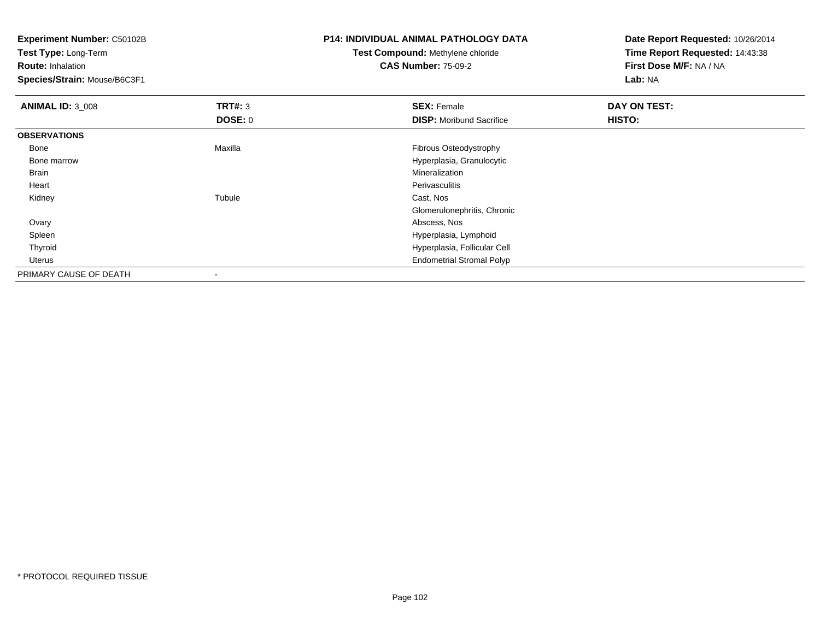| <b>Experiment Number: C50102B</b> |                | P14: INDIVIDUAL ANIMAL PATHOLOGY DATA    | Date Report Requested: 10/26/2014 |
|-----------------------------------|----------------|------------------------------------------|-----------------------------------|
| <b>Test Type: Long-Term</b>       |                | <b>Test Compound: Methylene chloride</b> | Time Report Requested: 14:43:38   |
| <b>Route: Inhalation</b>          |                | <b>CAS Number: 75-09-2</b>               | First Dose M/F: NA / NA           |
| Species/Strain: Mouse/B6C3F1      |                |                                          | Lab: NA                           |
| <b>ANIMAL ID: 3_008</b>           | TRT#: 3        | <b>SEX: Female</b>                       | DAY ON TEST:                      |
|                                   | <b>DOSE: 0</b> | <b>DISP:</b> Moribund Sacrifice          | <b>HISTO:</b>                     |
| <b>OBSERVATIONS</b>               |                |                                          |                                   |
| Bone                              | Maxilla        | Fibrous Osteodystrophy                   |                                   |
| Bone marrow                       |                | Hyperplasia, Granulocytic                |                                   |
| Brain                             |                | Mineralization                           |                                   |
| Heart                             |                | Perivasculitis                           |                                   |
| Kidney                            | Tubule         | Cast, Nos                                |                                   |
|                                   |                | Glomerulonephritis, Chronic              |                                   |
| Ovary                             |                | Abscess, Nos                             |                                   |
| Spleen                            |                | Hyperplasia, Lymphoid                    |                                   |
| Thyroid                           |                | Hyperplasia, Follicular Cell             |                                   |
| Uterus                            |                | <b>Endometrial Stromal Polyp</b>         |                                   |
| PRIMARY CAUSE OF DEATH            |                |                                          |                                   |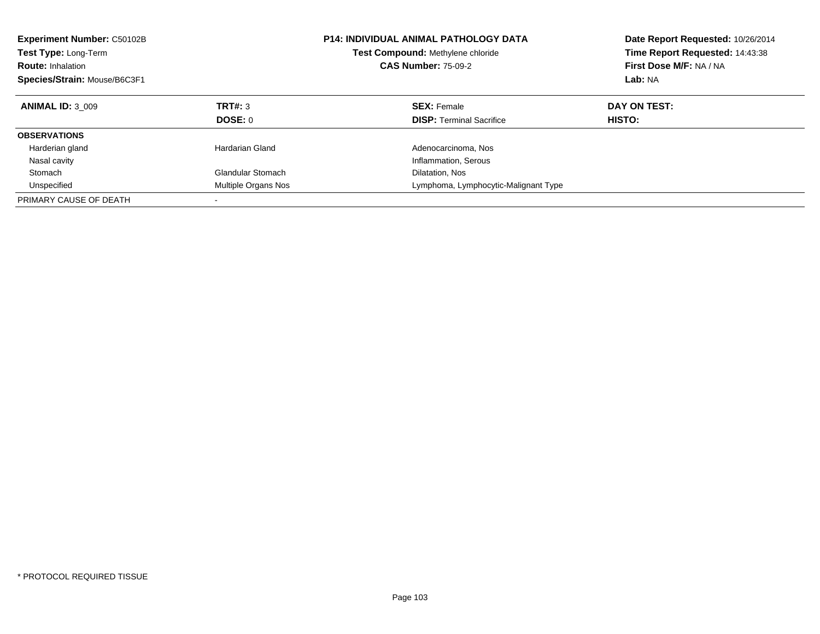| <b>Experiment Number: C50102B</b><br>Test Type: Long-Term<br><b>Route: Inhalation</b><br>Species/Strain: Mouse/B6C3F1 |                     | <b>P14: INDIVIDUAL ANIMAL PATHOLOGY DATA</b><br>Test Compound: Methylene chloride<br><b>CAS Number: 75-09-2</b> | Date Report Requested: 10/26/2014<br>Time Report Requested: 14:43:38<br>First Dose M/F: NA / NA<br>Lab: NA |
|-----------------------------------------------------------------------------------------------------------------------|---------------------|-----------------------------------------------------------------------------------------------------------------|------------------------------------------------------------------------------------------------------------|
| <b>ANIMAL ID: 3 009</b>                                                                                               | <b>TRT#: 3</b>      | <b>SEX: Female</b>                                                                                              | DAY ON TEST:                                                                                               |
|                                                                                                                       | DOSE: 0             | <b>DISP:</b> Terminal Sacrifice                                                                                 | HISTO:                                                                                                     |
| <b>OBSERVATIONS</b>                                                                                                   |                     |                                                                                                                 |                                                                                                            |
| Harderian gland                                                                                                       | Hardarian Gland     | Adenocarcinoma, Nos                                                                                             |                                                                                                            |
| Nasal cavity                                                                                                          |                     | Inflammation, Serous                                                                                            |                                                                                                            |
| Stomach                                                                                                               | Glandular Stomach   | Dilatation, Nos                                                                                                 |                                                                                                            |
| Unspecified                                                                                                           | Multiple Organs Nos | Lymphoma, Lymphocytic-Malignant Type                                                                            |                                                                                                            |
| PRIMARY CAUSE OF DEATH                                                                                                |                     |                                                                                                                 |                                                                                                            |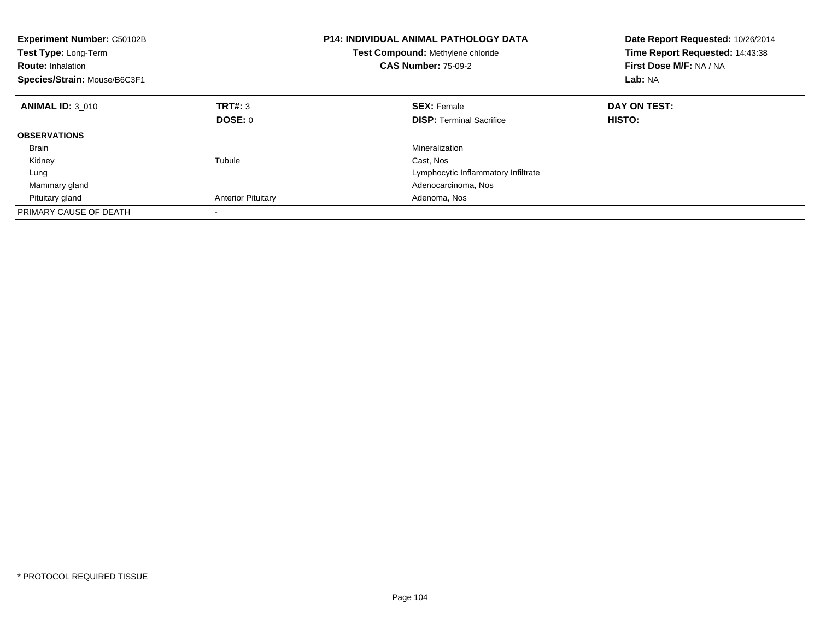| <b>Experiment Number: C50102B</b><br><b>Test Type: Long-Term</b><br><b>Route: Inhalation</b><br>Species/Strain: Mouse/B6C3F1 |                           | <b>P14: INDIVIDUAL ANIMAL PATHOLOGY DATA</b><br><b>Test Compound: Methylene chloride</b><br><b>CAS Number: 75-09-2</b> | Date Report Requested: 10/26/2014<br>Time Report Requested: 14:43:38<br>First Dose M/F: NA / NA<br>Lab: NA |
|------------------------------------------------------------------------------------------------------------------------------|---------------------------|------------------------------------------------------------------------------------------------------------------------|------------------------------------------------------------------------------------------------------------|
| <b>ANIMAL ID: 3 010</b>                                                                                                      | TRT#: 3                   | <b>SEX: Female</b>                                                                                                     | DAY ON TEST:                                                                                               |
|                                                                                                                              | DOSE: 0                   | <b>DISP:</b> Terminal Sacrifice                                                                                        | <b>HISTO:</b>                                                                                              |
| <b>OBSERVATIONS</b>                                                                                                          |                           |                                                                                                                        |                                                                                                            |
| <b>Brain</b>                                                                                                                 |                           | Mineralization                                                                                                         |                                                                                                            |
| Kidney                                                                                                                       | Tubule                    | Cast, Nos                                                                                                              |                                                                                                            |
| Lung                                                                                                                         |                           | Lymphocytic Inflammatory Infiltrate                                                                                    |                                                                                                            |
| Mammary gland                                                                                                                |                           | Adenocarcinoma, Nos                                                                                                    |                                                                                                            |
| Pituitary gland                                                                                                              | <b>Anterior Pituitary</b> | Adenoma, Nos                                                                                                           |                                                                                                            |
| PRIMARY CAUSE OF DEATH                                                                                                       |                           |                                                                                                                        |                                                                                                            |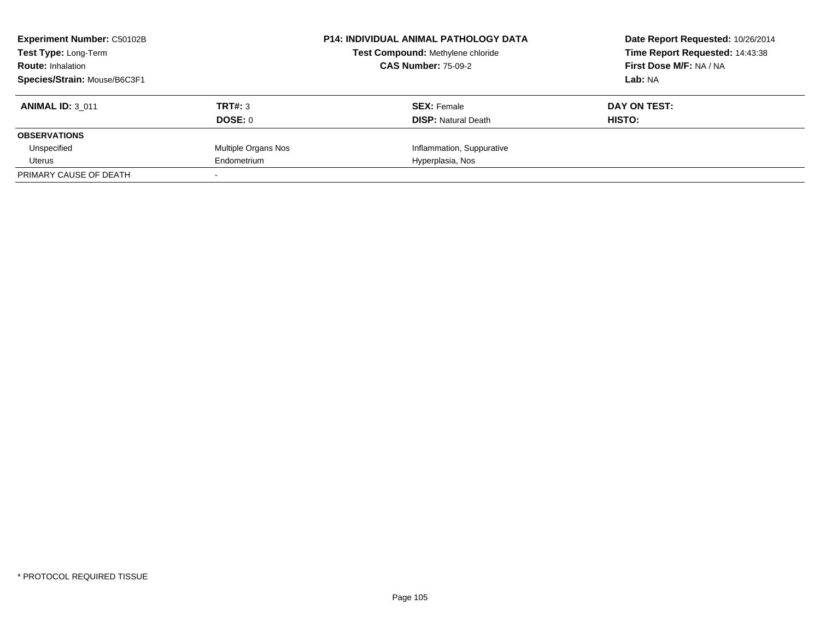| <b>Experiment Number: C50102B</b> |                     | <b>P14: INDIVIDUAL ANIMAL PATHOLOGY DATA</b> | Date Report Requested: 10/26/2014 |
|-----------------------------------|---------------------|----------------------------------------------|-----------------------------------|
| Test Type: Long-Term              |                     | Test Compound: Methylene chloride            | Time Report Requested: 14:43:38   |
| <b>Route: Inhalation</b>          |                     | <b>CAS Number: 75-09-2</b>                   | First Dose M/F: NA / NA           |
| Species/Strain: Mouse/B6C3F1      |                     |                                              | Lab: NA                           |
| <b>ANIMAL ID: 3 011</b>           | TRT#: 3             | <b>SEX: Female</b>                           | DAY ON TEST:                      |
|                                   | DOSE: 0             | <b>DISP:</b> Natural Death                   | <b>HISTO:</b>                     |
| <b>OBSERVATIONS</b>               |                     |                                              |                                   |
| Unspecified                       | Multiple Organs Nos | Inflammation, Suppurative                    |                                   |
| Uterus                            | Endometrium         | Hyperplasia, Nos                             |                                   |
| PRIMARY CAUSE OF DEATH            |                     |                                              |                                   |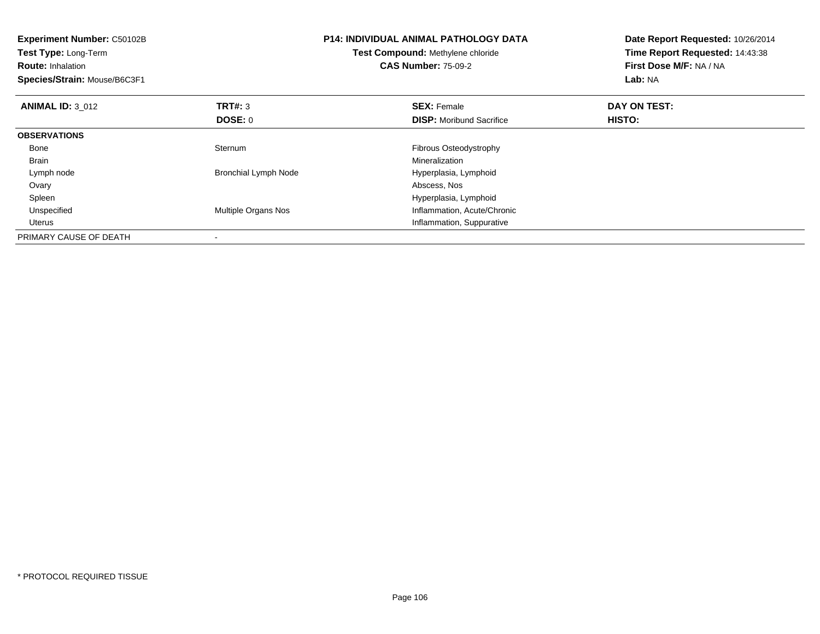| <b>Experiment Number: C50102B</b><br>Test Type: Long-Term<br><b>Route: Inhalation</b><br>Species/Strain: Mouse/B6C3F1 |                             | <b>P14: INDIVIDUAL ANIMAL PATHOLOGY DATA</b><br>Test Compound: Methylene chloride<br><b>CAS Number: 75-09-2</b> | Date Report Requested: 10/26/2014<br>Time Report Requested: 14:43:38<br>First Dose M/F: NA / NA<br>Lab: NA |
|-----------------------------------------------------------------------------------------------------------------------|-----------------------------|-----------------------------------------------------------------------------------------------------------------|------------------------------------------------------------------------------------------------------------|
| <b>ANIMAL ID: 3 012</b>                                                                                               | TRT#: 3                     | <b>SEX: Female</b>                                                                                              | DAY ON TEST:                                                                                               |
|                                                                                                                       | DOSE: 0                     | <b>DISP:</b> Moribund Sacrifice                                                                                 | HISTO:                                                                                                     |
| <b>OBSERVATIONS</b>                                                                                                   |                             |                                                                                                                 |                                                                                                            |
| Bone                                                                                                                  | Sternum                     | Fibrous Osteodystrophy                                                                                          |                                                                                                            |
| <b>Brain</b>                                                                                                          |                             | Mineralization                                                                                                  |                                                                                                            |
| Lymph node                                                                                                            | <b>Bronchial Lymph Node</b> | Hyperplasia, Lymphoid                                                                                           |                                                                                                            |
| Ovary                                                                                                                 |                             | Abscess, Nos                                                                                                    |                                                                                                            |
| Spleen                                                                                                                |                             | Hyperplasia, Lymphoid                                                                                           |                                                                                                            |
| Unspecified                                                                                                           | Multiple Organs Nos         | Inflammation, Acute/Chronic                                                                                     |                                                                                                            |
| Uterus                                                                                                                |                             | Inflammation, Suppurative                                                                                       |                                                                                                            |
| PRIMARY CAUSE OF DEATH                                                                                                |                             |                                                                                                                 |                                                                                                            |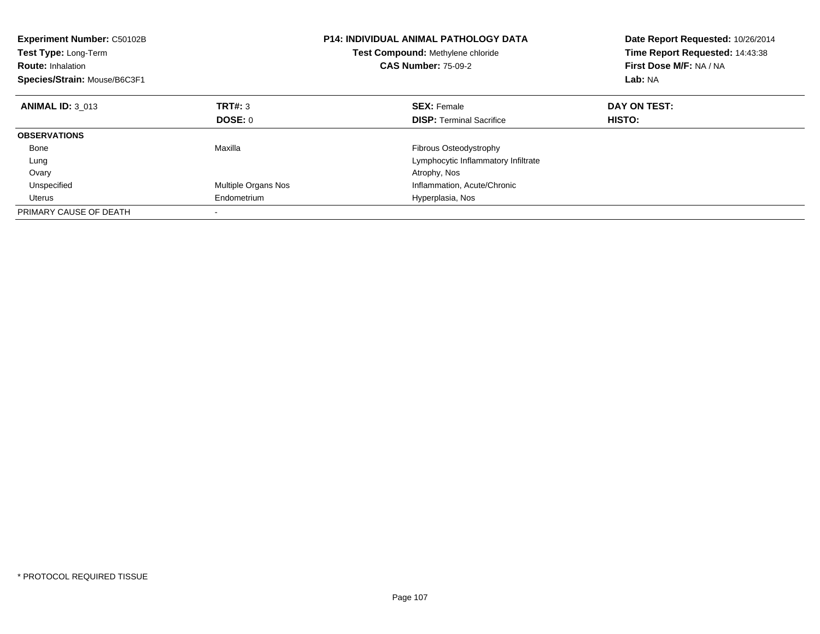| <b>Experiment Number: C50102B</b><br>Test Type: Long-Term<br><b>Route: Inhalation</b><br>Species/Strain: Mouse/B6C3F1 |                            | <b>P14: INDIVIDUAL ANIMAL PATHOLOGY DATA</b><br>Test Compound: Methylene chloride<br><b>CAS Number: 75-09-2</b> | Date Report Requested: 10/26/2014<br>Time Report Requested: 14:43:38<br>First Dose M/F: NA / NA<br>Lab: NA |
|-----------------------------------------------------------------------------------------------------------------------|----------------------------|-----------------------------------------------------------------------------------------------------------------|------------------------------------------------------------------------------------------------------------|
| <b>ANIMAL ID: 3 013</b>                                                                                               | TRT#: 3                    | <b>SEX: Female</b>                                                                                              | DAY ON TEST:                                                                                               |
|                                                                                                                       | DOSE: 0                    | <b>DISP:</b> Terminal Sacrifice                                                                                 | HISTO:                                                                                                     |
| <b>OBSERVATIONS</b>                                                                                                   |                            |                                                                                                                 |                                                                                                            |
| Bone                                                                                                                  | Maxilla                    | Fibrous Osteodystrophy                                                                                          |                                                                                                            |
| Lung                                                                                                                  |                            | Lymphocytic Inflammatory Infiltrate                                                                             |                                                                                                            |
| Ovary                                                                                                                 |                            | Atrophy, Nos                                                                                                    |                                                                                                            |
| Unspecified                                                                                                           | <b>Multiple Organs Nos</b> | Inflammation, Acute/Chronic                                                                                     |                                                                                                            |
| Uterus                                                                                                                | Endometrium                | Hyperplasia, Nos                                                                                                |                                                                                                            |
| PRIMARY CAUSE OF DEATH                                                                                                |                            |                                                                                                                 |                                                                                                            |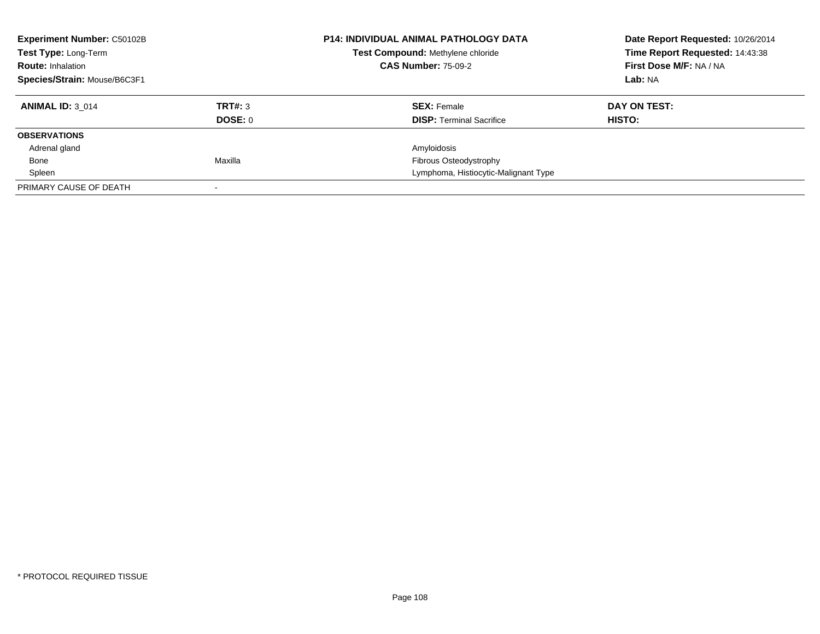| <b>Experiment Number: C50102B</b><br>Test Type: Long-Term<br><b>Route: Inhalation</b> |         | <b>P14: INDIVIDUAL ANIMAL PATHOLOGY DATA</b><br>Test Compound: Methylene chloride<br><b>CAS Number: 75-09-2</b> | Date Report Requested: 10/26/2014<br>Time Report Requested: 14:43:38<br>First Dose M/F: NA / NA |
|---------------------------------------------------------------------------------------|---------|-----------------------------------------------------------------------------------------------------------------|-------------------------------------------------------------------------------------------------|
| Species/Strain: Mouse/B6C3F1                                                          |         |                                                                                                                 | Lab: NA                                                                                         |
| <b>ANIMAL ID: 3 014</b>                                                               | TRT#: 3 | <b>SEX: Female</b>                                                                                              | DAY ON TEST:                                                                                    |
|                                                                                       | DOSE: 0 | <b>DISP:</b> Terminal Sacrifice                                                                                 | HISTO:                                                                                          |
| <b>OBSERVATIONS</b>                                                                   |         |                                                                                                                 |                                                                                                 |
| Adrenal gland                                                                         |         | Amyloidosis                                                                                                     |                                                                                                 |
| Bone                                                                                  | Maxilla | Fibrous Osteodystrophy                                                                                          |                                                                                                 |
| Spleen                                                                                |         | Lymphoma, Histiocytic-Malignant Type                                                                            |                                                                                                 |
| PRIMARY CAUSE OF DEATH                                                                |         |                                                                                                                 |                                                                                                 |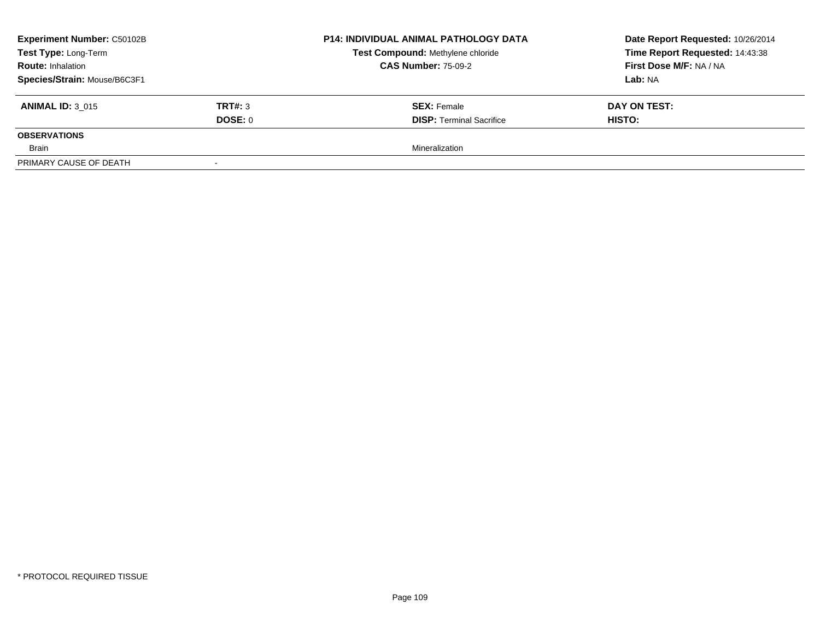| <b>Experiment Number: C50102B</b> | <b>P14: INDIVIDUAL ANIMAL PATHOLOGY DATA</b> | Date Report Requested: 10/26/2014 |                                 |
|-----------------------------------|----------------------------------------------|-----------------------------------|---------------------------------|
| Test Type: Long-Term              |                                              | Test Compound: Methylene chloride | Time Report Requested: 14:43:38 |
| <b>Route: Inhalation</b>          |                                              | <b>CAS Number: 75-09-2</b>        | First Dose M/F: NA / NA         |
| Species/Strain: Mouse/B6C3F1      |                                              |                                   | Lab: NA                         |
| <b>ANIMAL ID: 3 015</b>           | TRT#: 3                                      | <b>SEX:</b> Female                | DAY ON TEST:                    |
|                                   | DOSE: 0                                      | <b>DISP: Terminal Sacrifice</b>   | <b>HISTO:</b>                   |
| <b>OBSERVATIONS</b>               |                                              |                                   |                                 |
| Brain                             |                                              | Mineralization                    |                                 |
| PRIMARY CAUSE OF DEATH            |                                              |                                   |                                 |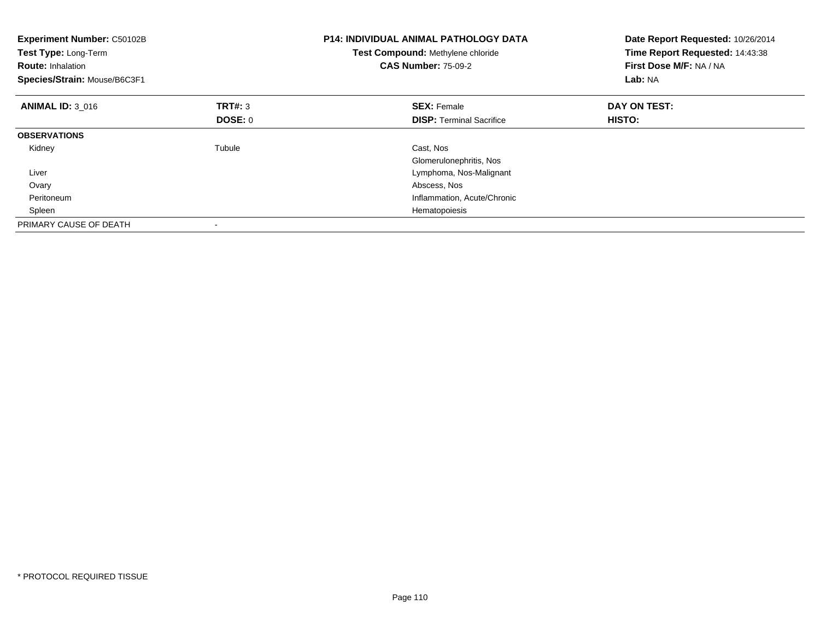| <b>Experiment Number: C50102B</b><br>Test Type: Long-Term<br><b>Route: Inhalation</b><br>Species/Strain: Mouse/B6C3F1 |                | <b>P14: INDIVIDUAL ANIMAL PATHOLOGY DATA</b><br>Test Compound: Methylene chloride<br><b>CAS Number: 75-09-2</b> | Date Report Requested: 10/26/2014<br>Time Report Requested: 14:43:38<br>First Dose M/F: NA / NA<br>Lab: NA |
|-----------------------------------------------------------------------------------------------------------------------|----------------|-----------------------------------------------------------------------------------------------------------------|------------------------------------------------------------------------------------------------------------|
| <b>ANIMAL ID: 3 016</b>                                                                                               | TRT#: 3        | <b>SEX: Female</b>                                                                                              | DAY ON TEST:                                                                                               |
|                                                                                                                       | <b>DOSE: 0</b> | <b>DISP:</b> Terminal Sacrifice                                                                                 | HISTO:                                                                                                     |
| <b>OBSERVATIONS</b>                                                                                                   |                |                                                                                                                 |                                                                                                            |
| Kidney                                                                                                                | Tubule         | Cast, Nos                                                                                                       |                                                                                                            |
|                                                                                                                       |                | Glomerulonephritis, Nos                                                                                         |                                                                                                            |
| Liver                                                                                                                 |                | Lymphoma, Nos-Malignant                                                                                         |                                                                                                            |
| Ovary                                                                                                                 |                | Abscess, Nos                                                                                                    |                                                                                                            |
| Peritoneum                                                                                                            |                | Inflammation, Acute/Chronic                                                                                     |                                                                                                            |
| Spleen                                                                                                                |                | Hematopoiesis                                                                                                   |                                                                                                            |
| PRIMARY CAUSE OF DEATH                                                                                                |                |                                                                                                                 |                                                                                                            |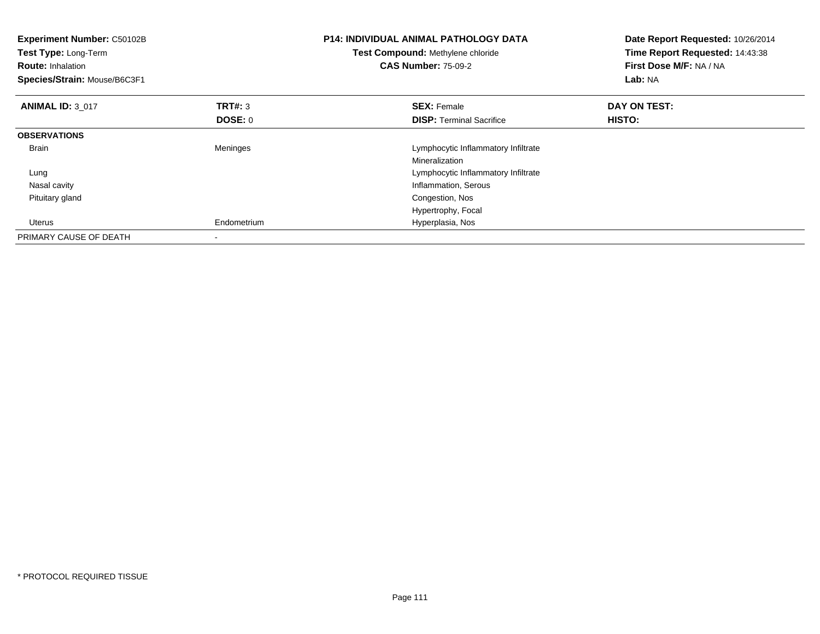| Experiment Number: C50102B<br>Test Type: Long-Term<br><b>Route: Inhalation</b><br>Species/Strain: Mouse/B6C3F1 |                           | <b>P14: INDIVIDUAL ANIMAL PATHOLOGY DATA</b><br>Test Compound: Methylene chloride<br><b>CAS Number: 75-09-2</b> | Date Report Requested: 10/26/2014<br>Time Report Requested: 14:43:38<br>First Dose M/F: NA / NA<br>Lab: NA |
|----------------------------------------------------------------------------------------------------------------|---------------------------|-----------------------------------------------------------------------------------------------------------------|------------------------------------------------------------------------------------------------------------|
| <b>ANIMAL ID: 3 017</b>                                                                                        | <b>TRT#: 3</b><br>DOSE: 0 | <b>SEX: Female</b><br><b>DISP:</b> Terminal Sacrifice                                                           | DAY ON TEST:<br>HISTO:                                                                                     |
| <b>OBSERVATIONS</b>                                                                                            |                           |                                                                                                                 |                                                                                                            |
| <b>Brain</b>                                                                                                   | Meninges                  | Lymphocytic Inflammatory Infiltrate<br>Mineralization                                                           |                                                                                                            |
| Lung                                                                                                           |                           | Lymphocytic Inflammatory Infiltrate                                                                             |                                                                                                            |
| Nasal cavity                                                                                                   |                           | Inflammation, Serous                                                                                            |                                                                                                            |
| Pituitary gland                                                                                                |                           | Congestion, Nos                                                                                                 |                                                                                                            |
|                                                                                                                |                           | Hypertrophy, Focal                                                                                              |                                                                                                            |
| <b>Uterus</b>                                                                                                  | Endometrium               | Hyperplasia, Nos                                                                                                |                                                                                                            |
| PRIMARY CAUSE OF DEATH                                                                                         |                           |                                                                                                                 |                                                                                                            |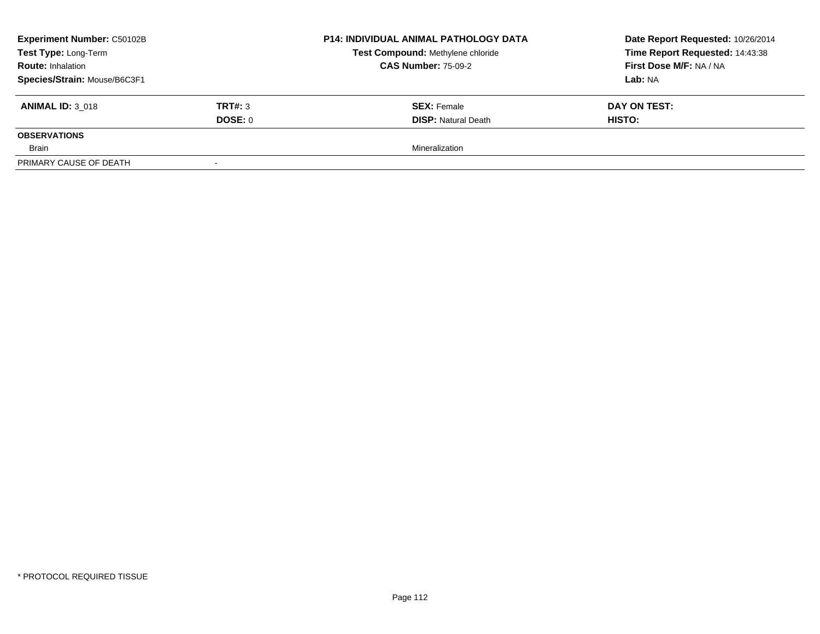| <b>Experiment Number: C50102B</b> |                | <b>P14: INDIVIDUAL ANIMAL PATHOLOGY DATA</b><br>Test Compound: Methylene chloride<br><b>CAS Number: 75-09-2</b> | Date Report Requested: 10/26/2014 |
|-----------------------------------|----------------|-----------------------------------------------------------------------------------------------------------------|-----------------------------------|
| Test Type: Long-Term              |                |                                                                                                                 | Time Report Requested: 14:43:38   |
| <b>Route: Inhalation</b>          |                |                                                                                                                 | First Dose M/F: NA / NA           |
| Species/Strain: Mouse/B6C3F1      |                |                                                                                                                 | Lab: NA                           |
| <b>ANIMAL ID: 3 018</b>           | <b>TRT#: 3</b> | <b>SEX: Female</b>                                                                                              | DAY ON TEST:                      |
|                                   | DOSE: 0        | <b>DISP: Natural Death</b>                                                                                      | <b>HISTO:</b>                     |
| <b>OBSERVATIONS</b>               |                |                                                                                                                 |                                   |
| Brain                             |                | Mineralization                                                                                                  |                                   |
| PRIMARY CAUSE OF DEATH            |                |                                                                                                                 |                                   |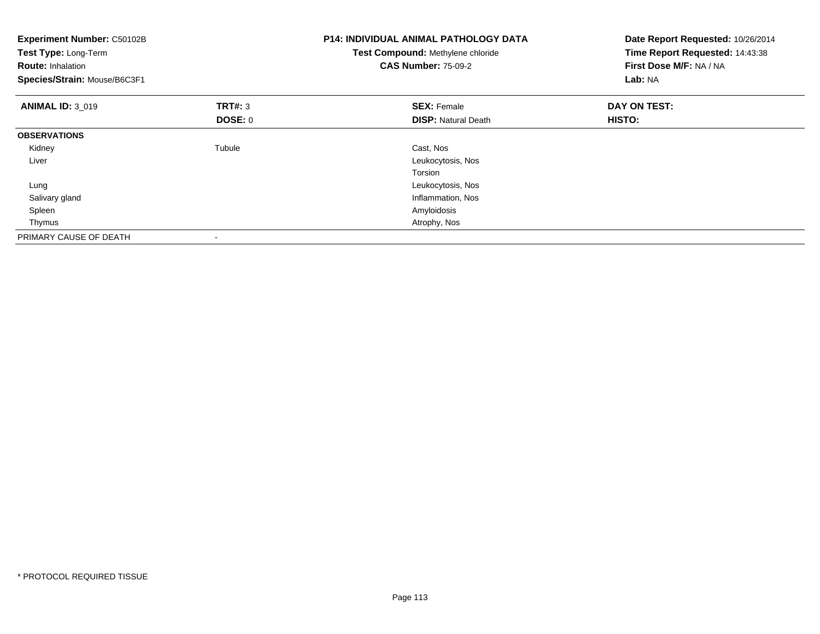| <b>Experiment Number: C50102B</b><br>Test Type: Long-Term<br><b>Route: Inhalation</b><br>Species/Strain: Mouse/B6C3F1 |                           | <b>P14: INDIVIDUAL ANIMAL PATHOLOGY DATA</b><br>Test Compound: Methylene chloride<br><b>CAS Number: 75-09-2</b> | Date Report Requested: 10/26/2014<br>Time Report Requested: 14:43:38<br>First Dose M/F: NA / NA<br>Lab: NA |
|-----------------------------------------------------------------------------------------------------------------------|---------------------------|-----------------------------------------------------------------------------------------------------------------|------------------------------------------------------------------------------------------------------------|
| <b>ANIMAL ID: 3_019</b>                                                                                               | <b>TRT#:</b> 3<br>DOSE: 0 | <b>SEX: Female</b><br><b>DISP: Natural Death</b>                                                                | DAY ON TEST:<br>HISTO:                                                                                     |
| <b>OBSERVATIONS</b>                                                                                                   |                           |                                                                                                                 |                                                                                                            |
| Kidney                                                                                                                | Tubule                    | Cast, Nos                                                                                                       |                                                                                                            |
| Liver                                                                                                                 |                           | Leukocytosis, Nos                                                                                               |                                                                                                            |
|                                                                                                                       |                           | Torsion                                                                                                         |                                                                                                            |
| Lung                                                                                                                  |                           | Leukocytosis, Nos                                                                                               |                                                                                                            |
| Salivary gland                                                                                                        |                           | Inflammation, Nos                                                                                               |                                                                                                            |
| Spleen                                                                                                                |                           | Amyloidosis                                                                                                     |                                                                                                            |
| Thymus                                                                                                                |                           | Atrophy, Nos                                                                                                    |                                                                                                            |
| PRIMARY CAUSE OF DEATH                                                                                                | -                         |                                                                                                                 |                                                                                                            |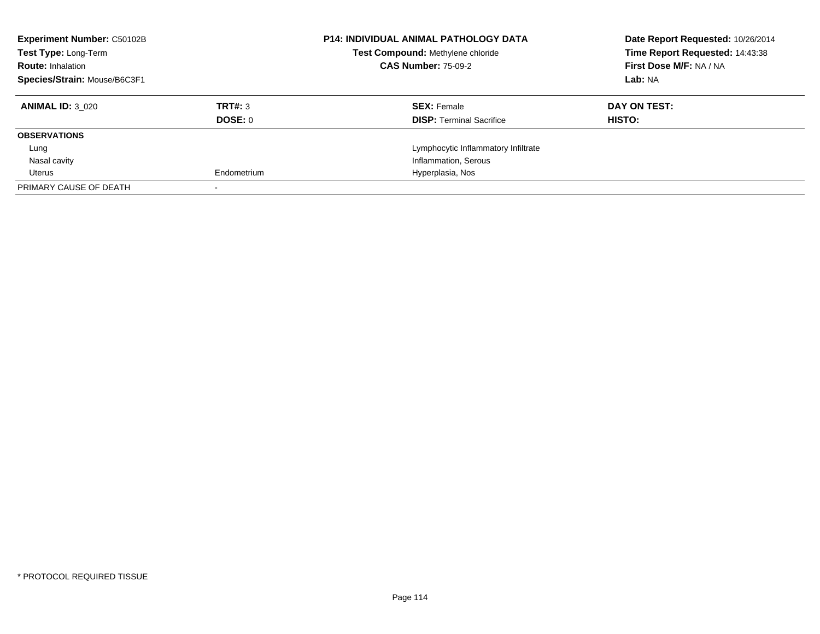| <b>Experiment Number: C50102B</b><br>Test Type: Long-Term |             | <b>P14: INDIVIDUAL ANIMAL PATHOLOGY DATA</b><br>Test Compound: Methylene chloride | Date Report Requested: 10/26/2014<br>Time Report Requested: 14:43:38 |
|-----------------------------------------------------------|-------------|-----------------------------------------------------------------------------------|----------------------------------------------------------------------|
| <b>Route: Inhalation</b>                                  |             | <b>CAS Number: 75-09-2</b>                                                        | First Dose M/F: NA / NA                                              |
| Species/Strain: Mouse/B6C3F1                              |             |                                                                                   | Lab: NA                                                              |
| <b>ANIMAL ID: 3 020</b>                                   | TRT#: 3     | <b>SEX: Female</b>                                                                | DAY ON TEST:                                                         |
|                                                           | DOSE: 0     | <b>DISP:</b> Terminal Sacrifice                                                   | <b>HISTO:</b>                                                        |
| <b>OBSERVATIONS</b>                                       |             |                                                                                   |                                                                      |
| Lung                                                      |             | Lymphocytic Inflammatory Infiltrate                                               |                                                                      |
| Nasal cavity                                              |             | Inflammation, Serous                                                              |                                                                      |
| Uterus                                                    | Endometrium | Hyperplasia, Nos                                                                  |                                                                      |
| PRIMARY CAUSE OF DEATH                                    |             |                                                                                   |                                                                      |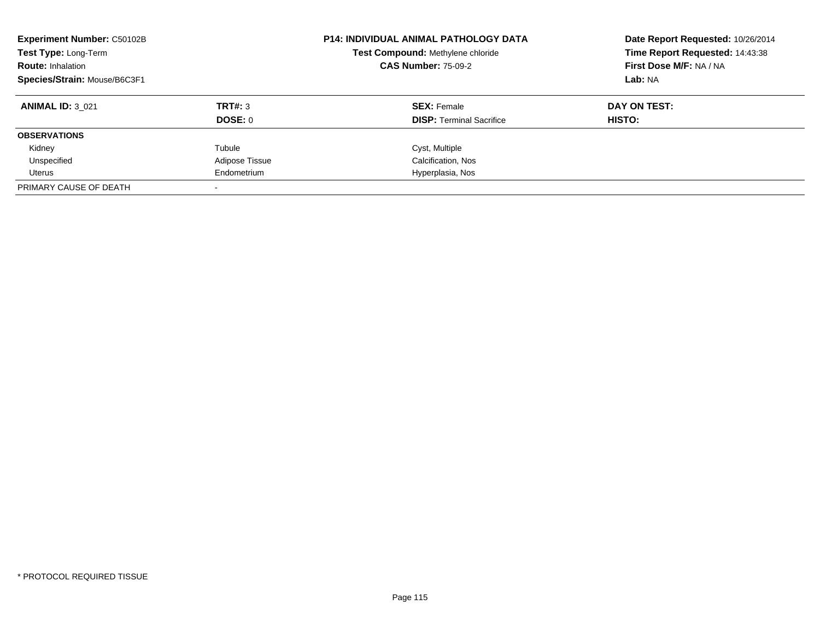| <b>Experiment Number: C50102B</b><br>Test Type: Long-Term<br><b>Route: Inhalation</b><br>Species/Strain: Mouse/B6C3F1 |                           | <b>P14: INDIVIDUAL ANIMAL PATHOLOGY DATA</b><br>Test Compound: Methylene chloride<br><b>CAS Number: 75-09-2</b> | Date Report Requested: 10/26/2014<br>Time Report Requested: 14:43:38<br>First Dose M/F: NA / NA<br>Lab: NA |
|-----------------------------------------------------------------------------------------------------------------------|---------------------------|-----------------------------------------------------------------------------------------------------------------|------------------------------------------------------------------------------------------------------------|
| <b>ANIMAL ID: 3 021</b>                                                                                               | TRT#: 3<br><b>DOSE: 0</b> | <b>SEX: Female</b><br><b>DISP:</b> Terminal Sacrifice                                                           | DAY ON TEST:<br>HISTO:                                                                                     |
| <b>OBSERVATIONS</b>                                                                                                   |                           |                                                                                                                 |                                                                                                            |
| Kidney                                                                                                                | Tubule                    | Cyst, Multiple                                                                                                  |                                                                                                            |
| Unspecified                                                                                                           | Adipose Tissue            | Calcification, Nos                                                                                              |                                                                                                            |
| Uterus                                                                                                                | Endometrium               | Hyperplasia, Nos                                                                                                |                                                                                                            |
| PRIMARY CAUSE OF DEATH                                                                                                |                           |                                                                                                                 |                                                                                                            |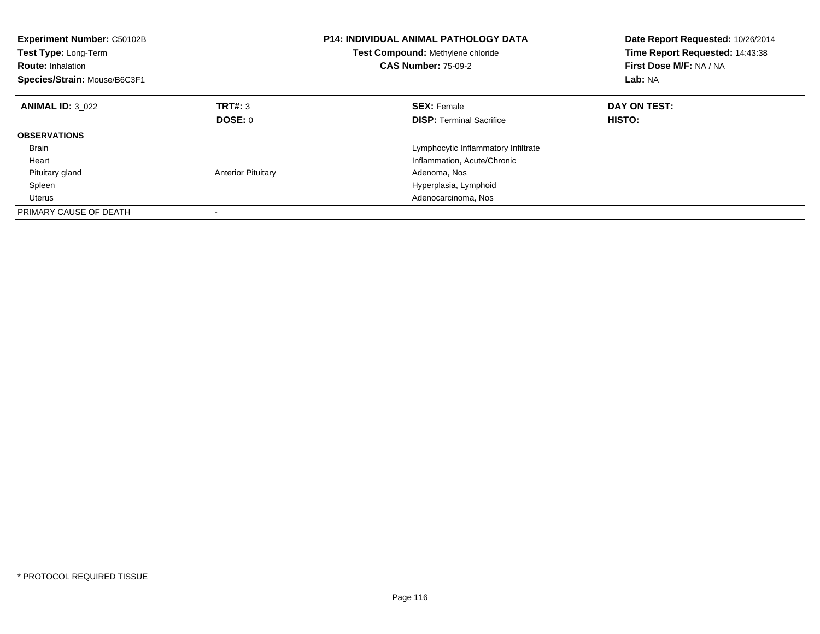| Experiment Number: C50102B<br>Test Type: Long-Term<br><b>Route: Inhalation</b><br>Species/Strain: Mouse/B6C3F1 |                           | <b>P14: INDIVIDUAL ANIMAL PATHOLOGY DATA</b><br>Test Compound: Methylene chloride<br><b>CAS Number: 75-09-2</b> | Date Report Requested: 10/26/2014<br>Time Report Requested: 14:43:38<br>First Dose M/F: NA / NA<br>Lab: NA |
|----------------------------------------------------------------------------------------------------------------|---------------------------|-----------------------------------------------------------------------------------------------------------------|------------------------------------------------------------------------------------------------------------|
| <b>ANIMAL ID: 3 022</b>                                                                                        | TRT#: 3                   | <b>SEX: Female</b>                                                                                              | DAY ON TEST:                                                                                               |
|                                                                                                                | DOSE: 0                   | <b>DISP:</b> Terminal Sacrifice                                                                                 | <b>HISTO:</b>                                                                                              |
| <b>OBSERVATIONS</b>                                                                                            |                           |                                                                                                                 |                                                                                                            |
| <b>Brain</b>                                                                                                   |                           | Lymphocytic Inflammatory Infiltrate                                                                             |                                                                                                            |
| Heart                                                                                                          |                           | Inflammation, Acute/Chronic                                                                                     |                                                                                                            |
| Pituitary gland                                                                                                | <b>Anterior Pituitary</b> | Adenoma, Nos                                                                                                    |                                                                                                            |
| Spleen                                                                                                         |                           | Hyperplasia, Lymphoid                                                                                           |                                                                                                            |
| Uterus                                                                                                         |                           | Adenocarcinoma, Nos                                                                                             |                                                                                                            |
| PRIMARY CAUSE OF DEATH                                                                                         |                           |                                                                                                                 |                                                                                                            |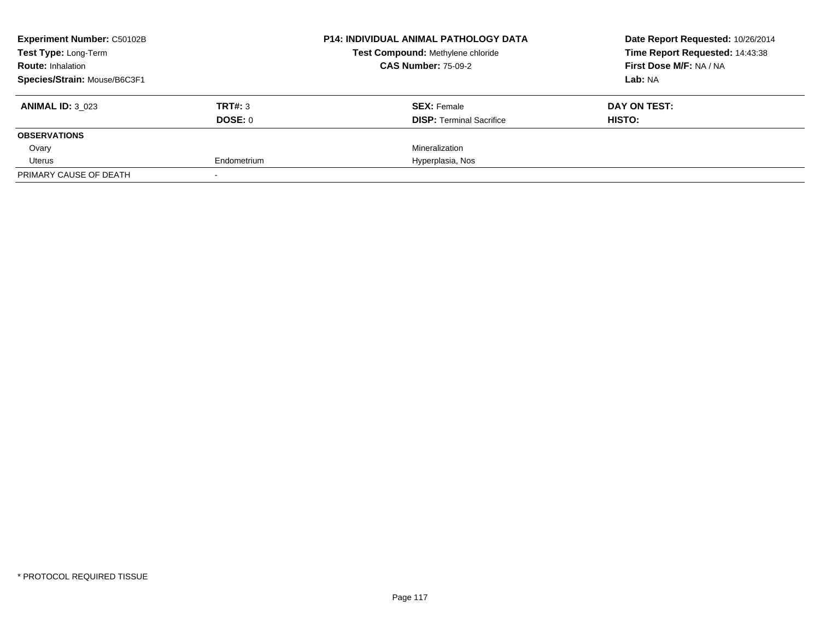| <b>Experiment Number: C50102B</b> | <b>P14: INDIVIDUAL ANIMAL PATHOLOGY DATA</b> | Date Report Requested: 10/26/2014 |                                 |
|-----------------------------------|----------------------------------------------|-----------------------------------|---------------------------------|
| Test Type: Long-Term              |                                              | Test Compound: Methylene chloride | Time Report Requested: 14:43:38 |
| <b>Route: Inhalation</b>          |                                              | <b>CAS Number: 75-09-2</b>        | First Dose M/F: NA / NA         |
| Species/Strain: Mouse/B6C3F1      |                                              |                                   | Lab: NA                         |
| <b>ANIMAL ID: 3 023</b>           | TRT#: 3                                      | <b>SEX: Female</b>                | DAY ON TEST:                    |
|                                   | DOSE: 0                                      | <b>DISP:</b> Terminal Sacrifice   | HISTO:                          |
| <b>OBSERVATIONS</b>               |                                              |                                   |                                 |
| Ovary                             |                                              | Mineralization                    |                                 |
| Uterus                            | Endometrium                                  | Hyperplasia, Nos                  |                                 |
| PRIMARY CAUSE OF DEATH            |                                              |                                   |                                 |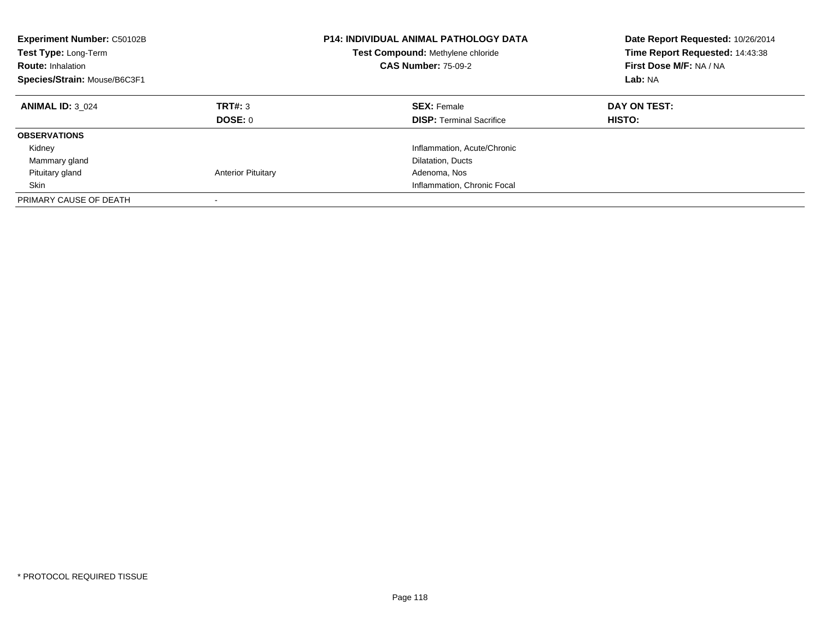| Experiment Number: C50102B<br>Test Type: Long-Term<br><b>Route: Inhalation</b><br>Species/Strain: Mouse/B6C3F1 |                           | <b>P14: INDIVIDUAL ANIMAL PATHOLOGY DATA</b><br>Test Compound: Methylene chloride<br><b>CAS Number: 75-09-2</b> | Date Report Requested: 10/26/2014<br>Time Report Requested: 14:43:38<br>First Dose M/F: NA / NA<br>Lab: NA |
|----------------------------------------------------------------------------------------------------------------|---------------------------|-----------------------------------------------------------------------------------------------------------------|------------------------------------------------------------------------------------------------------------|
| <b>ANIMAL ID: 3 024</b>                                                                                        | TRT#: 3<br>DOSE: 0        | <b>SEX: Female</b><br><b>DISP:</b> Terminal Sacrifice                                                           | DAY ON TEST:<br>HISTO:                                                                                     |
| <b>OBSERVATIONS</b>                                                                                            |                           |                                                                                                                 |                                                                                                            |
| Kidney                                                                                                         |                           | Inflammation, Acute/Chronic                                                                                     |                                                                                                            |
| Mammary gland                                                                                                  |                           | Dilatation, Ducts                                                                                               |                                                                                                            |
| Pituitary gland                                                                                                | <b>Anterior Pituitary</b> | Adenoma, Nos                                                                                                    |                                                                                                            |
| Skin                                                                                                           |                           | Inflammation, Chronic Focal                                                                                     |                                                                                                            |
| PRIMARY CAUSE OF DEATH                                                                                         |                           |                                                                                                                 |                                                                                                            |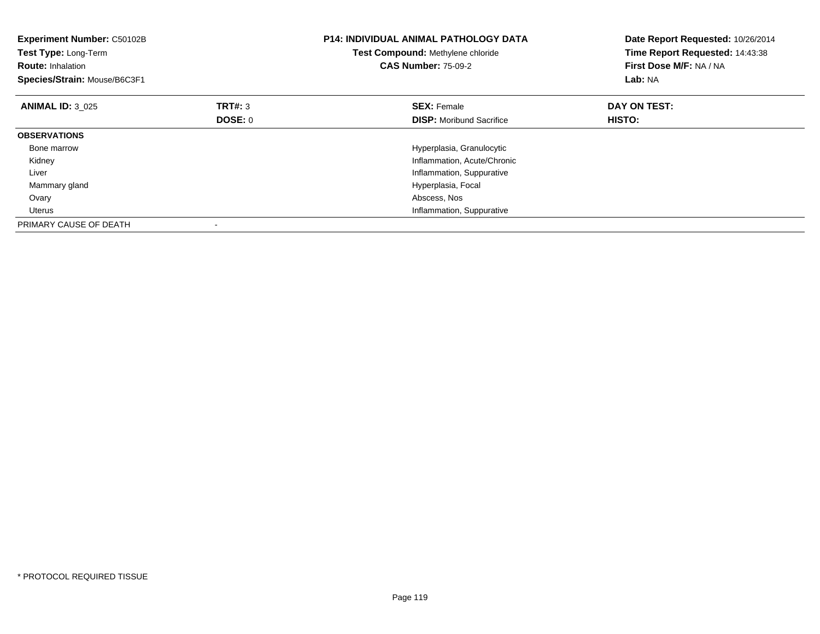| Experiment Number: C50102B<br>Test Type: Long-Term<br><b>Route: Inhalation</b><br>Species/Strain: Mouse/B6C3F1 |         | <b>P14: INDIVIDUAL ANIMAL PATHOLOGY DATA</b><br>Test Compound: Methylene chloride<br><b>CAS Number: 75-09-2</b> | Date Report Requested: 10/26/2014<br>Time Report Requested: 14:43:38<br>First Dose M/F: NA / NA<br>Lab: NA |
|----------------------------------------------------------------------------------------------------------------|---------|-----------------------------------------------------------------------------------------------------------------|------------------------------------------------------------------------------------------------------------|
| <b>ANIMAL ID: 3 025</b>                                                                                        | TRT#: 3 | <b>SEX: Female</b>                                                                                              | DAY ON TEST:                                                                                               |
|                                                                                                                | DOSE: 0 | <b>DISP:</b> Moribund Sacrifice                                                                                 | HISTO:                                                                                                     |
| <b>OBSERVATIONS</b>                                                                                            |         |                                                                                                                 |                                                                                                            |
| Bone marrow                                                                                                    |         | Hyperplasia, Granulocytic                                                                                       |                                                                                                            |
| Kidney                                                                                                         |         | Inflammation, Acute/Chronic                                                                                     |                                                                                                            |
| Liver                                                                                                          |         | Inflammation, Suppurative                                                                                       |                                                                                                            |
| Mammary gland                                                                                                  |         | Hyperplasia, Focal                                                                                              |                                                                                                            |
| Ovary                                                                                                          |         | Abscess, Nos                                                                                                    |                                                                                                            |
| Uterus                                                                                                         |         | Inflammation, Suppurative                                                                                       |                                                                                                            |
| PRIMARY CAUSE OF DEATH                                                                                         |         |                                                                                                                 |                                                                                                            |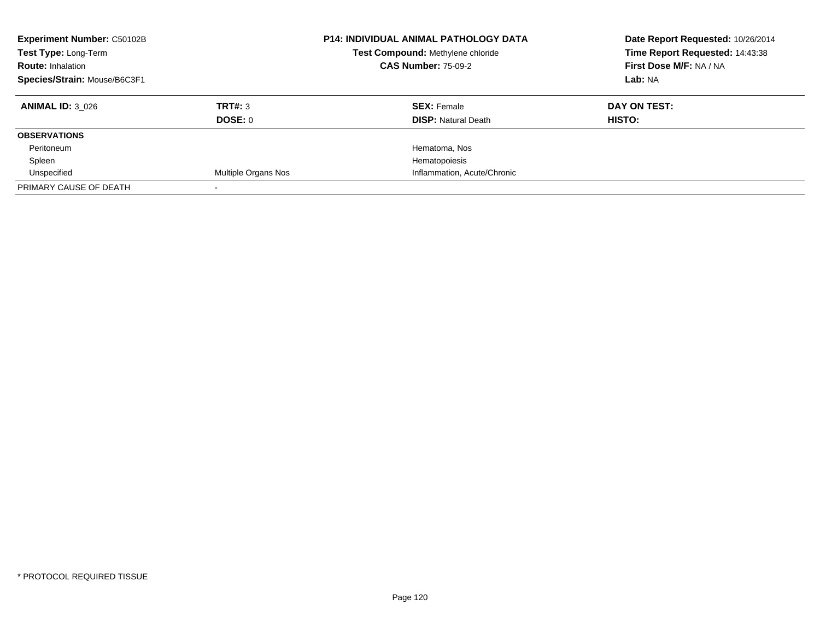| <b>Experiment Number: C50102B</b><br>Test Type: Long-Term<br><b>Route: Inhalation</b> |                            | <b>P14: INDIVIDUAL ANIMAL PATHOLOGY DATA</b><br>Test Compound: Methylene chloride<br><b>CAS Number: 75-09-2</b> | Date Report Requested: 10/26/2014<br>Time Report Requested: 14:43:38<br>First Dose M/F: NA / NA |
|---------------------------------------------------------------------------------------|----------------------------|-----------------------------------------------------------------------------------------------------------------|-------------------------------------------------------------------------------------------------|
| Species/Strain: Mouse/B6C3F1                                                          |                            |                                                                                                                 | Lab: NA                                                                                         |
| <b>ANIMAL ID: 3 026</b>                                                               | TRT#: 3                    | <b>SEX: Female</b>                                                                                              | DAY ON TEST:                                                                                    |
|                                                                                       | DOSE: 0                    | <b>DISP: Natural Death</b>                                                                                      | <b>HISTO:</b>                                                                                   |
| <b>OBSERVATIONS</b>                                                                   |                            |                                                                                                                 |                                                                                                 |
| Peritoneum                                                                            |                            | Hematoma, Nos                                                                                                   |                                                                                                 |
| Spleen                                                                                |                            | Hematopoiesis                                                                                                   |                                                                                                 |
| Unspecified                                                                           | <b>Multiple Organs Nos</b> | Inflammation, Acute/Chronic                                                                                     |                                                                                                 |
| PRIMARY CAUSE OF DEATH                                                                |                            |                                                                                                                 |                                                                                                 |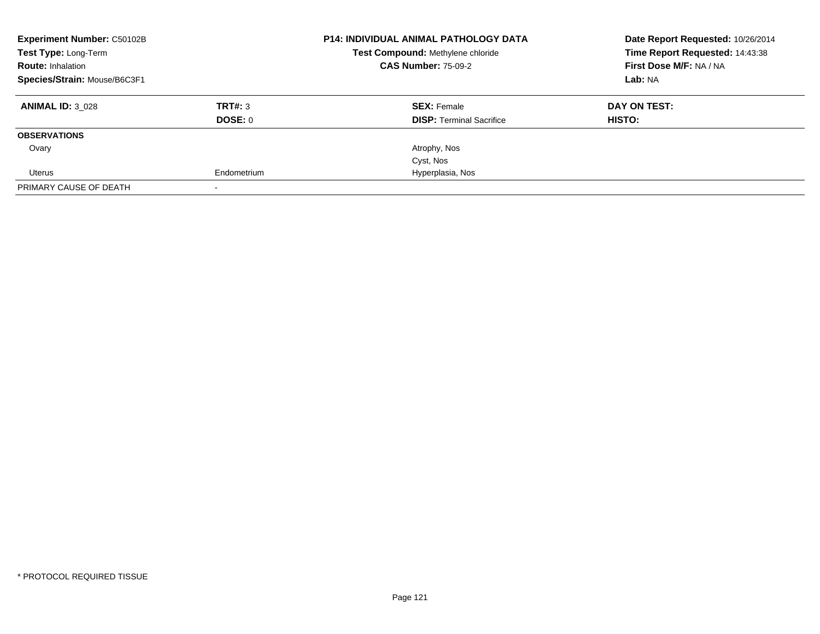| <b>Experiment Number: C50102B</b><br>Test Type: Long-Term |             | <b>P14: INDIVIDUAL ANIMAL PATHOLOGY DATA</b><br>Test Compound: Methylene chloride | Date Report Requested: 10/26/2014<br>Time Report Requested: 14:43:38 |
|-----------------------------------------------------------|-------------|-----------------------------------------------------------------------------------|----------------------------------------------------------------------|
| <b>Route: Inhalation</b>                                  |             | <b>CAS Number: 75-09-2</b>                                                        | First Dose M/F: NA / NA                                              |
| Species/Strain: Mouse/B6C3F1                              |             |                                                                                   | Lab: NA                                                              |
| <b>ANIMAL ID: 3 028</b>                                   | TRT#: 3     | <b>SEX: Female</b>                                                                | DAY ON TEST:                                                         |
|                                                           | DOSE: 0     | <b>DISP:</b> Terminal Sacrifice                                                   | HISTO:                                                               |
| <b>OBSERVATIONS</b>                                       |             |                                                                                   |                                                                      |
| Ovary                                                     |             | Atrophy, Nos                                                                      |                                                                      |
|                                                           |             | Cyst, Nos                                                                         |                                                                      |
| Uterus                                                    | Endometrium | Hyperplasia, Nos                                                                  |                                                                      |
| PRIMARY CAUSE OF DEATH                                    |             |                                                                                   |                                                                      |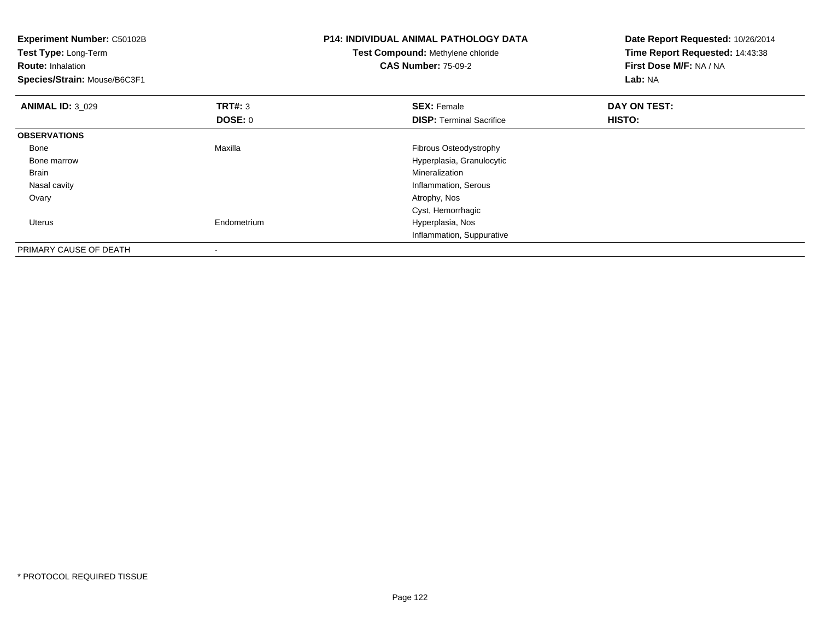| <b>Experiment Number: C50102B</b><br>Test Type: Long-Term<br><b>Route: Inhalation</b><br>Species/Strain: Mouse/B6C3F1 |                           | <b>P14: INDIVIDUAL ANIMAL PATHOLOGY DATA</b><br>Test Compound: Methylene chloride<br><b>CAS Number: 75-09-2</b> | Date Report Requested: 10/26/2014<br>Time Report Requested: 14:43:38<br>First Dose M/F: NA / NA<br>Lab: NA |
|-----------------------------------------------------------------------------------------------------------------------|---------------------------|-----------------------------------------------------------------------------------------------------------------|------------------------------------------------------------------------------------------------------------|
| <b>ANIMAL ID: 3 029</b>                                                                                               | <b>TRT#: 3</b><br>DOSE: 0 | <b>SEX: Female</b><br><b>DISP:</b> Terminal Sacrifice                                                           | DAY ON TEST:<br>HISTO:                                                                                     |
| <b>OBSERVATIONS</b>                                                                                                   |                           |                                                                                                                 |                                                                                                            |
| Bone                                                                                                                  | Maxilla                   | Fibrous Osteodystrophy                                                                                          |                                                                                                            |
| Bone marrow                                                                                                           |                           | Hyperplasia, Granulocytic                                                                                       |                                                                                                            |
| Brain                                                                                                                 |                           | Mineralization                                                                                                  |                                                                                                            |
| Nasal cavity                                                                                                          |                           | Inflammation, Serous                                                                                            |                                                                                                            |
| Ovary                                                                                                                 |                           | Atrophy, Nos                                                                                                    |                                                                                                            |
|                                                                                                                       |                           | Cyst, Hemorrhagic                                                                                               |                                                                                                            |
| <b>Uterus</b>                                                                                                         | Endometrium               | Hyperplasia, Nos                                                                                                |                                                                                                            |
|                                                                                                                       |                           | Inflammation, Suppurative                                                                                       |                                                                                                            |
| PRIMARY CAUSE OF DEATH                                                                                                |                           |                                                                                                                 |                                                                                                            |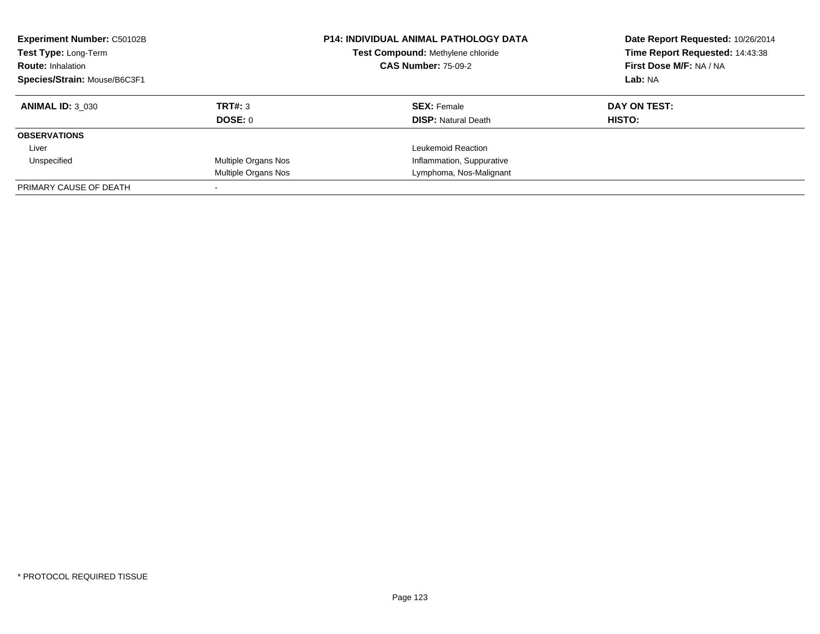| <b>Experiment Number: C50102B</b><br>Test Type: Long-Term<br><b>Route: Inhalation</b><br>Species/Strain: Mouse/B6C3F1 |                            | <b>P14: INDIVIDUAL ANIMAL PATHOLOGY DATA</b> | Date Report Requested: 10/26/2014<br>Time Report Requested: 14:43:38 |
|-----------------------------------------------------------------------------------------------------------------------|----------------------------|----------------------------------------------|----------------------------------------------------------------------|
|                                                                                                                       |                            | Test Compound: Methylene chloride            |                                                                      |
|                                                                                                                       |                            | <b>CAS Number: 75-09-2</b>                   | First Dose M/F: NA / NA                                              |
|                                                                                                                       |                            |                                              | Lab: NA                                                              |
| <b>ANIMAL ID: 3 030</b>                                                                                               | TRT#: 3                    | <b>SEX: Female</b>                           | DAY ON TEST:                                                         |
|                                                                                                                       | DOSE: 0                    | <b>DISP:</b> Natural Death                   | HISTO:                                                               |
| <b>OBSERVATIONS</b>                                                                                                   |                            |                                              |                                                                      |
| Liver                                                                                                                 |                            | Leukemoid Reaction                           |                                                                      |
| Unspecified                                                                                                           | <b>Multiple Organs Nos</b> | Inflammation, Suppurative                    |                                                                      |
|                                                                                                                       | Multiple Organs Nos        | Lymphoma, Nos-Malignant                      |                                                                      |
| PRIMARY CAUSE OF DEATH                                                                                                |                            |                                              |                                                                      |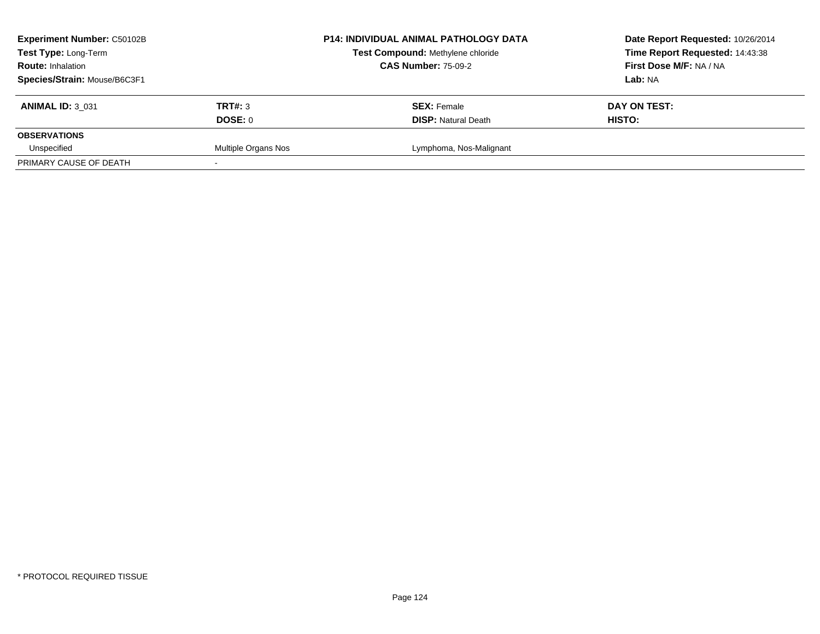| <b>Experiment Number: C50102B</b>                |                     | <b>P14: INDIVIDUAL ANIMAL PATHOLOGY DATA</b> | Date Report Requested: 10/26/2014 |
|--------------------------------------------------|---------------------|----------------------------------------------|-----------------------------------|
| Test Type: Long-Term<br><b>Route: Inhalation</b> |                     | Test Compound: Methylene chloride            | Time Report Requested: 14:43:38   |
|                                                  |                     | <b>CAS Number: 75-09-2</b>                   | First Dose M/F: NA / NA           |
| Species/Strain: Mouse/B6C3F1                     |                     |                                              | Lab: NA                           |
| <b>ANIMAL ID: 3 031</b>                          | <b>TRT#: 3</b>      | <b>SEX: Female</b>                           | DAY ON TEST:                      |
|                                                  | DOSE: 0             | <b>DISP: Natural Death</b>                   | HISTO:                            |
| <b>OBSERVATIONS</b>                              |                     |                                              |                                   |
| Unspecified                                      | Multiple Organs Nos | Lymphoma, Nos-Malignant                      |                                   |
| PRIMARY CAUSE OF DEATH                           |                     |                                              |                                   |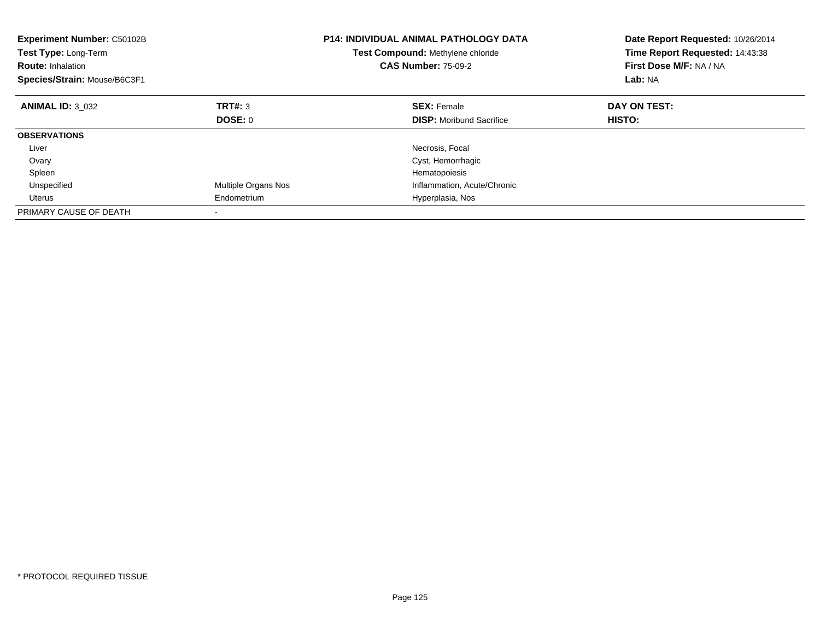| <b>Experiment Number: C50102B</b><br>Test Type: Long-Term<br><b>Route: Inhalation</b><br>Species/Strain: Mouse/B6C3F1 |                            | <b>P14: INDIVIDUAL ANIMAL PATHOLOGY DATA</b><br>Test Compound: Methylene chloride<br><b>CAS Number: 75-09-2</b> | Date Report Requested: 10/26/2014<br>Time Report Requested: 14:43:38<br>First Dose M/F: NA / NA<br>Lab: NA |
|-----------------------------------------------------------------------------------------------------------------------|----------------------------|-----------------------------------------------------------------------------------------------------------------|------------------------------------------------------------------------------------------------------------|
| <b>ANIMAL ID: 3 032</b>                                                                                               | TRT#: 3                    | <b>SEX: Female</b>                                                                                              | DAY ON TEST:                                                                                               |
|                                                                                                                       | DOSE: 0                    | <b>DISP:</b> Moribund Sacrifice                                                                                 | HISTO:                                                                                                     |
| <b>OBSERVATIONS</b>                                                                                                   |                            |                                                                                                                 |                                                                                                            |
| Liver                                                                                                                 |                            | Necrosis, Focal                                                                                                 |                                                                                                            |
| Ovary                                                                                                                 |                            | Cyst, Hemorrhagic                                                                                               |                                                                                                            |
| Spleen                                                                                                                |                            | Hematopoiesis                                                                                                   |                                                                                                            |
| Unspecified                                                                                                           | <b>Multiple Organs Nos</b> | Inflammation, Acute/Chronic                                                                                     |                                                                                                            |
| Uterus                                                                                                                | Endometrium                | Hyperplasia, Nos                                                                                                |                                                                                                            |
| PRIMARY CAUSE OF DEATH                                                                                                |                            |                                                                                                                 |                                                                                                            |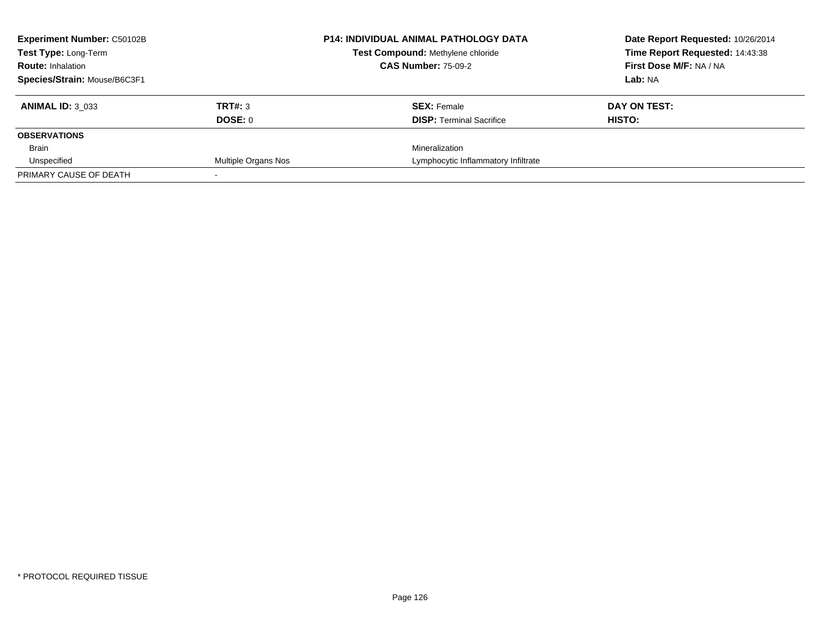| <b>Experiment Number: C50102B</b>                |                     | <b>P14: INDIVIDUAL ANIMAL PATHOLOGY DATA</b> | Date Report Requested: 10/26/2014 |
|--------------------------------------------------|---------------------|----------------------------------------------|-----------------------------------|
| Test Type: Long-Term<br><b>Route: Inhalation</b> |                     | Test Compound: Methylene chloride            | Time Report Requested: 14:43:38   |
|                                                  |                     | <b>CAS Number: 75-09-2</b>                   | First Dose M/F: NA / NA           |
| Species/Strain: Mouse/B6C3F1                     |                     |                                              | Lab: NA                           |
| <b>ANIMAL ID: 3 033</b>                          | <b>TRT#: 3</b>      | <b>SEX: Female</b>                           | DAY ON TEST:                      |
|                                                  | DOSE: 0             | <b>DISP:</b> Terminal Sacrifice              | HISTO:                            |
| <b>OBSERVATIONS</b>                              |                     |                                              |                                   |
| Brain                                            |                     | Mineralization                               |                                   |
| Unspecified                                      | Multiple Organs Nos | Lymphocytic Inflammatory Infiltrate          |                                   |
| PRIMARY CAUSE OF DEATH                           |                     |                                              |                                   |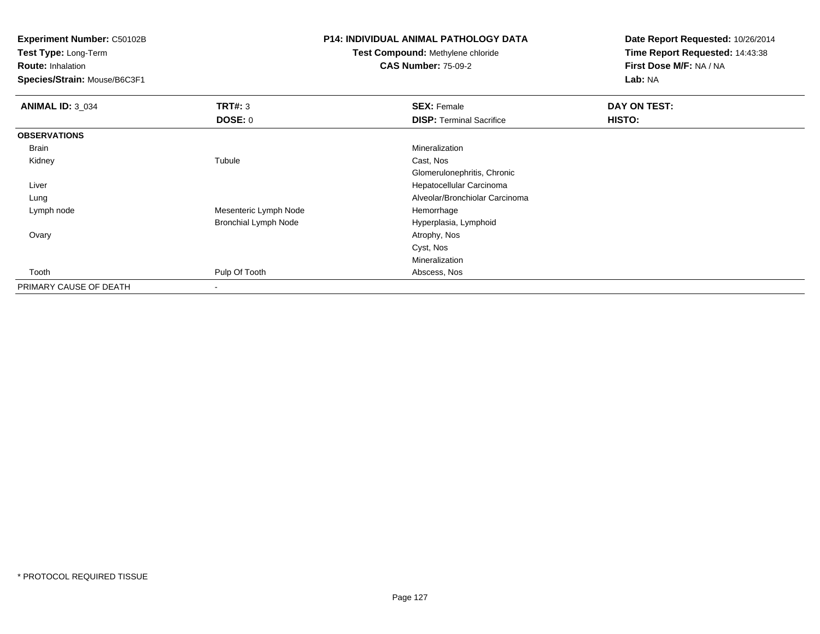**Experiment Number:** C50102B

**Test Type:** Long-Term

**Route:** Inhalation

**Species/Strain:** Mouse/B6C3F1

## **P14: INDIVIDUAL ANIMAL PATHOLOGY DATA**

**Test Compound:** Methylene chloride**CAS Number:** 75-09-2

**Date Report Requested:** 10/26/2014**Time Report Requested:** 14:43:38**First Dose M/F:** NA / NA**Lab:** NA

| <b>ANIMAL ID: 3_034</b> | <b>TRT#: 3</b>              | <b>SEX: Female</b>              | DAY ON TEST: |  |
|-------------------------|-----------------------------|---------------------------------|--------------|--|
|                         | <b>DOSE: 0</b>              | <b>DISP: Terminal Sacrifice</b> | HISTO:       |  |
| <b>OBSERVATIONS</b>     |                             |                                 |              |  |
| Brain                   |                             | Mineralization                  |              |  |
| Kidney                  | Tubule                      | Cast, Nos                       |              |  |
|                         |                             | Glomerulonephritis, Chronic     |              |  |
| Liver                   |                             | Hepatocellular Carcinoma        |              |  |
| Lung                    |                             | Alveolar/Bronchiolar Carcinoma  |              |  |
| Lymph node              | Mesenteric Lymph Node       | Hemorrhage                      |              |  |
|                         | <b>Bronchial Lymph Node</b> | Hyperplasia, Lymphoid           |              |  |
| Ovary                   |                             | Atrophy, Nos                    |              |  |
|                         |                             | Cyst, Nos                       |              |  |
|                         |                             | Mineralization                  |              |  |
| Tooth                   | Pulp Of Tooth               | Abscess, Nos                    |              |  |
| PRIMARY CAUSE OF DEATH  | ۰                           |                                 |              |  |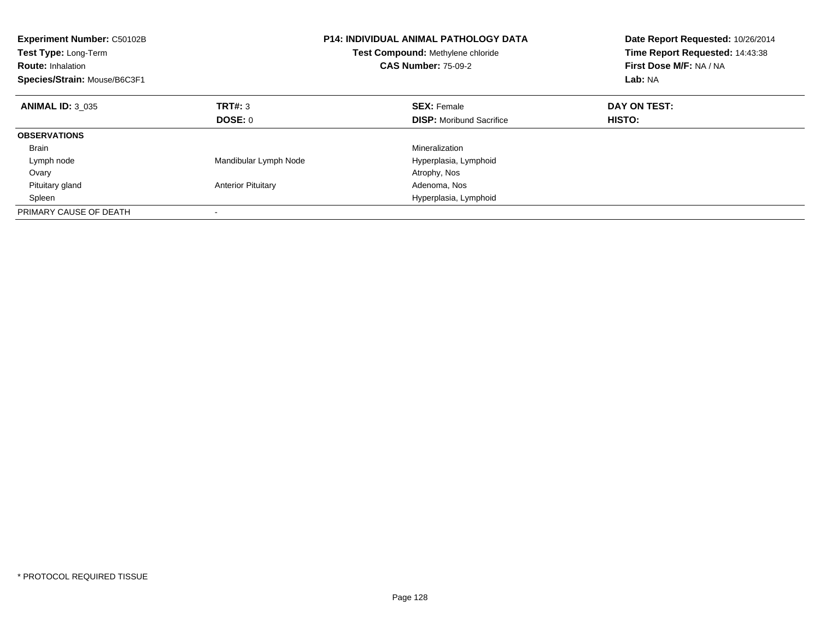| <b>Experiment Number: C50102B</b><br>Test Type: Long-Term<br><b>Route: Inhalation</b><br>Species/Strain: Mouse/B6C3F1 |                           | <b>P14: INDIVIDUAL ANIMAL PATHOLOGY DATA</b><br>Test Compound: Methylene chloride<br><b>CAS Number: 75-09-2</b> | Date Report Requested: 10/26/2014<br>Time Report Requested: 14:43:38<br>First Dose M/F: NA / NA<br>Lab: NA |
|-----------------------------------------------------------------------------------------------------------------------|---------------------------|-----------------------------------------------------------------------------------------------------------------|------------------------------------------------------------------------------------------------------------|
| <b>ANIMAL ID: 3 035</b>                                                                                               | TRT#: 3                   | <b>SEX: Female</b>                                                                                              | DAY ON TEST:                                                                                               |
|                                                                                                                       | DOSE: 0                   | <b>DISP:</b> Moribund Sacrifice                                                                                 | HISTO:                                                                                                     |
| <b>OBSERVATIONS</b>                                                                                                   |                           |                                                                                                                 |                                                                                                            |
| <b>Brain</b>                                                                                                          |                           | Mineralization                                                                                                  |                                                                                                            |
| Lymph node                                                                                                            | Mandibular Lymph Node     | Hyperplasia, Lymphoid                                                                                           |                                                                                                            |
| Ovary                                                                                                                 |                           | Atrophy, Nos                                                                                                    |                                                                                                            |
| Pituitary gland                                                                                                       | <b>Anterior Pituitary</b> | Adenoma, Nos                                                                                                    |                                                                                                            |
| Spleen                                                                                                                |                           | Hyperplasia, Lymphoid                                                                                           |                                                                                                            |
| PRIMARY CAUSE OF DEATH                                                                                                |                           |                                                                                                                 |                                                                                                            |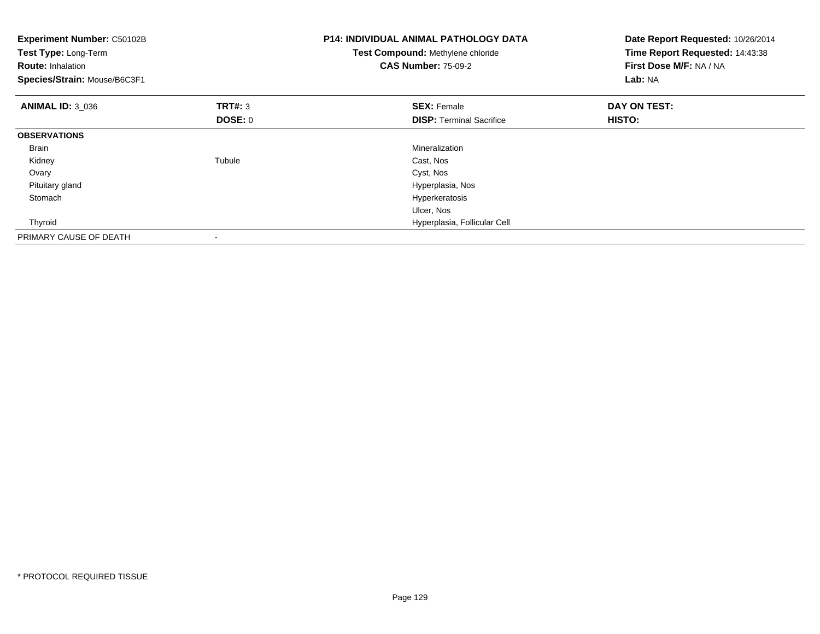| Experiment Number: C50102B<br>Test Type: Long-Term<br><b>Route: Inhalation</b><br>Species/Strain: Mouse/B6C3F1 |                                  | <b>P14: INDIVIDUAL ANIMAL PATHOLOGY DATA</b><br>Test Compound: Methylene chloride<br><b>CAS Number: 75-09-2</b> | Date Report Requested: 10/26/2014<br>Time Report Requested: 14:43:38<br>First Dose M/F: NA / NA<br>Lab: NA |
|----------------------------------------------------------------------------------------------------------------|----------------------------------|-----------------------------------------------------------------------------------------------------------------|------------------------------------------------------------------------------------------------------------|
| <b>ANIMAL ID: 3 036</b>                                                                                        | <b>TRT#: 3</b><br><b>DOSE: 0</b> | <b>SEX: Female</b><br><b>DISP:</b> Terminal Sacrifice                                                           | DAY ON TEST:<br>HISTO:                                                                                     |
| <b>OBSERVATIONS</b>                                                                                            |                                  |                                                                                                                 |                                                                                                            |
| <b>Brain</b>                                                                                                   |                                  | Mineralization                                                                                                  |                                                                                                            |
| Kidney                                                                                                         | Tubule                           | Cast, Nos                                                                                                       |                                                                                                            |
| Ovary                                                                                                          |                                  | Cyst, Nos                                                                                                       |                                                                                                            |
| Pituitary gland                                                                                                |                                  | Hyperplasia, Nos                                                                                                |                                                                                                            |
| Stomach                                                                                                        |                                  | Hyperkeratosis                                                                                                  |                                                                                                            |
|                                                                                                                |                                  | Ulcer, Nos                                                                                                      |                                                                                                            |
| Thyroid                                                                                                        |                                  | Hyperplasia, Follicular Cell                                                                                    |                                                                                                            |
| PRIMARY CAUSE OF DEATH                                                                                         |                                  |                                                                                                                 |                                                                                                            |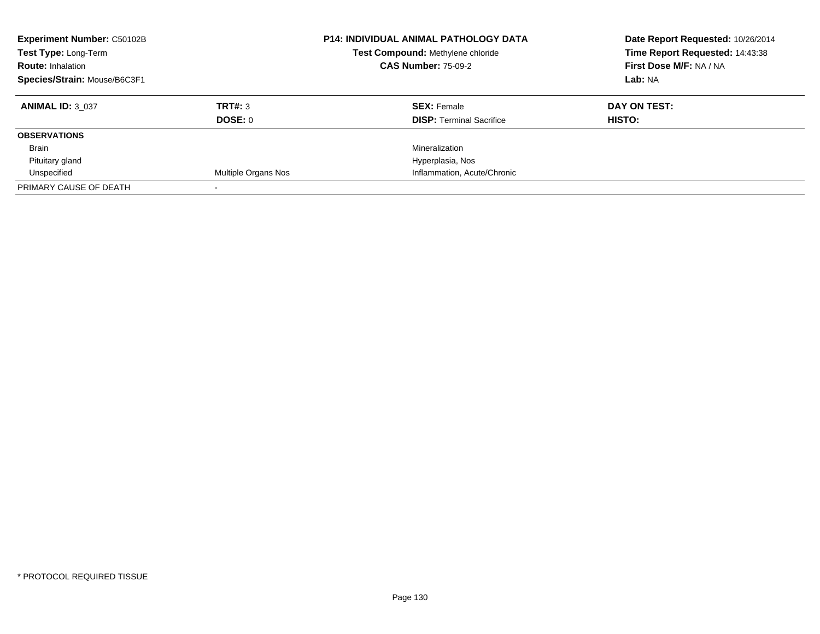| <b>Experiment Number: C50102B</b><br>Test Type: Long-Term<br><b>Route: Inhalation</b> |                     | <b>P14: INDIVIDUAL ANIMAL PATHOLOGY DATA</b> | Date Report Requested: 10/26/2014 |
|---------------------------------------------------------------------------------------|---------------------|----------------------------------------------|-----------------------------------|
|                                                                                       |                     | Test Compound: Methylene chloride            | Time Report Requested: 14:43:38   |
|                                                                                       |                     | <b>CAS Number: 75-09-2</b>                   | First Dose M/F: NA / NA           |
| Species/Strain: Mouse/B6C3F1                                                          |                     |                                              | Lab: NA                           |
| <b>ANIMAL ID: 3 037</b>                                                               | TRT#: 3             | <b>SEX: Female</b>                           | DAY ON TEST:                      |
|                                                                                       | DOSE: 0             | <b>DISP:</b> Terminal Sacrifice              | HISTO:                            |
| <b>OBSERVATIONS</b>                                                                   |                     |                                              |                                   |
| Brain                                                                                 |                     | Mineralization                               |                                   |
| Pituitary gland                                                                       |                     | Hyperplasia, Nos                             |                                   |
| Unspecified                                                                           | Multiple Organs Nos | Inflammation, Acute/Chronic                  |                                   |
| PRIMARY CAUSE OF DEATH                                                                |                     |                                              |                                   |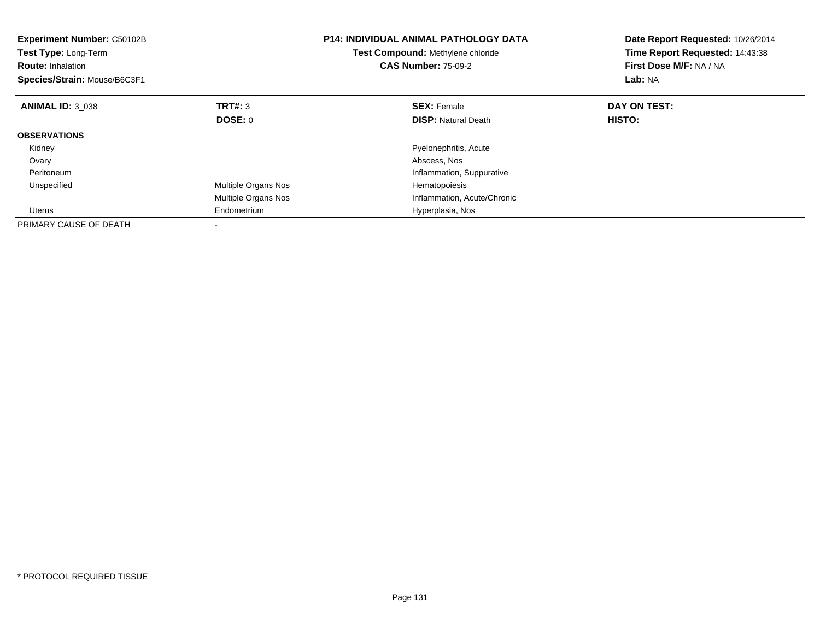| <b>Experiment Number: C50102B</b><br>Test Type: Long-Term<br><b>Route:</b> Inhalation<br>Species/Strain: Mouse/B6C3F1 |                     | <b>P14: INDIVIDUAL ANIMAL PATHOLOGY DATA</b><br>Test Compound: Methylene chloride<br><b>CAS Number: 75-09-2</b> | Date Report Requested: 10/26/2014<br>Time Report Requested: 14:43:38<br>First Dose M/F: NA / NA<br>Lab: NA |
|-----------------------------------------------------------------------------------------------------------------------|---------------------|-----------------------------------------------------------------------------------------------------------------|------------------------------------------------------------------------------------------------------------|
| <b>ANIMAL ID: 3 038</b>                                                                                               | TRT#: 3             | <b>SEX: Female</b>                                                                                              | DAY ON TEST:                                                                                               |
|                                                                                                                       | DOSE: 0             | <b>DISP: Natural Death</b>                                                                                      | <b>HISTO:</b>                                                                                              |
| <b>OBSERVATIONS</b>                                                                                                   |                     |                                                                                                                 |                                                                                                            |
| Kidney                                                                                                                |                     | Pyelonephritis, Acute                                                                                           |                                                                                                            |
| Ovary                                                                                                                 |                     | Abscess, Nos                                                                                                    |                                                                                                            |
| Peritoneum                                                                                                            |                     | Inflammation, Suppurative                                                                                       |                                                                                                            |
| Unspecified                                                                                                           | Multiple Organs Nos | Hematopoiesis                                                                                                   |                                                                                                            |
|                                                                                                                       | Multiple Organs Nos | Inflammation, Acute/Chronic                                                                                     |                                                                                                            |
| Uterus                                                                                                                | Endometrium         | Hyperplasia, Nos                                                                                                |                                                                                                            |
| PRIMARY CAUSE OF DEATH                                                                                                |                     |                                                                                                                 |                                                                                                            |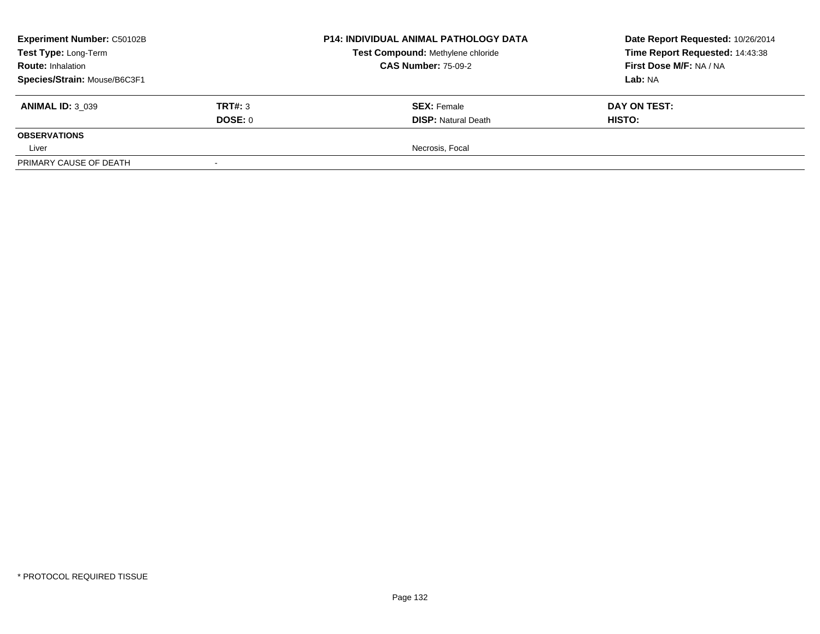| <b>Experiment Number: C50102B</b><br>Test Type: Long-Term<br><b>Route: Inhalation</b> |                | <b>P14: INDIVIDUAL ANIMAL PATHOLOGY DATA</b> | Date Report Requested: 10/26/2014 |
|---------------------------------------------------------------------------------------|----------------|----------------------------------------------|-----------------------------------|
|                                                                                       |                | Test Compound: Methylene chloride            | Time Report Requested: 14:43:38   |
|                                                                                       |                | <b>CAS Number: 75-09-2</b>                   | First Dose M/F: NA / NA           |
| Species/Strain: Mouse/B6C3F1                                                          |                |                                              | Lab: NA                           |
| <b>ANIMAL ID: 3 039</b>                                                               | <b>TRT#: 3</b> | <b>SEX: Female</b>                           | DAY ON TEST:                      |
|                                                                                       | DOSE: 0        | <b>DISP: Natural Death</b>                   | <b>HISTO:</b>                     |
| <b>OBSERVATIONS</b>                                                                   |                |                                              |                                   |
| Liver                                                                                 |                | Necrosis, Focal                              |                                   |
| PRIMARY CAUSE OF DEATH                                                                |                |                                              |                                   |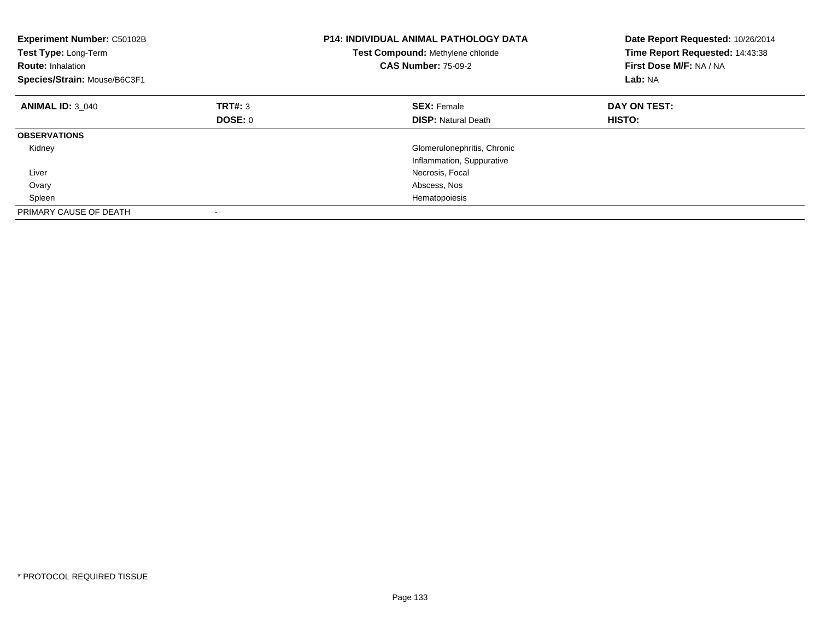| <b>Experiment Number: C50102B</b><br>Test Type: Long-Term<br><b>Route: Inhalation</b><br>Species/Strain: Mouse/B6C3F1 |         | <b>P14: INDIVIDUAL ANIMAL PATHOLOGY DATA</b><br>Test Compound: Methylene chloride<br><b>CAS Number: 75-09-2</b> | Date Report Requested: 10/26/2014<br>Time Report Requested: 14:43:38<br>First Dose M/F: NA / NA<br>Lab: NA |
|-----------------------------------------------------------------------------------------------------------------------|---------|-----------------------------------------------------------------------------------------------------------------|------------------------------------------------------------------------------------------------------------|
| <b>ANIMAL ID: 3_040</b>                                                                                               | TRT#: 3 | <b>SEX: Female</b>                                                                                              | DAY ON TEST:                                                                                               |
|                                                                                                                       | DOSE: 0 | <b>DISP:</b> Natural Death                                                                                      | HISTO:                                                                                                     |
| <b>OBSERVATIONS</b>                                                                                                   |         |                                                                                                                 |                                                                                                            |
| Kidney                                                                                                                |         | Glomerulonephritis, Chronic                                                                                     |                                                                                                            |
|                                                                                                                       |         | Inflammation, Suppurative                                                                                       |                                                                                                            |
| Liver                                                                                                                 |         | Necrosis, Focal                                                                                                 |                                                                                                            |
| Ovary                                                                                                                 |         | Abscess, Nos                                                                                                    |                                                                                                            |
| Spleen                                                                                                                |         | Hematopoiesis                                                                                                   |                                                                                                            |
| PRIMARY CAUSE OF DEATH                                                                                                |         |                                                                                                                 |                                                                                                            |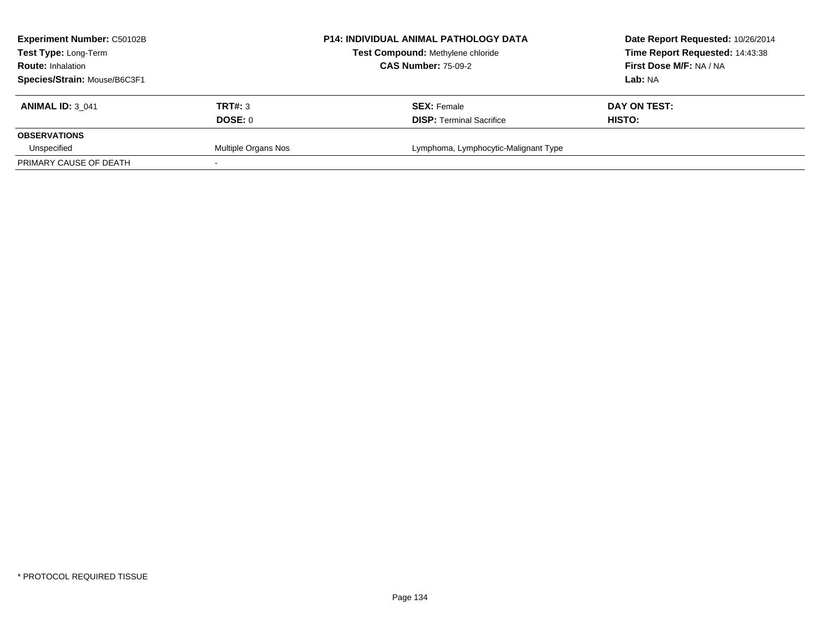| <b>Experiment Number: C50102B</b> |                     | <b>P14: INDIVIDUAL ANIMAL PATHOLOGY DATA</b> | Date Report Requested: 10/26/2014 |
|-----------------------------------|---------------------|----------------------------------------------|-----------------------------------|
| Test Type: Long-Term              |                     | Test Compound: Methylene chloride            | Time Report Requested: 14:43:38   |
| <b>Route: Inhalation</b>          |                     | <b>CAS Number: 75-09-2</b>                   | First Dose M/F: NA / NA           |
| Species/Strain: Mouse/B6C3F1      |                     |                                              | Lab: NA                           |
| <b>ANIMAL ID: 3 041</b>           | <b>TRT#: 3</b>      | <b>SEX: Female</b>                           | DAY ON TEST:                      |
|                                   | DOSE: 0             | <b>DISP: Terminal Sacrifice</b>              | HISTO:                            |
| <b>OBSERVATIONS</b>               |                     |                                              |                                   |
| Unspecified                       | Multiple Organs Nos | Lymphoma, Lymphocytic-Malignant Type         |                                   |
| PRIMARY CAUSE OF DEATH            |                     |                                              |                                   |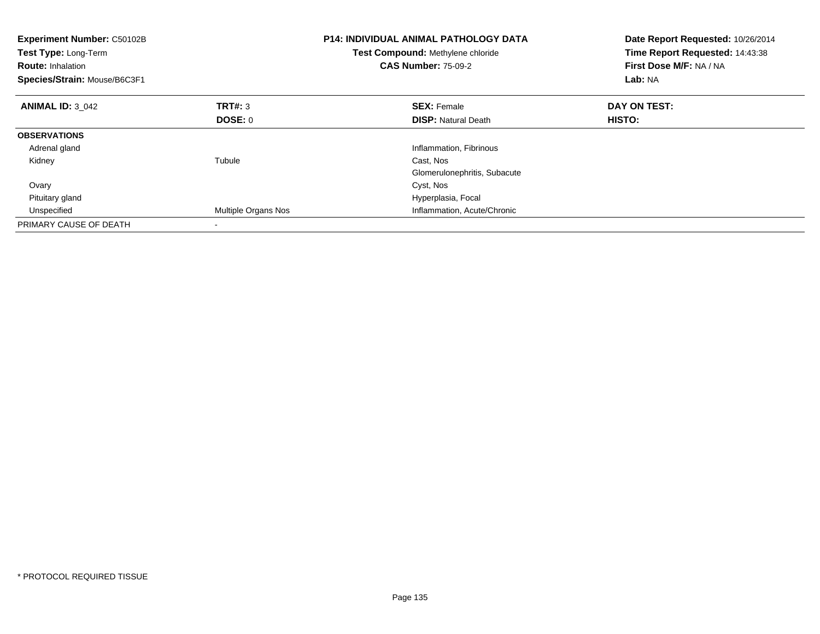| <b>Experiment Number: C50102B</b><br>Test Type: Long-Term<br><b>Route: Inhalation</b><br>Species/Strain: Mouse/B6C3F1 |                     | <b>P14: INDIVIDUAL ANIMAL PATHOLOGY DATA</b><br>Test Compound: Methylene chloride<br><b>CAS Number: 75-09-2</b> | Date Report Requested: 10/26/2014<br>Time Report Requested: 14:43:38<br>First Dose M/F: NA / NA<br>Lab: NA |
|-----------------------------------------------------------------------------------------------------------------------|---------------------|-----------------------------------------------------------------------------------------------------------------|------------------------------------------------------------------------------------------------------------|
| <b>ANIMAL ID: 3 042</b>                                                                                               | TRT#: 3             | <b>SEX: Female</b>                                                                                              | DAY ON TEST:                                                                                               |
|                                                                                                                       | DOSE: 0             | <b>DISP:</b> Natural Death                                                                                      | HISTO:                                                                                                     |
| <b>OBSERVATIONS</b>                                                                                                   |                     |                                                                                                                 |                                                                                                            |
| Adrenal gland                                                                                                         |                     | Inflammation, Fibrinous                                                                                         |                                                                                                            |
| Kidney                                                                                                                | Tubule              | Cast, Nos                                                                                                       |                                                                                                            |
|                                                                                                                       |                     | Glomerulonephritis, Subacute                                                                                    |                                                                                                            |
| Ovary                                                                                                                 |                     | Cyst, Nos                                                                                                       |                                                                                                            |
| Pituitary gland                                                                                                       |                     | Hyperplasia, Focal                                                                                              |                                                                                                            |
| Unspecified                                                                                                           | Multiple Organs Nos | Inflammation, Acute/Chronic                                                                                     |                                                                                                            |
| PRIMARY CAUSE OF DEATH                                                                                                |                     |                                                                                                                 |                                                                                                            |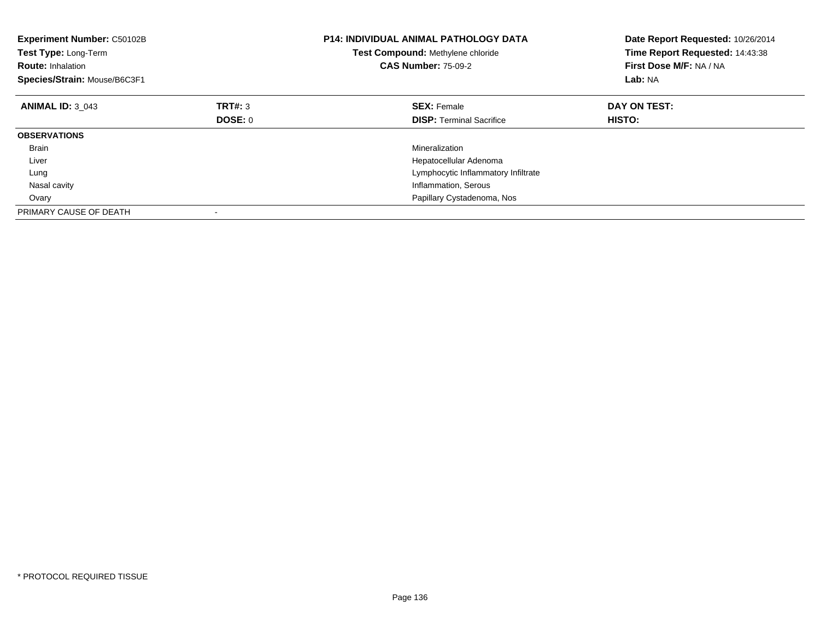| <b>Experiment Number: C50102B</b><br>Test Type: Long-Term<br><b>Route: Inhalation</b><br>Species/Strain: Mouse/B6C3F1 |         | <b>P14: INDIVIDUAL ANIMAL PATHOLOGY DATA</b><br>Test Compound: Methylene chloride<br><b>CAS Number: 75-09-2</b> | Date Report Requested: 10/26/2014<br>Time Report Requested: 14:43:38<br>First Dose M/F: NA / NA<br>Lab: NA |
|-----------------------------------------------------------------------------------------------------------------------|---------|-----------------------------------------------------------------------------------------------------------------|------------------------------------------------------------------------------------------------------------|
| <b>ANIMAL ID: 3 043</b>                                                                                               | TRT#: 3 | <b>SEX: Female</b>                                                                                              | DAY ON TEST:                                                                                               |
|                                                                                                                       | DOSE: 0 | <b>DISP:</b> Terminal Sacrifice                                                                                 | <b>HISTO:</b>                                                                                              |
| <b>OBSERVATIONS</b>                                                                                                   |         |                                                                                                                 |                                                                                                            |
| <b>Brain</b>                                                                                                          |         | Mineralization                                                                                                  |                                                                                                            |
| Liver                                                                                                                 |         | Hepatocellular Adenoma                                                                                          |                                                                                                            |
| Lung                                                                                                                  |         | Lymphocytic Inflammatory Infiltrate                                                                             |                                                                                                            |
| Nasal cavity                                                                                                          |         | Inflammation, Serous                                                                                            |                                                                                                            |
| Ovary                                                                                                                 |         | Papillary Cystadenoma, Nos                                                                                      |                                                                                                            |
| PRIMARY CAUSE OF DEATH                                                                                                |         |                                                                                                                 |                                                                                                            |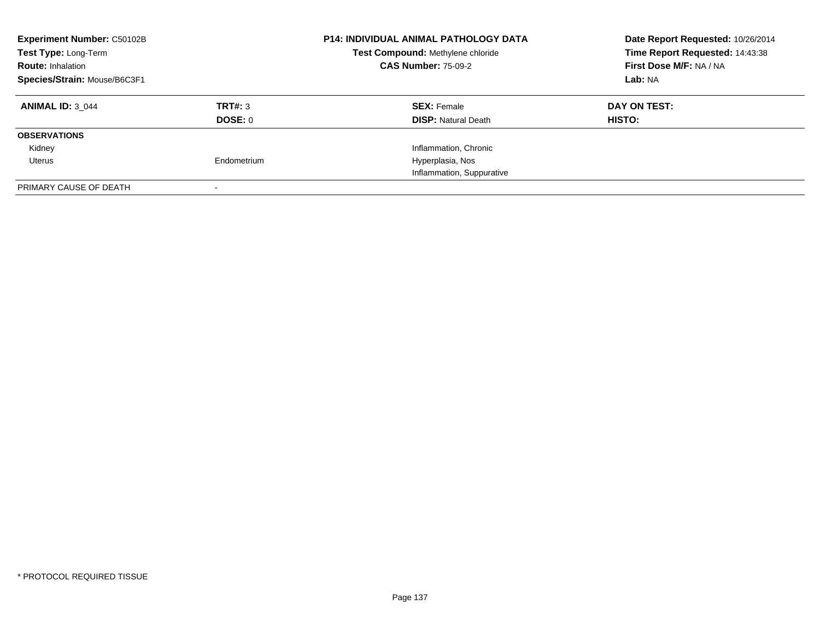| <b>Experiment Number: C50102B</b><br>Test Type: Long-Term<br><b>Route: Inhalation</b><br>Species/Strain: Mouse/B6C3F1 |             | <b>P14: INDIVIDUAL ANIMAL PATHOLOGY DATA</b><br>Test Compound: Methylene chloride<br><b>CAS Number: 75-09-2</b> | Date Report Requested: 10/26/2014<br>Time Report Requested: 14:43:38<br>First Dose M/F: NA / NA<br>Lab: NA |
|-----------------------------------------------------------------------------------------------------------------------|-------------|-----------------------------------------------------------------------------------------------------------------|------------------------------------------------------------------------------------------------------------|
|                                                                                                                       |             |                                                                                                                 |                                                                                                            |
| <b>ANIMAL ID: 3 044</b>                                                                                               | TRT#: 3     | <b>SEX: Female</b>                                                                                              | DAY ON TEST:                                                                                               |
|                                                                                                                       | DOSE: 0     | <b>DISP: Natural Death</b>                                                                                      | <b>HISTO:</b>                                                                                              |
| <b>OBSERVATIONS</b>                                                                                                   |             |                                                                                                                 |                                                                                                            |
| Kidney                                                                                                                |             | Inflammation, Chronic                                                                                           |                                                                                                            |
| Uterus                                                                                                                | Endometrium | Hyperplasia, Nos                                                                                                |                                                                                                            |
|                                                                                                                       |             | Inflammation, Suppurative                                                                                       |                                                                                                            |
| PRIMARY CAUSE OF DEATH                                                                                                |             |                                                                                                                 |                                                                                                            |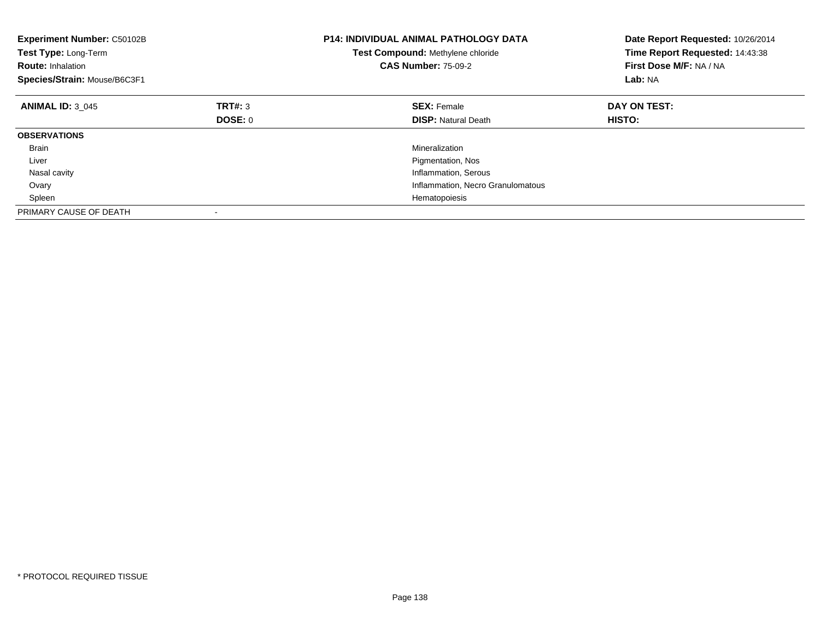| <b>Experiment Number: C50102B</b><br>Test Type: Long-Term<br><b>Route: Inhalation</b><br>Species/Strain: Mouse/B6C3F1 |         | <b>P14: INDIVIDUAL ANIMAL PATHOLOGY DATA</b><br>Test Compound: Methylene chloride<br><b>CAS Number: 75-09-2</b> | Date Report Requested: 10/26/2014<br>Time Report Requested: 14:43:38<br>First Dose M/F: NA / NA<br>Lab: NA |
|-----------------------------------------------------------------------------------------------------------------------|---------|-----------------------------------------------------------------------------------------------------------------|------------------------------------------------------------------------------------------------------------|
| <b>ANIMAL ID: 3 045</b>                                                                                               | TRT#: 3 | <b>SEX: Female</b>                                                                                              | DAY ON TEST:                                                                                               |
|                                                                                                                       | DOSE: 0 | <b>DISP:</b> Natural Death                                                                                      | <b>HISTO:</b>                                                                                              |
| <b>OBSERVATIONS</b>                                                                                                   |         |                                                                                                                 |                                                                                                            |
| <b>Brain</b>                                                                                                          |         | Mineralization                                                                                                  |                                                                                                            |
| Liver                                                                                                                 |         | Pigmentation, Nos                                                                                               |                                                                                                            |
| Nasal cavity                                                                                                          |         | Inflammation, Serous                                                                                            |                                                                                                            |
| Ovary                                                                                                                 |         | Inflammation, Necro Granulomatous                                                                               |                                                                                                            |
| Spleen                                                                                                                |         | Hematopoiesis                                                                                                   |                                                                                                            |
| PRIMARY CAUSE OF DEATH                                                                                                |         |                                                                                                                 |                                                                                                            |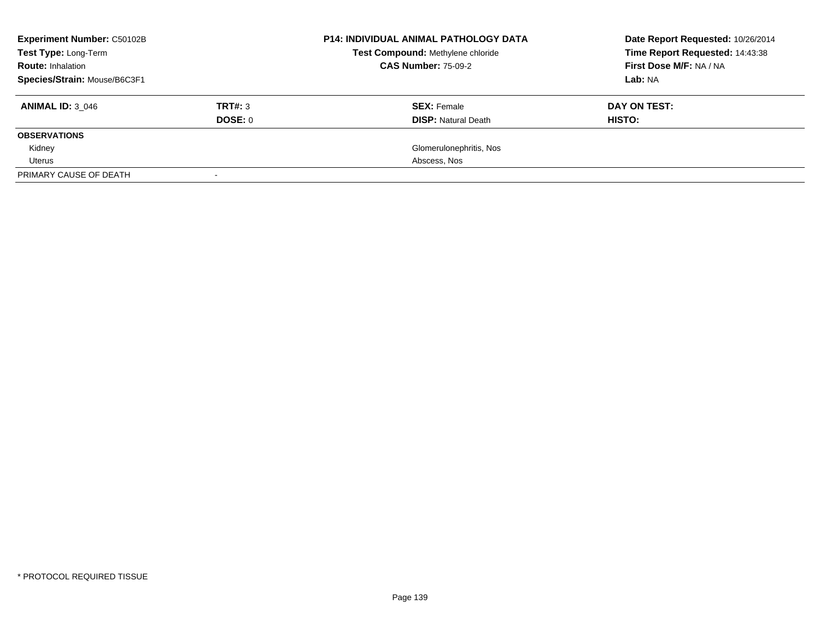| <b>Experiment Number: C50102B</b> |         | <b>P14: INDIVIDUAL ANIMAL PATHOLOGY DATA</b> | Date Report Requested: 10/26/2014 |
|-----------------------------------|---------|----------------------------------------------|-----------------------------------|
| Test Type: Long-Term              |         | Test Compound: Methylene chloride            | Time Report Requested: 14:43:38   |
| <b>Route: Inhalation</b>          |         | <b>CAS Number: 75-09-2</b>                   | First Dose M/F: NA / NA           |
| Species/Strain: Mouse/B6C3F1      |         |                                              | Lab: NA                           |
| <b>ANIMAL ID: 3 046</b>           | TRT#: 3 | <b>SEX: Female</b>                           | DAY ON TEST:                      |
|                                   | DOSE: 0 | <b>DISP:</b> Natural Death                   | HISTO:                            |
| <b>OBSERVATIONS</b>               |         |                                              |                                   |
| Kidney                            |         | Glomerulonephritis, Nos                      |                                   |
| Uterus                            |         | Abscess, Nos                                 |                                   |
| PRIMARY CAUSE OF DEATH            |         |                                              |                                   |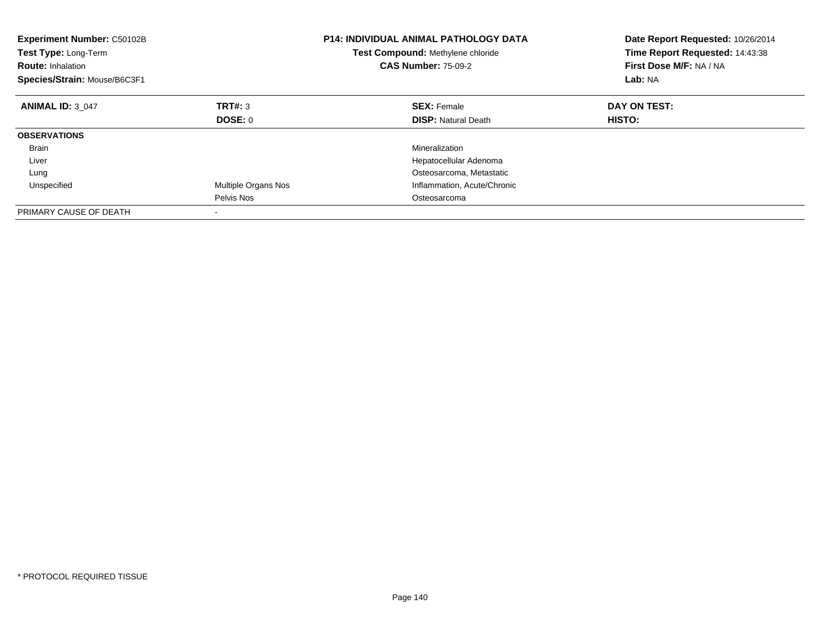| Experiment Number: C50102B<br>Test Type: Long-Term<br><b>Route: Inhalation</b><br>Species/Strain: Mouse/B6C3F1 |                     | <b>P14: INDIVIDUAL ANIMAL PATHOLOGY DATA</b><br>Test Compound: Methylene chloride<br><b>CAS Number: 75-09-2</b> | Date Report Requested: 10/26/2014<br>Time Report Requested: 14:43:38<br>First Dose M/F: NA / NA<br>Lab: NA |
|----------------------------------------------------------------------------------------------------------------|---------------------|-----------------------------------------------------------------------------------------------------------------|------------------------------------------------------------------------------------------------------------|
| <b>ANIMAL ID: 3 047</b>                                                                                        | TRT#: 3             | <b>SEX: Female</b>                                                                                              | DAY ON TEST:                                                                                               |
|                                                                                                                | DOSE: 0             | <b>DISP:</b> Natural Death                                                                                      | HISTO:                                                                                                     |
| <b>OBSERVATIONS</b>                                                                                            |                     |                                                                                                                 |                                                                                                            |
| <b>Brain</b>                                                                                                   |                     | Mineralization                                                                                                  |                                                                                                            |
| Liver                                                                                                          |                     | Hepatocellular Adenoma                                                                                          |                                                                                                            |
| Lung                                                                                                           |                     | Osteosarcoma, Metastatic                                                                                        |                                                                                                            |
| Unspecified                                                                                                    | Multiple Organs Nos | Inflammation, Acute/Chronic                                                                                     |                                                                                                            |
|                                                                                                                | Pelvis Nos          | Osteosarcoma                                                                                                    |                                                                                                            |
| PRIMARY CAUSE OF DEATH                                                                                         |                     |                                                                                                                 |                                                                                                            |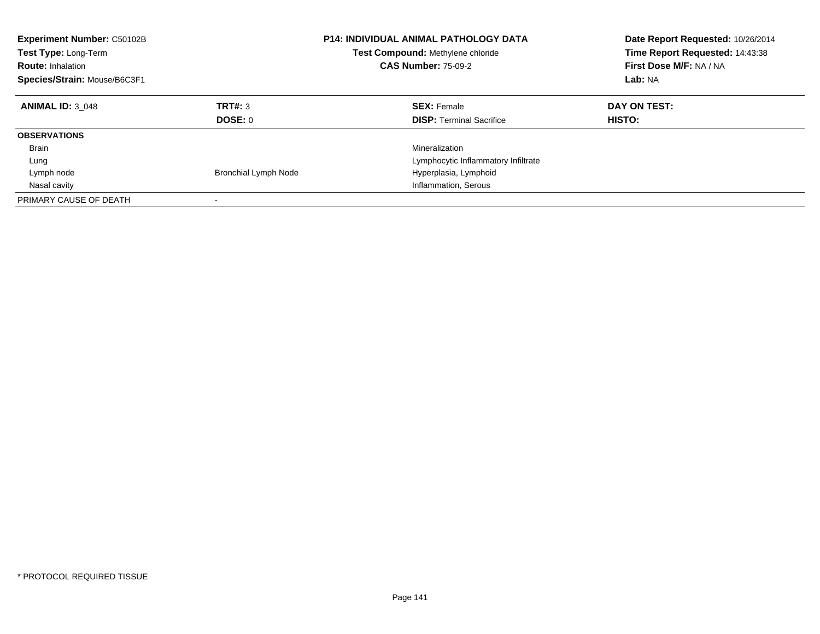| <b>Experiment Number: C50102B</b><br><b>Test Type: Long-Term</b><br><b>Route: Inhalation</b><br>Species/Strain: Mouse/B6C3F1 |                             | <b>P14: INDIVIDUAL ANIMAL PATHOLOGY DATA</b><br>Test Compound: Methylene chloride<br><b>CAS Number: 75-09-2</b> | Date Report Requested: 10/26/2014<br>Time Report Requested: 14:43:38<br>First Dose M/F: NA / NA<br>Lab: NA |
|------------------------------------------------------------------------------------------------------------------------------|-----------------------------|-----------------------------------------------------------------------------------------------------------------|------------------------------------------------------------------------------------------------------------|
| <b>ANIMAL ID: 3 048</b>                                                                                                      | TRT#: 3<br>DOSE: 0          | <b>SEX: Female</b><br><b>DISP:</b> Terminal Sacrifice                                                           | DAY ON TEST:<br>HISTO:                                                                                     |
| <b>OBSERVATIONS</b>                                                                                                          |                             |                                                                                                                 |                                                                                                            |
| Brain                                                                                                                        |                             | Mineralization                                                                                                  |                                                                                                            |
|                                                                                                                              |                             |                                                                                                                 |                                                                                                            |
| Lung                                                                                                                         |                             | Lymphocytic Inflammatory Infiltrate                                                                             |                                                                                                            |
| Lymph node                                                                                                                   | <b>Bronchial Lymph Node</b> | Hyperplasia, Lymphoid                                                                                           |                                                                                                            |
| Nasal cavity                                                                                                                 |                             | Inflammation, Serous                                                                                            |                                                                                                            |
| PRIMARY CAUSE OF DEATH                                                                                                       |                             |                                                                                                                 |                                                                                                            |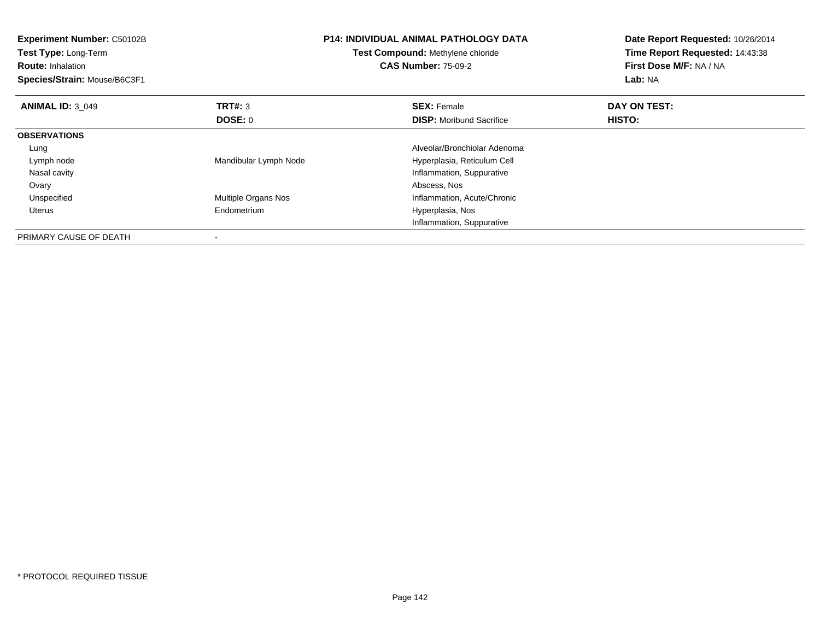| <b>Experiment Number: C50102B</b><br><b>Test Type: Long-Term</b><br><b>Route: Inhalation</b><br>Species/Strain: Mouse/B6C3F1 |                       | <b>P14: INDIVIDUAL ANIMAL PATHOLOGY DATA</b><br>Test Compound: Methylene chloride<br><b>CAS Number: 75-09-2</b> | Date Report Requested: 10/26/2014<br>Time Report Requested: 14:43:38<br>First Dose M/F: NA / NA<br>Lab: NA |
|------------------------------------------------------------------------------------------------------------------------------|-----------------------|-----------------------------------------------------------------------------------------------------------------|------------------------------------------------------------------------------------------------------------|
| <b>ANIMAL ID: 3 049</b>                                                                                                      | TRT#: 3               | <b>SEX: Female</b>                                                                                              | DAY ON TEST:                                                                                               |
|                                                                                                                              | DOSE: 0               | <b>DISP:</b> Moribund Sacrifice                                                                                 | HISTO:                                                                                                     |
| <b>OBSERVATIONS</b>                                                                                                          |                       |                                                                                                                 |                                                                                                            |
| Lung                                                                                                                         |                       | Alveolar/Bronchiolar Adenoma                                                                                    |                                                                                                            |
| Lymph node                                                                                                                   | Mandibular Lymph Node | Hyperplasia, Reticulum Cell                                                                                     |                                                                                                            |
| Nasal cavity                                                                                                                 |                       | Inflammation, Suppurative                                                                                       |                                                                                                            |
| Ovary                                                                                                                        |                       | Abscess, Nos                                                                                                    |                                                                                                            |
| Unspecified                                                                                                                  | Multiple Organs Nos   | Inflammation, Acute/Chronic                                                                                     |                                                                                                            |
| Uterus                                                                                                                       | Endometrium           | Hyperplasia, Nos                                                                                                |                                                                                                            |
|                                                                                                                              |                       | Inflammation, Suppurative                                                                                       |                                                                                                            |
| PRIMARY CAUSE OF DEATH                                                                                                       |                       |                                                                                                                 |                                                                                                            |